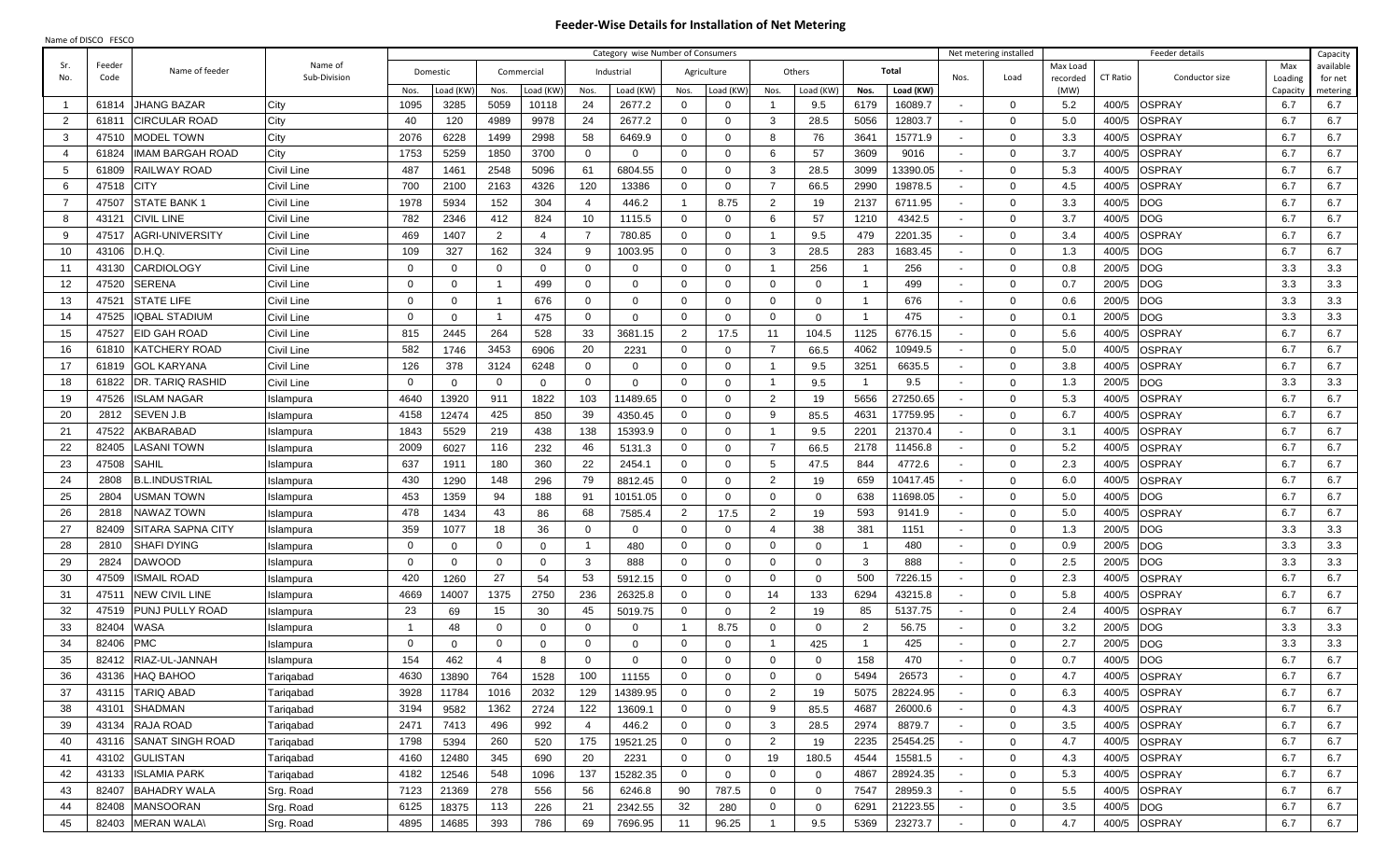## **Feeder-Wise Details for Installation of Net Metering**

| Name of DISCO FESCO |  |
|---------------------|--|
|---------------------|--|

|                |        |                         |              |              |                |                |                |                | Category wise Number of Consumers |                |              |                |                |                |           |        | Net metering installed |                  | Feeder details             |                    | Capacity            |
|----------------|--------|-------------------------|--------------|--------------|----------------|----------------|----------------|----------------|-----------------------------------|----------------|--------------|----------------|----------------|----------------|-----------|--------|------------------------|------------------|----------------------------|--------------------|---------------------|
| Sr.            | Feeder | Name of feeder          | Name of      | Domestic     |                | Commercial     |                |                | Industrial                        |                | Agriculture  |                | Others         |                | Total     |        |                        | Max Load         |                            | Max                | available           |
| No.            | Code   |                         | Sub-Division | Nos.         | oad (KW        | Nos.           | Load (KW       | Nos.           | Load (KW)                         | Nos.           | Load (KW     | Nos.           | Load (KW)      | Nos.           | Load (KW) | Nos.   | Load                   | recorded<br>(MW) | CT Ratio<br>Conductor size | Loading<br>Capacit | for net<br>metering |
| $\overline{1}$ | 61814  | <b>JHANG BAZAR</b>      | City         | 1095         | 3285           | 5059           | 10118          | 24             | 2677.2                            | $\mathbf 0$    | $\Omega$     |                | 9.5            | 6179           | 16089.7   |        | $\mathbf{0}$           | 5.2              | <b>OSPRAY</b><br>400/5     | 6.7                | 6.7                 |
| 2              | 61811  | <b>CIRCULAR ROAD</b>    | City         | 40           | 120            | 4989           | 9978           | 24             | 2677.2                            | $\mathbf 0$    | 0            | 3              | 28.5           | 5056           | 12803.7   |        | $\mathbf{0}$           | 5.0              | 400/5<br>OSPRAY            | 6.7                | 6.7                 |
| 3              | 47510  | <b>MODEL TOWN</b>       | City         | 2076         | 6228           | 1499           | 2998           | 58             | 6469.9                            | $\mathbf 0$    | $\mathbf 0$  | 8              | 76             | 3641           | 15771.9   |        | $\Omega$               | 3.3              | OSPRAY<br>400/5            | 6.7                | 6.7                 |
| - 4            | 61824  | <b>IMAM BARGAH ROAD</b> | City         | 1753         | 5259           | 1850           | 3700           | $\overline{0}$ | $\mathbf 0$                       | $\mathbf 0$    | $\mathbf 0$  | 6              | 57             | 3609           | 9016      | $\sim$ | $\Omega$               | 3.7              | OSPRAY<br>400/5            | 6.7                | 6.7                 |
| -5             | 61809  | RAILWAY ROAD            | Civil Line   | 487          | 1461           | 2548           | 5096           | 61             | 6804.55                           | $\mathbf 0$    | $\mathbf 0$  | 3              | 28.5           | 3099           | 13390.05  |        | $\Omega$               | 5.3              | OSPRAY<br>400/5            | 6.7                | 6.7                 |
| 6              | 47518  | <b>CITY</b>             | Civil Line   | 700          | 2100           | 2163           | 4326           | 120            | 13386                             | $\mathbf 0$    | $\mathbf 0$  | $\overline{7}$ | 66.5           | 2990           | 19878.5   |        | $\mathbf{0}$           | 4.5              | OSPRAY<br>400/5            | 6.7                | 6.7                 |
| - 7            | 47507  | <b>STATE BANK 1</b>     | Civil Line   | 1978         | 5934           | 152            | 304            | $\overline{4}$ | 446.2                             | $\overline{1}$ | 8.75         | $\overline{2}$ | 19             | 2137           | 6711.95   |        | $\Omega$               | 3.3              | DOG<br>400/5               | 6.7                | 6.7                 |
| -8             | 43121  | <b>CIVIL LINE</b>       | Civil Line   | 782          | 2346           | 412            | 824            | 10             | 1115.5                            | $\mathbf 0$    | $\Omega$     | 6              | 57             | 1210           | 4342.5    |        | $\Omega$               | 3.7              | DOG<br>400/5               | 6.7                | 6.7                 |
| - 9            | 47517  | <b>AGRI-UNIVERSITY</b>  | Civil Line   | 469          | 1407           | 2              | $\overline{4}$ | - 7            | 780.85                            | $\mathbf 0$    | $\Omega$     |                | 9.5            | 479            | 2201.35   |        | $\Omega$               | 3.4              | 400/5<br>OSPRAY            | 6.7                | 6.7                 |
| 10             | 43106  | D.H.Q.                  | Civil Line   | 109          | 327            | 162            | 324            | 9              | 1003.95                           | 0              | $\Omega$     | 3              | 28.5           | 283            | 1683.45   |        | $\Omega$               | 1.3              | 400/5<br>DOG               | 6.7                | 6.7                 |
| 11             | 43130  | <b>CARDIOLOGY</b>       | Civil Line   | $\mathbf 0$  | $\overline{0}$ | $\Omega$       | $\overline{0}$ | $\Omega$       | $\overline{0}$                    | $\mathbf 0$    | $\Omega$     | -1             | 256            |                | 256       |        | $\Omega$               | 0.8              | <b>DOG</b><br>200/5        | 3.3                | 3.3                 |
| 12             | 47520  | <b>SERENA</b>           | Civil Line   | $\mathbf 0$  | $\overline{0}$ |                | 499            | $\mathbf{0}$   | $\overline{0}$                    | $\mathbf 0$    | $\Omega$     | $\overline{0}$ | $\mathbf{0}$   | $\overline{1}$ | 499       |        | $\Omega$               | 0.7              | 200/5<br><b>DOG</b>        | 3.3                | 3.3                 |
| 13             | 47521  | <b>STATE LIFE</b>       | Civil Line   | $\mathbf 0$  | $\overline{0}$ |                | 676            | $\mathbf{0}$   | $\overline{0}$                    | $\mathbf 0$    | $\mathbf 0$  | $\overline{0}$ | $\mathbf{0}$   | $\overline{1}$ | 676       |        | $\mathbf{0}$           | 0.6              | 200/5<br>DOG               | 3.3                | 3.3                 |
| 14             | 47525  | <b>IQBAL STADIUM</b>    | Civil Line   | $\mathbf{0}$ | $\overline{0}$ |                | 475            | $\mathbf{0}$   | $\overline{0}$                    | $\mathbf 0$    | $\mathbf 0$  | $\overline{0}$ | $\mathbf{0}$   | $\overline{1}$ | 475       |        | $\mathbf{0}$           | 0.1              | DOG<br>200/5               | 3.3                | 3.3                 |
| 15             | 47527  | <b>EID GAH ROAD</b>     | Civil Line   | 815          | 2445           | 264            | 528            | 33             | 3681.15                           | $\overline{2}$ | 17.5         | 11             | 104.5          | 1125           | 6776.15   |        | $\mathbf{0}$           | 5.6              | <b>OSPRAY</b><br>400/5     | 6.7                | 6.7                 |
| 16             | 61810  | <b>KATCHERY ROAD</b>    | Civil Line   | 582          | 1746           | 3453           | 6906           | 20             | 2231                              | 0              | $\mathbf 0$  | $\overline{7}$ | 66.5           | 4062           | 10949.5   |        | $\mathbf{0}$           | 5.0              | OSPRAY<br>400/5            | 6.7                | 6.7                 |
| 17             | 61819  | <b>GOL KARYANA</b>      | Civil Line   | 126          | 378            | 3124           | 6248           | $\mathbf{0}$   | $\Omega$                          | $\mathbf 0$    | $\mathbf 0$  | -1             | 9.5            | 3251           | 6635.5    | $\sim$ | $\mathbf{0}$           | 3.8              | OSPRAY<br>400/5            | 6.7                | 6.7                 |
| 18             | 61822  | <b>DR. TARIQ RASHID</b> | Civil Line   | $\mathbf 0$  | $\overline{0}$ | $\overline{0}$ | $\overline{0}$ | $\mathbf{0}$   | $\overline{0}$                    | $\mathbf 0$    | $\mathbf 0$  | -1             | 9.5            | $\overline{1}$ | 9.5       | $\sim$ | $\mathbf{0}$           | 1.3              | 200/5<br>DOG               | 3.3                | 3.3                 |
| 19             | 47526  | ISLAM NAGAR             | Islampura    | 4640         | 13920          | 911            | 1822           | 103            | 11489.65                          | $\mathbf 0$    | $\Omega$     | $\overline{2}$ | 19             | 5656           | 27250.65  |        | $\mathbf{0}$           | 5.3              | 400/5<br>OSPRAY            | 6.7                | 6.7                 |
| 20             | 2812   | SEVEN J.B               | Islampura    | 4158         | 12474          | 425            | 850            | 39             | 4350.45                           | $\mathbf 0$    | $\mathbf 0$  | 9              | 85.5           | 4631           | 17759.95  |        | $\mathbf{0}$           | 6.7              | 400/5<br>OSPRAY            | 6.7                | 6.7                 |
| 21             | 47522  | AKBARABAD               | Islampura    | 1843         | 5529           | 219            | 438            | 138            | 15393.9                           | $\mathbf 0$    | $\Omega$     | -1             | 9.5            | 220'           | 21370.4   |        | $\Omega$               | 3.1              | <b>SPRAY</b><br>400/5      | 6.7                | 6.7                 |
| 22             | 82405  | ASANI TOWN              | Islampura    | 2009         | 6027           | 116            | 232            | 46             | 5131.3                            | 0              | $\Omega$     | - 7            | 66.5           | 2178           | 11456.8   |        | $\mathbf{0}$           | 5.2              | <b>SPRAY</b><br>400/5      | 6.7                | 6.7                 |
| 23             | 47508  | <b>SAHIL</b>            | Islampura    | 637          | 1911           | 180            | 360            | 22             | 2454.1                            | 0              | $\Omega$     | 5              | 47.5           | 844            | 4772.6    |        | $\mathbf{0}$           | 2.3              | 400/5<br><b>SPRAY</b>      | 6.7                | 6.7                 |
| 24             | 2808   | <b>B.L.INDUSTRIAL</b>   | Islampura    | 430          | 1290           | 148            | 296            | 79             | 8812.45                           | $\mathbf 0$    | $\Omega$     | $\overline{2}$ | 19             | 659            | 10417.45  |        | $\mathbf{0}$           | 6.0              | 400/5<br>)SPRAY            | 6.7                | 6.7                 |
| 25             | 2804   | USMAN TOWN              | Islampura    | 453          | 1359           | 94             | 188            | 91             | 10151.05                          | $\mathbf 0$    | $\mathbf 0$  | $\mathbf 0$    | $\mathbf{0}$   | 638            | 11698.05  |        | $\mathbf{0}$           | 5.0              | 400/5<br>ЮG                | 6.7                | 6.7                 |
| 26             | 2818   | <b>NAWAZ TOWN</b>       | Islampura    | 478          | 1434           | 43             | 86             | 68             | 7585.4                            | $\overline{2}$ | 17.5         | $\overline{2}$ | 19             | 593            | 9141.9    |        | $\Omega$               | 5.0              | 400/5<br>)SPRAY            | 6.7                | 6.7                 |
| 27             | 82409  | SITARA SAPNA CITY       | Islampura    | 359          | 1077           | 18             | 36             | 0              | $\overline{0}$                    | $\mathbf 0$    | $\mathbf 0$  | $\overline{4}$ | 38             | 381            | 1151      | $\sim$ | $\mathbf{0}$           | 1.3              | 200/5<br>DOG               | 3.3                | 3.3                 |
| 28             | 2810   | <b>SHAFI DYING</b>      | Islampura    | $\mathbf 0$  | $\overline{0}$ | $\mathbf{0}$   | $\overline{0}$ | -1             | 480                               | $\mathbf 0$    | $\mathbf{0}$ | $\mathbf 0$    | $\mathbf{0}$   | - 1            | 480       |        | $\mathbf{0}$           | 0.9              | 200/5<br>DOG               | 3.3                | 3.3                 |
| 29             | 2824   | <b>DAWOOD</b>           | Islampura    | $\Omega$     | $\overline{0}$ | $\Omega$       | $\overline{0}$ | 3              | 888                               | $\mathbf 0$    | $\mathbf 0$  | $\overline{0}$ | $\overline{0}$ | 3              | 888       |        | $\Omega$               | 2.5              | 200/5<br>DОG               | 3.3                | 3.3                 |
| 30             | 47509  | ISMAIL ROAD             | Islampura    | 420          | 1260           | 27             | 54             | 53             | 5912.15                           | $\mathbf 0$    | $\mathbf 0$  | $\overline{0}$ | $\mathbf{0}$   | 500            | 7226.15   | $\sim$ | $\Omega$               | 2.3              | <b>DSPRAY</b><br>400/5     | 6.7                | 6.7                 |
| 31             | 47511  | <b>INEW CIVIL LINE</b>  | Islampura    | 4669         | 14007          | 1375           | 2750           | 236            | 26325.8                           | $\mathbf 0$    | $\mathbf 0$  | 14             | 133            | 6294           | 43215.8   | $\sim$ | $\Omega$               | 5.8              | OSPRAY<br>400/5            | 6.7                | 6.7                 |
| 32             | 47519  | PUNJ PULLY ROAD         | Islampura    | 23           | 69             | 15             | 30             | 45             | 5019.75                           | 0              | $\mathbf 0$  | $\overline{2}$ | 19             | 85             | 5137.75   |        | $\Omega$               | 2.4              | OSPRAY<br>400/5            | 6.7                | 6.7                 |
| 33             | 82404  | <b>WASA</b>             | Islampura    |              | 48             | $\Omega$       | $\overline{0}$ | $\Omega$       | $\overline{0}$                    | $\overline{1}$ | 8.75         | $\overline{0}$ | $\overline{0}$ | 2              | 56.75     | $\sim$ | $\Omega$               | 3.2              | 200/5<br>DOG               | 3.3                | 3.3                 |
| 34             | 82406  | <b>PMC</b>              | Islampura    | $\Omega$     | $\Omega$       | $\Omega$       | $\overline{0}$ | $\Omega$       | $\mathbf{0}$                      | $\mathbf 0$    | $\Omega$     |                | 425            |                | 425       | $\sim$ | $\Omega$               | 2.7              | 200/5<br>ОG                | 3.3                | 3.3                 |
| 35             |        | 82412 RIAZ-UL-JANNAH    | Islampura    | 154          | 462            | 4              | 8              | $\Omega$       | $\Omega$                          | $\Omega$       | $\Omega$     | $\Omega$       | $\Omega$       | 158            | 470       |        | 0                      | 0.7              | DOG<br>400/5               | 6.7                | 6.7                 |
| 36             |        | 43136 HAQ BAHOO         | Tariqabad    | 4630         | 13890          | 764            | 1528           | 100            | 11155                             | $\mathbf 0$    | $\mathbf 0$  | $\mathbf 0$    | $\mathbf 0$    | 5494           | 26573     |        | $\mathbf 0$            | 4.7              | <b>OSPRAY</b><br>400/5     | 6.7                | 6.7                 |
| 37             |        | 43115 TARIQ ABAD        | Tariqabad    | 3928         | 11784          | 1016           | 2032           | 129            | 14389.95                          | $\mathbf 0$    | $\Omega$     | $\overline{2}$ | 19             | 5075           | 28224.95  |        | $\mathbf 0$            | 6.3              | <b>OSPRAY</b><br>400/5     | 6.7                | 6.7                 |
| 38             |        | 43101 SHADMAN           | Tariqabad    | 3194         | 9582           | 1362           | 2724           | 122            | 13609.1                           | $\mathbf 0$    | 0            | 9              | 85.5           | 4687           | 26000.6   |        | $\mathbf 0$            | 4.3              | 400/5 OSPRAY               | 6.7                | 6.7                 |
| 39             |        | 43134 RAJA ROAD         | Tariqabad    | 2471         | 7413           | 496            | 992            | 4              | 446.2                             | $\mathbf 0$    | $\mathbf 0$  | $\mathbf{3}$   | 28.5           | 2974           | 8879.7    | $\sim$ | $\mathbf{0}$           | 3.5              | 400/5 OSPRAY               | 6.7                | 6.7                 |
| 40             |        | 43116 SANAT SINGH ROAD  | Tariqabad    | 1798         | 5394           | 260            | 520            | 175            | 19521.25                          | $\mathbf 0$    | 0            | 2              | 19             | 2235           | 25454.25  |        | $\mathbf 0$            | 4.7              | <b>OSPRAY</b><br>400/5     | 6.7                | 6.7                 |
| 41             |        | 43102 GULISTAN          | Tariqabad    | 4160         | 12480          | 345            | 690            | 20             | 2231                              | $\mathbf 0$    | $\mathbf 0$  | 19             | 180.5          | 4544           | 15581.5   |        | $\mathbf 0$            | 4.3              | <b>OSPRAY</b><br>400/5     | 6.7                | 6.7                 |
| 42             | 43133  | <b>ISLAMIA PARK</b>     | Tariqabad    | 4182         | 12546          | 548            | 1096           | 137            | 15282.35                          | $\overline{0}$ | $\mathbf 0$  | $\overline{0}$ | $\mathbf 0$    | 4867           | 28924.35  | $\sim$ | $\mathbf 0$            | 5.3              | <b>OSPRAY</b><br>400/5     | 6.7                | 6.7                 |
| 43             | 82407  | <b>BAHADRY WALA</b>     | Srg. Road    | 7123         | 21369          | 278            | 556            | 56             | 6246.8                            | 90             | 787.5        | $\overline{0}$ | $\mathbf{0}$   | 7547           | 28959.3   |        | $\overline{0}$         | 5.5              | <b>OSPRAY</b><br>400/5     | 6.7                | 6.7                 |
| 44             | 82408  | <b>MANSOORAN</b>        | Srg. Road    | 6125         | 18375          | 113            | 226            | 21             | 2342.55                           | 32             | 280          | $\mathbf 0$    | $\mathbf 0$    | 6291           | 21223.55  | $\sim$ | $\mathbf 0$            | 3.5              | <b>DOG</b><br>400/5        | 6.7                | 6.7                 |
| 45             |        | 82403 MERAN WALA\       | Srg. Road    | 4895         | 14685          | 393            | 786            | 69             | 7696.95                           | 11             | 96.25        |                | 9.5            | 5369           | 23273.7   |        | $\mathbf{0}$           | 4.7              | 400/5 OSPRAY               | 6.7                | 6.7                 |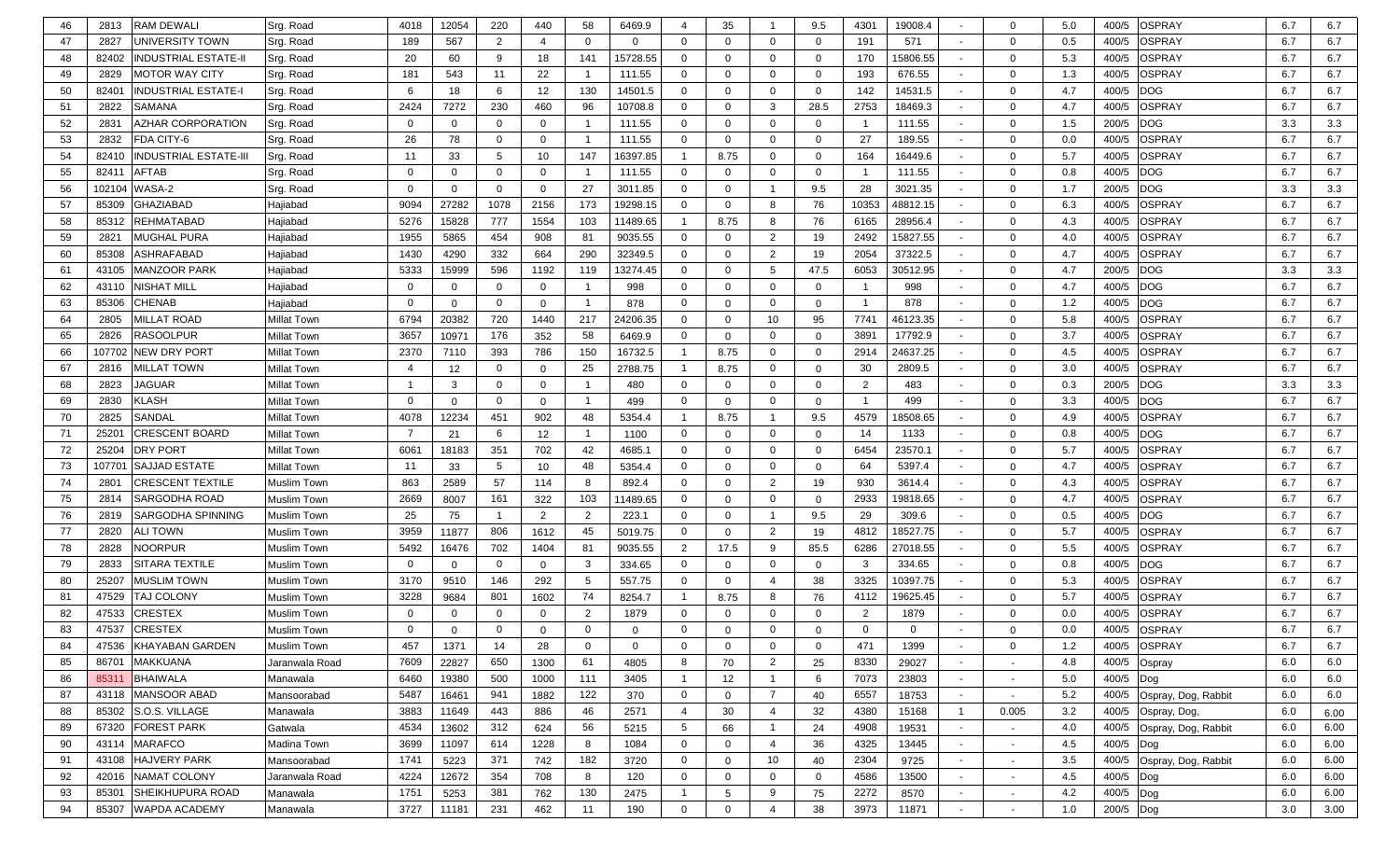| 46 | 2813<br>RAM DEWALI                    | Srg. Road      | 4018     | 12054        | 220            | 440            | 58                      | 6469.9      | 4              | 35           | -1                      | 9.5          | 4301           | 19008.4  |                          | $\Omega$       | 5.0   | 400/5 | OSPRAY              | 6.7 | 6.7  |
|----|---------------------------------------|----------------|----------|--------------|----------------|----------------|-------------------------|-------------|----------------|--------------|-------------------------|--------------|----------------|----------|--------------------------|----------------|-------|-------|---------------------|-----|------|
| 47 | 2827<br>UNIVERSITY TOWN               | Srg. Road      | 189      | 567          | 2              | $\overline{4}$ | $\mathbf 0$             | $\mathbf 0$ | $\mathbf{0}$   | $\Omega$     | $\mathbf 0$             | $\mathbf{0}$ | 191            | 571      |                          | $\Omega$       | 0.5   | 400/5 | OSPRAY              | 6.7 | 6.7  |
| 48 | 82402<br>INDUSTRIAL ESTATE-II         | Srg. Road      | 20       | 60           | -9             | 18             | 141                     | 15728.55    | $\mathbf{0}$   | $\mathbf{0}$ | $\mathbf 0$             | 0            | 170            | 15806.55 |                          | $\overline{0}$ | 5.3   | 400/5 | OSPRAY              | 6.7 | 6.7  |
| 49 | 2829<br>MOTOR WAY CITY                | Srg. Road      | 181      | 543          | 11             | 22             |                         | 111.55      | $\mathbf{0}$   | $\mathbf{0}$ | $\overline{0}$          | $\mathbf{0}$ | 193            | 676.55   | $\sim$                   | $\Omega$       | 1.3   | 400/5 | <b>OSPRAY</b>       | 6.7 | 6.7  |
| 50 | 8240'<br><b>NDUSTRIAL ESTATE-I</b>    | Srg. Road      | 6        | 18           | -6             | 12             | 130                     | 14501.5     | $\mathbf{0}$   | $\Omega$     | $\mathbf{0}$            | $\mathbf 0$  | 142            | 14531.5  | $\sim$                   | $\Omega$       | 4.7   | 400/5 | <b>DOG</b>          | 6.7 | 6.7  |
| 51 | 2822<br>SAMANA                        | Srg. Road      | 2424     | 7272         | 230            | 460            | 96                      | 10708.8     | $\mathbf{0}$   | $\mathbf{0}$ | 3                       | 28.5         | 2753           | 18469.3  | $\sim$                   | $\Omega$       | 4.7   | 400/5 | <b>OSPRAY</b>       | 6.7 | 6.7  |
| 52 | 2831<br>AZHAR CORPORATION             | Srg. Road      | $\Omega$ | $\mathbf{0}$ | $\overline{0}$ | $\mathbf{0}$   |                         | 111.55      | $\mathbf{0}$   | $\mathbf{0}$ | $\mathbf 0$             | 0            | $\overline{1}$ | 111.55   | $\sim$                   | $\mathbf 0$    | 1.5   | 200/5 | DOG                 | 3.3 | 3.3  |
| 53 | 2832<br>FDA CITY-6                    | Srg. Road      | 26       | 78           | $\overline{0}$ | $\mathbf 0$    |                         | 111.55      | $\mathbf{0}$   | $\mathbf 0$  | $\mathbf{0}$            | 0            | 27             | 189.55   |                          | $\mathbf 0$    | 0.0   | 400/5 | OSPRAY              | 6.7 | 6.7  |
| 54 | <b>INDUSTRIAL ESTATE-III</b><br>82410 | Srg. Road      | 11       | 33           | -5             | 10             | 147                     | 16397.85    | $\mathbf{1}$   | 8.75         | $\mathbf 0$             | 0            | 164            | 16449.6  | $\sim$                   | $\mathbf 0$    | 5.7   | 400/5 | OSPRAY              | 6.7 | 6.7  |
| 55 | 8241'<br>AFTAB                        | Srg. Road      | $\Omega$ | $\mathbf{0}$ | $\overline{0}$ | $\mathbf{0}$   | -1                      | 111.55      | $\mathbf{0}$   | $\mathbf{0}$ | $\mathbf{0}$            | 0            | $\overline{1}$ | 111.55   | $\sim$                   | $\mathbf{0}$   | 0.8   | 400/5 | DOG                 | 6.7 | 6.7  |
| 56 | WASA-2<br>102104                      | Srg. Road      | $\Omega$ | $\mathbf{0}$ | $\overline{0}$ | $\mathbf{0}$   | 27                      | 3011.85     | $\mathbf{0}$   | $\mathbf{0}$ | $\overline{\mathbf{1}}$ | 9.5          | 28             | 3021.35  | $\sim$                   | $\Omega$       | 1.7   | 200/5 | <b>DOG</b>          | 3.3 | 3.3  |
| 57 | GHAZIABAD<br>85309                    | Hajiabad       | 9094     | 27282        | 1078           | 2156           | 173                     | 19298.15    | $\mathbf{0}$   | $\mathbf{0}$ | 8                       | 76           | 10353          | 48812.15 |                          | $\mathbf{0}$   | 6.3   | 400/5 | OSPRAY              | 6.7 | 6.7  |
| 58 | REHMATABAD<br>85312                   | Hajiabad       | 5276     | 15828        | 777            | 1554           | 103                     | 11489.65    | $\overline{1}$ | 8.75         | 8                       | 76           | 6165           | 28956.4  | $\sim$                   | $\mathbf{0}$   | 4.3   | 400/5 | OSPRAY              | 6.7 | 6.7  |
| 59 | MUGHAL PURA<br>2821                   | Hajiabad       | 1955     | 5865         | 454            | 908            | 81                      | 9035.55     | $\mathbf{0}$   | $\mathbf{0}$ | 2                       | 19           | 2492           | 15827.55 | $\sim$                   | $\mathbf{0}$   | 4.0   | 400/5 | OSPRAY              | 6.7 | 6.7  |
| 60 | ASHRAFABAD<br>85308                   | Hajiabad       | 1430     | 4290         | 332            | 664            | 290                     | 32349.5     | $\mathbf{0}$   | $\mathbf{0}$ | $\overline{2}$          | 19           | 2054           | 37322.5  | $\sim$                   | $\mathbf{0}$   | 4.7   | 400/5 | <b>OSPRAY</b>       | 6.7 | 6.7  |
| 61 | <b>MANZOOR PARK</b><br>43105          | Hajiabad       | 5333     | 15999        | 596            | 1192           | 119                     | 13274.45    | $\mathbf{0}$   | $\Omega$     | 5                       | 47.5         | 6053           | 30512.95 | $\sim$                   | $\mathbf{0}$   | 4.7   | 200/5 | DOG                 | 3.3 | 3.3  |
| 62 | 43110<br>NISHAT MILL                  | Hajiabad       | $\Omega$ | $\mathbf{0}$ | $\overline{0}$ | $\mathbf{0}$   |                         | 998         | $\mathbf{0}$   | $\Omega$     | $\mathbf{0}$            | 0            | - 1            | 998      | $\sim$                   | $\Omega$       | 4.7   | 400/5 | DOG                 | 6.7 | 6.7  |
| 63 | CHENAB<br>85306                       | Hajiabad       | $\Omega$ | $\mathbf{0}$ |                | $\mathbf{0}$   |                         | 878         | $\mathbf{0}$   | $\Omega$     | $\mathbf{0}$            | 0            | $\overline{1}$ | 878      | $\sim$                   | $\mathbf{0}$   | $1.2$ | 400/5 | DOG                 | 6.7 | 6.7  |
| 64 | 2805<br>MILLAT ROAD                   | Millat Town    | 6794     | 20382        | 720            | 1440           | 217                     | 24206.35    | $\mathbf{0}$   | $\Omega$     | 10                      | 95           | 7741           | 46123.35 | $\sim$                   | $\mathbf{0}$   | 5.8   | 400/5 | <b>DSPRAY</b>       | 6.7 | 6.7  |
| 65 | 2826<br>RASOOLPUR                     | Millat Town    | 3657     | 10971        | 176            | 352            | 58                      | 6469.9      | $\mathbf{0}$   | $\mathbf{0}$ | $\mathbf 0$             | 0            | 3891           | 17792.9  | $\sim$                   | $\mathbf{0}$   | 3.7   | 400/5 | OSPRAY              | 6.7 | 6.7  |
| 66 | <b>NEW DRY PORT</b><br>107702         | Millat Town    | 2370     | 7110         | 393            | 786            | 150                     | 16732.5     | $\mathbf{1}$   | 8.75         | $\mathbf 0$             | $\mathbf 0$  | 2914           | 24637.25 | $\sim$                   | $\mathbf{0}$   | 4.5   | 400/5 | OSPRAY              | 6.7 | 6.7  |
| 67 | 2816<br>MILLAT TOWN                   | Millat Town    | 4        | 12           | $\overline{0}$ | $\mathbf 0$    | 25                      | 2788.75     | $\mathbf{1}$   | 8.75         | $\mathbf 0$             | $\mathbf{0}$ | 30             | 2809.5   | $\sim$                   | $\mathbf{0}$   | 3.0   | 400/5 | OSPRAY              | 6.7 | 6.7  |
| 68 | 2823<br>JAGUAR                        | Millat Town    |          | 3            | $\mathbf{0}$   | $\mathbf 0$    |                         | 480         | 0              | $\mathbf{0}$ | $\mathbf 0$             | $\mathbf{0}$ | $\overline{2}$ | 483      | $\sim$                   | $\mathbf{0}$   | 0.3   | 200/5 | DOG                 | 3.3 | 3.3  |
| 69 | 2830<br><b>KLASH</b>                  | Millat Town    | $\Omega$ | $\mathbf{0}$ | $\Omega$       | $\mathbf 0$    | $\overline{\mathbf{1}}$ | 499         | 0              | $\mathbf{0}$ | $\mathbf{0}$            | 0            | - 1            | 499      | $\sim$                   | $\Omega$       | 3.3   | 400/5 | DOG                 | 6.7 | 6.7  |
| 70 | 2825<br>SANDAL                        | Millat Town    | 4078     | 12234        | 451            | 902            | 48                      | 5354.4      | $\overline{1}$ | 8.75         | -1                      | 9.5          | 4579           | 18508.65 | $\sim$                   | $\Omega$       | 4.9   | 400/5 | <b>OSPRAY</b>       | 6.7 | 6.7  |
| 71 | 2520<br>CRESCENT BOARD                | Millat Town    | 7        | 21           | 6              | 12             | -1                      | 1100        | $\mathbf{0}$   | $\Omega$     | $\overline{0}$          | $\mathbf{0}$ | 14             | 1133     | $\sim$                   | $\mathbf{0}$   | 0.8   | 400/5 | DOG                 | 6.7 | 6.7  |
| 72 | 25204<br>DRY PORT                     | Millat Town    | 6061     | 18183        | 351            | 702            | 42                      | 4685.1      | $\mathbf{0}$   | $\mathbf{0}$ | $\mathbf 0$             | 0            | 6454           | 23570.1  | $\sim$                   | $\Omega$       | 5.7   | 400/5 | <b>OSPRAY</b>       | 6.7 | 6.7  |
| 73 | <b>SAJJAD ESTATE</b><br>107701        | Millat Town    | 11       | 33           | -5             | 10             | 48                      | 5354.4      | $\mathbf{0}$   | $\Omega$     | $\overline{0}$          | $\mathbf{0}$ | 64             | 5397.4   | $\sim$                   | $\mathbf{0}$   | 4.7   | 400/5 | OSPRAY              | 6.7 | 6.7  |
| 74 | 2801<br>CRESCENT TEXTILE              | Muslim Town    | 863      | 2589         | 57             | 114            | 8                       | 892.4       | $\mathbf{0}$   | $\Omega$     | 2                       | 19           | 930            | 3614.4   | $\sim$                   | $\Omega$       | 4.3   | 400/5 | OSPRAY              | 6.7 | 6.7  |
| 75 | SARGODHA ROAD<br>2814                 | Muslim Town    | 2669     | 8007         | 161            | 322            | 103                     | 11489.65    | $\mathbf{0}$   | $\Omega$     | $\overline{0}$          | 0            | 2933           | 19818.65 | $\sim$                   | $\Omega$       | 4.7   | 400/5 | OSPRAY              | 6.7 | 6.7  |
| 76 | 2819<br>SARGODHA SPINNING             | Muslim Town    | 25       | 75           |                | 2              | 2                       | 223.1       | 0              | $\mathbf{0}$ | -1                      | 9.5          | 29             | 309.6    | $\overline{\phantom{0}}$ | $\Omega$       | 0.5   | 400/5 | DOG                 | 6.7 | 6.7  |
| 77 | 2820<br>ALI TOWN                      | Muslim Town    | 3959     | 11877        | 806            | 1612           | 45                      | 5019.75     | 0              | $\mathbf{0}$ | $\overline{2}$          | 19           | 4812           | 18527.75 | $\sim$                   | $\Omega$       | 5.7   | 400/5 | OSPRAY              | 6.7 | 6.7  |
| 78 | 2828<br><b>NOORPUR</b>                | Muslim Town    | 5492     | 16476        | 702            | 1404           | 81                      | 9035.55     | 2              | 17.5         | 9                       | 85.5         | 6286           | 27018.55 |                          | $\Omega$       | 5.5   | 400/5 | <b>OSPRAY</b>       | 6.7 | 6.7  |
| 79 | SITARA TEXTILE<br>2833                | Muslim Town    | $\Omega$ | $\mathbf{0}$ | $\mathbf{0}$   | $\mathbf{0}$   | 3                       | 334.65      | $\mathbf{0}$   | $\mathbf{0}$ | $\mathbf 0$             | 0            | 3              | 334.65   |                          | $\mathbf{0}$   | 0.8   | 400/5 | DOG                 | 6.7 | 6.7  |
| 80 | 25207<br><b>MUSLIM TOWN</b>           | Muslim Town    | 3170     | 9510         | 146            | 292            | 5                       | 557.75      | 0              | $\mathbf{0}$ | $\overline{4}$          | 38           | 3325           | 10397.75 | $\sim$                   | $\mathbf{0}$   | 5.3   | 400/5 | OSPRAY              | 6.7 | 6.7  |
| 81 | 47529<br><b>TAJ COLONY</b>            | Muslim Town    | 3228     | 9684         | 801            | 1602           | 74                      | 8254.7      |                | 8.75         | 8                       | 76           | 4112           | 19625.45 | $\sim$                   | $\mathbf{0}$   | 5.7   | 400/5 | OSPRAY              | 6.7 | 6.7  |
| 82 | CRESTEX<br>47533                      | Muslim Town    | $\Omega$ | $\mathbf{0}$ | $\Omega$       | $\Omega$       | $\overline{2}$          | 1879        | $\mathbf 0$    | $\Omega$     | $\mathbf 0$             | 0            | $\overline{2}$ | 1879     | $\sim$                   | $\Omega$       | 0.0   | 400/5 | OSPRAY              | 6.7 | 6.7  |
| 83 | 47537<br>CRESTEX                      | Muslim Town    | $\Omega$ | $\Omega$     |                | $\Omega$       | $\Omega$                |             | $\mathbf{0}$   | $\Omega$     | $\mathbf{0}$            | $\mathbf{0}$ | $\mathbf 0$    | $\Omega$ |                          | $\Omega$       | 0.0   | 400/5 | <b>OSPRAY</b>       | 6.7 | 6.7  |
| 84 | 47536 KHAYABAN GARDEN                 | Muslim Town    | 457      | 1371         | 14             | 28             | $\mathbf{0}$            | 0           | $\mathbf{0}$   | 0            | $\mathbf{0}$            | 0            | 471            | 1399     | $\overline{\phantom{a}}$ | $\mathbf 0$    | 1.2   |       | 400/5 OSPRAY        | 6.7 | 6.7  |
| 85 | <b>MAKKUANA</b><br>86701              | Jaranwala Road | 7609     | 22827        | 650            | 1300           | 61                      | 4805        | 8              | 70           | $\overline{2}$          | 25           | 8330           | 29027    | $\sim$                   | $\sim$         | 4.8   | 400/5 | Ospray              | 6.0 | 6.0  |
| 86 | BHAIWALA<br>85311                     | Manawala       | 6460     | 19380        | 500            | 1000           | 111                     | 3405        | $\mathbf{1}$   | 12           | $\overline{1}$          | 6            | 7073           | 23803    | $\sim$                   | $\sim$         | 5.0   | 400/5 | Dog                 | 6.0 | 6.0  |
| 87 | <b>MANSOOR ABAD</b><br>43118          | Mansoorabad    | 5487     | 16461        | 941            | 1882           | 122                     | 370         | $\mathbf 0$    | $\mathbf 0$  | $\overline{7}$          | 40           | 6557           | 18753    | $\sim$                   | $\sim$         | 5.2   | 400/5 | Ospray, Dog, Rabbit | 6.0 | 6.0  |
| 88 | 85302<br>S.O.S. VILLAGE               | Manawala       | 3883     | 11649        | 443            | 886            | 46                      | 2571        | $\overline{4}$ | 30           | $\overline{4}$          | 32           | 4380           | 15168    | $\mathbf{1}$             | 0.005          | 3.2   | 400/5 | Ospray, Dog,        | 6.0 | 6.00 |
| 89 | 67320<br><b>FOREST PARK</b>           | Gatwala        | 4534     | 13602        | 312            | 624            | 56                      | 5215        | 5              | 66           | $\overline{1}$          | 24           | 4908           | 19531    | $\sim$                   | $\sim$         | 4.0   | 400/5 | Ospray, Dog, Rabbit | 6.0 | 6.00 |
| 90 | 43114<br><b>MARAFCO</b>               | Madina Town    | 3699     | 11097        | 614            | 1228           | 8                       | 1084        | $\mathbf 0$    | $\mathbf{0}$ | $\overline{4}$          | 36           | 4325           | 13445    | $\sim$                   | $\sim$         | 4.5   | 400/5 | Dog                 | 6.0 | 6.00 |
| 91 | <b>HAJVERY PARK</b><br>43108          | Mansoorabad    | 1741     | 5223         | 371            | 742            | 182                     | 3720        | $\mathbf 0$    | $\mathbf 0$  | 10                      | 40           | 2304           | 9725     | $\sim$                   | $\sim$         | 3.5   | 400/5 | Ospray, Dog, Rabbit | 6.0 | 6.00 |
| 92 | 42016<br>NAMAT COLONY                 | Jaranwala Road | 4224     | 12672        | 354            | 708            | 8                       | 120         | $\mathbf 0$    | $\mathbf{0}$ | $\overline{0}$          | $\mathbf{0}$ | 4586           | 13500    | $\sim$                   |                | 4.5   | 400/5 | Dog                 | 6.0 | 6.00 |
| 93 | 85301<br>SHEIKHUPURA ROAD             | Manawala       | 1751     | 5253         | 381            | 762            | 130                     | 2475        | $\mathbf{1}$   | 5            | 9                       | 75           | 2272           | 8570     | $\sim$                   |                | 4.2   | 400/5 | Dog                 | 6.0 | 6.00 |
| 94 | 85307 WAPDA ACADEMY                   | Manawala       | 3727     | 11181        | 231            | 462            | 11                      | 190         | $\mathbf 0$    | $\mathbf 0$  | $\overline{4}$          | 38           | 3973           | 11871    | $\sim$                   |                | 1.0   | 200/5 | Dog                 | 3.0 | 3.00 |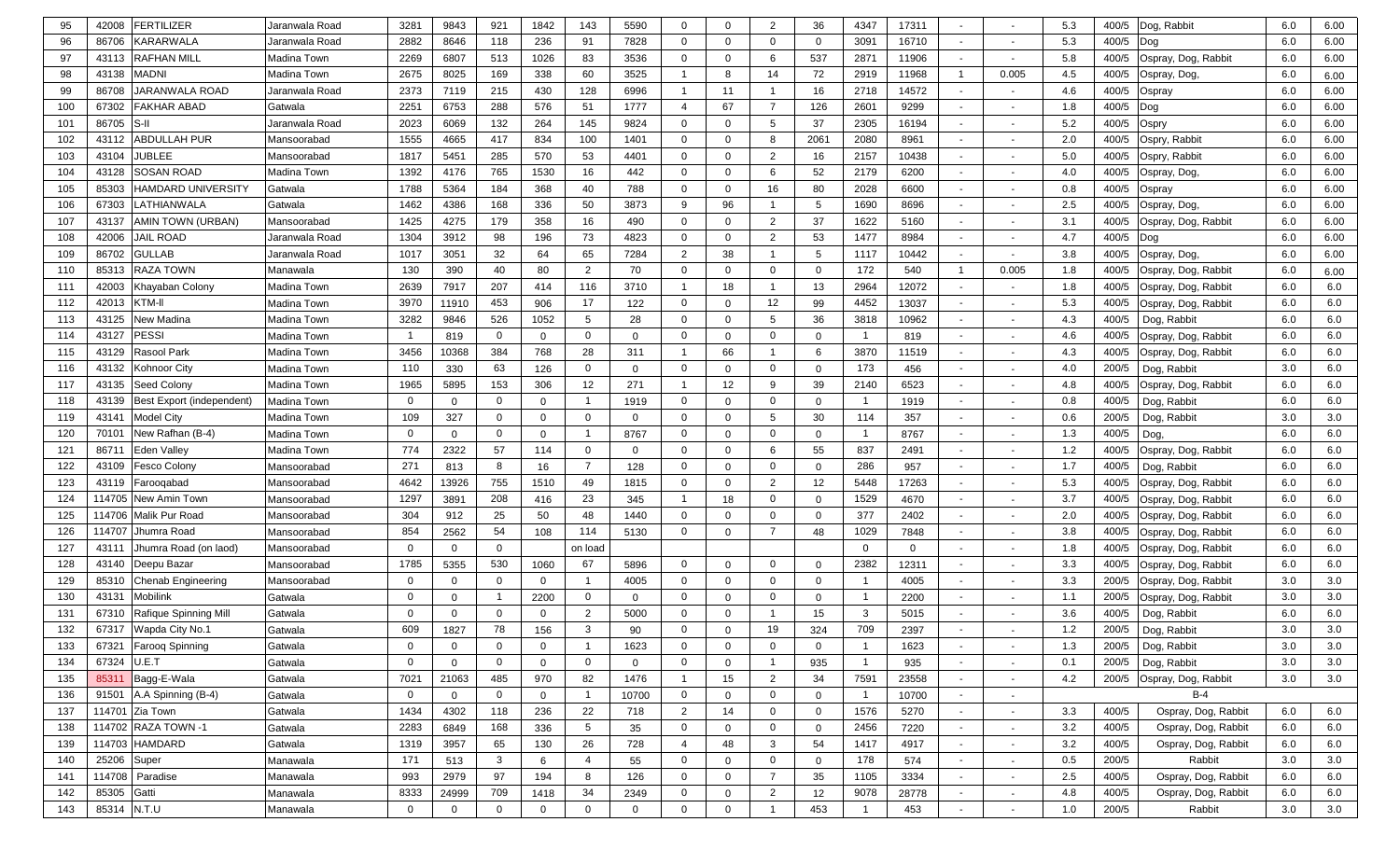| 95  | 42008             | <b>FERTILIZER</b>         | Jaranwala Road | 3281         | 9843         | 921            | 1842           | 143            | 5590           | $\mathbf 0$    | $\Omega$         | $\overline{2}$ | 36             | 4347                    | 17311       |                          |                          | 5.3   | 400/5 | Dog, Rabbit               | 6.0 | 6.00 |
|-----|-------------------|---------------------------|----------------|--------------|--------------|----------------|----------------|----------------|----------------|----------------|------------------|----------------|----------------|-------------------------|-------------|--------------------------|--------------------------|-------|-------|---------------------------|-----|------|
| 96  | 86706             | KARARWALA                 | Jaranwala Road | 2882         | 8646         | 118            | 236            | 91             | 7828           | 0              | $\Omega$         | $\mathbf 0$    | $\Omega$       | 3091                    | 16710       | $\sim$                   | $\overline{\phantom{a}}$ | 5.3   | 400/5 | Dog                       | 6.0 | 6.00 |
| 97  | 43113             | <b>RAFHAN MILL</b>        | Madina Town    | 2269         | 6807         | 513            | 1026           | 83             | 3536           | $\mathbf 0$    | $\Omega$         | 6              | 537            | 2871                    | 11906       |                          | $\overline{\phantom{a}}$ | 5.8   | 400/5 | Ospray, Dog, Rabbit       | 6.0 | 6.00 |
| 98  | 43138             | MADNI                     | Madina Town    | 2675         | 8025         | 169            | 338            | 60             | 3525           |                | 8                | 14             | 72             | 2919                    | 11968       | $\mathbf{1}$             | 0.005                    | 4.5   | 400/5 | Ospray, Dog,              | 6.0 | 6.00 |
| 99  | 86708             | JARANWALA ROAD            | Jaranwala Road | 2373         | 7119         | 215            | 430            | 128            | 6996           | $\overline{1}$ | 11               | - 1            | 16             | 2718                    | 14572       | $\sim$                   | $\overline{\phantom{a}}$ | 4.6   | 400/5 | Ospray                    | 6.0 | 6.00 |
| 100 | 67302             | <b>FAKHAR ABAD</b>        | Gatwala        | 2251         | 6753         | 288            | 576            | 51             | 1777           | $\overline{4}$ | 67               | $\overline{7}$ | 126            | 2601                    | 9299        | $\overline{\phantom{a}}$ | $\overline{\phantom{a}}$ | 1.8   | 400/5 | Dog                       | 6.0 | 6.00 |
| 101 | 86705             |                           | Jaranwala Road | 2023         | 6069         | 132            | 264            | 145            | 9824           | $\mathbf 0$    | $\Omega$         | 5              | 37             | 2305                    | 16194       | $\overline{\phantom{a}}$ | $\overline{\phantom{a}}$ | 5.2   | 400/5 | Ospry                     | 6.0 | 6.00 |
| 102 | 43112             | ABDULLAH PUR              | Mansoorabad    | 1555         | 4665         | 417            | 834            | 100            | 1401           | $\mathbf 0$    | $\Omega$         | 8              | 2061           | 2080                    | 8961        |                          |                          | 2.0   | 400/5 | Ospry, Rabbit             | 6.0 | 6.00 |
| 103 | 43104             | JUBLEE                    | Mansoorabad    | 1817         | 5451         | 285            | 570            | 53             | 4401           | $\mathbf 0$    | $\Omega$         | $\overline{2}$ | 16             | 2157                    | 10438       |                          |                          | 5.0   | 400/5 | Ospry, Rabbit             | 6.0 | 6.00 |
| 104 | 43128             | <b>SOSAN ROAD</b>         | Madina Town    | 1392         | 4176         | 765            | 1530           | 16             | 442            | $\mathbf 0$    | $\Omega$         | 6              | 52             | 2179                    | 6200        | $\overline{\phantom{a}}$ | $\overline{\phantom{a}}$ | 4.0   | 400/5 | Ospray, Dog,              | 6.0 | 6.00 |
| 105 | 85303             | <b>HAMDARD UNIVERSITY</b> | Gatwala        | 1788         | 5364         | 184            | 368            | 40             | 788            | $\mathbf 0$    | $\mathbf 0$      | 16             | 80             | 2028                    | 6600        | $\overline{\phantom{a}}$ | $\overline{\phantom{a}}$ | 0.8   | 400/5 | Ospray                    | 6.0 | 6.00 |
| 106 | 67303             | LATHIANWALA               | Gatwala        | 1462         | 4386         | 168            | 336            | 50             | 3873           | 9              | 96               | $\overline{1}$ | 5              | 1690                    | 8696        | $\overline{\phantom{a}}$ | $\overline{\phantom{a}}$ | 2.5   | 400/5 | Ospray, Dog               | 6.0 | 6.00 |
| 107 | 43137             | AMIN TOWN (URBAN)         | Mansoorabad    | 1425         | 4275         | 179            | 358            | 16             | 490            | 0              | $\mathbf 0$      | 2              | 37             | 1622                    | 5160        | $\sim$                   | $\overline{\phantom{a}}$ | 3.1   | 400/5 | Ospray, Dog, Rabbit       | 6.0 | 6.00 |
| 108 | 42006             | JAIL ROAD                 | Jaranwala Road | 1304         | 3912         | 98             | 196            | 73             | 4823           | 0              | 0                | 2              | 53             | 1477                    | 8984        | $\sim$                   | $\overline{\phantom{a}}$ | 4.7   | 400/5 | Dog                       | 6.0 | 6.00 |
| 109 | 86702             | GULLAB                    | Jaranwala Road | 1017         | 3051         | 32             | 64             | 65             | 7284           | $\overline{2}$ | 38               | -1             | 5              | 1117                    | 10442       | $\overline{\phantom{a}}$ | $\overline{\phantom{a}}$ | 3.8   | 400/5 | Ospray, Dog,              | 6.0 | 6.00 |
| 110 | 85313             | RAZA TOWN                 | Manawala       | 130          | 390          | 40             | 80             | 2              | 70             | $\mathbf 0$    | $\Omega$         | $\overline{0}$ | $\mathbf 0$    | 172                     | 540         | $\mathbf{1}$             | 0.005                    | 1.8   | 400/5 | Ospray, Dog, Rabbit       | 6.0 | 6.00 |
| 111 | 42003             | Khayaban Colony           | Madina Town    | 2639         | 7917         | 207            | 414            | 116            | 3710           | $\overline{1}$ | 18               | -1             | 13             | 2964                    | 12072       | $\sim$                   | $\overline{\phantom{a}}$ | 1.8   | 400/5 | Ospray, Dog, Rabbit       | 6.0 | 6.0  |
| 112 | 42013             | KTM-II                    | Madina Town    | 3970         | 11910        | 453            | 906            | 17             | 122            | $\mathbf 0$    | $\Omega$         | 12             | 99             | 4452                    | 13037       | $\overline{\phantom{a}}$ | $\overline{\phantom{a}}$ | 5.3   | 400/5 | Ospray, Dog, Rabbit       | 6.0 | 6.0  |
| 113 | 43125             | Jew Madina                | Madina Town    | 3282         | 9846         | 526            | 1052           | 5              | 28             | $\mathbf 0$    | $\Omega$         | 5              | 36             | 3818                    | 10962       | $\sim$                   |                          | 4.3   | 400/5 | Dog, Rabbit               | 6.0 | 6.0  |
| 114 | 43127             | PESSI                     | Madina Town    |              | 819          | $\mathbf 0$    | $\mathbf 0$    | $\mathbf 0$    | $\Omega$       | $\mathbf 0$    | $\mathbf{0}$     | $\mathbf 0$    | $\mathbf 0$    | -1                      | 819         | $\sim$                   |                          | 4.6   | 400/5 | Ospray, Dog, Rabbit       | 6.0 | 6.0  |
| 115 | 43129             | Rasool Park               | Madina Town    | 3456         | 10368        | 384            | 768            | 28             | 311            | $\overline{1}$ | 66               | -1             | 6              | 3870                    | 11519       | $\overline{\phantom{a}}$ |                          | 4.3   | 400/5 | Ospray, Dog, Rabbit       | 6.0 | 6.0  |
| 116 | 43132             | Kohnoor City              | Madina Town    | 110          | 330          | 63             | 126            | 0              | $\Omega$       | $\mathbf 0$    | 0                | $\mathbf 0$    | $\mathbf 0$    | 173                     | 456         |                          |                          | 4.0   | 200/5 | Dog, Rabbit               | 3.0 | 6.0  |
| 117 | 43135             | Seed Colony               | Madina Town    | 1965         | 5895         | 153            | 306            | 12             | 271            | $\overline{1}$ | 12               | 9              | 39             | 2140                    | 6523        |                          |                          | 4.8   | 400/5 | Ospray, Dog, Rabbit       | 6.0 | 6.0  |
| 118 | 43139             | Best Export (independent) | Madina Town    | $\Omega$     | $\mathbf 0$  | $\mathbf 0$    | $\mathbf 0$    |                | 1919           | $\mathbf{0}$   | $\mathbf{0}$     | $\overline{0}$ | $\mathbf 0$    |                         | 1919        | $\overline{\phantom{a}}$ |                          | 0.8   | 400/5 | Dog, Rabbit               | 6.0 | 6.0  |
| 119 | 43141             | Model City                | Madina Town    | 109          | 327          | $\mathbf 0$    | $\mathbf 0$    | $\mathbf 0$    | $\mathbf 0$    | $\mathbf 0$    | 0                | 5              | 30             | 114                     | 357         |                          |                          | 0.6   | 200/5 | Dog, Rabbit               | 3.0 | 3.0  |
| 120 | 7010 <sup>-</sup> | New Rafhan (B-4)          | Madina Town    | $\Omega$     | $\mathbf 0$  | $\Omega$       | 0              |                | 8767           | 0              | $\Omega$         | $\overline{0}$ | $\mathbf 0$    |                         | 8767        | $\sim$                   | $\overline{\phantom{a}}$ | 1.3   | 400/5 | Dog,                      | 6.0 | 6.0  |
| 121 | 8671              | <b>Eden Valley</b>        | Madina Town    | 774          | 2322         | 57             | 114            | 0              | $\overline{0}$ | 0              | $\Omega$         | 6              | 55             | 837                     | 2491        |                          | $\overline{\phantom{a}}$ | 1.2   | 400/5 | Ospray, Dog, Rabbit       | 6.0 | 6.0  |
| 122 | 43109             | <b>Fesco Colony</b>       | Mansoorabad    | 271          | 813          | 8              | 16             | $\overline{7}$ | 128            | $\mathbf 0$    | $\Omega$         | $\overline{0}$ | $\Omega$       | 286                     | 957         | $\sim$                   |                          | 1.7   | 400/5 | Dog, Rabbit               | 6.0 | 6.0  |
| 123 | 43119             | Farooqabad                | Mansoorabad    | 4642         | 13926        | 755            | 1510           | 49             | 1815           | $\mathbf 0$    | $\Omega$         | $\overline{2}$ | 12             | 5448                    | 17263       | $\sim$                   | $\overline{\phantom{a}}$ | 5.3   | 400/5 | Ospray, Dog, Rabbit       | 6.0 | 6.0  |
| 124 | 114705            | New Amin Town             | Mansoorabad    | 1297         | 3891         | 208            | 416            | 23             | 345            | $\overline{1}$ | 18               | $\overline{0}$ | $\mathbf 0$    | 1529                    | 4670        | $\overline{\phantom{a}}$ | $\overline{\phantom{a}}$ | 3.7   | 400/5 | Ospray, Dog, Rabbit       | 6.0 | 6.0  |
| 125 | 114706            | Malik Pur Road            | Mansoorabad    | 304          | 912          | 25             | 50             | 48             | 1440           | $\mathbf 0$    | $\Omega$         | $\overline{0}$ | $\mathbf 0$    | 377                     | 2402        | $\overline{\phantom{a}}$ | $\overline{\phantom{a}}$ | 2.0   | 400/5 | Ospray, Dog, Rabbit       | 6.0 | 6.0  |
| 126 | 114707            | Jhumra Road               | Mansoorabad    | 854          | 2562         | 54             | 108            | 114            | 5130           | $\mathbf 0$    | $\Omega$         | $\overline{7}$ | 48             | 1029                    | 7848        | $\overline{\phantom{a}}$ |                          | 3.8   | 400/5 | Ospray, Dog, Rabbit       | 6.0 | 6.0  |
| 127 | 43111             | Jhumra Road (on laod)     | Mansoorabad    | $\Omega$     | $\mathbf 0$  | $\mathbf{0}$   |                | on load        |                |                |                  |                |                | $\overline{0}$          | $\mathbf 0$ | $\overline{\phantom{a}}$ |                          | 1.8   | 400/5 | Ospray, Dog, Rabbit       | 6.0 | 6.0  |
| 128 | 43140             | Deepu Bazar               | Mansoorabad    | 1785         | 5355         | 530            | 1060           | 67             | 5896           | $\mathbf 0$    | $\mathbf{0}$     | $\overline{0}$ | $\mathbf 0$    | 2382                    | 12311       |                          |                          | 3.3   | 400/5 | Ospray, Dog, Rabbit       | 6.0 | 6.0  |
| 129 | 85310             | <b>Chenab Engineering</b> | Mansoorabad    | $\Omega$     | $\mathbf 0$  | 0              | $\mathbf 0$    |                | 4005           | 0              | 0                | $\mathbf{0}$   | $\mathbf 0$    |                         | 4005        |                          | $\overline{\phantom{a}}$ | 3.3   | 200/5 | Ospray, Dog, Rabbit       | 3.0 | 3.0  |
| 130 | 43131             | Mobilink                  | Gatwala        | $\Omega$     | $\mathbf 0$  |                | 2200           | $\mathbf 0$    | 0              | 0              | 0                | $\overline{0}$ | $\mathbf 0$    |                         | 2200        |                          |                          | 1.1   | 200/5 | Ospray, Dog, Rabbit       | 3.0 | 3.0  |
| 131 | 67310             | Rafique Spinning Mill     | Gatwala        | $\Omega$     | $\Omega$     | $\Omega$       | 0              | 2              | 5000           | 0              | $\Omega$         | - 1            | 15             | -3                      | 5015        |                          |                          | 3.6   | 400/5 | Dog, Rabbit               | 6.0 | 6.0  |
| 132 | 67317             | Wapda City No.1           | Gatwala        | 609          | 1827         | 78             | 156            | 3              | 90             | $\mathbf 0$    | $\Omega$         | 19             | 324            | 709                     | 2397        |                          |                          | $1.2$ | 200/5 | Dog, Rabbit               | 3.0 | 3.0  |
| 133 |                   | 67321   Farooq Spinning   | Gatwala        | 0            | 0            | $\mathbf{0}$   | $\mathbf{0}$   | -1             | 1623           | $\overline{0}$ | 0                | $\mathbf{0}$   | $\mathbf 0$    | -1                      | 1623        | $\overline{\phantom{a}}$ | $\sim$                   | 1.3   |       | 200/5 Dog, Rabbit         | 3.0 | 3.0  |
| 134 | 67324             | U.E.T                     | Gatwala        | $\mathbf{0}$ | $\mathbf{0}$ | $\mathbf{0}$   | $\mathbf{0}$   | $\mathbf 0$    | $\overline{0}$ | $\mathbf 0$    | $\mathbf{0}$     | $\overline{1}$ | 935            | $\overline{1}$          | 935         | $\sim$                   | $\sim$                   | 0.1   | 200/5 | Dog, Rabbit               | 3.0 | 3.0  |
| 135 | 85311             | Bagg-E-Wala               | Gatwala        | 7021         | 21063        | 485            | 970            | 82             | 1476           | $\overline{1}$ | 15 <sub>15</sub> | 2              | 34             | 7591                    | 23558       | $\sim$                   | $\sim$                   | 4.2   |       | 200/5 Ospray, Dog, Rabbit | 3.0 | 3.0  |
| 136 | 91501             | A.A Spinning (B-4)        | Gatwala        | $\mathbf 0$  | $\mathbf 0$  | $\mathbf 0$    | $\mathbf 0$    |                | 10700          | $\mathbf 0$    | $\mathbf{0}$     | $\mathbf 0$    | $\mathbf 0$    |                         | 10700       | $\sim$                   | $\sim$                   |       |       | $B-4$                     |     |      |
| 137 | 114701            | Zia Town                  | Gatwala        | 1434         | 4302         | 118            | 236            | 22             | 718            | $\overline{2}$ | 14               | $\overline{0}$ | $\mathbf 0$    | 1576                    | 5270        | $\sim$                   | $\sim$                   | 3.3   | 400/5 | Ospray, Dog, Rabbit       | 6.0 | 6.0  |
| 138 |                   | 114702 RAZA TOWN -1       | Gatwala        | 2283         | 6849         | 168            | 336            | 5 <sup>5</sup> | 35             | $\overline{0}$ | $\mathbf 0$      | $\mathbf 0$    | $\mathbf 0$    | 2456                    | 7220        | $\sim$                   | $\sim$                   | 3.2   | 400/5 | Ospray, Dog, Rabbit       | 6.0 | 6.0  |
| 139 | 114703            | <b>HAMDARD</b>            | Gatwala        | 1319         | 3957         | 65             | 130            | 26             | 728            | $\overline{4}$ | 48               | $\mathbf{3}$   | 54             | 1417                    | 4917        | $\sim$                   | $\sim$                   | 3.2   | 400/5 | Ospray, Dog, Rabbit       | 6.0 | 6.0  |
| 140 | 25206 Super       |                           | Manawala       | 171          | 513          | 3              | 6              | $\overline{4}$ | 55             | $\overline{0}$ | $\mathbf 0$      | $\mathbf 0$    | $\overline{0}$ | 178                     | 574         | $\sim$                   | $\sim$                   | 0.5   | 200/5 | Rabbit                    | 3.0 | 3.0  |
| 141 | 114708            | Paradise                  | Manawala       | 993          | 2979         | 97             | 194            | 8              | 126            | $\mathbf 0$    | $\overline{0}$   | $\overline{7}$ | 35             | 1105                    | 3334        | $\sim$                   | $\sim$                   | 2.5   | 400/5 | Ospray, Dog, Rabbit       | 6.0 | 6.0  |
| 142 | 85305 Gatti       |                           | Manawala       | 8333         | 24999        | 709            | 1418           | 34             | 2349           | $\overline{0}$ | $\overline{0}$   | $\overline{2}$ | 12             | 9078                    | 28778       | $\sim$                   | $\overline{\phantom{a}}$ | 4.8   | 400/5 | Ospray, Dog, Rabbit       | 6.0 | 6.0  |
| 143 | 85314 N.T.U       |                           | Manawala       | $\mathbf 0$  | $\mathbf 0$  | $\overline{0}$ | $\overline{0}$ | $\mathbf 0$    | $\mathbf 0$    | $\mathbf{0}$   | $\mathbf 0$      | $\overline{1}$ | 453            | $\overline{\mathbf{1}}$ | 453         | $\sim$                   |                          | 1.0   | 200/5 | Rabbit                    | 3.0 | 3.0  |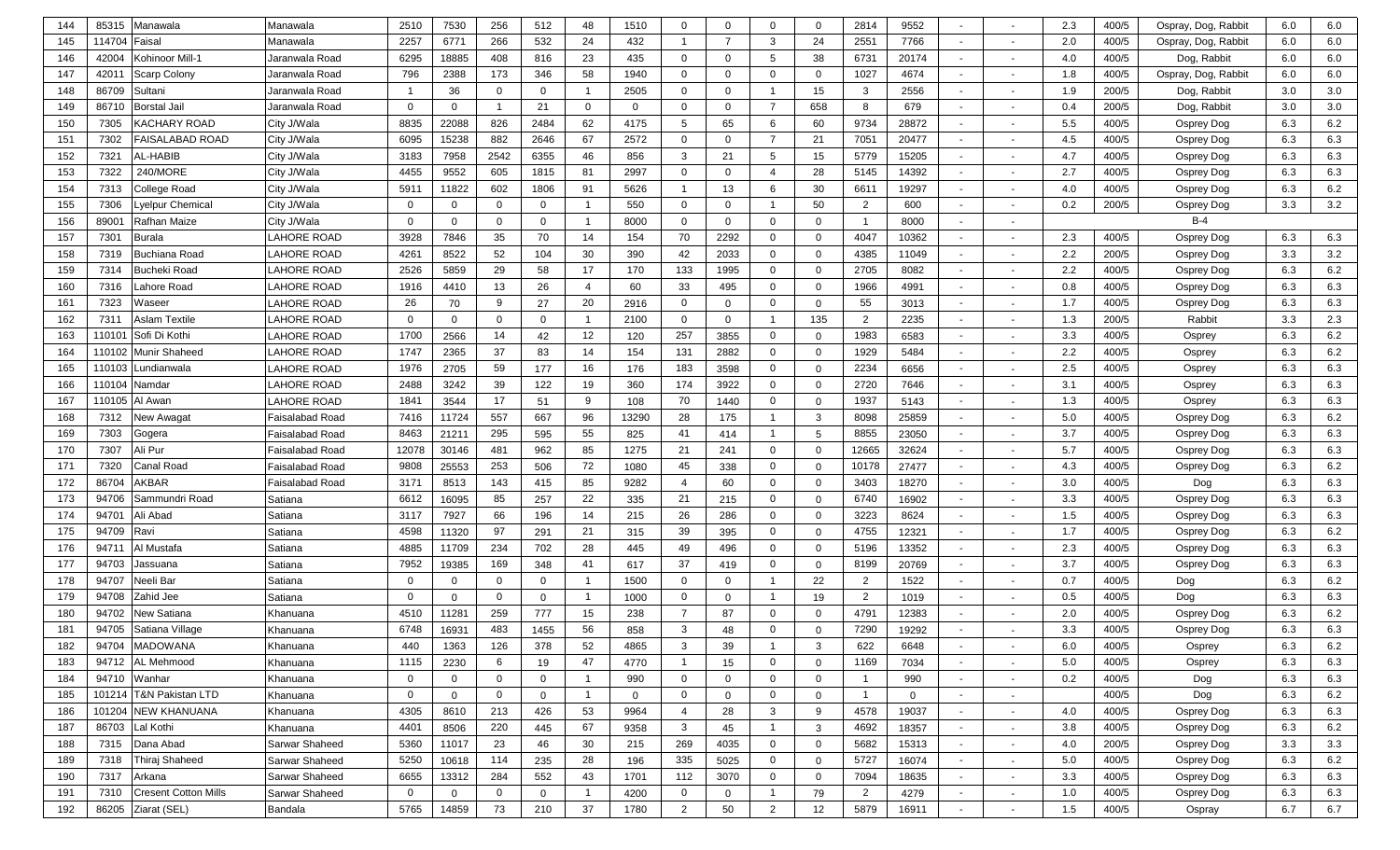| 144 | 85315              | Manawala                    | Manawala               | 2510         | 7530         | 256            | 512            | 48             | 1510        | 0              | $\Omega$       | $\mathbf 0$    | $\mathbf 0$    | 2814           | 9552           |                          |                          | 2.3 | 400/5 | Ospray, Dog, Rabbit | 6.0 | 6.0 |
|-----|--------------------|-----------------------------|------------------------|--------------|--------------|----------------|----------------|----------------|-------------|----------------|----------------|----------------|----------------|----------------|----------------|--------------------------|--------------------------|-----|-------|---------------------|-----|-----|
| 145 | 114704             | Faisal                      | Manawala               | 2257         | 6771         | 266            | 532            | 24             | 432         | $\overline{1}$ | $\overline{7}$ | 3              | 24             | 2551           | 7766           | $\overline{\phantom{a}}$ |                          | 2.0 | 400/5 | Ospray, Dog, Rabbit | 6.0 | 6.0 |
| 146 | 42004              | Kohinoor Mill-1             | Jaranwala Road         | 6295         | 18885        | 408            | 816            | 23             | 435         | 0              | $\Omega$       | 5              | 38             | 6731           | 20174          |                          |                          | 4.0 | 400/5 | Dog, Rabbit         | 6.0 | 6.0 |
| 147 | 42011              | <b>Scarp Colony</b>         | Jaranwala Road         | 796          | 2388         | 173            | 346            | 58             | 1940        | $\mathbf 0$    | $\Omega$       | $\overline{0}$ | $\mathbf 0$    | 1027           | 4674           | $\sim$                   | $\overline{\phantom{a}}$ | 1.8 | 400/5 | Ospray, Dog, Rabbit | 6.0 | 6.0 |
| 148 | 86709              | Sultani                     | Jaranwala Road         |              | 36           | $\mathbf 0$    | $\mathbf 0$    |                | 2505        | $\mathbf 0$    | $\Omega$       | $\overline{1}$ | 15             | 3              | 2556           | $\sim$                   | $\overline{\phantom{a}}$ | 1.9 | 200/5 | Dog, Rabbit         | 3.0 | 3.0 |
| 149 | 86710              | <b>Borstal Jail</b>         | Jaranwala Road         | $\mathbf 0$  | $\mathbf 0$  |                | 21             | $\mathbf{0}$   | $\mathbf 0$ | $\mathbf 0$    | $\Omega$       | $\overline{7}$ | 658            | 8              | 679            | $\overline{a}$           | $\overline{\phantom{a}}$ | 0.4 | 200/5 | Dog, Rabbit         | 3.0 | 3.0 |
| 150 | 7305               | KACHARY ROAD                | City J/Wala            | 8835         | 22088        | 826            | 2484           | 62             | 4175        | 5              | 65             | 6              | 60             | 9734           | 28872          | $\overline{\phantom{a}}$ | $\overline{\phantom{a}}$ | 5.5 | 400/5 | Osprey Dog          | 6.3 | 6.2 |
| 151 | 7302               | FAISALABAD ROAD             | City J/Wala            | 6095         | 15238        | 882            | 2646           | 67             | 2572        | $\mathbf 0$    | $\Omega$       | $\overline{7}$ | 21             | 7051           | 20477          |                          |                          | 4.5 | 400/5 | Osprey Dog          | 6.3 | 6.3 |
| 152 | 7321               | AL-HABIB                    | City J/Wala            | 3183         | 7958         | 2542           | 6355           | 46             | 856         | 3              | 21             | 5              | 15             | 5779           | 15205          | $\overline{\phantom{a}}$ | $\overline{\phantom{a}}$ | 4.7 | 400/5 | Osprey Dog          | 6.3 | 6.3 |
| 153 | 7322               | 240/MORE                    | City J/Wala            | 4455         | 9552         | 605            | 1815           | 81             | 2997        | $\mathbf 0$    | $\Omega$       | $\overline{4}$ | 28             | 5145           | 14392          |                          | $\overline{\phantom{a}}$ | 2.7 | 400/5 | Osprey Dog          | 6.3 | 6.3 |
| 154 | 7313               | College Road                | City J/Wala            | 5911         | 11822        | 602            | 1806           | 91             | 5626        | $\overline{1}$ | 13             | 6              | 30             | 6611           | 19297          | $\overline{\phantom{a}}$ | $\overline{\phantom{a}}$ | 4.0 | 400/5 | Osprey Dog          | 6.3 | 6.2 |
| 155 | 7306               | yelpur Chemical             | City J/Wala            | $\Omega$     | $\mathbf 0$  | $\mathbf{0}$   | $\mathbf 0$    |                | 550         | $\mathbf 0$    | $\Omega$       | - 1            | 50             | $\overline{2}$ | 600            |                          | $\overline{\phantom{a}}$ | 0.2 | 200/5 | Osprey Dog          | 3.3 | 3.2 |
| 156 | 8900               | Rafhan Maize                | City J/Wala            | $\Omega$     | $\mathbf 0$  | $\Omega$       | $\mathbf{0}$   |                | 8000        | $\mathbf 0$    | $\mathbf 0$    | $\overline{0}$ | $\Omega$       | -1             | 8000           | $\overline{\phantom{a}}$ | $\overline{\phantom{a}}$ |     |       | $B-4$               |     |     |
| 157 | 7301               | Burala                      | LAHORE ROAD            | 3928         | 7846         | 35             | 70             | 14             | 154         | 70             | 2292           | $\overline{0}$ | $\mathbf 0$    | 4047           | 10362          | $\overline{\phantom{a}}$ | $\overline{\phantom{a}}$ | 2.3 | 400/5 | Osprey Dog          | 6.3 | 6.3 |
| 158 | 7319               | Buchiana Road               | AHORE ROAD             | 4261         | 8522         | 52             | 104            | 30             | 390         | 42             | 2033           | $\overline{0}$ | $\mathbf 0$    | 4385           | 11049          | $\sim$                   | $\overline{\phantom{a}}$ | 2.2 | 200/5 | Osprey Dog          | 3.3 | 3.2 |
| 159 | 7314               | Bucheki Road                | AHORE ROAD             | 2526         | 5859         | 29             | 58             | 17             | 170         | 133            | 1995           | $\overline{0}$ | $\mathbf{0}$   | 2705           | 8082           | $\overline{\phantom{a}}$ | $\overline{\phantom{a}}$ | 2.2 | 400/5 | Osprey Dog          | 6.3 | 6.2 |
| 160 | 7316               | ahore Road                  | LAHORE ROAD            | 1916         | 4410         | 13             | 26             | $\overline{4}$ | 60          | 33             | 495            | $\mathbf 0$    | $\mathbf 0$    | 1966           | 4991           | $\overline{\phantom{a}}$ | $\overline{\phantom{a}}$ | 0.8 | 400/5 | Osprey Dog          | 6.3 | 6.3 |
| 161 | 7323               | Waseer                      | LAHORE ROAD            | 26           | 70           | 9              | 27             | 20             | 2916        | $\mathbf 0$    | $\Omega$       | $\overline{0}$ | $\mathbf 0$    | 55             | 3013           | $\sim$                   | $\overline{\phantom{a}}$ | 1.7 | 400/5 | Osprey Dog          | 6.3 | 6.3 |
| 162 | 7311               | \slam Textile               | AHORE ROAD             | $\Omega$     | $\mathbf 0$  | $\Omega$       | $\mathbf 0$    |                | 2100        | $\mathbf 0$    | $\Omega$       | -1             | 135            | $\overline{2}$ | 2235           | $\overline{\phantom{a}}$ | $\overline{\phantom{a}}$ | 1.3 | 200/5 | Rabbit              | 3.3 | 2.3 |
| 163 | 11010 <sup>-</sup> | Sofi Di Kothi               | AHORE ROAD             | 1700         | 2566         | 14             | 42             | 12             | 120         | 257            | 3855           | $\overline{0}$ | $\mathbf 0$    | 1983           | 6583           | $\sim$                   | $\overline{\phantom{a}}$ | 3.3 | 400/5 | Osprey              | 6.3 | 6.2 |
| 164 | 110102             | Munir Shaheed               | LAHORE ROAD            | 1747         | 2365         | 37             | 83             | 14             | 154         | 131            | 2882           | $\mathbf 0$    | $\mathbf 0$    | 1929           | 5484           | $\overline{\phantom{a}}$ | $\overline{\phantom{a}}$ | 2.2 | 400/5 | Osprey              | 6.3 | 6.2 |
| 165 | 110103             | undianwala.                 | AHORE ROAD             | 1976         | 2705         | 59             | 177            | 16             | 176         | 183            | 3598           | $\mathbf 0$    | $\mathbf 0$    | 2234           | 6656           | $\overline{\phantom{a}}$ |                          | 2.5 | 400/5 | Osprey              | 6.3 | 6.3 |
| 166 | 110104             | <b>Namdar</b>               | LAHORE ROAD            | 2488         | 3242         | 39             | 122            | 19             | 360         | 174            | 3922           | $\mathbf 0$    | $\mathbf 0$    | 2720           | 7646           | $\overline{\phantom{a}}$ |                          | 3.1 | 400/5 | Osprey              | 6.3 | 6.3 |
| 167 | 110105             | Al Awan                     | LAHORE ROAD            | 1841         | 3544         | 17             | 51             | 9              | 108         | 70             | 1440           | $\mathbf 0$    | $\mathbf 0$    | 1937           | 5143           | $\sim$                   |                          | 1.3 | 400/5 | Osprey              | 6.3 | 6.3 |
| 168 | 7312               | Jew Awaqat                  | Faisalabad Road        | 7416         | 11724        | 557            | 667            | 96             | 13290       | 28             | 175            | $\overline{1}$ | 3              | 8098           | 25859          |                          |                          | 5.0 | 400/5 | Osprey Dog          | 6.3 | 6.2 |
| 169 | 7303               | Gogera                      | Faisalabad Road        | 8463         | 21211        | 295            | 595            | 55             | 825         | 41             | 414            | $\overline{1}$ | 5              | 8855           | 23050          | $\sim$                   | $\overline{\phantom{a}}$ | 3.7 | 400/5 | Osprey Dog          | 6.3 | 6.3 |
| 170 | 7307               | Ali Pur                     | Faisalabad Road        | 12078        | 30146        | 481            | 962            | 85             | 1275        | 21             | 241            | $\overline{0}$ | $\mathbf 0$    | 12665          | 32624          | $\overline{\phantom{a}}$ | $\overline{\phantom{a}}$ | 5.7 | 400/5 | Osprey Dog          | 6.3 | 6.3 |
| 171 | 7320               | Canal Road                  | <b>Faisalabad Road</b> | 9808         | 25553        | 253            | 506            | 72             | 1080        | 45             | 338            | $\mathbf 0$    | $\mathbf 0$    | 10178          | 27477          | $\sim$                   | $\overline{\phantom{a}}$ | 4.3 | 400/5 | Osprey Dog          | 6.3 | 6.2 |
| 172 | 86704              | AKBAR                       | <b>Faisalabad Road</b> | 3171         | 8513         | 143            | 415            | 85             | 9282        | $\overline{4}$ | 60             | $\overline{0}$ | $\mathbf 0$    | 3403           | 18270          | $\sim$                   | $\overline{\phantom{a}}$ | 3.0 | 400/5 | Dog                 | 6.3 | 6.3 |
| 173 | 94706              | Sammundri Road              | Satiana                | 6612         | 16095        | 85             | 257            | 22             | 335         | 21             | 215            | $\overline{0}$ | $\mathbf 0$    | 6740           | 16902          | $\sim$                   | $\overline{\phantom{a}}$ | 3.3 | 400/5 | Osprey Dog          | 6.3 | 6.3 |
| 174 | 94701              | Ali Abad                    | Satiana                | 3117         | 7927         | 66             | 196            | 14             | 215         | 26             | 286            | $\overline{0}$ | $\mathbf 0$    | 3223           | 8624           | $\overline{\phantom{a}}$ | $\overline{\phantom{a}}$ | 1.5 | 400/5 | Osprey Dog          | 6.3 | 6.3 |
| 175 | 94709              | Ravi                        | Satiana                | 4598         | 11320        | 97             | 291            | 21             | 315         | 39             | 395            | $\overline{0}$ | $\mathbf 0$    | 4755           | 12321          | $\overline{\phantom{a}}$ | $\overline{\phantom{a}}$ | 1.7 | 400/5 | Osprey Dog          | 6.3 | 6.2 |
| 176 | 9471'              | Al Mustafa                  | Satiana                | 4885         | 11709        | 234            | 702            | 28             | 445         | 49             | 496            | $\overline{0}$ | $\mathbf 0$    | 5196           | 13352          | $\overline{\phantom{a}}$ | $\overline{\phantom{a}}$ | 2.3 | 400/5 | Osprey Dog          | 6.3 | 6.3 |
| 177 | 94703              | Jassuana                    | Satiana                | 7952         | 19385        | 169            | 348            | 41             | 617         | 37             | 419            | $\overline{0}$ | $\mathbf 0$    | 8199           | 20769          | $\overline{\phantom{a}}$ | $\overline{\phantom{a}}$ | 3.7 | 400/5 | Osprey Dog          | 6.3 | 6.3 |
| 178 | 94707              | Neeli Bar                   | Satiana                | $\Omega$     | $\Omega$     | $\mathbf{0}$   | $\mathbf{0}$   |                | 1500        | $\mathbf 0$    | $\Omega$       | $\overline{1}$ | 22             | 2              | 1522           | $\overline{\phantom{a}}$ |                          | 0.7 | 400/5 | Dog                 | 6.3 | 6.2 |
| 179 | 94708              | Zahid Jee                   | Satiana                | $\Omega$     | $\Omega$     | $\mathbf 0$    | $\mathbf{0}$   |                | 1000        | $\mathbf 0$    | $\Omega$       | $\overline{1}$ | 19             | 2              | 1019           | $\blacksquare$           | $\overline{\phantom{a}}$ | 0.5 | 400/5 | Dog                 | 6.3 | 6.3 |
| 180 | 94702              | New Satiana                 | Khanuana               | 4510         | 11281        | 259            | 777            | 15             | 238         | $\overline{7}$ | 87             | $\overline{0}$ | $\Omega$       | 4791           | 12383          | $\overline{\phantom{a}}$ | $\overline{\phantom{a}}$ | 2.0 | 400/5 | Osprey Dog          | 6.3 | 6.2 |
| 181 | 94705              | Satiana Village             | Khanuana               | 6748         | 16931        | 483            | 1455           | 56             | 858         | $\mathbf{3}$   | 48             | $\mathbf 0$    | $\Omega$       | 7290           | 19292          |                          |                          | 3.3 | 400/5 | Osprey Dog          | 6.3 | 6.3 |
| 182 |                    | 94704 MADOWANA              | Khanuana               | 440          | 1363         | 126            | 378            | 52             | 4865        | 3              | 39             | $\overline{1}$ | 3              | 622            | 6648           | $\overline{\phantom{a}}$ | $\overline{\phantom{a}}$ | 6.0 | 400/5 | Osprey              | 6.3 | 6.2 |
| 183 | 94712              | AL Mehmood                  | Khanuana               | 1115         | 2230         | 6              | 19             | 47             | 4770        | $\overline{1}$ | 15             | $\mathbf 0$    | $\mathbf 0$    | 1169           | 7034           | $\sim$                   | $\overline{\phantom{a}}$ | 5.0 | 400/5 | Osprey              | 6.3 | 6.3 |
| 184 | 94710              | Wanhar                      | Khanuana               | $\mathbf{0}$ | $\mathbf 0$  | $\mathbf 0$    | $\mathbf 0$    | $\overline{1}$ | 990         | $\mathbf 0$    | $\mathbf{0}$   | $\mathbf 0$    | $\mathbf 0$    | - 1            | 990            | $\sim$                   | $\sim$                   | 0.2 | 400/5 | Dog                 | 6.3 | 6.3 |
| 185 |                    | 101214 T&N Pakistan LTD     | Khanuana               | $\mathbf{0}$ | $\mathbf{0}$ | $\mathbf 0$    | $\mathbf 0$    | $\overline{1}$ | $\mathbf 0$ | $\mathbf 0$    | $\mathbf 0$    | $\mathbf 0$    | $\mathbf 0$    | $\overline{1}$ | $\overline{0}$ | $\sim$                   | $\sim$                   |     | 400/5 | Dog                 | 6.3 | 6.2 |
| 186 | 101204             | <b>NEW KHANUANA</b>         | Khanuana               | 4305         | 8610         | 213            | 426            | 53             | 9964        | $\overline{4}$ | 28             | $\mathbf{3}$   | 9              | 4578           | 19037          | $\sim$                   | $\sim$                   | 4.0 | 400/5 | Osprey Dog          | 6.3 | 6.3 |
| 187 | 86703              | Lal Kothi                   | Khanuana               | 4401         | 8506         | 220            | 445            | 67             | 9358        | $\mathbf{3}$   | 45             | $\overline{1}$ | 3              | 4692           | 18357          | $\sim$                   | $\sim$                   | 3.8 | 400/5 | Osprey Dog          | 6.3 | 6.2 |
| 188 | 7315               | Dana Abad                   | Sarwar Shaheed         | 5360         | 11017        | 23             | 46             | 30             | 215         | 269            | 4035           | $\overline{0}$ | $\mathbf 0$    | 5682           | 15313          | $\sim$                   | $\sim$                   | 4.0 | 200/5 | Osprey Dog          | 3.3 | 3.3 |
| 189 | 7318               | Thiraj Shaheed              | <b>Sarwar Shaheed</b>  | 5250         | 10618        | 114            | 235            | 28             | 196         | 335            | 5025           | $\mathbf 0$    | $\mathbf 0$    | 5727           | 16074          | $\sim$                   | $\sim$                   | 5.0 | 400/5 | Osprey Dog          | 6.3 | 6.2 |
| 190 | 7317               | Arkana                      | Sarwar Shaheed         | 6655         | 13312        | 284            | 552            | 43             | 1701        | 112            | 3070           | $\overline{0}$ | $\overline{0}$ | 7094           | 18635          | $\sim$                   | $\sim$                   | 3.3 | 400/5 | Osprey Dog          | 6.3 | 6.3 |
| 191 | 7310               | <b>Cresent Cotton Mills</b> | Sarwar Shaheed         | $\mathbf 0$  | $\mathbf 0$  | $\overline{0}$ | $\overline{0}$ |                | 4200        | $\overline{0}$ | $\overline{0}$ | $\overline{1}$ | 79             | $\overline{2}$ | 4279           | $\sim$                   | $\sim$                   | 1.0 | 400/5 | Osprey Dog          | 6.3 | 6.3 |
| 192 |                    | 86205 Ziarat (SEL)          | Bandala                | 5765         | 14859        | 73             | 210            | 37             | 1780        | $\overline{2}$ | 50             | 2              | 12             | 5879           | 16911          | $\sim$                   | $\overline{\phantom{a}}$ | 1.5 | 400/5 | Ospray              | 6.7 | 6.7 |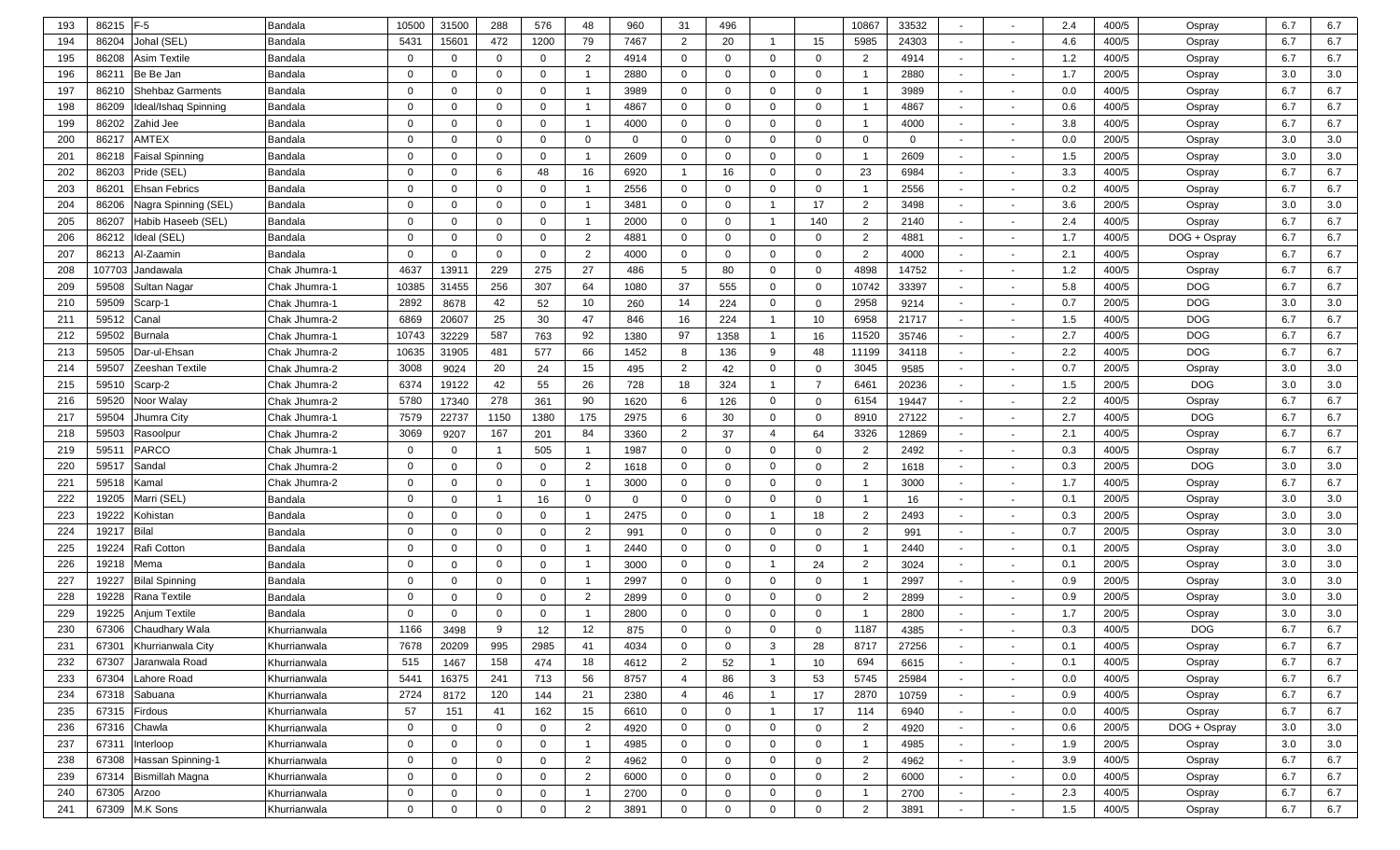| 193 | 86215  | $F-5$                   | Bandala        | 10500        | 31500          | 288            | 576            | 48             | 960          | 31             | 496          |                |                | 10867                   | 33532       | $\overline{a}$           |                          | 2.4   | 400/5 | Ospray       | 6.7 | 6.7 |
|-----|--------|-------------------------|----------------|--------------|----------------|----------------|----------------|----------------|--------------|----------------|--------------|----------------|----------------|-------------------------|-------------|--------------------------|--------------------------|-------|-------|--------------|-----|-----|
| 194 | 86204  | Johal (SEL)             | <b>Bandala</b> | 5431         | 15601          | 472            | 1200           | 79             | 7467         | 2              | 20           | $\mathbf 1$    | 15             | 5985                    | 24303       | $\overline{\phantom{0}}$ |                          | 4.6   | 400/5 | Ospray       | 6.7 | 6.7 |
| 195 | 86208  | <b>Asim Textile</b>     | <b>Bandala</b> | $\Omega$     | $\mathbf{0}$   | $\Omega$       | $\mathbf 0$    | 2              | 4914         | $\mathbf{0}$   | $\Omega$     | $\mathbf 0$    | $\overline{0}$ | $\overline{2}$          | 4914        | $\overline{\phantom{0}}$ | $\sim$                   | 1.2   | 400/5 | Ospray       | 6.7 | 6.7 |
| 196 | 86211  | Be Be Jan               | Bandala        | $\Omega$     | $\Omega$       | $\Omega$       | $\mathbf 0$    |                | 2880         | $\mathbf{0}$   | $\Omega$     | $\mathbf 0$    | $\mathbf 0$    |                         | 2880        | $\sim$                   | $\sim$                   | 1.7   | 200/5 | Ospray       | 3.0 | 3.0 |
| 197 | 86210  | <b>Shehbaz Garments</b> | Bandala        | $\Omega$     | $\mathbf{0}$   | $\Omega$       | $\mathbf 0$    |                | 3989         | $\mathbf{0}$   | $\Omega$     | $\mathbf 0$    | $\mathbf 0$    | - 1                     | 3989        | $\sim$                   |                          | 0.0   | 400/5 | Ospray       | 6.7 | 6.7 |
| 198 | 86209  | Ideal/Ishaq Spinning    | Bandala        | $\Omega$     | $\mathbf{0}$   | $\Omega$       | $\mathbf 0$    |                | 4867         | $\mathbf{0}$   | $\Omega$     | $\mathbf 0$    | $\mathbf 0$    | - 1                     | 4867        | $\overline{\phantom{a}}$ |                          | 0.6   | 400/5 | Ospray       | 6.7 | 6.7 |
| 199 | 86202  | Zahid Jee               | Bandala        | $\Omega$     | $\mathbf{0}$   | $\Omega$       | $\mathbf 0$    |                | 4000         | $\mathbf{0}$   | $\mathbf{0}$ | $\mathbf 0$    | $\mathbf 0$    | $\overline{\mathbf{1}}$ | 4000        | $\overline{\phantom{a}}$ |                          | 3.8   | 400/5 | Ospray       | 6.7 | 6.7 |
| 200 | 86217  | <b>AMTEX</b>            | Bandala        | $\Omega$     | $\mathbf{0}$   | $\Omega$       | $\mathbf 0$    | $\Omega$       | $\mathbf{0}$ | $\mathbf{0}$   | $\Omega$     | $\mathbf 0$    | $\mathbf{0}$   | $\overline{0}$          | $\mathbf 0$ | $\overline{\phantom{a}}$ |                          | 0.0   | 200/5 | Ospray       | 3.0 | 3.0 |
| 201 | 86218  | <b>Faisal Spinning</b>  | Bandala        | $\Omega$     | $\mathbf{0}$   | $\Omega$       | $\mathbf 0$    |                | 2609         | $\mathbf{0}$   | $\Omega$     | $\mathbf 0$    | $\mathbf 0$    | - 1                     | 2609        | $\overline{a}$           |                          | 1.5   | 200/5 | Ospray       | 3.0 | 3.0 |
| 202 | 86203  | Pride (SEL              | Bandala        | $\Omega$     | $\mathbf{0}$   | 6              | 48             | 16             | 6920         | $\overline{1}$ | 16           | $\mathbf 0$    | $\mathbf 0$    | 23                      | 6984        | $\sim$                   | $\overline{\phantom{a}}$ | 3.3   | 400/5 | Ospray       | 6.7 | 6.7 |
| 203 | 86201  | Ehsan Febrics           | Bandala        | 0            | 0              | $\Omega$       | $\mathbf 0$    |                | 2556         | $\mathbf{0}$   | $\mathbf{0}$ | $\mathbf 0$    | $\mathbf 0$    | - 1                     | 2556        | $\overline{a}$           | $\overline{\phantom{a}}$ | 0.2   | 400/5 | Ospray       | 6.7 | 6.7 |
| 204 | 86206  | Nagra Spinning (SEL)    | Bandala        | $\Omega$     | $\mathbf{0}$   | $\Omega$       | $\mathbf 0$    | -1             | 3481         | $\mathbf{0}$   | $\mathbf{0}$ | $\overline{1}$ | 17             | $\overline{2}$          | 3498        | $\sim$                   | $\sim$                   | 3.6   | 200/5 | Ospray       | 3.0 | 3.0 |
| 205 | 86207  | Habib Haseeb (SEL)      | Bandala        | $\Omega$     | $\mathbf{0}$   | $\Omega$       | $\mathbf 0$    |                | 2000         | $\mathbf{0}$   | $\Omega$     | $\overline{1}$ | 140            | $\overline{2}$          | 2140        | $\sim$                   | $\sim$                   | 2.4   | 400/5 | Ospray       | 6.7 | 6.7 |
| 206 | 86212  | Ideal (SEL)             | Bandala        | $\Omega$     | 0              | $\Omega$       | $\mathbf 0$    | 2              | 4881         | $\mathbf{0}$   | $\mathbf{0}$ | $\mathbf 0$    | $\mathbf 0$    | 2                       | 4881        | $\sim$                   | $\overline{a}$           | 1.7   | 400/5 | DOG + Ospray | 6.7 | 6.7 |
| 207 | 86213  | Al-Zaamin               | Bandala        | $\Omega$     | $\Omega$       | $\Omega$       | $\mathbf 0$    | 2              | 4000         | $\mathbf{0}$   | $\mathbf{0}$ | $\mathbf 0$    | $\mathbf{0}$   | $\overline{2}$          | 4000        | $\sim$                   | $\overline{\phantom{a}}$ | 2.1   | 400/5 | Ospray       | 6.7 | 6.7 |
| 208 | 107703 | Jandawala               | Chak Jhumra-1  | 4637         | 13911          | 229            | 275            | 27             | 486          | 5              | 80           | $\mathbf 0$    | $\mathbf 0$    | 4898                    | 14752       | $\sim$                   | $\overline{a}$           | $1.2$ | 400/5 | Ospray       | 6.7 | 6.7 |
| 209 | 59508  | Sultan Nagar            | Chak Jhumra-1  | 10385        | 31455          | 256            | 307            | 64             | 1080         | 37             | 555          | 0              | $\mathbf{0}$   | 10742                   | 33397       | $\sim$                   | $\overline{\phantom{a}}$ | 5.8   | 400/5 | <b>DOG</b>   | 6.7 | 6.7 |
| 210 | 59509  | Scarp-1                 | Chak Jhumra-1  | 2892         | 8678           | 42             | 52             | 10             | 260          | 14             | 224          | 0              | $\mathbf{0}$   | 2958                    | 9214        | $\overline{\phantom{a}}$ | $\overline{\phantom{a}}$ | 0.7   | 200/5 | <b>DOG</b>   | 3.0 | 3.0 |
| 211 | 59512  | Canal                   | Chak Jhumra-2  | 6869         | 20607          | 25             | 30             | 47             | 846          | 16             | 224          | $\overline{1}$ | 10             | 6958                    | 21717       | $\sim$                   |                          | 1.5   | 400/5 | <b>DOG</b>   | 6.7 | 6.7 |
| 212 | 59502  | <b>Burnala</b>          | Chak Jhumra-1  | 10743        | 32229          | 587            | 763            | 92             | 1380         | 97             | 1358         | $\mathbf{1}$   | 16             | 11520                   | 35746       | $\sim$                   |                          | 2.7   | 400/5 | <b>DOG</b>   | 6.7 | 6.7 |
| 213 | 59505  | Dar-ul-Ehsan            | Chak Jhumra-2  | 10635        | 31905          | 481            | 577            | 66             | 1452         | 8              | 136          | 9              | 48             | 11199                   | 34118       | $\sim$                   |                          | 2.2   | 400/5 | <b>DOG</b>   | 6.7 | 6.7 |
| 214 | 59507  | Zeeshan Textile         | Chak Jhumra-2  | 3008         | 9024           | 20             | 24             | 15             | 495          | 2              | 42           | $\mathbf 0$    | $\mathbf{0}$   | 3045                    | 9585        | $\sim$                   |                          | 0.7   | 200/5 | Ospray       | 3.0 | 3.0 |
| 215 | 59510  | Scarp-2                 | Chak Jhumra-2  | 6374         | 19122          | 42             | 55             | 26             | 728          | 18             | 324          | $\mathbf 1$    | $\overline{7}$ | 6461                    | 20236       | $\overline{a}$           |                          | 1.5   | 200/5 | <b>DOG</b>   | 3.0 | 3.0 |
| 216 | 59520  | Noor Walay              | Chak Jhumra-2  | 5780         | 17340          | 278            | 361            | 90             | 1620         | 6              | 126          | $\mathbf 0$    | $\mathbf{0}$   | 6154                    | 19447       | $\sim$                   |                          | 2.2   | 400/5 | Ospray       | 6.7 | 6.7 |
| 217 | 59504  | Jhumra City             | Chak Jhumra-1  | 7579         | 22737          | 1150           | 1380           | 175            | 2975         | 6              | 30           | $\mathbf 0$    | $\mathbf 0$    | 8910                    | 27122       | $\sim$                   |                          | 2.7   | 400/5 | <b>DOG</b>   | 6.7 | 6.7 |
| 218 | 59503  | Rasoolpur               | Chak Jhumra-2  | 3069         | 9207           | 167            | 201            | 84             | 3360         | 2              | 37           | $\overline{4}$ | 64             | 3326                    | 12869       | $\overline{\phantom{0}}$ |                          | 2.1   | 400/5 | Ospray       | 6.7 | 6.7 |
| 219 | 5951   | <b>PARCO</b>            | Chak Jhumra-1  | $\Omega$     | $\overline{0}$ |                | 505            |                | 1987         | $\mathbf 0$    | $\Omega$     | $\mathbf 0$    | $\overline{0}$ | $\overline{2}$          | 2492        | $\overline{\phantom{0}}$ |                          | 0.3   | 400/5 | Ospray       | 6.7 | 6.7 |
| 220 | 59517  | Sandal                  | Chak Jhumra-2  | $\Omega$     | $\mathbf{0}$   | $\Omega$       | $\mathbf 0$    | 2              | 1618         | $\mathbf{0}$   | $\Omega$     | $\mathbf 0$    | $\mathbf{0}$   | $\overline{2}$          | 1618        | $\sim$                   |                          | 0.3   | 200/5 | <b>DOG</b>   | 3.0 | 3.0 |
| 221 | 59518  | Kamal                   | Chak Jhumra-2  | $\Omega$     | $\mathbf{0}$   | $\Omega$       | $\mathbf 0$    |                | 3000         | $\mathbf{0}$   | $\Omega$     | $\mathbf 0$    | $\mathbf 0$    | -1                      | 3000        | $\sim$                   |                          | 1.7   | 400/5 | Ospray       | 6.7 | 6.7 |
| 222 | 19205  | (SEL) Marri             | Bandala        | $\Omega$     | $\mathbf{0}$   |                | 16             | $\Omega$       | $\mathbf 0$  | $\mathbf{0}$   | $\Omega$     | $\mathbf 0$    | $\mathbf 0$    | - 1                     | 16          | $\overline{a}$           |                          | 0.1   | 200/5 | Ospray       | 3.0 | 3.0 |
| 223 | 19222  | Kohistan                | Bandala        | $\Omega$     | $\mathbf{0}$   | $\Omega$       | $\mathbf 0$    |                | 2475         | $\mathbf{0}$   | $\Omega$     | $\mathbf 1$    | 18             | $\overline{2}$          | 2493        | $\overline{\phantom{a}}$ |                          | 0.3   | 200/5 | Ospray       | 3.0 | 3.0 |
| 224 | 19217  | <b>Bilal</b>            | Bandala        | $\Omega$     | $\mathbf{0}$   | $\Omega$       | $\mathbf 0$    | 2              | 991          | $\mathbf{0}$   | $\Omega$     | $\mathbf 0$    | $\mathbf{0}$   | $\overline{2}$          | 991         | $\overline{\phantom{a}}$ |                          | 0.7   | 200/5 | Ospray       | 3.0 | 3.0 |
| 225 | 19224  | Rafi Cotton             | Bandala        | $\Omega$     | $\mathbf{0}$   | $\Omega$       | $\overline{0}$ |                | 2440         | $\mathbf{0}$   | $\mathbf{0}$ | $\mathbf 0$    | $\mathbf 0$    | - 1                     | 2440        | $\sim$                   |                          | 0.1   | 200/5 | Ospray       | 3.0 | 3.0 |
| 226 | 19218  | Mema                    | Bandala        | $\Omega$     | $\mathbf{0}$   | $\Omega$       | $\mathbf{0}$   |                | 3000         | $\mathbf{0}$   | $\mathbf{0}$ | -1             | 24             | $\overline{2}$          | 3024        | $\overline{\phantom{0}}$ |                          | 0.1   | 200/5 | Ospray       | 3.0 | 3.0 |
| 227 | 19227  | <b>Bilal Spinning</b>   | Bandala        | $\Omega$     | $\mathbf{0}$   | $\Omega$       | $\mathbf{0}$   |                | 2997         | 0              | $\mathbf{0}$ | $\mathbf 0$    | $\mathbf{0}$   | - 1                     | 2997        | $\overline{a}$           | $\overline{\phantom{a}}$ | 0.9   | 200/5 | Ospray       | 3.0 | 3.0 |
| 228 | 19228  | Rana Textile            | Bandala        | $\Omega$     | 0              | $\Omega$       | $\mathbf 0$    | $\overline{2}$ | 2899         | 0              | $\Omega$     | 0              | $\mathbf{0}$   | $\overline{2}$          | 2899        | $\sim$                   |                          | 0.9   | 200/5 | Ospray       | 3.0 | 3.0 |
| 229 | 19225  | Anjum Textile           | Bandala        | $\Omega$     | $\mathbf{0}$   | $\Omega$       | $\mathbf 0$    |                | 2800         | $\mathbf{0}$   | $\Omega$     | $\mathbf 0$    | $\mathbf 0$    |                         | 2800        | $\overline{\phantom{a}}$ |                          | 1.7   | 200/5 | Ospray       | 3.0 | 3.0 |
| 230 | 67306  | Chaudhary Wala          | Khurrianwala   | 1166         | 3498           | 9              | 12             | 12             | 875          | $\Omega$       |              | $\Omega$       | $\mathbf{0}$   | 1187                    | 4385        |                          |                          | 0.3   | 400/5 | <b>DOG</b>   | 6.7 | 6.7 |
| 231 |        | 67301 Khurrianwala City | Khurrianwala   | 7678         | 20209          | 995            | 2985           | 41             | 4034         | $\mathbf{0}$   | $\mathbf{0}$ | 3              | 28             | 8717                    | 27256       | $\sim$                   | $\sim$                   | 0.1   | 400/5 | Ospray       | 6.7 | 6.7 |
| 232 | 67307  | Jaranwala Road          | Khurrianwala   | 515          | 1467           | 158            | 474            | 18             | 4612         | 2              | 52           | $\overline{1}$ | 10             | 694                     | 6615        | $\sim$                   | $\sim$                   | 0.1   | 400/5 | Ospray       | 6.7 | 6.7 |
| 233 | 67304  | Lahore Road             | Khurrianwala   | 5441         | 16375          | 241            | 713            | 56             | 8757         | $\overline{4}$ | 86           | $\mathbf{3}$   | 53             | 5745                    | 25984       | $\sim$                   | $\sim$                   | 0.0   | 400/5 | Ospray       | 6.7 | 6.7 |
| 234 | 67318  | Sabuana                 | Khurrianwala   | 2724         | 8172           | 120            | 144            | 21             | 2380         | $\overline{4}$ | 46           | $\overline{1}$ | 17             | 2870                    | 10759       | $\sim$                   | $\sim$                   | 0.9   | 400/5 | Ospray       | 6.7 | 6.7 |
| 235 | 67315  | Firdous                 | Khurrianwala   | 57           | 151            | 41             | 162            | 15             | 6610         | $\overline{0}$ | $\mathbf{0}$ | $\overline{1}$ | 17             | 114                     | 6940        | $\sim$                   | $\sim$                   | 0.0   | 400/5 | Ospray       | 6.7 | 6.7 |
| 236 | 67316  | Chawla                  | Khurrianwala   | $\mathbf{0}$ | $\overline{0}$ | $\mathbf 0$    | $\mathbf{0}$   | $\overline{2}$ | 4920         | $\overline{0}$ | $\mathbf{0}$ | $\overline{0}$ | $\overline{0}$ | $\overline{2}$          | 4920        | $\sim$                   | $\sim$                   | 0.6   | 200/5 | DOG + Ospray | 3.0 | 3.0 |
| 237 | 67311  | Interloop               | Khurrianwala   | 0            | $\overline{0}$ | $\mathbf 0$    | $\mathbf{0}$   |                | 4985         | $\mathbf 0$    | $\mathbf{0}$ | $\overline{0}$ | $\mathbf{0}$   | $\overline{1}$          | 4985        | $\sim$                   | $\sim$                   | 1.9   | 200/5 | Ospray       | 3.0 | 3.0 |
| 238 | 67308  | Hassan Spinning-1       | Khurrianwala   | 0            | $\overline{0}$ | $\overline{0}$ | $\overline{0}$ | $\overline{2}$ | 4962         | $\overline{0}$ | $\mathbf{0}$ | $\mathbf 0$    | $\mathbf{0}$   | $\overline{2}$          | 4962        | $\sim$                   | $\sim$                   | 3.9   | 400/5 | Ospray       | 6.7 | 6.7 |
| 239 | 67314  | Bismillah Magna         | Khurrianwala   | 0            | $\overline{0}$ | $\overline{0}$ | $\overline{0}$ | $\overline{2}$ | 6000         | $\overline{0}$ | $\mathbf{0}$ | $\mathbf 0$    | $\mathbf{0}$   | $\overline{2}$          | 6000        | $\sim$                   |                          | 0.0   | 400/5 | Ospray       | 6.7 | 6.7 |
| 240 | 67305  | Arzoo                   | Khurrianwala   | 0            | $\overline{0}$ | $\mathbf 0$    | $\overline{0}$ |                | 2700         | $\overline{0}$ | $\mathbf{0}$ | $\overline{0}$ | $\mathbf{0}$   | -1                      | 2700        | $\sim$                   | $\sim$                   | 2.3   | 400/5 | Ospray       | 6.7 | 6.7 |
| 241 |        | 67309 M.K Sons          | Khurrianwala   | 0            | $\mathbf{0}$   | $\mathbf 0$    | $\mathbf 0$    | $\overline{2}$ | 3891         | $\overline{0}$ | 0            | $\overline{0}$ | $\mathbf{0}$   | $\overline{2}$          | 3891        | $\sim$                   |                          | 1.5   | 400/5 | Ospray       | 6.7 | 6.7 |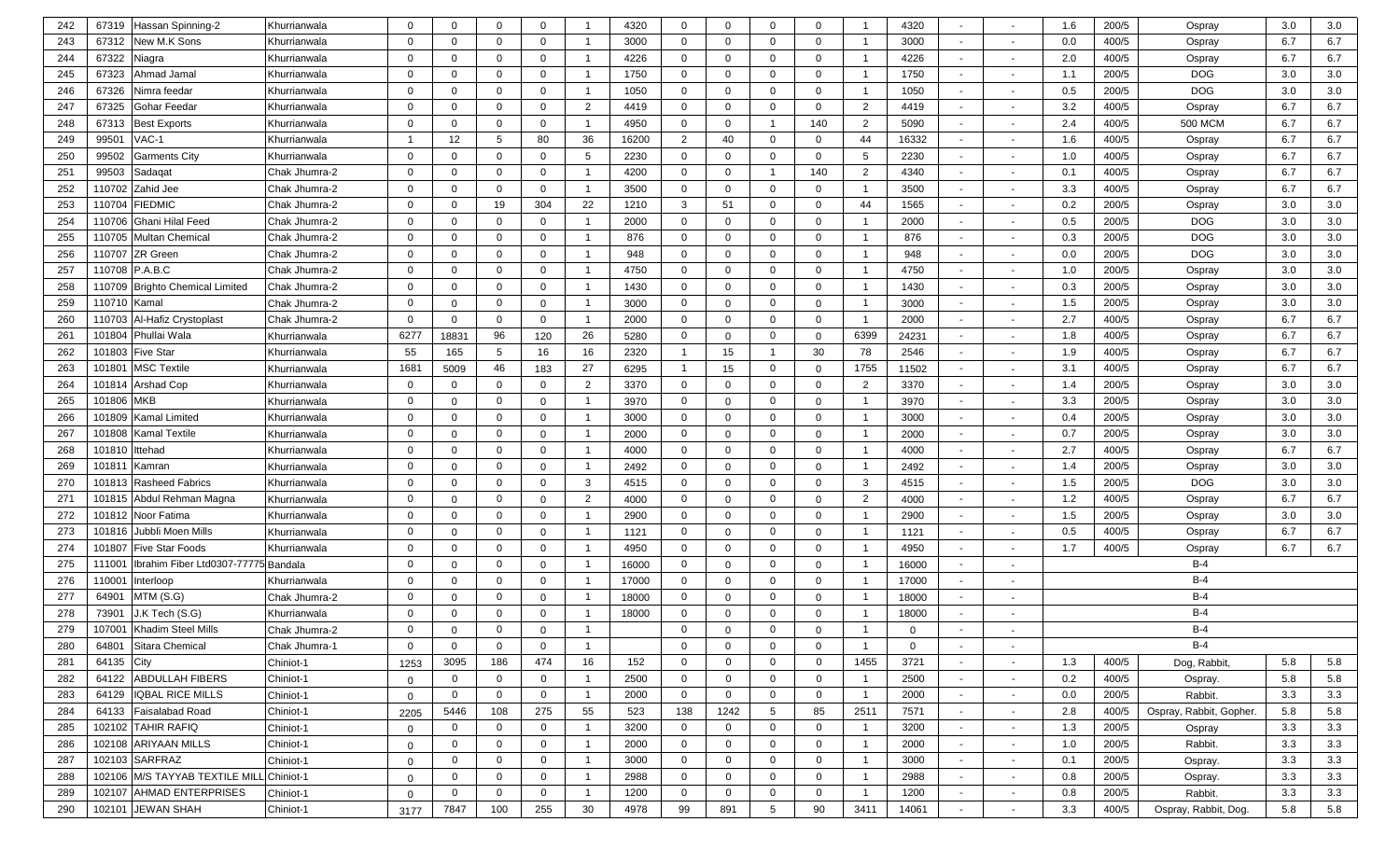| 242 | 67319              | Hassan Spinning-2                   | Khurrianwala  | $\Omega$     | $\mathbf{0}$   | $\Omega$     | $\mathbf{0}$   |                | 4320  | $\mathbf{0}$   | $\Omega$     | $\mathbf{0}$    | $\mathbf{0}$ |                | 4320         | $\overline{a}$           |                          | 1.6 | 200/5 | Ospray                  | 3.0 | 3.0     |
|-----|--------------------|-------------------------------------|---------------|--------------|----------------|--------------|----------------|----------------|-------|----------------|--------------|-----------------|--------------|----------------|--------------|--------------------------|--------------------------|-----|-------|-------------------------|-----|---------|
| 243 | 67312              | New M.K Sons                        | Khurrianwala  | $\Omega$     | $\mathbf{0}$   | $\Omega$     | $\mathbf 0$    |                | 3000  | $\mathbf{0}$   | $\mathbf 0$  | $\mathbf{0}$    | $\mathbf{0}$ |                | 3000         | $\sim$                   | $\overline{\phantom{a}}$ | 0.0 | 400/5 | Ospray                  | 6.7 | 6.7     |
| 244 | 67322              | Niagra                              | Khurrianwala  | $\Omega$     | $\mathbf{0}$   | $\Omega$     | $\mathbf 0$    |                | 4226  | $\mathbf{0}$   | $\Omega$     | $\mathbf{0}$    | $\Omega$     |                | 4226         | $\sim$                   | $\overline{\phantom{0}}$ | 2.0 | 400/5 | Ospray                  | 6.7 | 6.7     |
| 245 | 67323              | Ahmad Jamal                         | Khurrianwala  | $\Omega$     | $\mathbf 0$    | $\Omega$     | $\mathbf 0$    |                | 1750  | $\mathbf 0$    | $\Omega$     | $\mathbf{0}$    | $\mathbf 0$  |                | 1750         | $\sim$                   | $\overline{\phantom{0}}$ | 1.1 | 200/5 | <b>DOG</b>              | 3.0 | 3.0     |
| 246 | 67326              | Nimra feedar                        | Khurrianwala  | $\Omega$     | $\mathbf{0}$   | $\Omega$     | $\mathbf 0$    |                | 1050  | $\mathbf{0}$   | $\Omega$     | $\mathbf{0}$    | 0            | - 1            | 1050         | $\sim$                   |                          | 0.5 | 200/5 | <b>DOG</b>              | 3.0 | 3.0     |
| 247 | 67325              | <b>Gohar Feedar</b>                 | Khurrianwala  | $\Omega$     | $\mathbf{0}$   | $\Omega$     | $\mathbf 0$    | 2              | 4419  | $\mathbf{0}$   | $\Omega$     | $\mathbf 0$     | 0            | $\overline{2}$ | 4419         | $\sim$                   |                          | 3.2 | 400/5 | Ospray                  | 6.7 | 6.7     |
| 248 | 67313              | <b>Best Exports</b>                 | Khurrianwala  | $\Omega$     | $\mathbf{0}$   | $\Omega$     | $\mathbf 0$    |                | 4950  | $\mathbf{0}$   | $\Omega$     | $\overline{1}$  | 140          | $\overline{2}$ | 5090         | $\sim$                   |                          | 2.4 | 400/5 | <b>500 MCM</b>          | 6.7 | 6.7     |
| 249 | 99501              | VAC-1                               | Khurrianwala  | -1           | 12             | 5            | 80             | 36             | 16200 | 2              | 40           | $\mathbf 0$     | $\mathbf 0$  | 44             | 16332        | $\sim$                   |                          | 1.6 | 400/5 | Ospray                  | 6.7 | 6.7     |
| 250 | 99502              | <b>Garments City</b>                | Khurrianwala  | $\Omega$     | $\mathbf{0}$   | $\Omega$     | $\mathbf{0}$   | -5             | 2230  | $\mathbf 0$    | $\mathbf{0}$ | $\mathbf 0$     | 0            | 5              | 2230         | $\sim$                   |                          | 1.0 | 400/5 | Ospray                  | 6.7 | 6.7     |
| 251 | 99503              | Sadaqat                             | Chak Jhumra-2 | 0            | $\mathbf{0}$   | $\Omega$     | $\mathbf 0$    |                | 4200  | $\mathbf 0$    | $\mathbf{0}$ | $\overline{1}$  | 140          | $\overline{2}$ | 4340         | $\sim$                   | $\overline{\phantom{a}}$ | 0.1 | 400/5 | Ospray                  | 6.7 | 6.7     |
| 252 | 110702             | Zahid Jee                           | Chak Jhumra-2 | 0            | 0              | $\Omega$     | $\mathbf 0$    |                | 3500  | $\mathbf 0$    | 0            | $\mathbf 0$     | 0            | -1             | 3500         | $\overline{\phantom{a}}$ | $\overline{\phantom{a}}$ | 3.3 | 400/5 | Ospray                  | 6.7 | 6.7     |
| 253 | 110704             | <b>FIEDMIC</b>                      | Chak Jhumra-2 | $\Omega$     | 0              | 19           | 304            | 22             | 1210  | 3              | 51           | $\mathbf 0$     | 0            | 44             | 1565         | $\sim$                   |                          | 0.2 | 200/5 | Ospray                  | 3.0 | 3.0     |
| 254 | 110706             | <b>Ghani Hilal Feed</b>             | Chak Jhumra-2 | $\Omega$     | 0              | $\Omega$     | $\mathbf 0$    | - 1            | 2000  | $\mathbf{0}$   | $\Omega$     | $\mathbf 0$     | 0            |                | 2000         | $\sim$                   | $\sim$                   | 0.5 | 200/5 | <b>DOG</b>              | 3.0 | $3.0\,$ |
| 255 | 110705             | <b>Multan Chemical</b>              | Chak Jhumra-2 | $\Omega$     | 0              | $\Omega$     | $\mathbf 0$    |                | 876   | $\mathbf{0}$   | $\Omega$     | $\mathbf{0}$    | 0            |                | 876          | $\sim$                   |                          | 0.3 | 200/5 | <b>DOG</b>              | 3.0 | $3.0\,$ |
| 256 | 110707             | <b>ZR Green</b>                     | Chak Jhumra-2 | $\Omega$     | $\mathbf{0}$   | $\Omega$     | $\mathbf 0$    |                | 948   | $\mathbf{0}$   | $\Omega$     | $\mathbf 0$     | $\mathbf 0$  |                | 948          | $\sim$                   | $\overline{\phantom{a}}$ | 0.0 | 200/5 | <b>DOG</b>              | 3.0 | 3.0     |
| 257 |                    | 110708 P.A.B.C                      | Chak Jhumra-2 | $\Omega$     | $\mathbf 0$    | $\Omega$     | $\mathbf 0$    |                | 4750  | $\mathbf 0$    | $\Omega$     | $\mathbf 0$     | $\mathbf 0$  |                | 4750         | $\sim$                   | $\overline{\phantom{a}}$ | 1.0 | 200/5 | Ospray                  | 3.0 | 3.0     |
| 258 | 110709             | <b>Brighto Chemical Limited</b>     | Chak Jhumra-2 | $\Omega$     | 0              | $\Omega$     | $\mathbf 0$    |                | 1430  | $\mathbf 0$    | $\Omega$     | $\mathbf 0$     | 0            | - 1            | 1430         | $\sim$                   | $\overline{\phantom{a}}$ | 0.3 | 200/5 | Ospray                  | 3.0 | 3.0     |
| 259 | 110710             | Kamal                               | Chak Jhumra-2 | $\Omega$     | $\mathbf 0$    | $\Omega$     | $\mathbf 0$    |                | 3000  | $\mathbf 0$    | $\Omega$     | $\mathbf 0$     | 0            | -1             | 3000         | $\sim$                   | $\sim$                   | 1.5 | 200/5 | Ospray                  | 3.0 | 3.0     |
| 260 | 110703             | Al-Hafiz Crystoplast                | Chak Jhumra-2 | $\Omega$     | $\mathbf 0$    | $\Omega$     | $\mathbf 0$    |                | 2000  | $\mathbf 0$    | $\Omega$     | $\mathbf 0$     | 0            | - 1            | 2000         | $\sim$                   |                          | 2.7 | 400/5 | Ospray                  | 6.7 | 6.7     |
| 261 | 101804             | Phullai Wala                        | Khurrianwala  | 6277         | 18831          | 96           | 120            | 26             | 5280  | $\mathbf 0$    | $\Omega$     | $\mathbf 0$     | 0            | 6399           | 24231        | $\sim$                   |                          | 1.8 | 400/5 | Ospray                  | 6.7 | 6.7     |
| 262 | 101803             | <b>Five Star</b>                    | Khurrianwala  | 55           | 165            | 5            | 16             | 16             | 2320  | $\mathbf{1}$   | 15           | $\mathbf{1}$    | 30           | 78             | 2546         | $\sim$                   |                          | 1.9 | 400/5 | Ospray                  | 6.7 | 6.7     |
| 263 | $10180^{\circ}$    | <b>MSC Textile</b>                  | Khurrianwala  | 1681         | 5009           | 46           | 183            | 27             | 6295  | $\overline{1}$ | 15           | $\mathbf 0$     | 0            | 1755           | 11502        | $\sim$                   |                          | 3.1 | 400/5 | Ospray                  | 6.7 | 6.7     |
| 264 | 101814             | <b>Arshad Cop</b>                   | Khurrianwala  | 0            | $\mathbf 0$    | $\mathbf 0$  | $\mathbf 0$    | 2              | 3370  | $\mathbf 0$    | $\mathbf{0}$ | $\mathbf 0$     | 0            | $\overline{2}$ | 3370         | $\sim$                   |                          | 1.4 | 200/5 | Ospray                  | 3.0 | 3.0     |
| 265 | 101806 MKB         |                                     | Khurrianwala  | 0            | $\mathbf 0$    | $\mathbf 0$  | $\mathbf 0$    |                | 3970  | $\mathbf 0$    | $\mathbf 0$  | $\mathbf 0$     | 0            | - 1            | 3970         | $\sim$                   |                          | 3.3 | 200/5 | Ospray                  | 3.0 | 3.0     |
| 266 |                    | 101809 Kamal Limited                | Khurrianwala  | $\Omega$     | $\mathbf{0}$   | $\Omega$     | $\mathbf{0}$   |                | 3000  | $\mathbf{0}$   | $\mathbf{0}$ | $\mathbf 0$     | $\mathbf 0$  |                | 3000         | $\sim$                   |                          | 0.4 | 200/5 | Ospray                  | 3.0 | 3.0     |
| 267 |                    | 101808 Kamal Textile                | Khurrianwala  | $\Omega$     | 0              | $\Omega$     | $\mathbf 0$    |                | 2000  | $\mathbf{0}$   | $\Omega$     | $\mathbf 0$     | $\mathbf 0$  |                | 2000         | $\sim$                   | $\overline{\phantom{a}}$ | 0.7 | 200/5 | Ospray                  | 3.0 | $3.0\,$ |
| 268 | 101810             | Ittehad                             | Khurrianwala  | $\Omega$     | $\mathbf{0}$   | $\Omega$     | $\mathbf 0$    |                | 4000  | $\mathbf{0}$   | $\Omega$     | $\mathbf{0}$    | $\mathbf{0}$ |                | 4000         | $\sim$                   |                          | 2.7 | 400/5 | Ospray                  | 6.7 | 6.7     |
| 269 | $10181^{\circ}$    | Kamran                              | Khurrianwala  | $\Omega$     | $\mathbf{0}$   | $\Omega$     | $\mathbf 0$    |                | 2492  | $\mathbf{0}$   | $\Omega$     | $\mathbf{0}$    | $\mathbf 0$  |                | 2492         | $\sim$                   |                          | 1.4 | 200/5 | Ospray                  | 3.0 | 3.0     |
| 270 |                    | 101813 Rasheed Fabrics              | Khurrianwala  | $\Omega$     | $\mathbf{0}$   | $\Omega$     | $\mathbf 0$    | 3              | 4515  | $\mathbf 0$    | $\Omega$     | $\mathbf{0}$    | 0            | 3              | 4515         | $\sim$                   | $\overline{\phantom{a}}$ | 1.5 | 200/5 | <b>DOG</b>              | 3.0 | 3.0     |
| 271 | 101815             | Abdul Rehman Magna                  | Khurrianwala  | $\Omega$     | $\mathbf 0$    | $\Omega$     | $\mathbf 0$    | $\overline{2}$ | 4000  | $\mathbf 0$    | $\Omega$     | $\mathbf{0}$    | $\Omega$     | $\overline{2}$ | 4000         | $\overline{\phantom{0}}$ |                          | 1.2 | 400/5 | Ospray                  | 6.7 | 6.7     |
| 272 |                    | 101812 Noor Fatima                  | Khurrianwala  | $\Omega$     | $\mathbf 0$    | $\Omega$     | $\mathbf 0$    |                | 2900  | $\mathbf{0}$   | $\Omega$     | $\mathbf 0$     | $\mathbf{0}$ |                | 2900         | $\sim$                   |                          | 1.5 | 200/5 | Ospray                  | 3.0 | 3.0     |
| 273 | 101816             | Jubbli Moen Mills                   | Khurrianwala  | $\Omega$     | $\mathbf{0}$   | $\Omega$     | $\mathbf 0$    |                | 1121  | $\mathbf{0}$   | $\Omega$     | $\mathbf 0$     | $\mathbf{0}$ |                | 1121         | $\sim$                   |                          | 0.5 | 400/5 | Ospray                  | 6.7 | 6.7     |
| 274 | 101807             | <b>Five Star Foods</b>              | Khurrianwala  | $\Omega$     | $\mathbf{0}$   | $\Omega$     | $\mathbf 0$    |                | 4950  | $\mathbf{0}$   | $\mathbf{0}$ | $\mathbf 0$     | $\mathbf{0}$ | -1             | 4950         | $\sim$                   |                          | 1.7 | 400/5 | Ospray                  | 6.7 | 6.7     |
| 275 | 11100 <sup>-</sup> | Ibrahim Fiber Ltd0307-77775 Bandala |               | $\Omega$     | $\mathbf{0}$   | $\Omega$     | $\mathbf{0}$   |                | 16000 | $\mathbf{0}$   | $\mathbf{0}$ | $\mathbf 0$     | 0            |                | 16000        | $\sim$                   |                          |     |       | $B-4$                   |     |         |
| 276 | 11000 <sup>-</sup> | Interloop                           | Khurrianwala  | 0            | $\mathbf{0}$   | $\Omega$     | $\mathbf{0}$   |                | 17000 | $\mathbf{0}$   | $\mathbf{0}$ | $\mathbf 0$     | 0            | - 1            | 17000        | $\sim$                   |                          |     |       | $B-4$                   |     |         |
| 277 | 64901              | MTM(S.G)                            | Chak Jhumra-2 | 0            | 0              | $\Omega$     | $\mathbf 0$    |                | 18000 | $\mathbf{0}$   | 0            | $\mathbf 0$     | 0            |                | 18000        | $\sim$                   |                          |     |       | $B-4$                   |     |         |
| 278 | 73901              | J.K Tech (S.G)                      | Khurrianwala  | 0            | 0              | $\Omega$     | $\mathbf 0$    |                | 18000 | $\mathbf{0}$   | $\Omega$     | $\mathbf{0}$    | 0            |                | 18000        |                          |                          |     |       | $B-4$                   |     |         |
| 279 | 107001             | Khadim Steel Mills                  | Chak Jhumra-2 | $\Omega$     | $\Omega$       | $\Omega$     | $\Omega$       |                |       | $\Omega$       | $\Omega$     | $\mathbf 0$     | $\Omega$     |                | $\Omega$     |                          |                          |     |       | $B-4$                   |     |         |
| 280 | 64801              | Sitara Chemical                     | Chak Jhumra-1 | 0            | 0              | $\Omega$     | $\mathbf{0}$   | -1             |       | $\mathbf{0}$   | $\mathbf{0}$ | $\mathbf 0$     | 0            | $\overline{1}$ | $\mathbf{0}$ | $\sim$                   | $\sim$                   |     |       | B-4                     |     |         |
| 281 | 64135              | City                                | Chiniot-1     | 1253         | 3095           | 186          | 474            | 16             | 152   | $\mathbf{0}$   | $\mathbf 0$  | $\mathbf 0$     | $\mathbf 0$  | 1455           | 3721         | $\sim$                   | $\overline{\phantom{a}}$ | 1.3 | 400/5 | Dog, Rabbit,            | 5.8 | 5.8     |
| 282 | 64122              | <b>ABDULLAH FIBERS</b>              | Chiniot-1     | $\mathbf 0$  | $\mathbf 0$    | $\Omega$     | $\mathbf 0$    |                | 2500  | $\mathbf 0$    | $\mathbf 0$  | $\mathbf 0$     | $\mathbf{0}$ | - 1            | 2500         | $\sim$                   | $\sim$                   | 0.2 | 400/5 | Ospray.                 | 5.8 | 5.8     |
| 283 | 64129              | <b>IQBAL RICE MILLS</b>             | Chiniot-1     | $\mathbf{0}$ | $\mathbf 0$    | $\Omega$     | $\mathbf 0$    |                | 2000  | $\mathbf{0}$   | 0            | $\mathbf 0$     | $\mathbf{0}$ |                | 2000         | $\sim$                   | $\sim$                   | 0.0 | 200/5 | Rabbit.                 | 3.3 | 3.3     |
| 284 | 64133              | Faisalabad Road                     | Chiniot-1     | 2205         | 5446           | 108          | 275            | 55             | 523   | 138            | 1242         | 5               | 85           | 2511           | 7571         | $\sim$                   | $\sim$                   | 2.8 | 400/5 | Ospray, Rabbit, Gopher. | 5.8 | 5.8     |
| 285 |                    | 102102 TAHIR RAFIQ                  | Chiniot-1     | $\mathbf{0}$ | $\overline{0}$ | $\mathbf 0$  | $\mathbf 0$    |                | 3200  | $\mathbf 0$    | $\mathbf 0$  | $\mathbf{0}$    | $\mathbf{0}$ |                | 3200         | $\sim$                   | $\sim$                   | 1.3 | 200/5 | Ospray                  | 3.3 | 3.3     |
| 286 |                    | 102108 ARIYAAN MILLS                | Chiniot-1     | $\mathbf 0$  | $\mathbf 0$    | 0            | $\overline{0}$ |                | 2000  | $\mathbf 0$    | $\mathbf{0}$ | $\mathbf 0$     | $\mathbf{0}$ | $\overline{1}$ | 2000         | $\sim$                   |                          | 1.0 | 200/5 | Rabbit.                 | 3.3 | 3.3     |
| 287 |                    | 102103 SARFRAZ                      | Chiniot-1     | $\mathbf{0}$ | $\mathbf 0$    | $\mathbf{0}$ | $\mathbf 0$    |                | 3000  | $\overline{0}$ | $\mathbf{0}$ | $\mathbf 0$     | $\mathbf{0}$ |                | 3000         | $\sim$                   |                          | 0.1 | 200/5 | Ospray.                 | 3.3 | 3.3     |
| 288 |                    | 102106 M/S TAYYAB TEXTILE MILL      | Chiniot-1     | 0            | $\mathbf 0$    | $\mathbf{0}$ | $\mathbf 0$    |                | 2988  | $\overline{0}$ | $\mathbf{0}$ | $\mathbf 0$     | $\mathbf{0}$ |                | 2988         | $\sim$                   |                          | 0.8 | 200/5 | Ospray.                 | 3.3 | 3.3     |
| 289 |                    | 102107 AHMAD ENTERPRISES            | Chiniot-1     | $\mathbf{0}$ | $\mathbf 0$    | $\mathbf 0$  | $\mathbf 0$    |                | 1200  | $\mathbf 0$    | $\mathbf{0}$ | $\mathbf 0$     | $\mathbf{0}$ | - 1            | 1200         | $\sim$                   | $\sim$                   | 0.8 | 200/5 | Rabbit.                 | 3.3 | 3.3     |
| 290 |                    | 102101 JEWAN SHAH                   | Chiniot-1     | 3177         | 7847           | 100          | 255            | 30             | 4978  | 99             | 891          | $5\overline{5}$ | 90           | 3411           | 14061        | $\sim$                   |                          | 3.3 | 400/5 | Ospray, Rabbit, Dog.    | 5.8 | 5.8     |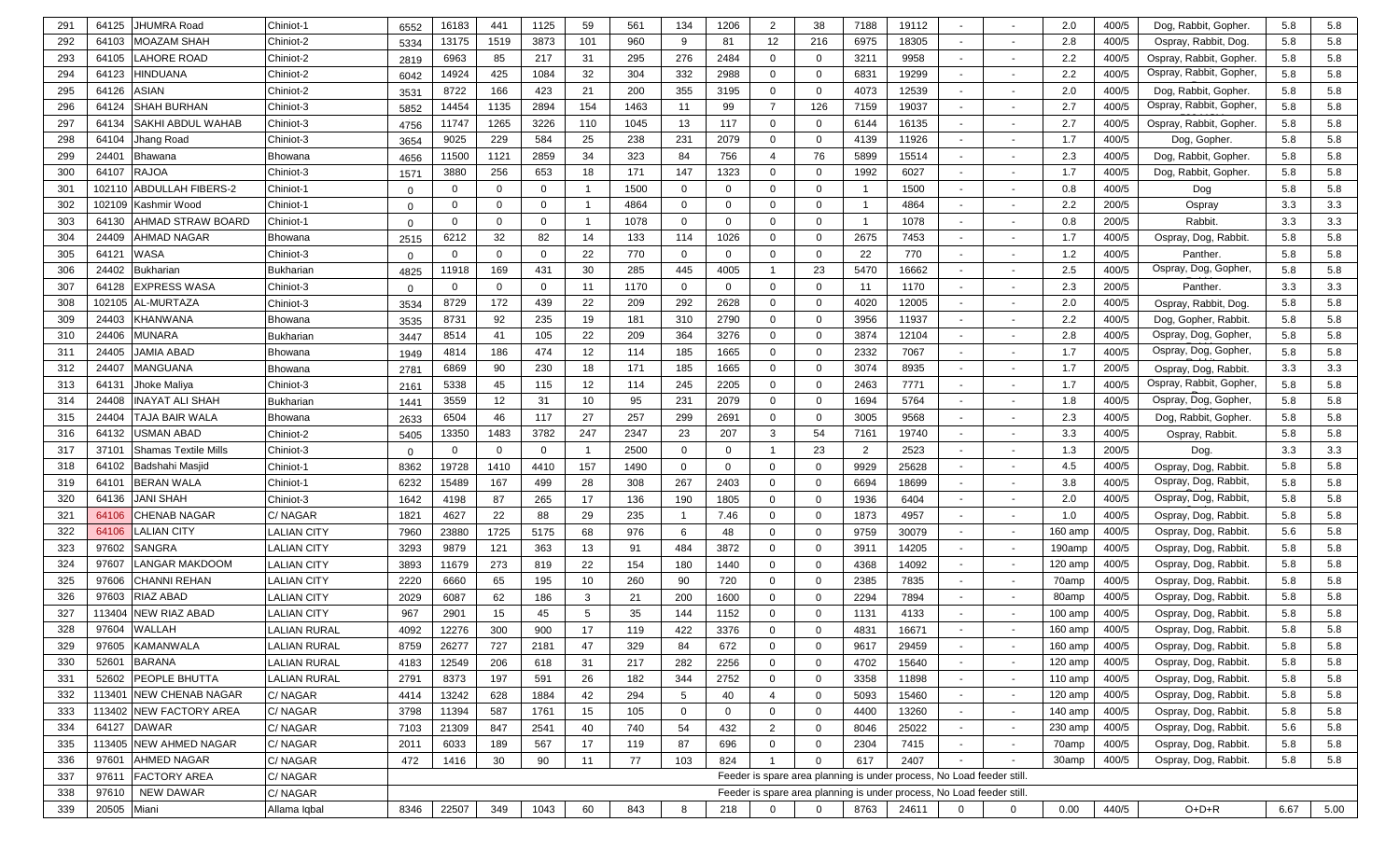| 291 | 64125       | JHUMRA Road                 | Chiniot-1           | 6552     | 16183       | 441          | 1125        | 59  | 561  | 134             | 1206         | 2              | 38             | 7188           | 19112                                                                 |                          |                          | 2.0       | 400/5 | Dog, Rabbit, Gopher.   | 5.8  | 5.8  |
|-----|-------------|-----------------------------|---------------------|----------|-------------|--------------|-------------|-----|------|-----------------|--------------|----------------|----------------|----------------|-----------------------------------------------------------------------|--------------------------|--------------------------|-----------|-------|------------------------|------|------|
| 292 | 64103       | MOAZAM SHAH                 | Chiniot-2           | 5334     | 13175       | 1519         | 3873        | 101 | 960  | 9               | 81           | 12             | 216            | 6975           | 18305                                                                 | $\sim$                   | $\overline{\phantom{a}}$ | 2.8       | 400/5 | Ospray, Rabbit, Dog.   | 5.8  | 5.8  |
| 293 | 64105       | <b>AHORE ROAD</b>           | Chiniot-2           | 2819     | 6963        | 85           | 217         | 31  | 295  | 276             | 2484         | $\Omega$       | $\mathbf 0$    | 3211           | 9958                                                                  | $\overline{a}$           |                          | 2.2       | 400/5 | Ospray, Rabbit, Gopher | 5.8  | 5.8  |
| 294 | 64123       | HINDUANA                    | Chiniot-2           | 6042     | 14924       | 425          | 1084        | 32  | 304  | 332             | 2988         | $\Omega$       | $\mathbf 0$    | 6831           | 19299                                                                 | $\sim$                   | $\overline{\phantom{a}}$ | 2.2       | 400/5 | Ospray, Rabbit, Gopher | 5.8  | 5.8  |
| 295 | 64126       | ASIAN                       | Chiniot-2           | 3531     | 8722        | 166          | 423         | 21  | 200  | 355             | 3195         | $\mathbf{0}$   | $\mathbf 0$    | 4073           | 12539                                                                 | $\sim$                   |                          | 2.0       | 400/5 | Dog, Rabbit, Gopher    | 5.8  | 5.8  |
| 296 | 64124       | SHAH BURHAN                 | Chiniot-3           | 5852     | 14454       | 1135         | 2894        | 154 | 1463 | 11              | 99           | $\overline{7}$ | 126            | 7159           | 19037                                                                 | $\sim$                   |                          | 2.7       | 400/5 | Ospray, Rabbit, Gopher | 5.8  | 5.8  |
| 297 | 64134       | <b>SAKHI ABDUL WAHAB</b>    | Chiniot-3           | 4756     | 11747       | 1265         | 3226        | 110 | 1045 | 13              | 117          | $\mathbf{0}$   | $\mathbf 0$    | 6144           | 16135                                                                 | $\sim$                   |                          | 2.7       | 400/5 | Ospray, Rabbit, Gopher | 5.8  | 5.8  |
| 298 | 64104       | Jhang Road                  | Chiniot-3           | 3654     | 9025        | 229          | 584         | 25  | 238  | 231             | 2079         | $\mathbf{0}$   | $\mathbf 0$    | 4139           | 11926                                                                 | $\sim$                   |                          | 1.7       | 400/5 | Dog, Gopher            | 5.8  | 5.8  |
| 299 | 2440'       | Bhawana                     | Bhowana             | 4656     | 11500       | 1121         | 2859        | 34  | 323  | 84              | 756          | $\overline{4}$ | 76             | 5899           | 15514                                                                 |                          |                          | 2.3       | 400/5 | Dog, Rabbit, Gopher    | 5.8  | 5.8  |
| 300 | 64107       | <b>RAJOA</b>                | Chiniot-3           | 1571     | 3880        | 256          | 653         | 18  | 171  | 147             | 1323         | $\mathbf{0}$   | $\mathbf 0$    | 1992           | 6027                                                                  | $\overline{\phantom{a}}$ | $\blacksquare$           | 1.7       | 400/5 | Dog, Rabbit, Gopher    | 5.8  | 5.8  |
| 301 | 102110      | <b>ABDULLAH FIBERS-2</b>    | Chiniot-1           | $\Omega$ | $\mathbf 0$ | 0            | $\mathbf 0$ |     | 1500 | $\mathbf 0$     | 0            | $\Omega$       | $\mathbf 0$    | -1             | 1500                                                                  | $\overline{\phantom{a}}$ | $\overline{\phantom{a}}$ | 0.8       | 400/5 | Dog                    | 5.8  | 5.8  |
| 302 | 102109      | Kashmir Wood                | Chiniot-1           | $\Omega$ | $\Omega$    | 0            | $\mathbf 0$ | -1  | 4864 | $\mathbf 0$     | 0            | $\Omega$       | $\mathbf 0$    | -1             | 4864                                                                  | $\overline{\phantom{a}}$ | $\overline{\phantom{a}}$ | 2.2       | 200/5 | Ospray                 | 3.3  | 3.3  |
| 303 | 64130       | AHMAD STRAW BOARD           | Chiniot-1           | $\Omega$ | $\Omega$    | $\mathbf{0}$ | $\mathbf 0$ |     | 1078 | $\mathbf 0$     | 0            | $\Omega$       | $\mathbf 0$    | -1             | 1078                                                                  | $\sim$                   | $\overline{\phantom{a}}$ | 0.8       | 200/5 | Rabbit                 | 3.3  | 3.3  |
| 304 | 24409       | AHMAD NAGAR                 | Bhowana             | 2515     | 6212        | 32           | 82          | 14  | 133  | 114             | 1026         | $\Omega$       | $\mathbf 0$    | 2675           | 7453                                                                  | $\sim$                   | $\overline{\phantom{a}}$ | 1.7       | 400/5 | Ospray, Dog, Rabbit.   | 5.8  | 5.8  |
| 305 | 6412'       | WASA                        | Chiniot-3           |          | $\mathbf 0$ | $\Omega$     | $\mathbf 0$ | 22  | 770  | $\mathbf 0$     | 0            | $\Omega$       | 0              | 22             | 770                                                                   | $\sim$                   | $\overline{\phantom{a}}$ | 1.2       | 400/5 | Panther                | 5.8  | 5.8  |
| 306 | 24402       | Bukharian                   | <b>Bukharian</b>    | 4825     | 11918       | 169          | 431         | 30  | 285  | 445             | 4005         |                | 23             | 5470           | 16662                                                                 | $\overline{\phantom{a}}$ | $\overline{\phantom{a}}$ | 2.5       | 400/5 | Ospray, Dog, Gopher,   | 5.8  | 5.8  |
| 307 | 64128       | EXPRESS WASA                | Chiniot-3           | $\Omega$ | $\mathbf 0$ | 0            | $\mathbf 0$ | 11  | 1170 | $\mathbf 0$     | 0            | $\Omega$       | $\mathbf 0$    | 11             | 1170                                                                  | $\sim$                   | $\overline{\phantom{a}}$ | 2.3       | 200/5 | Panther.               | 3.3  | 3.3  |
| 308 | 102105      | <b>AL-MURTAZA</b>           | Chiniot-3           | 3534     | 8729        | 172          | 439         | 22  | 209  | 292             | 2628         | $\Omega$       | $\mathbf 0$    | 4020           | 12005                                                                 | $\sim$                   |                          | 2.0       | 400/5 | Ospray, Rabbit, Dog.   | 5.8  | 5.8  |
| 309 | 24403       | KHANWANA                    | Bhowana             | 3535     | 8731        | 92           | 235         | 19  | 181  | 310             | 2790         | $\Omega$       | $\mathbf 0$    | 3956           | 11937                                                                 | $\sim$                   |                          | 2.2       | 400/5 | Dog, Gopher, Rabbit.   | 5.8  | 5.8  |
| 310 | 24406       | MUNARA                      | <b>Bukharian</b>    | 3447     | 8514        | 41           | 105         | 22  | 209  | 364             | 3276         | $\Omega$       | $\mathbf 0$    | 3874           | 12104                                                                 | $\sim$                   |                          | 2.8       | 400/5 | Ospray, Dog, Gopher,   | 5.8  | 5.8  |
| 311 | 24405       | JAMIA ABAD                  | Bhowana             | 1949     | 4814        | 186          | 474         | 12  | 114  | 185             | 1665         | $\Omega$       | $\mathbf 0$    | 2332           | 7067                                                                  | $\sim$                   |                          | 1.7       | 400/5 | Ospray, Dog, Gopher,   | 5.8  | 5.8  |
| 312 | 24407       | MANGUANA                    | Bhowana             | 2781     | 6869        | 90           | 230         | 18  | 171  | 185             | 1665         | $\Omega$       | $\mathbf 0$    | 3074           | 8935                                                                  | $\sim$                   |                          | 1.7       | 200/5 | Ospray, Dog, Rabbit.   | 3.3  | 3.3  |
| 313 | 64131       | Jhoke Maliya                | Chiniot-3           | 2161     | 5338        | 45           | 115         | 12  | 114  | 245             | 2205         | $\mathbf{0}$   | 0              | 2463           | 7771                                                                  | $\overline{\phantom{a}}$ |                          | 1.7       | 400/5 | Ospray, Rabbit, Gopher | 5.8  | 5.8  |
| 314 | 24408       | NAYAT ALI SHAH              | <b>Bukharian</b>    | 1441     | 3559        | 12           | 31          | 10  | 95   | 231             | 2079         | $\mathbf{0}$   | 0              | 1694           | 5764                                                                  | $\sim$                   |                          | 1.8       | 400/5 | Ospray, Dog, Gopher,   | 5.8  | 5.8  |
| 315 | 24404       | TAJA BAIR WALA              | Bhowana             | 2633     | 6504        | 46           | 117         | 27  | 257  | 299             | 2691         | $\mathbf{0}$   | $\mathbf 0$    | 3005           | 9568                                                                  | $\sim$                   |                          | 2.3       | 400/5 | Dog, Rabbit, Gopher.   | 5.8  | 5.8  |
| 316 | 64132       | JSMAN ABAD                  | Chiniot-2           | 5405     | 13350       | 1483         | 3782        | 247 | 2347 | 23              | 207          | 3              | 54             | 7161           | 19740                                                                 | $\sim$                   |                          | 3.3       | 400/5 | Ospray, Rabbit.        | 5.8  | 5.8  |
| 317 | 3710'       | <b>Shamas Textile Mills</b> | Chiniot-3           |          | $\mathbf 0$ | $\Omega$     | $\mathbf 0$ |     | 2500 | $\overline{0}$  | $\mathbf{0}$ | - 1            | 23             | $\overline{2}$ | 2523                                                                  | $\sim$                   |                          | 1.3       | 200/5 | Dog                    | 3.3  | 3.3  |
| 318 | 64102       | Badshahi Masjid             | Chiniot-1           | 8362     | 19728       | 1410         | 4410        | 157 | 1490 | $\overline{0}$  | $\Omega$     | $\Omega$       | $\Omega$       | 9929           | 25628                                                                 | $\overline{\phantom{a}}$ |                          | 4.5       | 400/5 | Ospray, Dog, Rabbit.   | 5.8  | 5.8  |
| 319 | 64101       | <b>BERAN WALA</b>           | Chiniot-            | 6232     | 15489       | 167          | 499         | 28  | 308  | 267             | 2403         | $\overline{0}$ | $\mathbf 0$    | 6694           | 18699                                                                 | $\sim$                   | $\overline{\phantom{a}}$ | 3.8       | 400/5 | Ospray, Dog, Rabbit,   | 5.8  | 5.8  |
| 320 | 64136       | JANI SHAH                   | Chiniot-3           | 1642     | 4198        | 87           | 265         | 17  | 136  | 190             | 1805         | $\overline{0}$ | $\mathbf 0$    | 1936           | 6404                                                                  | $\sim$                   | $\overline{\phantom{a}}$ | 2.0       | 400/5 | Ospray, Dog, Rabbit,   | 5.8  | 5.8  |
| 321 | 64106       | CHENAB NAGAR                | C/NAGAR             | 1821     | 4627        | 22           | 88          | 29  | 235  | -1              | 7.46         | $\overline{0}$ | $\mathbf 0$    | 1873           | 4957                                                                  | $\sim$                   |                          | 1.0       | 400/5 | Ospray, Dog, Rabbit.   | 5.8  | 5.8  |
| 322 | 64106       | _ALIAN CITY                 | LALIAN CITY         | 7960     | 23880       | 1725         | 5175        | 68  | 976  | 6               | 48           | $\overline{0}$ | $\mathbf 0$    | 9759           | 30079                                                                 | $\sim$                   | $\overline{\phantom{a}}$ | 160 amp   | 400/5 | Ospray, Dog, Rabbit.   | 5.6  | 5.8  |
| 323 | 97602       | <b>SANGRA</b>               | LALIAN CITY         | 3293     | 9879        | 121          | 363         | 13  | 91   | 484             | 3872         | $\overline{0}$ | $\mathbf 0$    | 3911           | 14205                                                                 | $\sim$                   |                          | 190amp    | 400/5 | Ospray, Dog, Rabbit.   | 5.8  | 5.8  |
| 324 | 97607       | LANGAR MAKDOOM              | <b>LALIAN CITY</b>  | 3893     | 11679       | 273          | 819         | 22  | 154  | 180             | 1440         | $\overline{0}$ | $\mathbf 0$    | 4368           | 14092                                                                 |                          | $\overline{\phantom{a}}$ | 120 amp   | 400/5 | Ospray, Dog, Rabbit    | 5.8  | 5.8  |
| 325 | 97606       | CHANNI REHAN                | <b>LALIAN CITY</b>  | 2220     | 6660        | 65           | 195         | 10  | 260  | 90              | 720          | $\mathbf 0$    | $\mathbf 0$    | 2385           | 7835                                                                  | $\sim$                   | $\overline{\phantom{a}}$ | 70amp     | 400/5 | Ospray, Dog, Rabbit.   | 5.8  | 5.8  |
| 326 | 97603       | RIAZ ABAD                   | <b>LALIAN CITY</b>  | 2029     | 6087        | 62           | 186         | 3   | 21   | 200             | 1600         | $\overline{0}$ | $\mathbf{0}$   | 2294           | 7894                                                                  | $\sim$                   |                          | 80amp     | 400/5 | Ospray, Dog, Rabbit    | 5.8  | 5.8  |
| 327 | 11340       | <b>VEW RIAZ ABAD</b>        | <b>LALIAN CITY</b>  | 967      | 2901        | 15           | 45          | 5   | 35   | 144             | 1152         | $\Omega$       | $\mathbf{0}$   | 1131           | 4133                                                                  | $\sim$                   | $\overline{\phantom{a}}$ | 100 amp   | 400/5 | Ospray, Dog, Rabbit    | 5.8  | 5.8  |
| 328 | 97604       | WALLAH                      | <b>LALIAN RURAL</b> | 4092     | 12276       | 300          | 900         | 17  | 119  | 422             | 3376         | $\Omega$       | $\Omega$       | 4831           | 16671                                                                 |                          |                          | 160 amp   | 400/5 | Ospray, Dog, Rabbit.   | 5.8  | 5.8  |
| 329 |             | 97605 KAMANWALA             | <b>LALIAN RURAL</b> | 8759     | 26277       | 727          | 2181        | 47  | 329  | 84              | 672          | $\mathbf{0}$   | 0              | 9617           | 29459                                                                 | $\sim$                   | $\overline{\phantom{a}}$ | 160 amp   | 400/5 | Ospray, Dog, Rabbit.   | 5.8  | 5.8  |
| 330 | 52601       | <b>BARANA</b>               | <b>LALIAN RURAL</b> | 4183     | 12549       | 206          | 618         | 31  | 217  | 282             | 2256         | $\mathbf{0}$   | $\mathbf 0$    | 4702           | 15640                                                                 | $\sim$                   | $\sim$                   | $120$ amp | 400/5 | Ospray, Dog, Rabbit.   | 5.8  | 5.8  |
| 331 | 52602       | PEOPLE BHUTTA               | <b>LALIAN RURAL</b> | 2791     | 8373        | 197          | 591         | 26  | 182  | 344             | 2752         | $\mathbf 0$    | $\mathbf{0}$   | 3358           | 11898                                                                 | $\sim$                   | $\sim$                   | 110 amp   | 400/5 | Ospray, Dog, Rabbit.   | 5.8  | 5.8  |
| 332 | 113401      | NEW CHENAB NAGAR            | C/NAGAR             | 4414     | 13242       | 628          | 1884        | 42  | 294  | $5\overline{)}$ | 40           | $\overline{4}$ | $\mathbf{0}$   | 5093           | 15460                                                                 | $\sim$                   | $\sim$                   | 120 amp   | 400/5 | Ospray, Dog, Rabbit.   | 5.8  | 5.8  |
| 333 | 113402      | <b>NEW FACTORY AREA</b>     | C/NAGAR             | 3798     | 11394       | 587          | 1761        | 15  | 105  | $\overline{0}$  | $\mathbf 0$  | $\mathbf 0$    | $\mathbf{0}$   | 4400           | 13260                                                                 | $\sim$                   | $\sim$                   | 140 amp   | 400/5 | Ospray, Dog, Rabbit.   | 5.8  | 5.8  |
| 334 | 64127       | <b>DAWAR</b>                | C/NAGAR             | 7103     | 21309       | 847          | 2541        | 40  | 740  | 54              | 432          | $\overline{2}$ | $\mathbf{0}$   | 8046           | 25022                                                                 | $\sim$                   | $\sim$                   | 230 amp   | 400/5 | Ospray, Dog, Rabbit.   | 5.6  | 5.8  |
| 335 | 113405      | <b>NEW AHMED NAGAR</b>      | C/NAGAR             | 2011     | 6033        | 189          | 567         | 17  | 119  | 87              | 696          | $\mathbf 0$    | $\mathbf{0}$   | 2304           | 7415                                                                  | $\sim$                   | $\sim$                   | 70amp     | 400/5 | Ospray, Dog, Rabbit.   | 5.8  | 5.8  |
| 336 | 97601       | <b>AHMED NAGAR</b>          | C/NAGAR             | 472      | 1416        | 30           | 90          | 11  | 77   | 103             | 824          |                | $\Omega$       | 617            | 2407                                                                  |                          |                          | 30amp     | 400/5 | Ospray, Dog, Rabbit.   | 5.8  | 5.8  |
| 337 | 97611       | <b>FACTORY AREA</b>         | C/NAGAR             |          |             |              |             |     |      |                 |              |                |                |                | Feeder is spare area planning is under process, No Load feeder still  |                          |                          |           |       |                        |      |      |
| 338 | 97610       | NEW DAWAR                   | C/NAGAR             |          |             |              |             |     |      |                 |              |                |                |                | Feeder is spare area planning is under process, No Load feeder still. |                          |                          |           |       |                        |      |      |
| 339 | 20505 Miani |                             | Allama Iqbal        | 8346     | 22507       | 349          | 1043        | 60  | 843  | 8               | 218          | $\mathbf{0}$   | $\overline{0}$ | 8763           | 24611                                                                 | $\overline{0}$           | $\overline{0}$           | 0.00      | 440/5 | $O+D+R$                | 6.67 | 5.00 |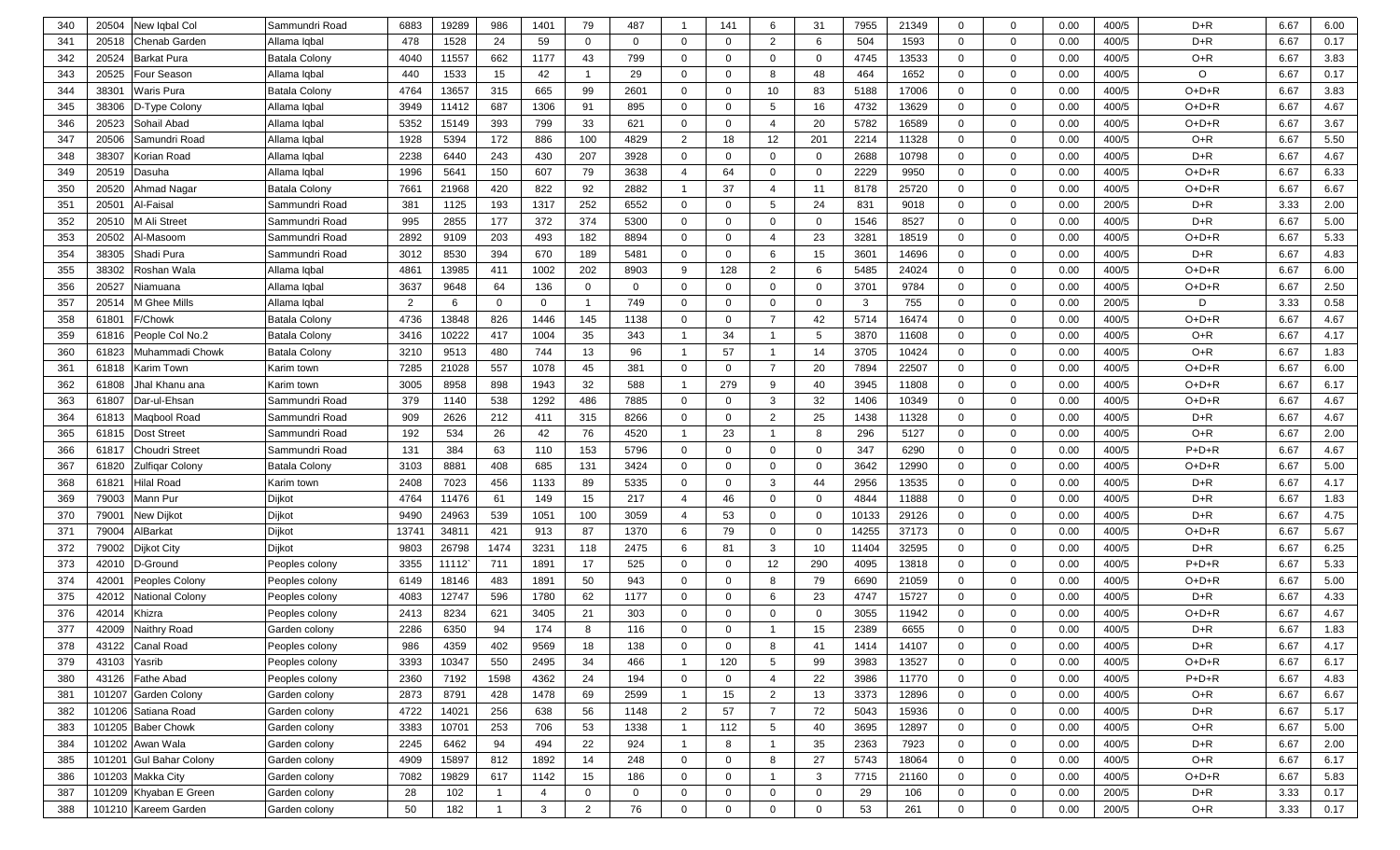| 340 | New Iqbal Col<br>20504              | Sammundri Road       | 6883  | 19289 | 986          | 1401           | 79             | 487            | -1             | 141            | 6                       | 31           | 7955  | 21349 | $\mathbf{0}$   | $\mathbf 0$    | 0.00 | 400/5 | $D+R$   | 6.67 | 6.00 |
|-----|-------------------------------------|----------------------|-------|-------|--------------|----------------|----------------|----------------|----------------|----------------|-------------------------|--------------|-------|-------|----------------|----------------|------|-------|---------|------|------|
| 341 | 20518<br><b>Chenab Garden</b>       | Allama Iqbal         | 478   | 1528  | 24           | 59             | $\mathbf 0$    | $\overline{0}$ | $\mathbf 0$    | $\mathbf 0$    | $\overline{2}$          | 6            | 504   | 1593  | $\mathbf{0}$   | $\mathbf 0$    | 0.00 | 400/5 | $D+R$   | 6.67 | 0.17 |
| 342 | 20524<br><b>Barkat Pura</b>         | Batala Colony        | 4040  | 11557 | 662          | 1177           | 43             | 799            | $\mathbf 0$    | $\Omega$       | $\overline{0}$          | $\mathbf 0$  | 4745  | 13533 | $\mathbf{0}$   | $\overline{0}$ | 0.00 | 400/5 | $O+R$   | 6.67 | 3.83 |
| 343 | 20525<br>Four Season                | Allama Iqbal         | 440   | 1533  | 15           | 42             |                | 29             | $\mathbf 0$    | $\Omega$       | 8                       | 48           | 464   | 1652  | $\mathbf 0$    | $\overline{0}$ | 0.00 | 400/5 | O       | 6.67 | 0.17 |
| 344 | 3830<br><b>Waris Pura</b>           | <b>Batala Colony</b> | 4764  | 13657 | 315          | 665            | 99             | 2601           | $\mathbf 0$    | $\mathbf 0$    | 10                      | 83           | 5188  | 17006 | $\mathbf 0$    | $\mathbf 0$    | 0.00 | 400/5 | $O+D+R$ | 6.67 | 3.83 |
| 345 | 38306<br>D-Type Colony              | Allama Iqbal         | 3949  | 11412 | 687          | 1306           | 91             | 895            | $\mathbf 0$    | $\mathbf 0$    | 5                       | 16           | 4732  | 13629 | $\mathbf 0$    | $\overline{0}$ | 0.00 | 400/5 | $O+D+R$ | 6.67 | 4.67 |
| 346 | 20523<br>Sohail Abad                | Allama Iqbal         | 5352  | 15149 | 393          | 799            | 33             | 621            | $\mathbf 0$    | $\mathbf 0$    | $\overline{4}$          | 20           | 5782  | 16589 | $\mathbf 0$    | $\overline{0}$ | 0.00 | 400/5 | $O+D+R$ | 6.67 | 3.67 |
| 347 | 20506<br>Samundri Road              | Allama Iqbal         | 1928  | 5394  | 172          | 886            | 100            | 4829           | $\overline{2}$ | 18             | 12                      | 201          | 2214  | 11328 | $\mathbf 0$    | $\overline{0}$ | 0.00 | 400/5 | O+R     | 6.67 | 5.50 |
| 348 | 38307<br>Korian Road                | Allama Iqbal         | 2238  | 6440  | 243          | 430            | 207            | 3928           | $\mathbf 0$    | $\mathbf{0}$   | $\mathbf 0$             | $\mathbf{0}$ | 2688  | 10798 | $\overline{0}$ | $\overline{0}$ | 0.00 | 400/5 | $D + R$ | 6.67 | 4.67 |
| 349 | 20519<br>Dasuha                     | Allama Iqbal         | 1996  | 5641  | 150          | 607            | 79             | 3638           | $\overline{4}$ | 64             | $\mathbf 0$             | $\mathbf 0$  | 2229  | 9950  | $\mathbf 0$    | $\mathbf 0$    | 0.00 | 400/5 | $O+D+R$ | 6.67 | 6.33 |
| 350 | 20520<br>Ahmad Nagar                | Batala Colony        | 7661  | 21968 | 420          | 822            | 92             | 2882           | $\overline{1}$ | 37             | $\overline{4}$          | 11           | 8178  | 25720 | $\mathbf 0$    | $\mathbf 0$    | 0.00 | 400/5 | $O+D+R$ | 6.67 | 6.67 |
| 351 | 2050<br>Al-Faisal                   | Sammundri Road       | 381   | 1125  | 193          | 1317           | 252            | 6552           | $\mathbf 0$    | $\mathbf 0$    | 5                       | 24           | 831   | 9018  | $\mathbf 0$    | $\mathbf 0$    | 0.00 | 200/5 | $D+R$   | 3.33 | 2.00 |
| 352 | 2051<br>M Ali Street                | Sammundri Road       | 995   | 2855  | 177          | 372            | 374            | 5300           | $\mathbf 0$    | $\mathbf 0$    | $\mathbf 0$             | $\mathbf{0}$ | 1546  | 8527  | $\mathbf 0$    | $\mathbf 0$    | 0.00 | 400/5 | $D+R$   | 6.67 | 5.00 |
| 353 | 20502<br>Al-Masoom                  | Sammundri Road       | 2892  | 9109  | 203          | 493            | 182            | 8894           | $\mathbf 0$    | 0              | $\overline{4}$          | 23           | 3281  | 18519 | $\mathbf{0}$   | $\mathbf 0$    | 0.00 | 400/5 | O+D+R   | 6.67 | 5.33 |
| 354 | 38305<br>Shadi Pura                 | Sammundri Road       | 3012  | 8530  | 394          | 670            | 189            | 5481           | $\mathbf 0$    | $\mathbf 0$    | 6                       | 15           | 3601  | 14696 | $\mathbf{0}$   | $\mathbf 0$    | 0.00 | 400/5 | $D+R$   | 6.67 | 4.83 |
| 355 | 38302<br>Roshan Wala                | Allama Iqbal         | 4861  | 13985 | 411          | 1002           | 202            | 8903           | 9              | 128            | $\overline{2}$          | 6            | 5485  | 24024 | $\mathbf{0}$   | $\mathbf 0$    | 0.00 | 400/5 | $O+D+R$ | 6.67 | 6.00 |
| 356 | 20527<br>Niamuana                   | Allama Iqbal         | 3637  | 9648  | 64           | 136            | 0              | $\mathbf 0$    | $\mathbf 0$    | $\mathbf 0$    | $\mathbf 0$             | $\mathbf 0$  | 3701  | 9784  | $\mathbf 0$    | $\mathbf 0$    | 0.00 | 400/5 | $O+D+R$ | 6.67 | 2.50 |
| 357 | 20514<br>ี <i>M</i> Ghee Mills      | Allama Iqbal         | 2     | 6     | $\Omega$     | $\mathbf 0$    |                | 749            | $\mathbf 0$    | $\mathbf 0$    | $\mathbf 0$             | $\mathbf 0$  | 3     | 755   | $\mathbf 0$    | $\mathbf 0$    | 0.00 | 200/5 | D       | 3.33 | 0.58 |
| 358 | 6180 <sup></sup><br>/Chowk          | <b>Batala Colony</b> | 4736  | 13848 | 826          | 1446           | 145            | 1138           | $\mathbf 0$    | $\mathbf 0$    | $\overline{7}$          | 42           | 5714  | 16474 | $\mathbf 0$    | $\mathbf 0$    | 0.00 | 400/5 | $O+D+R$ | 6.67 | 4.67 |
| 359 | 61816<br>People Col No.2            | Batala Colony        | 3416  | 10222 | 417          | 1004           | 35             | 343            | $\overline{1}$ | 34             | $\overline{1}$          | 5            | 3870  | 11608 | $\mathbf 0$    | $\mathbf 0$    | 0.00 | 400/5 | O+R     | 6.67 | 4.17 |
| 360 | 61823<br>Muhammadi Chowk            | Batala Colony        | 3210  | 9513  | 480          | 744            | 13             | 96             | $\overline{1}$ | 57             | $\overline{1}$          | 14           | 3705  | 10424 | $\mathbf 0$    | $\mathbf 0$    | 0.00 | 400/5 | O+R     | 6.67 | 1.83 |
| 361 | 61818<br>Karim Town                 | Karim town           | 7285  | 21028 | 557          | 1078           | 45             | 381            | $\mathbf 0$    | $\mathbf 0$    | $\overline{7}$          | 20           | 7894  | 22507 | $\mathbf 0$    | $\mathbf 0$    | 0.00 | 400/5 | $O+D+R$ | 6.67 | 6.00 |
| 362 | 61808<br>Jhal Khanu ana             | Karim town           | 3005  | 8958  | 898          | 1943           | 32             | 588            | $\overline{1}$ | 279            | 9                       | 40           | 3945  | 11808 | $\mathbf 0$    | $\mathbf 0$    | 0.00 | 400/5 | $O+D+R$ | 6.67 | 6.17 |
| 363 | 61807<br>Dar-ul-Ehsan               | Sammundri Road       | 379   | 1140  | 538          | 1292           | 486            | 7885           | $\mathbf 0$    | $\mathbf 0$    | $\mathbf{3}$            | 32           | 1406  | 10349 | $\mathbf 0$    | $\mathbf 0$    | 0.00 | 400/5 | $O+D+R$ | 6.67 | 4.67 |
| 364 | 61813<br>Maqbool Road               | Sammundri Road       | 909   | 2626  | 212          | 411            | 315            | 8266           | $\mathbf 0$    | $\mathbf 0$    | $\overline{2}$          | 25           | 1438  | 11328 | $\mathbf 0$    | $\mathbf 0$    | 0.00 | 400/5 | $D+R$   | 6.67 | 4.67 |
| 365 | 61815<br><b>Dost Street</b>         | Sammundri Road       | 192   | 534   | 26           | 42             | 76             | 4520           | $\overline{1}$ | 23             | - 1                     | 8            | 296   | 5127  | $\mathbf 0$    | $\mathbf 0$    | 0.00 | 400/5 | O+R     | 6.67 | 2.00 |
| 366 | 6181<br>Choudri Street              | Sammundri Road       | 131   | 384   | 63           | 110            | 153            | 5796           | $\mathbf 0$    | $\mathbf 0$    | $\overline{0}$          | $\mathbf 0$  | 347   | 6290  | $\overline{0}$ | $\mathbf 0$    | 0.00 | 400/5 | $P+D+R$ | 6.67 | 4.67 |
| 367 | 61820<br><b>Zulfiqar Colony</b>     | Batala Colony        | 3103  | 8881  | 408          | 685            | 131            | 3424           | $\mathbf 0$    | $\Omega$       | $\overline{0}$          | $\mathbf 0$  | 3642  | 12990 | $\overline{0}$ | $\overline{0}$ | 0.00 | 400/5 | $O+D+R$ | 6.67 | 5.00 |
| 368 | 61821<br>Hilal Road                 | Karim town           | 2408  | 7023  | 456          | 1133           | 89             | 5335           | $\mathbf 0$    | $\Omega$       | -3                      | 44           | 2956  | 13535 | $\mathbf 0$    | $\overline{0}$ | 0.00 | 400/5 | $D+R$   | 6.67 | 4.17 |
| 369 | 79003<br>Mann Pur                   | Dijkot               | 4764  | 11476 | 61           | 149            | 15             | 217            | $\overline{4}$ | 46             | $\overline{0}$          | $\mathbf 0$  | 4844  | 11888 | $\mathbf{0}$   | $\overline{0}$ | 0.00 | 400/5 | $D+R$   | 6.67 | 1.83 |
| 370 | 7900 <sup>-</sup><br>New Dijkot     | Dijkot               | 9490  | 24963 | 539          | 1051           | 100            | 3059           | $\overline{4}$ | 53             | $\mathbf 0$             | $\mathbf 0$  | 10133 | 29126 | $\mathbf 0$    | $\mathbf 0$    | 0.00 | 400/5 | $D+R$   | 6.67 | 4.75 |
| 371 | 79004<br>AlBarkat                   | Dijkot               | 13741 | 34811 | 421          | 913            | 87             | 1370           | 6              | 79             | $\mathbf 0$             | $\mathbf 0$  | 14255 | 37173 | $\mathbf 0$    | $\overline{0}$ | 0.00 | 400/5 | O+D+R   | 6.67 | 5.67 |
| 372 | 79002<br><b>Dijkot City</b>         | Dijkot               | 9803  | 26798 | 1474         | 3231           | 118            | 2475           | 6              | 81             | 3                       | 10           | 11404 | 32595 | $\mathbf 0$    | $\mathbf 0$    | 0.00 | 400/5 | $D+R$   | 6.67 | 6.25 |
| 373 | 42010<br>D-Ground                   | Peoples colony       | 3355  | 11112 | 711          | 1891           | 17             | 525            | $\mathbf 0$    | $\mathbf 0$    | 12                      | 290          | 4095  | 13818 | $\mathbf 0$    | $\mathbf 0$    | 0.00 | 400/5 | $P+D+R$ | 6.67 | 5.33 |
| 374 | 4200 <sup>-</sup><br>Peoples Colony | Peoples colony       | 6149  | 18146 | 483          | 1891           | 50             | 943            | $\mathbf 0$    | $\mathbf 0$    | 8                       | 79           | 6690  | 21059 | $\mathbf{0}$   | $\mathbf 0$    | 0.00 | 400/5 | $O+D+R$ | 6.67 | 5.00 |
| 375 | 42012<br><b>National Colony</b>     | Peoples colony       | 4083  | 12747 | 596          | 1780           | 62             | 1177           | $\mathbf 0$    | 0              | 6                       | 23           | 4747  | 15727 | $\mathbf{0}$   | $\overline{0}$ | 0.00 | 400/5 | D+R     | 6.67 | 4.33 |
| 376 | 42014<br>Khizra                     | Peoples colony       | 2413  | 8234  | 621          | 3405           | 21             | 303            | $\mathbf 0$    | $\mathbf 0$    | $\Omega$                | $\mathbf 0$  | 3055  | 11942 | $\mathbf{0}$   | $\overline{0}$ | 0.00 | 400/5 | $O+D+R$ | 6.67 | 4.67 |
| 377 | 42009<br>Naithry Road               | Garden colony        | 2286  | 6350  | 94           | 174            | 8              | 116            | $\mathbf 0$    | $\Omega$       |                         | 15           | 2389  | 6655  | $\Omega$       | $\mathbf 0$    | 0.00 | 400/5 | $D+R$   | 6.67 | 1.83 |
| 378 | 43122 Canal Road                    | Peoples colony       | 986   | 4359  | 402          | 9569           | 18             | 138            | $\mathbf{0}$   | 0              | 8                       | 41           | 1414  | 14107 | $\overline{0}$ | $\overline{0}$ | 0.00 | 400/5 | D+R     | 6.67 | 4.17 |
| 379 | 43103<br>Yasrib                     | Peoples colony       | 3393  | 10347 | 550          | 2495           | 34             | 466            | $\overline{1}$ | 120            | 5                       | 99           | 3983  | 13527 | $\overline{0}$ | $\mathbf 0$    | 0.00 | 400/5 | O+D+R   | 6.67 | 6.17 |
| 380 | 43126<br><b>Fathe Abad</b>          | Peoples colony       | 2360  | 7192  | 1598         | 4362           | 24             | 194            | $\mathbf 0$    | $\mathbf 0$    | $\overline{4}$          | 22           | 3986  | 11770 | $\overline{0}$ | $\mathbf 0$    | 0.00 | 400/5 | $P+D+R$ | 6.67 | 4.83 |
| 381 | 101207<br>Garden Colony             | Garden colony        | 2873  | 8791  | 428          | 1478           | 69             | 2599           | $\overline{1}$ | 15             | $\overline{2}$          | 13           | 3373  | 12896 | $\overline{0}$ | $\mathbf 0$    | 0.00 | 400/5 | O+R     | 6.67 | 6.67 |
| 382 | 101206 Satiana Road                 | Garden colony        | 4722  | 14021 | 256          | 638            | 56             | 1148           | $\overline{2}$ | 57             | $\overline{7}$          | 72           | 5043  | 15936 | $\overline{0}$ | $\overline{0}$ | 0.00 | 400/5 | D+R     | 6.67 | 5.17 |
| 383 | 101205 Baber Chowk                  | Garden colony        | 3383  | 10701 | 253          | 706            | 53             | 1338           | $\overline{1}$ | 112            | $5\overline{)}$         | 40           | 3695  | 12897 | $\overline{0}$ | $\overline{0}$ | 0.00 | 400/5 | O+R     | 6.67 | 5.00 |
| 384 | 101202 Awan Wala                    | Garden colony        | 2245  | 6462  | 94           | 494            | 22             | 924            | $\overline{1}$ | 8              | $\overline{1}$          | 35           | 2363  | 7923  | $\overline{0}$ | $\overline{0}$ | 0.00 | 400/5 | D+R     | 6.67 | 2.00 |
| 385 | 101201<br><b>Gul Bahar Colony</b>   | Garden colony        | 4909  | 15897 | 812          | 1892           | 14             | 248            | $\mathbf{0}$   | $\overline{0}$ | 8                       | 27           | 5743  | 18064 | $\overline{0}$ | $\overline{0}$ | 0.00 | 400/5 | O+R     | 6.67 | 6.17 |
| 386 | 101203 Makka City                   | Garden colony        | 7082  | 19829 | 617          | 1142           | 15             | 186            | $\mathbf{0}$   | $\mathbf 0$    | $\overline{\mathbf{1}}$ | 3            | 7715  | 21160 | $\overline{0}$ | $\overline{0}$ | 0.00 | 400/5 | O+D+R   | 6.67 | 5.83 |
| 387 | 101209 Khyaban E Green              | Garden colony        | 28    | 102   | $\mathbf{1}$ | $\overline{4}$ | $\mathbf{0}$   | $\mathbf 0$    | $\mathbf{0}$   | $\overline{0}$ | $\mathbf 0$             | $\mathbf 0$  | 29    | 106   | $\overline{0}$ | $\mathbf 0$    | 0.00 | 200/5 | D+R     | 3.33 | 0.17 |
| 388 | 101210 Kareem Garden                | Garden colony        | 50    | 182   | $\mathbf{1}$ | $\mathbf{3}$   | $\overline{2}$ | 76             | $\mathbf 0$    | $\mathbf 0$    | $\mathbf 0$             | $\mathbf 0$  | 53    | 261   | $\overline{0}$ | $\mathbf 0$    | 0.00 | 200/5 | O+R     | 3.33 | 0.17 |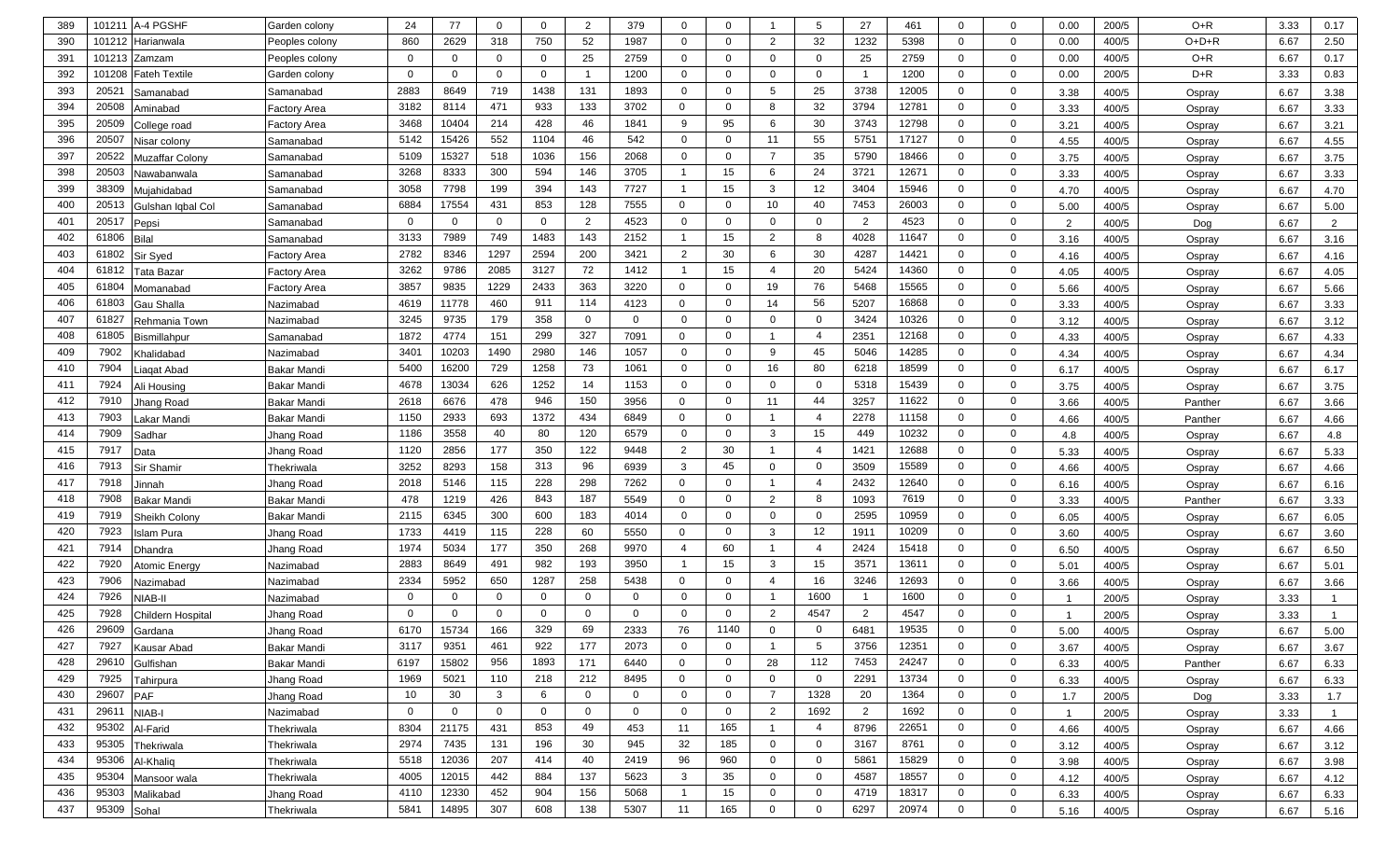| 389 | 101211      | A-4 PGSHF            | Garden colony       | 24           | 77          |             | $\mathbf{0}$ | $\overline{2}$ | 379         | $\mathbf 0$    | $\Omega$       |                         | 5              | 27             | 461   | $\Omega$       | $\mathbf 0$    | 0.00           | 200/5 | $O+R$   | 3.33 | 0.17           |
|-----|-------------|----------------------|---------------------|--------------|-------------|-------------|--------------|----------------|-------------|----------------|----------------|-------------------------|----------------|----------------|-------|----------------|----------------|----------------|-------|---------|------|----------------|
| 390 | 101212      | Harianwala           | Peoples colony      | 860          | 2629        | 318         | 750          | 52             | 1987        | $\mathbf 0$    | $\mathbf 0$    | 2                       | 32             | 1232           | 5398  | $\mathbf 0$    | $\mathbf 0$    | 0.00           | 400/5 | $O+D+R$ | 6.67 | 2.50           |
| 391 | 101213      | Zamzam               | Peoples colony      | 0            | $\mathbf 0$ | $\Omega$    | $\mathbf 0$  | 25             | 2759        | 0              | 0              | $\mathbf 0$             | $\mathbf 0$    | 25             | 2759  | $\mathbf 0$    | $\mathbf 0$    | 0.00           | 400/5 | O+R     | 6.67 | 0.17           |
| 392 | 101208      | <b>Fateh Textile</b> | Garden colony       | $\mathbf{0}$ | $\mathbf 0$ | $\Omega$    | $\mathbf 0$  | -1             | 1200        | $\mathbf 0$    | $\mathbf{0}$   | $\mathbf 0$             | $\Omega$       | - 1            | 1200  | $\mathbf 0$    | $\mathbf 0$    | 0.00           | 200/5 | $D+R$   | 3.33 | 0.83           |
| 393 | 2052'       | Samanabad            | Samanabad           | 2883         | 8649        | 719         | 1438         | 131            | 1893        | $\mathbf 0$    | 0              | 5                       | 25             | 3738           | 12005 | $\mathbf 0$    | $\mathbf 0$    | 3.38           | 400/5 | Ospray  | 6.67 | 3.38           |
| 394 | 20508       | Aminabad             | Factory Area        | 3182         | 8114        | 471         | 933          | 133            | 3702        | $\mathbf{0}$   | $\mathbf{0}$   | 8                       | 32             | 3794           | 12781 | $\mathbf 0$    | $\mathbf 0$    | 3.33           | 400/5 | Ospray  | 6.67 | 3.33           |
| 395 | 20509       | College road         | Factory Area        | 3468         | 10404       | 214         | 428          | 46             | 1841        | 9              | 95             | 6                       | 30             | 3743           | 12798 | $\mathbf 0$    | $\mathbf 0$    | 3.21           | 400/5 | Ospray  | 6.67 | 3.21           |
| 396 | 20507       | Nisar colony         | Samanabad           | 5142         | 15426       | 552         | 1104         | 46             | 542         | $\mathbf 0$    | $\Omega$       | 11                      | 55             | 5751           | 17127 | $\mathbf 0$    | $\mathbf 0$    | 4.55           | 400/5 | Ospray  | 6.67 | 4.55           |
| 397 | 20522       | Muzaffar Colony      | Samanabad           | 5109         | 15327       | 518         | 1036         | 156            | 2068        | 0              | $\mathbf 0$    | $\overline{7}$          | 35             | 5790           | 18466 | $\mathbf 0$    | $\mathbf 0$    | 3.75           | 400/5 | Ospray  | 6.67 | 3.75           |
| 398 | 20503       | Nawabanwala          | Samanabad           | 3268         | 8333        | 300         | 594          | 146            | 3705        |                | 15             | 6                       | 24             | 3721           | 12671 | $\mathbf 0$    | $\mathbf 0$    | 3.33           | 400/5 | Ospray  | 6.67 | 3.33           |
| 399 | 38309       | Mujahidabad          | Samanabad           | 3058         | 7798        | 199         | 394          | 143            | 7727        | -1             | 15             | 3                       | 12             | 3404           | 15946 | $\mathbf 0$    | $\mathbf 0$    | 4.70           | 400/5 | Ospray  | 6.67 | 4.70           |
| 400 | 20513       | Gulshan Iqbal Col    | Samanabad           | 6884         | 17554       | 431         | 853          | 128            | 7555        | $\mathbf{0}$   | 0              | 10                      | 40             | 7453           | 26003 | $\mathbf 0$    | $\mathbf 0$    | 5.00           | 400/5 | Ospray  | 6.67 | 5.00           |
| 401 | 20517       | Pepsi                | Samanabad           | $\Omega$     | $\mathbf 0$ | $\Omega$    | $\mathbf{0}$ | 2              | 4523        | $\mathbf 0$    | $\mathbf{0}$   | $\mathbf 0$             | $\mathbf{0}$   | 2              | 4523  | $\mathbf{0}$   | $\mathbf 0$    | 2              | 400/5 | Dog     | 6.67 | $\overline{2}$ |
| 402 | 61806       | <b>Bilal</b>         | Samanabad           | 3133         | 7989        | 749         | 1483         | 143            | 2152        | $\overline{1}$ | 15             | 2                       | 8              | 4028           | 11647 | $\mathbf{0}$   | $\mathbf 0$    | 3.16           | 400/5 | Ospray  | 6.67 | 3.16           |
| 403 | 61802       | Sir Syed             | <b>Factory Area</b> | 2782         | 8346        | 1297        | 2594         | 200            | 3421        | 2              | 30             | 6                       | 30             | 4287           | 14421 | $\mathbf 0$    | $\mathbf 0$    | 4.16           | 400/5 | Ospray  | 6.67 | 4.16           |
| 404 | 61812       | Tata Bazar           | Factory Area        | 3262         | 9786        | 2085        | 3127         | 72             | 1412        | $\mathbf{1}$   | 15             | $\overline{4}$          | 20             | 5424           | 14360 | $\mathbf 0$    | 0              | 4.05           | 400/5 | Ospray  | 6.67 | 4.05           |
| 405 | 61804       | Momanabad            | <b>Factory Area</b> | 3857         | 9835        | 1229        | 2433         | 363            | 3220        | $\mathbf{0}$   | 0              | 19                      | 76             | 5468           | 15565 | $\mathbf 0$    | $\mathbf 0$    | 5.66           | 400/5 | Ospray  | 6.67 | 5.66           |
| 406 | 61803       | Gau Shalla           | Nazimabad           | 4619         | 11778       | 460         | 911          | 114            | 4123        | 0              | 0              | 14                      | 56             | 5207           | 16868 | $\mathbf 0$    | $\mathbf 0$    | 3.33           | 400/5 | Ospray  | 6.67 | 3.33           |
| 407 | 61827       | Rehmania Town        | Nazimabad           | 3245         | 9735        | 179         | 358          | $\Omega$       | $\Omega$    | $\mathbf 0$    | $\mathbf{0}$   | $\mathbf 0$             | $\Omega$       | 3424           | 10326 | $\mathbf 0$    | $\mathbf 0$    | 3.12           | 400/5 | Ospray  | 6.67 | 3.12           |
| 408 | 61805       | Bismillahpur         | Samanabad           | 1872         | 4774        | 151         | 299          | 327            | 7091        | $\mathbf{0}$   | $\Omega$       | $\overline{1}$          | $\overline{4}$ | 2351           | 12168 | $\mathbf 0$    | $\mathbf 0$    | 4.33           | 400/5 | Ospray  | 6.67 | 4.33           |
| 409 | 7902        | (halidabad           | Nazimabad           | 3401         | 10203       | 1490        | 2980         | 146            | 1057        | $\mathbf 0$    | $\Omega$       | 9                       | 45             | 5046           | 14285 | $\mathbf 0$    | $\mathbf 0$    | 4.34           | 400/5 | Ospray  | 6.67 | 4.34           |
| 410 | 7904        | iaqat Abad.          | <b>Bakar Mandi</b>  | 5400         | 16200       | 729         | 1258         | 73             | 1061        | $\mathbf 0$    | $\Omega$       | 16                      | 80             | 6218           | 18599 | $\mathbf 0$    | $\mathbf 0$    | 6.17           | 400/5 | Ospray  | 6.67 | 6.17           |
| 411 | 7924        | Ali Housing          | <b>Bakar Mandi</b>  | 4678         | 13034       | 626         | 1252         | 14             | 1153        | $\mathbf 0$    | 0              | $\mathbf 0$             | $\mathbf{0}$   | 5318           | 15439 | $\mathbf 0$    | $\mathbf 0$    | 3.75           | 400/5 | Ospray  | 6.67 | 3.75           |
| 412 | 7910        | lhang Road           | <b>Bakar Mandi</b>  | 2618         | 6676        | 478         | 946          | 150            | 3956        | 0              | 0              | 11                      | 44             | 3257           | 11622 | $\mathbf 0$    | $\mathbf 0$    | 3.66           | 400/5 | Panther | 6.67 | 3.66           |
| 413 | 7903        | akar Mandi.          | <b>Bakar Mandi</b>  | 1150         | 2933        | 693         | 1372         | 434            | 6849        | 0              | 0              | $\overline{1}$          | $\overline{4}$ | 2278           | 11158 | $\mathbf 0$    | $\mathbf 0$    | 4.66           | 400/5 | Panther | 6.67 | 4.66           |
| 414 | 7909        | Sadhar               | Jhang Road          | 1186         | 3558        | 40          | 80           | 120            | 6579        | $\mathbf 0$    | 0              | 3                       | 15             | 449            | 10232 | $\mathbf 0$    | $\mathbf 0$    | 4.8            | 400/5 | Ospray  | 6.67 | 4.8            |
| 415 | 7917        | Data                 | Jhang Road          | 1120         | 2856        | 177         | 350          | 122            | 9448        | 2              | 30             | $\overline{1}$          | $\overline{4}$ | 1421           | 12688 | $\mathbf 0$    | $\mathbf 0$    | 5.33           | 400/5 | Ospray  | 6.67 | 5.33           |
| 416 | 7913        | Sir Shamir           | Thekriwala          | 3252         | 8293        | 158         | 313          | 96             | 6939        | 3              | 45             | $\mathbf 0$             | $\mathbf 0$    | 3509           | 15589 | $\mathbf 0$    | 0              | 4.66           | 400/5 | Ospray  | 6.67 | 4.66           |
| 417 | 7918        | Jinnah               | Jhang Road          | 2018         | 5146        | 115         | 228          | 298            | 7262        | 0              | $\mathbf{0}$   | $\mathbf 1$             | $\overline{4}$ | 2432           | 12640 | $\mathbf 0$    | 0              | 6.16           | 400/5 | Ospray  | 6.67 | 6.16           |
| 418 | 7908        | Bakar Mandi          | Bakar Mandi         | 478          | 1219        | 426         | 843          | 187            | 5549        | 0              | 0              | $\overline{2}$          | 8              | 1093           | 7619  | $\mathbf 0$    | $\mathbf 0$    | 3.33           | 400/5 | Panther | 6.67 | 3.33           |
| 419 | 7919        | Sheikh Colony        | <b>Bakar Mandi</b>  | 2115         | 6345        | 300         | 600          | 183            | 4014        | $\mathbf 0$    | $\Omega$       | $\mathbf 0$             | $\Omega$       | 2595           | 10959 | $\mathbf 0$    | $\mathbf 0$    | 6.05           | 400/5 | Ospray  | 6.67 | 6.05           |
| 420 | 7923        | Islam Pura           | Jhang Road          | 1733         | 4419        | 115         | 228          | 60             | 5550        | $\mathbf{0}$   | $\Omega$       | 3                       | 12             | 1911           | 10209 | $\mathbf 0$    | $\mathbf 0$    | 3.60           | 400/5 | Ospray  | 6.67 | 3.60           |
| 421 | 7914        | Dhandra              | Jhang Road          | 1974         | 5034        | 177         | 350          | 268            | 9970        | $\overline{4}$ | 60             | $\overline{1}$          | $\overline{4}$ | 2424           | 15418 | $\mathbf 0$    | $\mathbf 0$    | 6.50           | 400/5 | Ospray  | 6.67 | 6.50           |
| 422 | 7920        | Atomic Energy        | Nazimabad           | 2883         | 8649        | 491         | 982          | 193            | 3950        | -1             | 15             | 3                       | 15             | 3571           | 13611 | $\mathbf 0$    | $\mathbf 0$    | 5.01           | 400/5 | Ospray  | 6.67 | 5.01           |
| 423 | 7906        | Nazimabad            | Nazimabad           | 2334         | 5952        | 650         | 1287         | 258            | 5438        | 0              | $\mathbf 0$    | $\overline{a}$          | 16             | 3246           | 12693 | $\mathbf 0$    | $\mathbf 0$    | 3.66           | 400/5 | Ospray  | 6.67 | 3.66           |
| 424 | 7926        | NIAB-II              | Nazimabad           | $\Omega$     | $\mathbf 0$ | $\Omega$    | $\mathbf{0}$ | $\Omega$       | $\Omega$    | $\mathbf 0$    | $\mathbf 0$    | $\overline{1}$          | 1600           |                | 1600  | $\mathbf 0$    | $\mathbf 0$    | -1             | 200/5 | Ospray  | 3.33 |                |
| 425 | 7928        | Childern Hospital    | Jhang Road          | $\Omega$     | $\Omega$    |             | $\mathbf{0}$ | $\Omega$       | $\Omega$    | $\mathbf 0$    | $\Omega$       | $\overline{2}$          | 4547           | $\overline{2}$ | 4547  | $\mathbf 0$    | $\Omega$       | -1             | 200/5 | Ospray  | 3.33 |                |
| 426 | 29609       | Gardana              | Jhang Road          | 6170         | 15734       | 166         | 329          | 69             | 2333        | 76             | 1140           | $\Omega$                | $\Omega$       | 6481           | 19535 | $\mathbf{0}$   | $\Omega$       | 5.00           | 400/5 | Ospray  | 6.67 | 5.00           |
| 427 | 7927        | Kausar Abad          | <b>Bakar Mandi</b>  | 3117         | 9351        | 461         | 922          | 177            | 2073        | $\mathbf{0}$   | 0              | $\overline{\mathbf{1}}$ | 5              | 3756           | 12351 | $\mathbf 0$    | $\mathbf 0$    | 3.67           | 400/5 | Ospray  | 6.67 | 3.67           |
| 428 | 29610       | Gulfishan            | <b>Bakar Mandi</b>  | 6197         | 15802       | 956         | 1893         | 171            | 6440        | $\mathbf{0}$   | $\overline{0}$ | 28                      | 112            | 7453           | 24247 | $\overline{0}$ | $\mathbf 0$    | 6.33           | 400/5 | Panther | 6.67 | 6.33           |
| 429 | 7925        | Tahirpura            | Jhang Road          | 1969         | 5021        | 110         | 218          | 212            | 8495        | $\mathbf{0}$   | $\overline{0}$ | $\mathbf 0$             | $\mathbf 0$    | 2291           | 13734 | $\mathbf 0$    | $\mathbf 0$    | 6.33           | 400/5 | Ospray  | 6.67 | 6.33           |
| 430 | 29607       | PAF                  | Jhang Road          | 10           | 30          | 3           | 6            | $\overline{0}$ | 0           | $\mathbf 0$    | $\overline{0}$ | $\overline{7}$          | 1328           | 20             | 1364  | $\mathbf 0$    | $\mathbf 0$    | 1.7            | 200/5 | Dog     | 3.33 | 1.7            |
| 431 | 2961'       | NIAB-I               | Nazimabad           | $\mathbf 0$  | $\mathbf 0$ | $\mathbf 0$ | $\mathbf{0}$ | $\mathbf{0}$   | $\mathbf 0$ | $\mathbf 0$    | $\overline{0}$ | $\overline{2}$          | 1692           | $\overline{2}$ | 1692  | $\overline{0}$ | $\mathbf 0$    | $\overline{1}$ | 200/5 | Ospray  | 3.33 | $\overline{1}$ |
| 432 | 95302       | Al-Farid             | Thekriwala          | 8304         | 21175       | 431         | 853          | 49             | 453         | 11             | 165            | $\mathbf{1}$            | $\overline{4}$ | 8796           | 22651 | $\overline{0}$ | $\mathbf 0$    | 4.66           | 400/5 | Ospray  | 6.67 | 4.66           |
| 433 | 95305       | Thekriwala           | Thekriwala          | 2974         | 7435        | 131         | 196          | 30             | 945         | 32             | 185            | $\mathbf 0$             | $\mathbf 0$    | 3167           | 8761  | $\overline{0}$ | $\mathbf 0$    | 3.12           | 400/5 | Ospray  | 6.67 | 3.12           |
| 434 | 95306       | Al-Khaliq            | Thekriwala          | 5518         | 12036       | 207         | 414          | 40             | 2419        | 96             | 960            | $\mathbf 0$             | $\mathbf 0$    | 5861           | 15829 | $\overline{0}$ | $\mathbf 0$    | 3.98           | 400/5 | Ospray  | 6.67 | 3.98           |
| 435 | 95304       | Mansoor wala         | Thekriwala          | 4005         | 12015       | 442         | 884          | 137            | 5623        | 3              | 35             | $\mathbf 0$             | 0              | 4587           | 18557 | $\overline{0}$ | $\mathbf 0$    | 4.12           | 400/5 | Ospray  | 6.67 | 4.12           |
| 436 | 95303       | Malikabad            | Jhang Road          | 4110         | 12330       | 452         | 904          | 156            | 5068        | $\mathbf{1}$   | 15             | $\mathbf 0$             | 0              | 4719           | 18317 | $\overline{0}$ | $\overline{0}$ | 6.33           | 400/5 | Ospray  | 6.67 | 6.33           |
| 437 | 95309 Sohal |                      | Thekriwala          | 5841         | 14895       | 307         | 608          | 138            | 5307        | 11             | 165            | $\mathbf 0$             | $\mathbf 0$    | 6297           | 20974 | $\mathbf{0}$   | $\mathbf 0$    | 5.16           | 400/5 | Ospray  | 6.67 | 5.16           |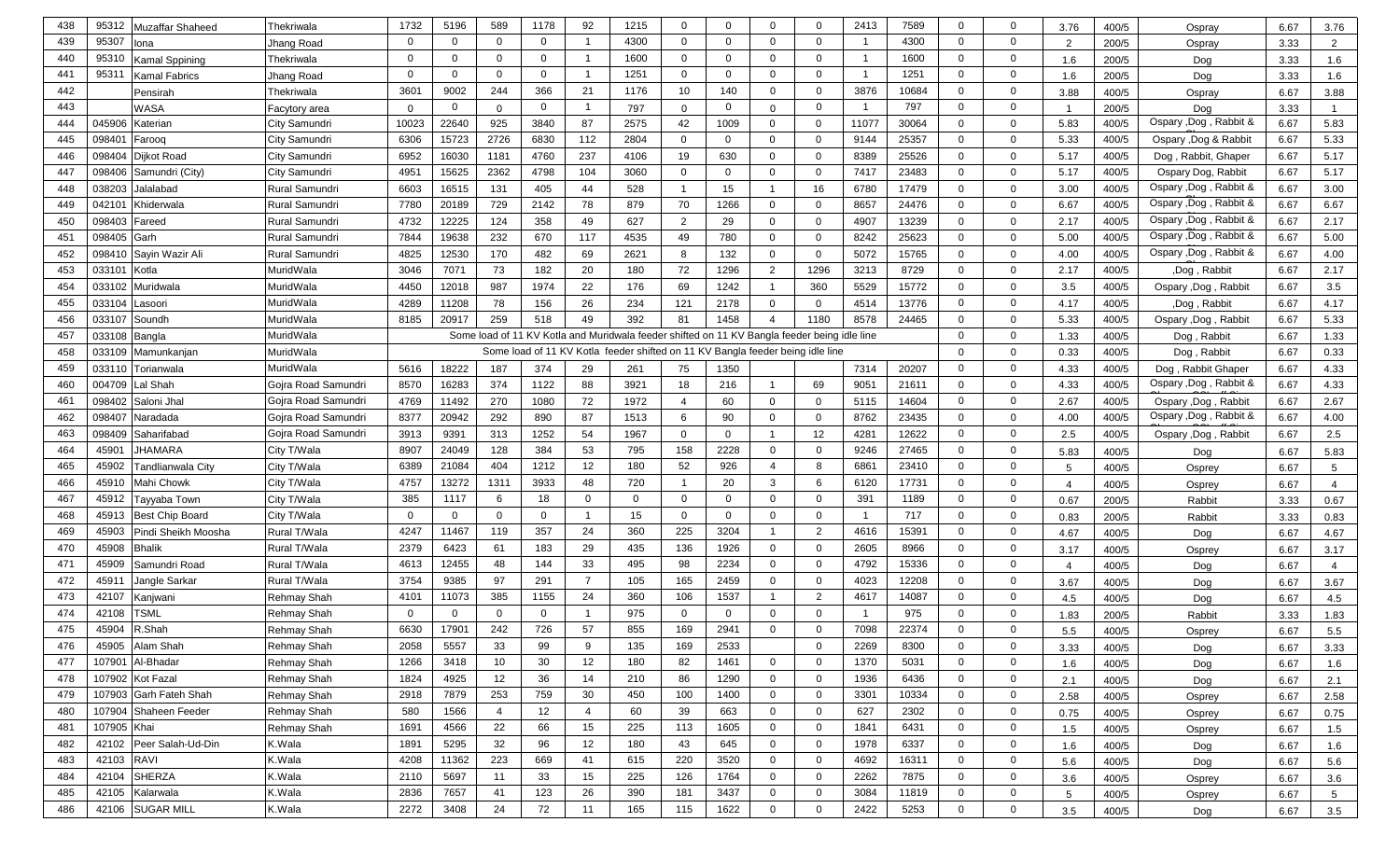| 95307<br>4300<br>$\mathbf{0}$<br>$\overline{0}$<br>439<br>$\mathbf 0$<br>$\mathbf 0$<br>$\mathbf 0$<br>$\mathbf{0}$<br>$\overline{0}$<br>$\mathbf{0}$<br>4300<br>$\Omega$<br>$\Omega$<br>-1<br>200/5<br>$\overline{2}$<br>Jhang Road<br>$\overline{2}$<br>3.33<br>lona<br>Ospray<br>95310<br>$\Omega$<br>1600<br>$\mathbf 0$<br>$\overline{0}$<br>$\mathbf{0}$<br>1600<br>$\overline{0}$<br>$\overline{0}$<br>440<br>$\overline{0}$<br>$\mathbf 0$<br>$\Omega$<br>$\Omega$<br>Kamal Sppining<br>Thekriwala<br>1.6<br>200/5<br>3.33<br>1.6<br>Dog<br>95311<br>1251<br>$\mathbf 0$<br>1251<br>$\mathbf 0$<br>441<br>$\Omega$<br>$\mathbf 0$<br>$\mathbf 0$<br>$\mathbf{0}$<br>$\overline{0}$<br>$\overline{0}$<br>$\Omega$<br>1.6<br>Kamal Fabrics<br>Jhang Road<br>200/5<br>Dog<br>3.33<br>1.6<br>9002<br>366<br>21<br>1176<br>10<br>140<br>$\mathbf 0$<br>3876<br>10684<br>$\mathbf 0$<br>$\mathbf 0$<br>442<br>3601<br>244<br>$\overline{0}$<br>3.88<br>6.67<br>3.88<br>Thekriwala<br>400/5<br>Pensirah<br>Ospray<br>797<br>443<br>$\mathbf 0$<br>$\mathbf 0$<br>$\mathbf 0$<br>$\mathbf 0$<br>$\mathbf 0$<br>$\overline{0}$<br>WASA<br>797<br>$\mathbf 0$<br>$\Omega$<br>200/5<br>3.33<br>Facytory area<br>$\Omega$<br>$\Omega$<br>$\overline{1}$<br>Dog<br>$\overline{1}$<br>Ospary , Dog, Rabbit &<br>22640<br>2575<br>6.67<br>5.83<br>045906<br>Katerian<br>City Samundri<br>10023<br>925<br>3840<br>87<br>42<br>1009<br>$\mathbf 0$<br>$\mathbf 0$<br>11077<br>30064<br>$\mathbf 0$<br>$\mathbf 0$<br>5.83<br>400/5<br>444<br>15723<br>6830<br>112<br>25357<br>5.33<br>6.67<br>5.33<br>098401<br>City Samundri<br>6306<br>2726<br>2804<br>$\mathbf 0$<br>$\Omega$<br>$\overline{0}$<br>$\mathbf 0$<br>9144<br>$\mathbf{0}$<br>$\overline{0}$<br>400/5<br>445<br>Ospary , Dog & Rabbit<br>Farooq<br>5.17<br>098404<br>6952<br>16030<br>1181<br>4760<br>237<br>4106<br>19<br>630<br>$\overline{0}$<br>$\mathbf{0}$<br>8389<br>25526<br>$\mathbf 0$<br>$\overline{0}$<br>5.17<br>400/5<br>6.67<br>446<br>Dijkot Road<br>City Samundri<br>Dog, Rabbit, Ghaper<br>$\mathbf 0$<br>$\overline{0}$<br>5.17<br>447<br>098406<br>City Samundri<br>4951<br>15625<br>2362<br>4798<br>104<br>3060<br>$\mathbf 0$<br>$\overline{0}$<br>$\mathbf{0}$<br>7417<br>23483<br>5.17<br>400/5<br>6.67<br>Samundri (City)<br>$\mathbf 0$<br>Ospary Dog, Rabbit<br>Ospary ,Dog , Rabbit &<br>405<br>44<br>15<br>$\mathbf 0$<br>6.67<br>038203<br>6603<br>16515<br>131<br>528<br>16<br>6780<br>17479<br>$\mathbf{0}$<br>3.00<br>400/5<br>3.00<br>448<br>Jalalabad<br>Rural Samundri<br>$\overline{1}$<br>-1<br>$\mathbf 0$<br>Ospary , Dog, Rabbit &<br>6.67<br>042101<br>7780<br>20189<br>729<br>2142<br>78<br>879<br>70<br>1266<br>$\mathbf 0$<br>$\mathbf 0$<br>8657<br>24476<br>$\mathbf{0}$<br>6.67<br>400/5<br>6.67<br>449<br>Khiderwala<br>Rural Samundri<br>Ospary ,Dog , Rabbit &<br><b>Rural Samundri</b><br>12225<br>$\mathbf{0}$<br>$\overline{0}$<br>2.17<br>450<br>098403<br>4732<br>124<br>358<br>49<br>627<br>2<br>29<br>$\mathbf 0$<br>$\Omega$<br>4907<br>13239<br>2.17<br>400/5<br>6.67<br>Fareed<br>Ospary , Dog, Rabbit &<br>232<br>25623<br>$\mathbf 0$<br>$\mathbf 0$<br>6.67<br>5.00<br>098405<br><b>Rural Samundri</b><br>7844<br>19638<br>670<br>117<br>4535<br>49<br>780<br>$\overline{0}$<br>$\Omega$<br>8242<br>5.00<br>400/5<br>451<br>Garh<br>Ospary , Dog, Rabbit &<br>12530<br>170<br>482<br>132<br>5072<br>15765<br>$\mathbf{0}$<br>$\mathbf{0}$<br>6.67<br>4.00<br>452<br>09841<br>Sayin Wazir Ali<br>Rural Samundri<br>4825<br>69<br>2621<br>8<br>$\overline{0}$<br>$\Omega$<br>4.00<br>400/5<br>$\mathbf 0$<br>$\mathbf 0$<br>2.17<br>MuridWala<br>3046<br>7071<br>73<br>20<br>72<br>1296<br>$\overline{2}$<br>1296<br>8729<br>453<br>03310<br>Kotla<br>182<br>180<br>3213<br>2.17<br>400/5<br>Dog, Rabbit,<br>6.67<br>03310<br>12018<br>987<br>1974<br>22<br>69<br>5529<br>15772<br>$\mathbf 0$<br>$\mathbf{0}$<br>6.67<br>3.5<br>454<br>Muridwala<br>MuridWala<br>4450<br>176<br>1242<br>360<br>3.5<br>400/5<br>Ospary , Dog, Rabbit<br>-1<br>13776<br>$\mathbf 0$<br>$\mathbf 0$<br>4.17<br>455<br>033104<br>MuridWala<br>4289<br>11208<br>78<br>156<br>26<br>234<br>121<br>2178<br>4514<br>4.17<br>400/5<br>6.67<br>$\Omega$<br>$\Omega$<br>Dog, Rabbit,<br>_asoori<br>033107<br>20917<br>259<br>518<br>49<br>392<br>81<br>1458<br>1180<br>8578<br>24465<br>5.33<br>400/5<br>6.67<br>5.33<br>456<br>MuridWala<br>8185<br>$\mathbf{0}$<br>$\mathbf 0$<br>Ospary , Dog, Rabbit<br>Soundh<br>$\overline{4}$<br>Some load of 11 KV Kotla and Muridwala feeder shifted on 11 KV Bangla feeder being idle line<br>$\mathbf 0$<br>1.33<br>457<br>033108<br>MuridWala<br>$\mathbf 0$<br>1.33<br>400/5<br>6.67<br>Bangla<br>Dog, Rabbit<br>458<br>MuridWala<br>Some load of 11 KV Kotla feeder shifted on 11 KV Bangla feeder being idle line<br>$\mathbf 0$<br>$\mathbf 0$<br>0.33<br>033109<br>0.33<br>400/5<br>6.67<br>Mamunkanjan<br>Dog, Rabbit<br>18222<br>7314<br>4.33<br>033110<br>5616<br>187<br>374<br>29<br>261<br>75<br>1350<br>20207<br>$\mathbf 0$<br>$\overline{0}$<br>4.33<br>400/5<br>6.67<br>459<br>Torianwala<br>MuridWala<br>Dog, Rabbit Ghaper<br>4.33<br>16283<br>69<br>9051<br>$\mathbf 0$<br>Ospary ,Dog , Rabbit &<br>6.67<br>004709<br>Lal Shah<br>8570<br>374<br>1122<br>88<br>3921<br>18<br>216<br>$\mathbf 0$<br>4.33<br>400/5<br>460<br>Gojra Road Samundri<br>21611<br>$\mathbf 0$<br>$\mathbf 0$<br>2.67<br>461<br>098402<br>Gojra Road Samundri<br>4769<br>11492<br>270<br>1080<br>72<br>1972<br>60<br>$\mathbf 0$<br>$\mathbf{0}$<br>5115<br>14604<br>2.67<br>400/5<br>6.67<br>Saloni Jhal<br>4<br>Ospary , Dog, Rabbit<br>8377<br>20942<br>292<br>8762<br>Ospary ,Dog , Rabbit &<br>6.67<br>4.00<br>098407<br>890<br>87<br>1513<br>6<br>90<br>$\mathbf 0$<br>$\mathbf 0$<br>23435<br>$\mathbf 0$<br>$\overline{0}$<br>4.00<br>400/5<br>462<br>Naradada<br>Gojra Road Samundri<br>12622<br>2.5<br>098409<br>3913<br>9391<br>313<br>1252<br>54<br>1967<br>$\mathbf 0$<br>12<br>4281<br>$\mathbf 0$<br>$\mathbf{0}$<br>2.5<br>400/5<br>6.67<br>463<br>Saharifabad<br>$\mathbf 0$<br>Ospary , Dog, Rabbit<br>Gojra Road Samundri<br>-1<br>8907<br>24049<br>128<br>384<br>795<br>158<br>27465<br>$\mathbf 0$<br>$\mathbf 0$<br>464<br>4590 <sup>-</sup><br>JHAMARA<br>City T/Wala<br>53<br>2228<br>$\overline{0}$<br>0<br>9246<br>5.83<br>5.83<br>400/5<br>6.67<br>Dog<br>465<br>45902<br>21084<br>404<br>1212<br>12<br>180<br>52<br>926<br>6861<br>23410<br>$\mathbf 0$<br>$\mathbf 0$<br>Tandlianwala City<br>City T/Wala<br>6389<br>$\overline{a}$<br>8<br>6.67<br>$5\phantom{.0}$<br>5<br>400/5<br>Osprey<br>45910<br>13272<br>1311<br>3933<br>48<br>720<br>20<br>3<br>6<br>17731<br>$\mathbf 0$<br>$\overline{0}$<br>466<br><b>Mahi Chowk</b><br>4757<br>6120<br>City T/Wala<br>$\mathbf{1}$<br>6.67<br>400/5<br>$\overline{4}$<br>$\overline{4}$<br>Osprey<br>385<br>1189<br>$\overline{0}$<br>467<br>45912<br>City T/Wala<br>1117<br>18<br>$\mathbf 0$<br>$\mathbf 0$<br>$\overline{0}$<br>$\mathbf{0}$<br>391<br>$\mathbf 0$<br>Tayyaba Town<br>$\mathbf{0}$<br>$\Omega$<br>0.67<br>-6<br>0.67<br>200/5<br>3.33<br>Rabbit<br>717<br>468<br>45913<br>City T/Wala<br>$\mathbf 0$<br>15<br>$\overline{0}$<br>$\mathbf{0}$<br>$\mathbf 0$<br>$\mathbf 0$<br><b>Best Chip Board</b><br>$\Omega$<br>$\Omega$<br>0<br>$\mathbf 0$<br>$\Omega$<br>3.33<br>0.83<br>0.83<br>200/5<br>Rabbit<br>357<br>3204<br>2<br>469<br>45903<br>4247<br>11467<br>119<br>24<br>360<br>225<br>4616<br>15391<br>$\mathbf 0$<br>$\mathbf 0$<br>Pindi Sheikh Moosha<br>Rural T/Wala<br>- 1<br>4.67<br>4.67<br>400/5<br>6.67<br>Dog<br>6423<br>470<br>45908<br><b>Bhalik</b><br>Rural T/Wala<br>2379<br>61<br>183<br>29<br>435<br>136<br>1926<br>$\overline{0}$<br>$\mathbf{0}$<br>2605<br>8966<br>$\mathbf 0$<br>$\mathbf 0$<br>3.17<br>3.17<br>400/5<br>6.67<br>Osprey<br>12455<br>48<br>33<br>2234<br>4792<br>471<br>45909<br>Samundri Road<br>4613<br>144<br>495<br>98<br>$\overline{0}$<br>$\mathbf{0}$<br>15336<br>$\mathbf 0$<br>$\overline{0}$<br>Rural T/Wala<br>400/5<br>Dog<br>6.67<br>$\overline{4}$<br>$\overline{4}$<br>9385<br>97<br>45911<br>3754<br>291<br>$\overline{7}$<br>105<br>165<br>2459<br>$\overline{0}$<br>0<br>4023<br>12208<br>$\mathbf 0$<br>$\overline{0}$<br>472<br>Jangle Sarkar<br>Rural T/Wala<br>3.67<br>3.67<br>6.67<br>400/5<br>Dog<br>2<br>42107<br>11073<br>385<br>1155<br>24<br>360<br>106<br>1537<br>4617<br>14087<br>$\mathbf 0$<br>$\overline{0}$<br>473<br><b>Rehmay Shah</b><br>4101<br>$\overline{1}$<br>Kanjwani<br>6.67<br>4.5<br>4.5<br>400/5<br>Dog<br>42108<br><b>TSML</b><br>975<br>$\overline{0}$<br>$\mathbf 0$<br>474<br>$\mathbf 0$<br>$\mathbf 0$<br>$\mathbf 0$<br>$\mathbf 0$<br>0<br>975<br>$\mathbf 0$<br>$\mathbf{0}$<br>$\mathbf{0}$<br><b>Rehmay Shah</b><br>1.83<br>3.33<br>1.83<br>200/5<br>Rabbit<br>R.Shah<br>17901<br>22374<br>475<br>45904<br>6630<br>242<br>726<br>57<br>855<br>169<br>2941<br>$\mathbf 0$<br>$\Omega$<br>7098<br>$\Omega$<br>$\Omega$<br><b>Rehmay Shah</b><br>5.5<br>400/5<br>6.67<br>5.5<br>Osprey<br>45905 Alam Shah<br><b>Rehmay Shah</b><br>5557<br>33<br>169<br>2533<br>2058<br>99<br>9<br>135<br>$\mathbf{0}$<br>2269<br>8300<br>$\mathbf 0$<br>$\mathbf 0$<br>476<br>3.33<br>400/5<br>Dog<br>6.67<br>3.33<br>107901<br>Al-Bhadar<br>1266<br>3418<br>10<br>12<br>180<br>82<br>$\mathbf 0$<br>$\mathbf 0$<br>1370<br>5031<br>$\overline{0}$<br>$\mathbf 0$<br>477<br><b>Rehmay Shah</b><br>30<br>1461<br>1.6<br>400/5<br>6.67<br>1.6<br>Dog<br>107902 Kot Fazal<br><b>Rehmay Shah</b><br>4925<br>12<br>14<br>1290<br>$\mathbf 0$<br>$\mathbf 0$<br>6436<br>$\mathbf 0$<br>478<br>1824<br>36<br>210<br>86<br>1936<br>$\overline{0}$<br>6.67<br>2.1<br>400/5<br>2.1<br>Dog<br>Rehmay Shah<br>$\mathbf 0$<br>$\mathbf 0$<br>479<br>107903 Garh Fateh Shah<br>2918<br>7879<br>253<br>759<br>30<br>450<br>100<br>1400<br>$\mathbf 0$<br>3301<br>10334<br>$\overline{0}$<br>2.58<br>400/5<br>6.67<br>2.58<br>Osprey<br>480<br>107904<br>580<br>1566<br>12<br>60<br>39<br>663<br>$\mathbf 0$<br>$\mathbf 0$<br>627<br>2302<br>$\overline{0}$<br>$\mathbf 0$<br>Shaheen Feeder<br><b>Rehmay Shah</b><br>$\overline{4}$<br>$\overline{4}$<br>0.75<br>400/5<br>6.67<br>0.75<br>Osprey<br>107905 Khai<br><b>Rehmay Shah</b><br>4566<br>22<br>15 <sub>1</sub><br>225<br>1605<br>$\mathbf 0$<br>$\mathbf 0$<br>6431<br>$\mathbf 0$<br>481<br>1691<br>66<br>113<br>1841<br>$\overline{0}$<br>400/5<br>6.67<br>1.5<br>1.5<br>Osprey<br>Peer Salah-Ud-Din<br>5295<br>32<br>12<br>645<br>1978<br>6337<br>482<br>42102<br>K.Wala<br>1891<br>96<br>180<br>43<br>$\overline{0}$<br>$\overline{0}$<br>$\overline{0}$<br>$\overline{0}$<br>400/5<br>6.67<br>1.6<br>1.6<br>Dog<br>K.Wala<br><b>RAVI</b><br>4208<br>11362<br>223<br>669<br>3520<br>$\mathbf{0}$<br>$\mathbf 0$<br>4692<br>$\overline{0}$<br>$\mathbf 0$<br>483<br>42103<br>41<br>615<br>220<br>16311<br>400/5<br>6.67<br>5.6<br>5.6<br>Dog<br><b>SHERZA</b><br>K.Wala<br>1764<br>484<br>42104<br>2110<br>5697<br>11<br>33<br>15 <sub>15</sub><br>225<br>126<br>$\overline{0}$<br>$\overline{0}$<br>2262<br>7875<br>$\overline{0}$<br>$\overline{0}$<br>400/5<br>6.67<br>3.6<br>3.6<br>Osprey<br>$\mathbf 0$<br>42105<br>K.Wala<br>2836<br>7657<br>41<br>123<br>26<br>390<br>3437<br>$\overline{0}$<br>$\overline{0}$<br>3084<br>$\overline{0}$<br>485<br>Kalarwala<br>181<br>11819<br>6.67<br>$5\phantom{.0}$<br>400/5<br>$5\overline{5}$<br>Osprey<br><b>SUGAR MILL</b><br>2272<br>3408<br>24<br>72<br>11<br>1622<br>$\mathbf{0}$<br>$\mathbf 0$<br>2422<br>5253<br>$\mathbf 0$<br>$\mathbf 0$<br>486<br>42106<br>K.Wala<br>165<br>115<br>3.5<br>400/5<br>6.67<br>3.5<br>Dog | 438 | 95312 | Muzaffar Shaheed | Thekriwala | 1732 | 5196 | 589 | 1178 | 92 | 1215 | $\mathbf 0$ | $\Omega$ | $\Omega$ | $\Omega$ | 2413 | 7589 | $\mathbf 0$ | $\mathbf 0$ | 3.76 | 400/5 | Ospray | 6.67 | 3.76 |
|--------------------------------------------------------------------------------------------------------------------------------------------------------------------------------------------------------------------------------------------------------------------------------------------------------------------------------------------------------------------------------------------------------------------------------------------------------------------------------------------------------------------------------------------------------------------------------------------------------------------------------------------------------------------------------------------------------------------------------------------------------------------------------------------------------------------------------------------------------------------------------------------------------------------------------------------------------------------------------------------------------------------------------------------------------------------------------------------------------------------------------------------------------------------------------------------------------------------------------------------------------------------------------------------------------------------------------------------------------------------------------------------------------------------------------------------------------------------------------------------------------------------------------------------------------------------------------------------------------------------------------------------------------------------------------------------------------------------------------------------------------------------------------------------------------------------------------------------------------------------------------------------------------------------------------------------------------------------------------------------------------------------------------------------------------------------------------------------------------------------------------------------------------------------------------------------------------------------------------------------------------------------------------------------------------------------------------------------------------------------------------------------------------------------------------------------------------------------------------------------------------------------------------------------------------------------------------------------------------------------------------------------------------------------------------------------------------------------------------------------------------------------------------------------------------------------------------------------------------------------------------------------------------------------------------------------------------------------------------------------------------------------------------------------------------------------------------------------------------------------------------------------------------------------------------------------------------------------------------------------------------------------------------------------------------------------------------------------------------------------------------------------------------------------------------------------------------------------------------------------------------------------------------------------------------------------------------------------------------------------------------------------------------------------------------------------------------------------------------------------------------------------------------------------------------------------------------------------------------------------------------------------------------------------------------------------------------------------------------------------------------------------------------------------------------------------------------------------------------------------------------------------------------------------------------------------------------------------------------------------------------------------------------------------------------------------------------------------------------------------------------------------------------------------------------------------------------------------------------------------------------------------------------------------------------------------------------------------------------------------------------------------------------------------------------------------------------------------------------------------------------------------------------------------------------------------------------------------------------------------------------------------------------------------------------------------------------------------------------------------------------------------------------------------------------------------------------------------------------------------------------------------------------------------------------------------------------------------------------------------------------------------------------------------------------------------------------------------------------------------------------------------------------------------------------------------------------------------------------------------------------------------------------------------------------------------------------------------------------------------------------------------------------------------------------------------------------------------------------------------------------------------------------------------------------------------------------------------------------------------------------------------------------------------------------------------------------------------------------------------------------------------------------------------------------------------------------------------------------------------------------------------------------------------------------------------------------------------------------------------------------------------------------------------------------------------------------------------------------------------------------------------------------------------------------------------------------------------------------------------------------------------------------------------------------------------------------------------------------------------------------------------------------------------------------------------------------------------------------------------------------------------------------------------------------------------------------------------------------------------------------------------------------------------------------------------------------------------------------------------------------------------------------------------------------------------------------------------------------------------------------------------------------------------------------------------------------------------------------------------------------------------------------------------------------------------------------------------------------------------------------------------------------------------------------------------------------------------------------------------------------------------------------------------------------------------------------------------------------------------------------------------------------------------------------------------------------------------------------------------------------------------------------------------------------------------------------------------------------------------------------------------------------------------------------------------------------------------------------------------------------------------------------------------------------------------------------------------------------------------------------------------------------------------------------------------------------------------------------------------------------------------------------------------------------------------------------------------------------------------------------------------------------------------------------------------------------------------------------------------------------------------------------------------------------------------------------------------------------------------------------------------------------------------------------------------------------------------------------------------------------------------------------------------------------------------------------------------------------------------------------------------------------------------------------------------------------------------------------------------------------------------------------------------------------------------------------------------------------------------------------------------------------------------------------------------------------------------------------------------------------------------------------------------------------------------------------------------------------------------------------------------------------------------------------------------------------------------------------------------------------------------------------------------------------------------------------------------------------------------------------------------------------------------------------------------------------------------------------------------------------------------------------------------------------------------------------------------------------------------------------------------------------------------------------------------------------------------------------------------------------------------------------------------------------------------------------------------------------------------------------------------------------------------------------------------------------------------------------------------------------------------------------------------------------------------------------------------------------------------------------------------------------------------------------------------------------------------------------------------------------------------------------------------------------------------------------------------------------------------------------------------------------------------------------------------------------------------------------------------------------------------------------------------------------------------------------------------------------------------------------------------------------------------------------------------------------------------------------------------------------------------------------------------------------------------------------------------------------------------------------------------------------------------------------------------------------------------------------------------------------------------------------------------------------------------------------------------------------------------------------------------------------------------------------------------------------------------------------------------------------------------------------------------------------------------------------------------------------------------------------------------------------------------------------------------------------------------------------------------|-----|-------|------------------|------------|------|------|-----|------|----|------|-------------|----------|----------|----------|------|------|-------------|-------------|------|-------|--------|------|------|
|                                                                                                                                                                                                                                                                                                                                                                                                                                                                                                                                                                                                                                                                                                                                                                                                                                                                                                                                                                                                                                                                                                                                                                                                                                                                                                                                                                                                                                                                                                                                                                                                                                                                                                                                                                                                                                                                                                                                                                                                                                                                                                                                                                                                                                                                                                                                                                                                                                                                                                                                                                                                                                                                                                                                                                                                                                                                                                                                                                                                                                                                                                                                                                                                                                                                                                                                                                                                                                                                                                                                                                                                                                                                                                                                                                                                                                                                                                                                                                                                                                                                                                                                                                                                                                                                                                                                                                                                                                                                                                                                                                                                                                                                                                                                                                                                                                                                                                                                                                                                                                                                                                                                                                                                                                                                                                                                                                                                                                                                                                                                                                                                                                                                                                                                                                                                                                                                                                                                                                                                                                                                                                                                                                                                                                                                                                                                                                                                                                                                                                                                                                                                                                                                                                                                                                                                                                                                                                                                                                                                                                                                                                                                                                                                                                                                                                                                                                                                                                                                                                                                                                                                                                                                                                                                                                                                                                                                                                                                                                                                                                                                                                                                                                                                                                                                                                                                                                                                                                                                                                                                                                                                                                                                                                                                                                                                                                                                                                                                                                                                                                                                                                                                                                                                                                                                                                                                                                                                                                                                                                                                                                                                                                                                                                                                                                                                                                                                                                                                                                                                                                                                                                                                                                                                                                                                                                                                                                                                                                                                                                                                                                                                                                                                                                                                                                                                                                                                                                                                                                                                                                                                                                                                                                                                                                                                                                                                                                                                                                                                                                                                                                                                                                                                                                                                            |     |       |                  |            |      |      |     |      |    |      |             |          |          |          |      |      |             |             |      |       |        |      |      |
|                                                                                                                                                                                                                                                                                                                                                                                                                                                                                                                                                                                                                                                                                                                                                                                                                                                                                                                                                                                                                                                                                                                                                                                                                                                                                                                                                                                                                                                                                                                                                                                                                                                                                                                                                                                                                                                                                                                                                                                                                                                                                                                                                                                                                                                                                                                                                                                                                                                                                                                                                                                                                                                                                                                                                                                                                                                                                                                                                                                                                                                                                                                                                                                                                                                                                                                                                                                                                                                                                                                                                                                                                                                                                                                                                                                                                                                                                                                                                                                                                                                                                                                                                                                                                                                                                                                                                                                                                                                                                                                                                                                                                                                                                                                                                                                                                                                                                                                                                                                                                                                                                                                                                                                                                                                                                                                                                                                                                                                                                                                                                                                                                                                                                                                                                                                                                                                                                                                                                                                                                                                                                                                                                                                                                                                                                                                                                                                                                                                                                                                                                                                                                                                                                                                                                                                                                                                                                                                                                                                                                                                                                                                                                                                                                                                                                                                                                                                                                                                                                                                                                                                                                                                                                                                                                                                                                                                                                                                                                                                                                                                                                                                                                                                                                                                                                                                                                                                                                                                                                                                                                                                                                                                                                                                                                                                                                                                                                                                                                                                                                                                                                                                                                                                                                                                                                                                                                                                                                                                                                                                                                                                                                                                                                                                                                                                                                                                                                                                                                                                                                                                                                                                                                                                                                                                                                                                                                                                                                                                                                                                                                                                                                                                                                                                                                                                                                                                                                                                                                                                                                                                                                                                                                                                                                                                                                                                                                                                                                                                                                                                                                                                                                                                                                                                                            |     |       |                  |            |      |      |     |      |    |      |             |          |          |          |      |      |             |             |      |       |        |      |      |
|                                                                                                                                                                                                                                                                                                                                                                                                                                                                                                                                                                                                                                                                                                                                                                                                                                                                                                                                                                                                                                                                                                                                                                                                                                                                                                                                                                                                                                                                                                                                                                                                                                                                                                                                                                                                                                                                                                                                                                                                                                                                                                                                                                                                                                                                                                                                                                                                                                                                                                                                                                                                                                                                                                                                                                                                                                                                                                                                                                                                                                                                                                                                                                                                                                                                                                                                                                                                                                                                                                                                                                                                                                                                                                                                                                                                                                                                                                                                                                                                                                                                                                                                                                                                                                                                                                                                                                                                                                                                                                                                                                                                                                                                                                                                                                                                                                                                                                                                                                                                                                                                                                                                                                                                                                                                                                                                                                                                                                                                                                                                                                                                                                                                                                                                                                                                                                                                                                                                                                                                                                                                                                                                                                                                                                                                                                                                                                                                                                                                                                                                                                                                                                                                                                                                                                                                                                                                                                                                                                                                                                                                                                                                                                                                                                                                                                                                                                                                                                                                                                                                                                                                                                                                                                                                                                                                                                                                                                                                                                                                                                                                                                                                                                                                                                                                                                                                                                                                                                                                                                                                                                                                                                                                                                                                                                                                                                                                                                                                                                                                                                                                                                                                                                                                                                                                                                                                                                                                                                                                                                                                                                                                                                                                                                                                                                                                                                                                                                                                                                                                                                                                                                                                                                                                                                                                                                                                                                                                                                                                                                                                                                                                                                                                                                                                                                                                                                                                                                                                                                                                                                                                                                                                                                                                                                                                                                                                                                                                                                                                                                                                                                                                                                                                                                                                            |     |       |                  |            |      |      |     |      |    |      |             |          |          |          |      |      |             |             |      |       |        |      |      |
|                                                                                                                                                                                                                                                                                                                                                                                                                                                                                                                                                                                                                                                                                                                                                                                                                                                                                                                                                                                                                                                                                                                                                                                                                                                                                                                                                                                                                                                                                                                                                                                                                                                                                                                                                                                                                                                                                                                                                                                                                                                                                                                                                                                                                                                                                                                                                                                                                                                                                                                                                                                                                                                                                                                                                                                                                                                                                                                                                                                                                                                                                                                                                                                                                                                                                                                                                                                                                                                                                                                                                                                                                                                                                                                                                                                                                                                                                                                                                                                                                                                                                                                                                                                                                                                                                                                                                                                                                                                                                                                                                                                                                                                                                                                                                                                                                                                                                                                                                                                                                                                                                                                                                                                                                                                                                                                                                                                                                                                                                                                                                                                                                                                                                                                                                                                                                                                                                                                                                                                                                                                                                                                                                                                                                                                                                                                                                                                                                                                                                                                                                                                                                                                                                                                                                                                                                                                                                                                                                                                                                                                                                                                                                                                                                                                                                                                                                                                                                                                                                                                                                                                                                                                                                                                                                                                                                                                                                                                                                                                                                                                                                                                                                                                                                                                                                                                                                                                                                                                                                                                                                                                                                                                                                                                                                                                                                                                                                                                                                                                                                                                                                                                                                                                                                                                                                                                                                                                                                                                                                                                                                                                                                                                                                                                                                                                                                                                                                                                                                                                                                                                                                                                                                                                                                                                                                                                                                                                                                                                                                                                                                                                                                                                                                                                                                                                                                                                                                                                                                                                                                                                                                                                                                                                                                                                                                                                                                                                                                                                                                                                                                                                                                                                                                                                                            |     |       |                  |            |      |      |     |      |    |      |             |          |          |          |      |      |             |             |      |       |        |      |      |
|                                                                                                                                                                                                                                                                                                                                                                                                                                                                                                                                                                                                                                                                                                                                                                                                                                                                                                                                                                                                                                                                                                                                                                                                                                                                                                                                                                                                                                                                                                                                                                                                                                                                                                                                                                                                                                                                                                                                                                                                                                                                                                                                                                                                                                                                                                                                                                                                                                                                                                                                                                                                                                                                                                                                                                                                                                                                                                                                                                                                                                                                                                                                                                                                                                                                                                                                                                                                                                                                                                                                                                                                                                                                                                                                                                                                                                                                                                                                                                                                                                                                                                                                                                                                                                                                                                                                                                                                                                                                                                                                                                                                                                                                                                                                                                                                                                                                                                                                                                                                                                                                                                                                                                                                                                                                                                                                                                                                                                                                                                                                                                                                                                                                                                                                                                                                                                                                                                                                                                                                                                                                                                                                                                                                                                                                                                                                                                                                                                                                                                                                                                                                                                                                                                                                                                                                                                                                                                                                                                                                                                                                                                                                                                                                                                                                                                                                                                                                                                                                                                                                                                                                                                                                                                                                                                                                                                                                                                                                                                                                                                                                                                                                                                                                                                                                                                                                                                                                                                                                                                                                                                                                                                                                                                                                                                                                                                                                                                                                                                                                                                                                                                                                                                                                                                                                                                                                                                                                                                                                                                                                                                                                                                                                                                                                                                                                                                                                                                                                                                                                                                                                                                                                                                                                                                                                                                                                                                                                                                                                                                                                                                                                                                                                                                                                                                                                                                                                                                                                                                                                                                                                                                                                                                                                                                                                                                                                                                                                                                                                                                                                                                                                                                                                                                                                            |     |       |                  |            |      |      |     |      |    |      |             |          |          |          |      |      |             |             |      |       |        |      |      |
|                                                                                                                                                                                                                                                                                                                                                                                                                                                                                                                                                                                                                                                                                                                                                                                                                                                                                                                                                                                                                                                                                                                                                                                                                                                                                                                                                                                                                                                                                                                                                                                                                                                                                                                                                                                                                                                                                                                                                                                                                                                                                                                                                                                                                                                                                                                                                                                                                                                                                                                                                                                                                                                                                                                                                                                                                                                                                                                                                                                                                                                                                                                                                                                                                                                                                                                                                                                                                                                                                                                                                                                                                                                                                                                                                                                                                                                                                                                                                                                                                                                                                                                                                                                                                                                                                                                                                                                                                                                                                                                                                                                                                                                                                                                                                                                                                                                                                                                                                                                                                                                                                                                                                                                                                                                                                                                                                                                                                                                                                                                                                                                                                                                                                                                                                                                                                                                                                                                                                                                                                                                                                                                                                                                                                                                                                                                                                                                                                                                                                                                                                                                                                                                                                                                                                                                                                                                                                                                                                                                                                                                                                                                                                                                                                                                                                                                                                                                                                                                                                                                                                                                                                                                                                                                                                                                                                                                                                                                                                                                                                                                                                                                                                                                                                                                                                                                                                                                                                                                                                                                                                                                                                                                                                                                                                                                                                                                                                                                                                                                                                                                                                                                                                                                                                                                                                                                                                                                                                                                                                                                                                                                                                                                                                                                                                                                                                                                                                                                                                                                                                                                                                                                                                                                                                                                                                                                                                                                                                                                                                                                                                                                                                                                                                                                                                                                                                                                                                                                                                                                                                                                                                                                                                                                                                                                                                                                                                                                                                                                                                                                                                                                                                                                                                                                                            |     |       |                  |            |      |      |     |      |    |      |             |          |          |          |      |      |             |             |      |       |        |      |      |
|                                                                                                                                                                                                                                                                                                                                                                                                                                                                                                                                                                                                                                                                                                                                                                                                                                                                                                                                                                                                                                                                                                                                                                                                                                                                                                                                                                                                                                                                                                                                                                                                                                                                                                                                                                                                                                                                                                                                                                                                                                                                                                                                                                                                                                                                                                                                                                                                                                                                                                                                                                                                                                                                                                                                                                                                                                                                                                                                                                                                                                                                                                                                                                                                                                                                                                                                                                                                                                                                                                                                                                                                                                                                                                                                                                                                                                                                                                                                                                                                                                                                                                                                                                                                                                                                                                                                                                                                                                                                                                                                                                                                                                                                                                                                                                                                                                                                                                                                                                                                                                                                                                                                                                                                                                                                                                                                                                                                                                                                                                                                                                                                                                                                                                                                                                                                                                                                                                                                                                                                                                                                                                                                                                                                                                                                                                                                                                                                                                                                                                                                                                                                                                                                                                                                                                                                                                                                                                                                                                                                                                                                                                                                                                                                                                                                                                                                                                                                                                                                                                                                                                                                                                                                                                                                                                                                                                                                                                                                                                                                                                                                                                                                                                                                                                                                                                                                                                                                                                                                                                                                                                                                                                                                                                                                                                                                                                                                                                                                                                                                                                                                                                                                                                                                                                                                                                                                                                                                                                                                                                                                                                                                                                                                                                                                                                                                                                                                                                                                                                                                                                                                                                                                                                                                                                                                                                                                                                                                                                                                                                                                                                                                                                                                                                                                                                                                                                                                                                                                                                                                                                                                                                                                                                                                                                                                                                                                                                                                                                                                                                                                                                                                                                                                                                                                            |     |       |                  |            |      |      |     |      |    |      |             |          |          |          |      |      |             |             |      |       |        |      |      |
|                                                                                                                                                                                                                                                                                                                                                                                                                                                                                                                                                                                                                                                                                                                                                                                                                                                                                                                                                                                                                                                                                                                                                                                                                                                                                                                                                                                                                                                                                                                                                                                                                                                                                                                                                                                                                                                                                                                                                                                                                                                                                                                                                                                                                                                                                                                                                                                                                                                                                                                                                                                                                                                                                                                                                                                                                                                                                                                                                                                                                                                                                                                                                                                                                                                                                                                                                                                                                                                                                                                                                                                                                                                                                                                                                                                                                                                                                                                                                                                                                                                                                                                                                                                                                                                                                                                                                                                                                                                                                                                                                                                                                                                                                                                                                                                                                                                                                                                                                                                                                                                                                                                                                                                                                                                                                                                                                                                                                                                                                                                                                                                                                                                                                                                                                                                                                                                                                                                                                                                                                                                                                                                                                                                                                                                                                                                                                                                                                                                                                                                                                                                                                                                                                                                                                                                                                                                                                                                                                                                                                                                                                                                                                                                                                                                                                                                                                                                                                                                                                                                                                                                                                                                                                                                                                                                                                                                                                                                                                                                                                                                                                                                                                                                                                                                                                                                                                                                                                                                                                                                                                                                                                                                                                                                                                                                                                                                                                                                                                                                                                                                                                                                                                                                                                                                                                                                                                                                                                                                                                                                                                                                                                                                                                                                                                                                                                                                                                                                                                                                                                                                                                                                                                                                                                                                                                                                                                                                                                                                                                                                                                                                                                                                                                                                                                                                                                                                                                                                                                                                                                                                                                                                                                                                                                                                                                                                                                                                                                                                                                                                                                                                                                                                                                                                                            |     |       |                  |            |      |      |     |      |    |      |             |          |          |          |      |      |             |             |      |       |        |      |      |
|                                                                                                                                                                                                                                                                                                                                                                                                                                                                                                                                                                                                                                                                                                                                                                                                                                                                                                                                                                                                                                                                                                                                                                                                                                                                                                                                                                                                                                                                                                                                                                                                                                                                                                                                                                                                                                                                                                                                                                                                                                                                                                                                                                                                                                                                                                                                                                                                                                                                                                                                                                                                                                                                                                                                                                                                                                                                                                                                                                                                                                                                                                                                                                                                                                                                                                                                                                                                                                                                                                                                                                                                                                                                                                                                                                                                                                                                                                                                                                                                                                                                                                                                                                                                                                                                                                                                                                                                                                                                                                                                                                                                                                                                                                                                                                                                                                                                                                                                                                                                                                                                                                                                                                                                                                                                                                                                                                                                                                                                                                                                                                                                                                                                                                                                                                                                                                                                                                                                                                                                                                                                                                                                                                                                                                                                                                                                                                                                                                                                                                                                                                                                                                                                                                                                                                                                                                                                                                                                                                                                                                                                                                                                                                                                                                                                                                                                                                                                                                                                                                                                                                                                                                                                                                                                                                                                                                                                                                                                                                                                                                                                                                                                                                                                                                                                                                                                                                                                                                                                                                                                                                                                                                                                                                                                                                                                                                                                                                                                                                                                                                                                                                                                                                                                                                                                                                                                                                                                                                                                                                                                                                                                                                                                                                                                                                                                                                                                                                                                                                                                                                                                                                                                                                                                                                                                                                                                                                                                                                                                                                                                                                                                                                                                                                                                                                                                                                                                                                                                                                                                                                                                                                                                                                                                                                                                                                                                                                                                                                                                                                                                                                                                                                                                                                                                            |     |       |                  |            |      |      |     |      |    |      |             |          |          |          |      |      |             |             |      |       |        |      |      |
|                                                                                                                                                                                                                                                                                                                                                                                                                                                                                                                                                                                                                                                                                                                                                                                                                                                                                                                                                                                                                                                                                                                                                                                                                                                                                                                                                                                                                                                                                                                                                                                                                                                                                                                                                                                                                                                                                                                                                                                                                                                                                                                                                                                                                                                                                                                                                                                                                                                                                                                                                                                                                                                                                                                                                                                                                                                                                                                                                                                                                                                                                                                                                                                                                                                                                                                                                                                                                                                                                                                                                                                                                                                                                                                                                                                                                                                                                                                                                                                                                                                                                                                                                                                                                                                                                                                                                                                                                                                                                                                                                                                                                                                                                                                                                                                                                                                                                                                                                                                                                                                                                                                                                                                                                                                                                                                                                                                                                                                                                                                                                                                                                                                                                                                                                                                                                                                                                                                                                                                                                                                                                                                                                                                                                                                                                                                                                                                                                                                                                                                                                                                                                                                                                                                                                                                                                                                                                                                                                                                                                                                                                                                                                                                                                                                                                                                                                                                                                                                                                                                                                                                                                                                                                                                                                                                                                                                                                                                                                                                                                                                                                                                                                                                                                                                                                                                                                                                                                                                                                                                                                                                                                                                                                                                                                                                                                                                                                                                                                                                                                                                                                                                                                                                                                                                                                                                                                                                                                                                                                                                                                                                                                                                                                                                                                                                                                                                                                                                                                                                                                                                                                                                                                                                                                                                                                                                                                                                                                                                                                                                                                                                                                                                                                                                                                                                                                                                                                                                                                                                                                                                                                                                                                                                                                                                                                                                                                                                                                                                                                                                                                                                                                                                                                                                                            |     |       |                  |            |      |      |     |      |    |      |             |          |          |          |      |      |             |             |      |       |        |      |      |
|                                                                                                                                                                                                                                                                                                                                                                                                                                                                                                                                                                                                                                                                                                                                                                                                                                                                                                                                                                                                                                                                                                                                                                                                                                                                                                                                                                                                                                                                                                                                                                                                                                                                                                                                                                                                                                                                                                                                                                                                                                                                                                                                                                                                                                                                                                                                                                                                                                                                                                                                                                                                                                                                                                                                                                                                                                                                                                                                                                                                                                                                                                                                                                                                                                                                                                                                                                                                                                                                                                                                                                                                                                                                                                                                                                                                                                                                                                                                                                                                                                                                                                                                                                                                                                                                                                                                                                                                                                                                                                                                                                                                                                                                                                                                                                                                                                                                                                                                                                                                                                                                                                                                                                                                                                                                                                                                                                                                                                                                                                                                                                                                                                                                                                                                                                                                                                                                                                                                                                                                                                                                                                                                                                                                                                                                                                                                                                                                                                                                                                                                                                                                                                                                                                                                                                                                                                                                                                                                                                                                                                                                                                                                                                                                                                                                                                                                                                                                                                                                                                                                                                                                                                                                                                                                                                                                                                                                                                                                                                                                                                                                                                                                                                                                                                                                                                                                                                                                                                                                                                                                                                                                                                                                                                                                                                                                                                                                                                                                                                                                                                                                                                                                                                                                                                                                                                                                                                                                                                                                                                                                                                                                                                                                                                                                                                                                                                                                                                                                                                                                                                                                                                                                                                                                                                                                                                                                                                                                                                                                                                                                                                                                                                                                                                                                                                                                                                                                                                                                                                                                                                                                                                                                                                                                                                                                                                                                                                                                                                                                                                                                                                                                                                                                                                                                            |     |       |                  |            |      |      |     |      |    |      |             |          |          |          |      |      |             |             |      |       |        |      |      |
|                                                                                                                                                                                                                                                                                                                                                                                                                                                                                                                                                                                                                                                                                                                                                                                                                                                                                                                                                                                                                                                                                                                                                                                                                                                                                                                                                                                                                                                                                                                                                                                                                                                                                                                                                                                                                                                                                                                                                                                                                                                                                                                                                                                                                                                                                                                                                                                                                                                                                                                                                                                                                                                                                                                                                                                                                                                                                                                                                                                                                                                                                                                                                                                                                                                                                                                                                                                                                                                                                                                                                                                                                                                                                                                                                                                                                                                                                                                                                                                                                                                                                                                                                                                                                                                                                                                                                                                                                                                                                                                                                                                                                                                                                                                                                                                                                                                                                                                                                                                                                                                                                                                                                                                                                                                                                                                                                                                                                                                                                                                                                                                                                                                                                                                                                                                                                                                                                                                                                                                                                                                                                                                                                                                                                                                                                                                                                                                                                                                                                                                                                                                                                                                                                                                                                                                                                                                                                                                                                                                                                                                                                                                                                                                                                                                                                                                                                                                                                                                                                                                                                                                                                                                                                                                                                                                                                                                                                                                                                                                                                                                                                                                                                                                                                                                                                                                                                                                                                                                                                                                                                                                                                                                                                                                                                                                                                                                                                                                                                                                                                                                                                                                                                                                                                                                                                                                                                                                                                                                                                                                                                                                                                                                                                                                                                                                                                                                                                                                                                                                                                                                                                                                                                                                                                                                                                                                                                                                                                                                                                                                                                                                                                                                                                                                                                                                                                                                                                                                                                                                                                                                                                                                                                                                                                                                                                                                                                                                                                                                                                                                                                                                                                                                                                                                                            |     |       |                  |            |      |      |     |      |    |      |             |          |          |          |      |      |             |             |      |       |        |      |      |
|                                                                                                                                                                                                                                                                                                                                                                                                                                                                                                                                                                                                                                                                                                                                                                                                                                                                                                                                                                                                                                                                                                                                                                                                                                                                                                                                                                                                                                                                                                                                                                                                                                                                                                                                                                                                                                                                                                                                                                                                                                                                                                                                                                                                                                                                                                                                                                                                                                                                                                                                                                                                                                                                                                                                                                                                                                                                                                                                                                                                                                                                                                                                                                                                                                                                                                                                                                                                                                                                                                                                                                                                                                                                                                                                                                                                                                                                                                                                                                                                                                                                                                                                                                                                                                                                                                                                                                                                                                                                                                                                                                                                                                                                                                                                                                                                                                                                                                                                                                                                                                                                                                                                                                                                                                                                                                                                                                                                                                                                                                                                                                                                                                                                                                                                                                                                                                                                                                                                                                                                                                                                                                                                                                                                                                                                                                                                                                                                                                                                                                                                                                                                                                                                                                                                                                                                                                                                                                                                                                                                                                                                                                                                                                                                                                                                                                                                                                                                                                                                                                                                                                                                                                                                                                                                                                                                                                                                                                                                                                                                                                                                                                                                                                                                                                                                                                                                                                                                                                                                                                                                                                                                                                                                                                                                                                                                                                                                                                                                                                                                                                                                                                                                                                                                                                                                                                                                                                                                                                                                                                                                                                                                                                                                                                                                                                                                                                                                                                                                                                                                                                                                                                                                                                                                                                                                                                                                                                                                                                                                                                                                                                                                                                                                                                                                                                                                                                                                                                                                                                                                                                                                                                                                                                                                                                                                                                                                                                                                                                                                                                                                                                                                                                                                                                                                            |     |       |                  |            |      |      |     |      |    |      |             |          |          |          |      |      |             |             |      |       |        |      |      |
|                                                                                                                                                                                                                                                                                                                                                                                                                                                                                                                                                                                                                                                                                                                                                                                                                                                                                                                                                                                                                                                                                                                                                                                                                                                                                                                                                                                                                                                                                                                                                                                                                                                                                                                                                                                                                                                                                                                                                                                                                                                                                                                                                                                                                                                                                                                                                                                                                                                                                                                                                                                                                                                                                                                                                                                                                                                                                                                                                                                                                                                                                                                                                                                                                                                                                                                                                                                                                                                                                                                                                                                                                                                                                                                                                                                                                                                                                                                                                                                                                                                                                                                                                                                                                                                                                                                                                                                                                                                                                                                                                                                                                                                                                                                                                                                                                                                                                                                                                                                                                                                                                                                                                                                                                                                                                                                                                                                                                                                                                                                                                                                                                                                                                                                                                                                                                                                                                                                                                                                                                                                                                                                                                                                                                                                                                                                                                                                                                                                                                                                                                                                                                                                                                                                                                                                                                                                                                                                                                                                                                                                                                                                                                                                                                                                                                                                                                                                                                                                                                                                                                                                                                                                                                                                                                                                                                                                                                                                                                                                                                                                                                                                                                                                                                                                                                                                                                                                                                                                                                                                                                                                                                                                                                                                                                                                                                                                                                                                                                                                                                                                                                                                                                                                                                                                                                                                                                                                                                                                                                                                                                                                                                                                                                                                                                                                                                                                                                                                                                                                                                                                                                                                                                                                                                                                                                                                                                                                                                                                                                                                                                                                                                                                                                                                                                                                                                                                                                                                                                                                                                                                                                                                                                                                                                                                                                                                                                                                                                                                                                                                                                                                                                                                                                                                                            |     |       |                  |            |      |      |     |      |    |      |             |          |          |          |      |      |             |             |      |       |        |      |      |
|                                                                                                                                                                                                                                                                                                                                                                                                                                                                                                                                                                                                                                                                                                                                                                                                                                                                                                                                                                                                                                                                                                                                                                                                                                                                                                                                                                                                                                                                                                                                                                                                                                                                                                                                                                                                                                                                                                                                                                                                                                                                                                                                                                                                                                                                                                                                                                                                                                                                                                                                                                                                                                                                                                                                                                                                                                                                                                                                                                                                                                                                                                                                                                                                                                                                                                                                                                                                                                                                                                                                                                                                                                                                                                                                                                                                                                                                                                                                                                                                                                                                                                                                                                                                                                                                                                                                                                                                                                                                                                                                                                                                                                                                                                                                                                                                                                                                                                                                                                                                                                                                                                                                                                                                                                                                                                                                                                                                                                                                                                                                                                                                                                                                                                                                                                                                                                                                                                                                                                                                                                                                                                                                                                                                                                                                                                                                                                                                                                                                                                                                                                                                                                                                                                                                                                                                                                                                                                                                                                                                                                                                                                                                                                                                                                                                                                                                                                                                                                                                                                                                                                                                                                                                                                                                                                                                                                                                                                                                                                                                                                                                                                                                                                                                                                                                                                                                                                                                                                                                                                                                                                                                                                                                                                                                                                                                                                                                                                                                                                                                                                                                                                                                                                                                                                                                                                                                                                                                                                                                                                                                                                                                                                                                                                                                                                                                                                                                                                                                                                                                                                                                                                                                                                                                                                                                                                                                                                                                                                                                                                                                                                                                                                                                                                                                                                                                                                                                                                                                                                                                                                                                                                                                                                                                                                                                                                                                                                                                                                                                                                                                                                                                                                                                                                                                            |     |       |                  |            |      |      |     |      |    |      |             |          |          |          |      |      |             |             |      |       |        |      |      |
|                                                                                                                                                                                                                                                                                                                                                                                                                                                                                                                                                                                                                                                                                                                                                                                                                                                                                                                                                                                                                                                                                                                                                                                                                                                                                                                                                                                                                                                                                                                                                                                                                                                                                                                                                                                                                                                                                                                                                                                                                                                                                                                                                                                                                                                                                                                                                                                                                                                                                                                                                                                                                                                                                                                                                                                                                                                                                                                                                                                                                                                                                                                                                                                                                                                                                                                                                                                                                                                                                                                                                                                                                                                                                                                                                                                                                                                                                                                                                                                                                                                                                                                                                                                                                                                                                                                                                                                                                                                                                                                                                                                                                                                                                                                                                                                                                                                                                                                                                                                                                                                                                                                                                                                                                                                                                                                                                                                                                                                                                                                                                                                                                                                                                                                                                                                                                                                                                                                                                                                                                                                                                                                                                                                                                                                                                                                                                                                                                                                                                                                                                                                                                                                                                                                                                                                                                                                                                                                                                                                                                                                                                                                                                                                                                                                                                                                                                                                                                                                                                                                                                                                                                                                                                                                                                                                                                                                                                                                                                                                                                                                                                                                                                                                                                                                                                                                                                                                                                                                                                                                                                                                                                                                                                                                                                                                                                                                                                                                                                                                                                                                                                                                                                                                                                                                                                                                                                                                                                                                                                                                                                                                                                                                                                                                                                                                                                                                                                                                                                                                                                                                                                                                                                                                                                                                                                                                                                                                                                                                                                                                                                                                                                                                                                                                                                                                                                                                                                                                                                                                                                                                                                                                                                                                                                                                                                                                                                                                                                                                                                                                                                                                                                                                                                                                                            |     |       |                  |            |      |      |     |      |    |      |             |          |          |          |      |      |             |             |      |       |        |      |      |
|                                                                                                                                                                                                                                                                                                                                                                                                                                                                                                                                                                                                                                                                                                                                                                                                                                                                                                                                                                                                                                                                                                                                                                                                                                                                                                                                                                                                                                                                                                                                                                                                                                                                                                                                                                                                                                                                                                                                                                                                                                                                                                                                                                                                                                                                                                                                                                                                                                                                                                                                                                                                                                                                                                                                                                                                                                                                                                                                                                                                                                                                                                                                                                                                                                                                                                                                                                                                                                                                                                                                                                                                                                                                                                                                                                                                                                                                                                                                                                                                                                                                                                                                                                                                                                                                                                                                                                                                                                                                                                                                                                                                                                                                                                                                                                                                                                                                                                                                                                                                                                                                                                                                                                                                                                                                                                                                                                                                                                                                                                                                                                                                                                                                                                                                                                                                                                                                                                                                                                                                                                                                                                                                                                                                                                                                                                                                                                                                                                                                                                                                                                                                                                                                                                                                                                                                                                                                                                                                                                                                                                                                                                                                                                                                                                                                                                                                                                                                                                                                                                                                                                                                                                                                                                                                                                                                                                                                                                                                                                                                                                                                                                                                                                                                                                                                                                                                                                                                                                                                                                                                                                                                                                                                                                                                                                                                                                                                                                                                                                                                                                                                                                                                                                                                                                                                                                                                                                                                                                                                                                                                                                                                                                                                                                                                                                                                                                                                                                                                                                                                                                                                                                                                                                                                                                                                                                                                                                                                                                                                                                                                                                                                                                                                                                                                                                                                                                                                                                                                                                                                                                                                                                                                                                                                                                                                                                                                                                                                                                                                                                                                                                                                                                                                                                                                            |     |       |                  |            |      |      |     |      |    |      |             |          |          |          |      |      |             |             |      |       |        |      |      |
|                                                                                                                                                                                                                                                                                                                                                                                                                                                                                                                                                                                                                                                                                                                                                                                                                                                                                                                                                                                                                                                                                                                                                                                                                                                                                                                                                                                                                                                                                                                                                                                                                                                                                                                                                                                                                                                                                                                                                                                                                                                                                                                                                                                                                                                                                                                                                                                                                                                                                                                                                                                                                                                                                                                                                                                                                                                                                                                                                                                                                                                                                                                                                                                                                                                                                                                                                                                                                                                                                                                                                                                                                                                                                                                                                                                                                                                                                                                                                                                                                                                                                                                                                                                                                                                                                                                                                                                                                                                                                                                                                                                                                                                                                                                                                                                                                                                                                                                                                                                                                                                                                                                                                                                                                                                                                                                                                                                                                                                                                                                                                                                                                                                                                                                                                                                                                                                                                                                                                                                                                                                                                                                                                                                                                                                                                                                                                                                                                                                                                                                                                                                                                                                                                                                                                                                                                                                                                                                                                                                                                                                                                                                                                                                                                                                                                                                                                                                                                                                                                                                                                                                                                                                                                                                                                                                                                                                                                                                                                                                                                                                                                                                                                                                                                                                                                                                                                                                                                                                                                                                                                                                                                                                                                                                                                                                                                                                                                                                                                                                                                                                                                                                                                                                                                                                                                                                                                                                                                                                                                                                                                                                                                                                                                                                                                                                                                                                                                                                                                                                                                                                                                                                                                                                                                                                                                                                                                                                                                                                                                                                                                                                                                                                                                                                                                                                                                                                                                                                                                                                                                                                                                                                                                                                                                                                                                                                                                                                                                                                                                                                                                                                                                                                                                                                                            |     |       |                  |            |      |      |     |      |    |      |             |          |          |          |      |      |             |             |      |       |        |      |      |
|                                                                                                                                                                                                                                                                                                                                                                                                                                                                                                                                                                                                                                                                                                                                                                                                                                                                                                                                                                                                                                                                                                                                                                                                                                                                                                                                                                                                                                                                                                                                                                                                                                                                                                                                                                                                                                                                                                                                                                                                                                                                                                                                                                                                                                                                                                                                                                                                                                                                                                                                                                                                                                                                                                                                                                                                                                                                                                                                                                                                                                                                                                                                                                                                                                                                                                                                                                                                                                                                                                                                                                                                                                                                                                                                                                                                                                                                                                                                                                                                                                                                                                                                                                                                                                                                                                                                                                                                                                                                                                                                                                                                                                                                                                                                                                                                                                                                                                                                                                                                                                                                                                                                                                                                                                                                                                                                                                                                                                                                                                                                                                                                                                                                                                                                                                                                                                                                                                                                                                                                                                                                                                                                                                                                                                                                                                                                                                                                                                                                                                                                                                                                                                                                                                                                                                                                                                                                                                                                                                                                                                                                                                                                                                                                                                                                                                                                                                                                                                                                                                                                                                                                                                                                                                                                                                                                                                                                                                                                                                                                                                                                                                                                                                                                                                                                                                                                                                                                                                                                                                                                                                                                                                                                                                                                                                                                                                                                                                                                                                                                                                                                                                                                                                                                                                                                                                                                                                                                                                                                                                                                                                                                                                                                                                                                                                                                                                                                                                                                                                                                                                                                                                                                                                                                                                                                                                                                                                                                                                                                                                                                                                                                                                                                                                                                                                                                                                                                                                                                                                                                                                                                                                                                                                                                                                                                                                                                                                                                                                                                                                                                                                                                                                                                                                                                            |     |       |                  |            |      |      |     |      |    |      |             |          |          |          |      |      |             |             |      |       |        |      |      |
|                                                                                                                                                                                                                                                                                                                                                                                                                                                                                                                                                                                                                                                                                                                                                                                                                                                                                                                                                                                                                                                                                                                                                                                                                                                                                                                                                                                                                                                                                                                                                                                                                                                                                                                                                                                                                                                                                                                                                                                                                                                                                                                                                                                                                                                                                                                                                                                                                                                                                                                                                                                                                                                                                                                                                                                                                                                                                                                                                                                                                                                                                                                                                                                                                                                                                                                                                                                                                                                                                                                                                                                                                                                                                                                                                                                                                                                                                                                                                                                                                                                                                                                                                                                                                                                                                                                                                                                                                                                                                                                                                                                                                                                                                                                                                                                                                                                                                                                                                                                                                                                                                                                                                                                                                                                                                                                                                                                                                                                                                                                                                                                                                                                                                                                                                                                                                                                                                                                                                                                                                                                                                                                                                                                                                                                                                                                                                                                                                                                                                                                                                                                                                                                                                                                                                                                                                                                                                                                                                                                                                                                                                                                                                                                                                                                                                                                                                                                                                                                                                                                                                                                                                                                                                                                                                                                                                                                                                                                                                                                                                                                                                                                                                                                                                                                                                                                                                                                                                                                                                                                                                                                                                                                                                                                                                                                                                                                                                                                                                                                                                                                                                                                                                                                                                                                                                                                                                                                                                                                                                                                                                                                                                                                                                                                                                                                                                                                                                                                                                                                                                                                                                                                                                                                                                                                                                                                                                                                                                                                                                                                                                                                                                                                                                                                                                                                                                                                                                                                                                                                                                                                                                                                                                                                                                                                                                                                                                                                                                                                                                                                                                                                                                                                                                                                                            |     |       |                  |            |      |      |     |      |    |      |             |          |          |          |      |      |             |             |      |       |        |      |      |
|                                                                                                                                                                                                                                                                                                                                                                                                                                                                                                                                                                                                                                                                                                                                                                                                                                                                                                                                                                                                                                                                                                                                                                                                                                                                                                                                                                                                                                                                                                                                                                                                                                                                                                                                                                                                                                                                                                                                                                                                                                                                                                                                                                                                                                                                                                                                                                                                                                                                                                                                                                                                                                                                                                                                                                                                                                                                                                                                                                                                                                                                                                                                                                                                                                                                                                                                                                                                                                                                                                                                                                                                                                                                                                                                                                                                                                                                                                                                                                                                                                                                                                                                                                                                                                                                                                                                                                                                                                                                                                                                                                                                                                                                                                                                                                                                                                                                                                                                                                                                                                                                                                                                                                                                                                                                                                                                                                                                                                                                                                                                                                                                                                                                                                                                                                                                                                                                                                                                                                                                                                                                                                                                                                                                                                                                                                                                                                                                                                                                                                                                                                                                                                                                                                                                                                                                                                                                                                                                                                                                                                                                                                                                                                                                                                                                                                                                                                                                                                                                                                                                                                                                                                                                                                                                                                                                                                                                                                                                                                                                                                                                                                                                                                                                                                                                                                                                                                                                                                                                                                                                                                                                                                                                                                                                                                                                                                                                                                                                                                                                                                                                                                                                                                                                                                                                                                                                                                                                                                                                                                                                                                                                                                                                                                                                                                                                                                                                                                                                                                                                                                                                                                                                                                                                                                                                                                                                                                                                                                                                                                                                                                                                                                                                                                                                                                                                                                                                                                                                                                                                                                                                                                                                                                                                                                                                                                                                                                                                                                                                                                                                                                                                                                                                                                                                            |     |       |                  |            |      |      |     |      |    |      |             |          |          |          |      |      |             |             |      |       |        |      |      |
|                                                                                                                                                                                                                                                                                                                                                                                                                                                                                                                                                                                                                                                                                                                                                                                                                                                                                                                                                                                                                                                                                                                                                                                                                                                                                                                                                                                                                                                                                                                                                                                                                                                                                                                                                                                                                                                                                                                                                                                                                                                                                                                                                                                                                                                                                                                                                                                                                                                                                                                                                                                                                                                                                                                                                                                                                                                                                                                                                                                                                                                                                                                                                                                                                                                                                                                                                                                                                                                                                                                                                                                                                                                                                                                                                                                                                                                                                                                                                                                                                                                                                                                                                                                                                                                                                                                                                                                                                                                                                                                                                                                                                                                                                                                                                                                                                                                                                                                                                                                                                                                                                                                                                                                                                                                                                                                                                                                                                                                                                                                                                                                                                                                                                                                                                                                                                                                                                                                                                                                                                                                                                                                                                                                                                                                                                                                                                                                                                                                                                                                                                                                                                                                                                                                                                                                                                                                                                                                                                                                                                                                                                                                                                                                                                                                                                                                                                                                                                                                                                                                                                                                                                                                                                                                                                                                                                                                                                                                                                                                                                                                                                                                                                                                                                                                                                                                                                                                                                                                                                                                                                                                                                                                                                                                                                                                                                                                                                                                                                                                                                                                                                                                                                                                                                                                                                                                                                                                                                                                                                                                                                                                                                                                                                                                                                                                                                                                                                                                                                                                                                                                                                                                                                                                                                                                                                                                                                                                                                                                                                                                                                                                                                                                                                                                                                                                                                                                                                                                                                                                                                                                                                                                                                                                                                                                                                                                                                                                                                                                                                                                                                                                                                                                                                                                                            |     |       |                  |            |      |      |     |      |    |      |             |          |          |          |      |      |             |             |      |       |        |      |      |
|                                                                                                                                                                                                                                                                                                                                                                                                                                                                                                                                                                                                                                                                                                                                                                                                                                                                                                                                                                                                                                                                                                                                                                                                                                                                                                                                                                                                                                                                                                                                                                                                                                                                                                                                                                                                                                                                                                                                                                                                                                                                                                                                                                                                                                                                                                                                                                                                                                                                                                                                                                                                                                                                                                                                                                                                                                                                                                                                                                                                                                                                                                                                                                                                                                                                                                                                                                                                                                                                                                                                                                                                                                                                                                                                                                                                                                                                                                                                                                                                                                                                                                                                                                                                                                                                                                                                                                                                                                                                                                                                                                                                                                                                                                                                                                                                                                                                                                                                                                                                                                                                                                                                                                                                                                                                                                                                                                                                                                                                                                                                                                                                                                                                                                                                                                                                                                                                                                                                                                                                                                                                                                                                                                                                                                                                                                                                                                                                                                                                                                                                                                                                                                                                                                                                                                                                                                                                                                                                                                                                                                                                                                                                                                                                                                                                                                                                                                                                                                                                                                                                                                                                                                                                                                                                                                                                                                                                                                                                                                                                                                                                                                                                                                                                                                                                                                                                                                                                                                                                                                                                                                                                                                                                                                                                                                                                                                                                                                                                                                                                                                                                                                                                                                                                                                                                                                                                                                                                                                                                                                                                                                                                                                                                                                                                                                                                                                                                                                                                                                                                                                                                                                                                                                                                                                                                                                                                                                                                                                                                                                                                                                                                                                                                                                                                                                                                                                                                                                                                                                                                                                                                                                                                                                                                                                                                                                                                                                                                                                                                                                                                                                                                                                                                                                                                            |     |       |                  |            |      |      |     |      |    |      |             |          |          |          |      |      |             |             |      |       |        |      |      |
|                                                                                                                                                                                                                                                                                                                                                                                                                                                                                                                                                                                                                                                                                                                                                                                                                                                                                                                                                                                                                                                                                                                                                                                                                                                                                                                                                                                                                                                                                                                                                                                                                                                                                                                                                                                                                                                                                                                                                                                                                                                                                                                                                                                                                                                                                                                                                                                                                                                                                                                                                                                                                                                                                                                                                                                                                                                                                                                                                                                                                                                                                                                                                                                                                                                                                                                                                                                                                                                                                                                                                                                                                                                                                                                                                                                                                                                                                                                                                                                                                                                                                                                                                                                                                                                                                                                                                                                                                                                                                                                                                                                                                                                                                                                                                                                                                                                                                                                                                                                                                                                                                                                                                                                                                                                                                                                                                                                                                                                                                                                                                                                                                                                                                                                                                                                                                                                                                                                                                                                                                                                                                                                                                                                                                                                                                                                                                                                                                                                                                                                                                                                                                                                                                                                                                                                                                                                                                                                                                                                                                                                                                                                                                                                                                                                                                                                                                                                                                                                                                                                                                                                                                                                                                                                                                                                                                                                                                                                                                                                                                                                                                                                                                                                                                                                                                                                                                                                                                                                                                                                                                                                                                                                                                                                                                                                                                                                                                                                                                                                                                                                                                                                                                                                                                                                                                                                                                                                                                                                                                                                                                                                                                                                                                                                                                                                                                                                                                                                                                                                                                                                                                                                                                                                                                                                                                                                                                                                                                                                                                                                                                                                                                                                                                                                                                                                                                                                                                                                                                                                                                                                                                                                                                                                                                                                                                                                                                                                                                                                                                                                                                                                                                                                                                                                                            |     |       |                  |            |      |      |     |      |    |      |             |          |          |          |      |      |             |             |      |       |        |      |      |
|                                                                                                                                                                                                                                                                                                                                                                                                                                                                                                                                                                                                                                                                                                                                                                                                                                                                                                                                                                                                                                                                                                                                                                                                                                                                                                                                                                                                                                                                                                                                                                                                                                                                                                                                                                                                                                                                                                                                                                                                                                                                                                                                                                                                                                                                                                                                                                                                                                                                                                                                                                                                                                                                                                                                                                                                                                                                                                                                                                                                                                                                                                                                                                                                                                                                                                                                                                                                                                                                                                                                                                                                                                                                                                                                                                                                                                                                                                                                                                                                                                                                                                                                                                                                                                                                                                                                                                                                                                                                                                                                                                                                                                                                                                                                                                                                                                                                                                                                                                                                                                                                                                                                                                                                                                                                                                                                                                                                                                                                                                                                                                                                                                                                                                                                                                                                                                                                                                                                                                                                                                                                                                                                                                                                                                                                                                                                                                                                                                                                                                                                                                                                                                                                                                                                                                                                                                                                                                                                                                                                                                                                                                                                                                                                                                                                                                                                                                                                                                                                                                                                                                                                                                                                                                                                                                                                                                                                                                                                                                                                                                                                                                                                                                                                                                                                                                                                                                                                                                                                                                                                                                                                                                                                                                                                                                                                                                                                                                                                                                                                                                                                                                                                                                                                                                                                                                                                                                                                                                                                                                                                                                                                                                                                                                                                                                                                                                                                                                                                                                                                                                                                                                                                                                                                                                                                                                                                                                                                                                                                                                                                                                                                                                                                                                                                                                                                                                                                                                                                                                                                                                                                                                                                                                                                                                                                                                                                                                                                                                                                                                                                                                                                                                                                                                                                            |     |       |                  |            |      |      |     |      |    |      |             |          |          |          |      |      |             |             |      |       |        |      |      |
|                                                                                                                                                                                                                                                                                                                                                                                                                                                                                                                                                                                                                                                                                                                                                                                                                                                                                                                                                                                                                                                                                                                                                                                                                                                                                                                                                                                                                                                                                                                                                                                                                                                                                                                                                                                                                                                                                                                                                                                                                                                                                                                                                                                                                                                                                                                                                                                                                                                                                                                                                                                                                                                                                                                                                                                                                                                                                                                                                                                                                                                                                                                                                                                                                                                                                                                                                                                                                                                                                                                                                                                                                                                                                                                                                                                                                                                                                                                                                                                                                                                                                                                                                                                                                                                                                                                                                                                                                                                                                                                                                                                                                                                                                                                                                                                                                                                                                                                                                                                                                                                                                                                                                                                                                                                                                                                                                                                                                                                                                                                                                                                                                                                                                                                                                                                                                                                                                                                                                                                                                                                                                                                                                                                                                                                                                                                                                                                                                                                                                                                                                                                                                                                                                                                                                                                                                                                                                                                                                                                                                                                                                                                                                                                                                                                                                                                                                                                                                                                                                                                                                                                                                                                                                                                                                                                                                                                                                                                                                                                                                                                                                                                                                                                                                                                                                                                                                                                                                                                                                                                                                                                                                                                                                                                                                                                                                                                                                                                                                                                                                                                                                                                                                                                                                                                                                                                                                                                                                                                                                                                                                                                                                                                                                                                                                                                                                                                                                                                                                                                                                                                                                                                                                                                                                                                                                                                                                                                                                                                                                                                                                                                                                                                                                                                                                                                                                                                                                                                                                                                                                                                                                                                                                                                                                                                                                                                                                                                                                                                                                                                                                                                                                                                                                                                                            |     |       |                  |            |      |      |     |      |    |      |             |          |          |          |      |      |             |             |      |       |        |      |      |
|                                                                                                                                                                                                                                                                                                                                                                                                                                                                                                                                                                                                                                                                                                                                                                                                                                                                                                                                                                                                                                                                                                                                                                                                                                                                                                                                                                                                                                                                                                                                                                                                                                                                                                                                                                                                                                                                                                                                                                                                                                                                                                                                                                                                                                                                                                                                                                                                                                                                                                                                                                                                                                                                                                                                                                                                                                                                                                                                                                                                                                                                                                                                                                                                                                                                                                                                                                                                                                                                                                                                                                                                                                                                                                                                                                                                                                                                                                                                                                                                                                                                                                                                                                                                                                                                                                                                                                                                                                                                                                                                                                                                                                                                                                                                                                                                                                                                                                                                                                                                                                                                                                                                                                                                                                                                                                                                                                                                                                                                                                                                                                                                                                                                                                                                                                                                                                                                                                                                                                                                                                                                                                                                                                                                                                                                                                                                                                                                                                                                                                                                                                                                                                                                                                                                                                                                                                                                                                                                                                                                                                                                                                                                                                                                                                                                                                                                                                                                                                                                                                                                                                                                                                                                                                                                                                                                                                                                                                                                                                                                                                                                                                                                                                                                                                                                                                                                                                                                                                                                                                                                                                                                                                                                                                                                                                                                                                                                                                                                                                                                                                                                                                                                                                                                                                                                                                                                                                                                                                                                                                                                                                                                                                                                                                                                                                                                                                                                                                                                                                                                                                                                                                                                                                                                                                                                                                                                                                                                                                                                                                                                                                                                                                                                                                                                                                                                                                                                                                                                                                                                                                                                                                                                                                                                                                                                                                                                                                                                                                                                                                                                                                                                                                                                                                                                            |     |       |                  |            |      |      |     |      |    |      |             |          |          |          |      |      |             |             |      |       |        |      |      |
|                                                                                                                                                                                                                                                                                                                                                                                                                                                                                                                                                                                                                                                                                                                                                                                                                                                                                                                                                                                                                                                                                                                                                                                                                                                                                                                                                                                                                                                                                                                                                                                                                                                                                                                                                                                                                                                                                                                                                                                                                                                                                                                                                                                                                                                                                                                                                                                                                                                                                                                                                                                                                                                                                                                                                                                                                                                                                                                                                                                                                                                                                                                                                                                                                                                                                                                                                                                                                                                                                                                                                                                                                                                                                                                                                                                                                                                                                                                                                                                                                                                                                                                                                                                                                                                                                                                                                                                                                                                                                                                                                                                                                                                                                                                                                                                                                                                                                                                                                                                                                                                                                                                                                                                                                                                                                                                                                                                                                                                                                                                                                                                                                                                                                                                                                                                                                                                                                                                                                                                                                                                                                                                                                                                                                                                                                                                                                                                                                                                                                                                                                                                                                                                                                                                                                                                                                                                                                                                                                                                                                                                                                                                                                                                                                                                                                                                                                                                                                                                                                                                                                                                                                                                                                                                                                                                                                                                                                                                                                                                                                                                                                                                                                                                                                                                                                                                                                                                                                                                                                                                                                                                                                                                                                                                                                                                                                                                                                                                                                                                                                                                                                                                                                                                                                                                                                                                                                                                                                                                                                                                                                                                                                                                                                                                                                                                                                                                                                                                                                                                                                                                                                                                                                                                                                                                                                                                                                                                                                                                                                                                                                                                                                                                                                                                                                                                                                                                                                                                                                                                                                                                                                                                                                                                                                                                                                                                                                                                                                                                                                                                                                                                                                                                                                                                                            |     |       |                  |            |      |      |     |      |    |      |             |          |          |          |      |      |             |             |      |       |        |      |      |
|                                                                                                                                                                                                                                                                                                                                                                                                                                                                                                                                                                                                                                                                                                                                                                                                                                                                                                                                                                                                                                                                                                                                                                                                                                                                                                                                                                                                                                                                                                                                                                                                                                                                                                                                                                                                                                                                                                                                                                                                                                                                                                                                                                                                                                                                                                                                                                                                                                                                                                                                                                                                                                                                                                                                                                                                                                                                                                                                                                                                                                                                                                                                                                                                                                                                                                                                                                                                                                                                                                                                                                                                                                                                                                                                                                                                                                                                                                                                                                                                                                                                                                                                                                                                                                                                                                                                                                                                                                                                                                                                                                                                                                                                                                                                                                                                                                                                                                                                                                                                                                                                                                                                                                                                                                                                                                                                                                                                                                                                                                                                                                                                                                                                                                                                                                                                                                                                                                                                                                                                                                                                                                                                                                                                                                                                                                                                                                                                                                                                                                                                                                                                                                                                                                                                                                                                                                                                                                                                                                                                                                                                                                                                                                                                                                                                                                                                                                                                                                                                                                                                                                                                                                                                                                                                                                                                                                                                                                                                                                                                                                                                                                                                                                                                                                                                                                                                                                                                                                                                                                                                                                                                                                                                                                                                                                                                                                                                                                                                                                                                                                                                                                                                                                                                                                                                                                                                                                                                                                                                                                                                                                                                                                                                                                                                                                                                                                                                                                                                                                                                                                                                                                                                                                                                                                                                                                                                                                                                                                                                                                                                                                                                                                                                                                                                                                                                                                                                                                                                                                                                                                                                                                                                                                                                                                                                                                                                                                                                                                                                                                                                                                                                                                                                                                                                            |     |       |                  |            |      |      |     |      |    |      |             |          |          |          |      |      |             |             |      |       |        |      |      |
|                                                                                                                                                                                                                                                                                                                                                                                                                                                                                                                                                                                                                                                                                                                                                                                                                                                                                                                                                                                                                                                                                                                                                                                                                                                                                                                                                                                                                                                                                                                                                                                                                                                                                                                                                                                                                                                                                                                                                                                                                                                                                                                                                                                                                                                                                                                                                                                                                                                                                                                                                                                                                                                                                                                                                                                                                                                                                                                                                                                                                                                                                                                                                                                                                                                                                                                                                                                                                                                                                                                                                                                                                                                                                                                                                                                                                                                                                                                                                                                                                                                                                                                                                                                                                                                                                                                                                                                                                                                                                                                                                                                                                                                                                                                                                                                                                                                                                                                                                                                                                                                                                                                                                                                                                                                                                                                                                                                                                                                                                                                                                                                                                                                                                                                                                                                                                                                                                                                                                                                                                                                                                                                                                                                                                                                                                                                                                                                                                                                                                                                                                                                                                                                                                                                                                                                                                                                                                                                                                                                                                                                                                                                                                                                                                                                                                                                                                                                                                                                                                                                                                                                                                                                                                                                                                                                                                                                                                                                                                                                                                                                                                                                                                                                                                                                                                                                                                                                                                                                                                                                                                                                                                                                                                                                                                                                                                                                                                                                                                                                                                                                                                                                                                                                                                                                                                                                                                                                                                                                                                                                                                                                                                                                                                                                                                                                                                                                                                                                                                                                                                                                                                                                                                                                                                                                                                                                                                                                                                                                                                                                                                                                                                                                                                                                                                                                                                                                                                                                                                                                                                                                                                                                                                                                                                                                                                                                                                                                                                                                                                                                                                                                                                                                                                                                                            |     |       |                  |            |      |      |     |      |    |      |             |          |          |          |      |      |             |             |      |       |        |      |      |
|                                                                                                                                                                                                                                                                                                                                                                                                                                                                                                                                                                                                                                                                                                                                                                                                                                                                                                                                                                                                                                                                                                                                                                                                                                                                                                                                                                                                                                                                                                                                                                                                                                                                                                                                                                                                                                                                                                                                                                                                                                                                                                                                                                                                                                                                                                                                                                                                                                                                                                                                                                                                                                                                                                                                                                                                                                                                                                                                                                                                                                                                                                                                                                                                                                                                                                                                                                                                                                                                                                                                                                                                                                                                                                                                                                                                                                                                                                                                                                                                                                                                                                                                                                                                                                                                                                                                                                                                                                                                                                                                                                                                                                                                                                                                                                                                                                                                                                                                                                                                                                                                                                                                                                                                                                                                                                                                                                                                                                                                                                                                                                                                                                                                                                                                                                                                                                                                                                                                                                                                                                                                                                                                                                                                                                                                                                                                                                                                                                                                                                                                                                                                                                                                                                                                                                                                                                                                                                                                                                                                                                                                                                                                                                                                                                                                                                                                                                                                                                                                                                                                                                                                                                                                                                                                                                                                                                                                                                                                                                                                                                                                                                                                                                                                                                                                                                                                                                                                                                                                                                                                                                                                                                                                                                                                                                                                                                                                                                                                                                                                                                                                                                                                                                                                                                                                                                                                                                                                                                                                                                                                                                                                                                                                                                                                                                                                                                                                                                                                                                                                                                                                                                                                                                                                                                                                                                                                                                                                                                                                                                                                                                                                                                                                                                                                                                                                                                                                                                                                                                                                                                                                                                                                                                                                                                                                                                                                                                                                                                                                                                                                                                                                                                                                                                                                            |     |       |                  |            |      |      |     |      |    |      |             |          |          |          |      |      |             |             |      |       |        |      |      |
|                                                                                                                                                                                                                                                                                                                                                                                                                                                                                                                                                                                                                                                                                                                                                                                                                                                                                                                                                                                                                                                                                                                                                                                                                                                                                                                                                                                                                                                                                                                                                                                                                                                                                                                                                                                                                                                                                                                                                                                                                                                                                                                                                                                                                                                                                                                                                                                                                                                                                                                                                                                                                                                                                                                                                                                                                                                                                                                                                                                                                                                                                                                                                                                                                                                                                                                                                                                                                                                                                                                                                                                                                                                                                                                                                                                                                                                                                                                                                                                                                                                                                                                                                                                                                                                                                                                                                                                                                                                                                                                                                                                                                                                                                                                                                                                                                                                                                                                                                                                                                                                                                                                                                                                                                                                                                                                                                                                                                                                                                                                                                                                                                                                                                                                                                                                                                                                                                                                                                                                                                                                                                                                                                                                                                                                                                                                                                                                                                                                                                                                                                                                                                                                                                                                                                                                                                                                                                                                                                                                                                                                                                                                                                                                                                                                                                                                                                                                                                                                                                                                                                                                                                                                                                                                                                                                                                                                                                                                                                                                                                                                                                                                                                                                                                                                                                                                                                                                                                                                                                                                                                                                                                                                                                                                                                                                                                                                                                                                                                                                                                                                                                                                                                                                                                                                                                                                                                                                                                                                                                                                                                                                                                                                                                                                                                                                                                                                                                                                                                                                                                                                                                                                                                                                                                                                                                                                                                                                                                                                                                                                                                                                                                                                                                                                                                                                                                                                                                                                                                                                                                                                                                                                                                                                                                                                                                                                                                                                                                                                                                                                                                                                                                                                                                                                                            |     |       |                  |            |      |      |     |      |    |      |             |          |          |          |      |      |             |             |      |       |        |      |      |
|                                                                                                                                                                                                                                                                                                                                                                                                                                                                                                                                                                                                                                                                                                                                                                                                                                                                                                                                                                                                                                                                                                                                                                                                                                                                                                                                                                                                                                                                                                                                                                                                                                                                                                                                                                                                                                                                                                                                                                                                                                                                                                                                                                                                                                                                                                                                                                                                                                                                                                                                                                                                                                                                                                                                                                                                                                                                                                                                                                                                                                                                                                                                                                                                                                                                                                                                                                                                                                                                                                                                                                                                                                                                                                                                                                                                                                                                                                                                                                                                                                                                                                                                                                                                                                                                                                                                                                                                                                                                                                                                                                                                                                                                                                                                                                                                                                                                                                                                                                                                                                                                                                                                                                                                                                                                                                                                                                                                                                                                                                                                                                                                                                                                                                                                                                                                                                                                                                                                                                                                                                                                                                                                                                                                                                                                                                                                                                                                                                                                                                                                                                                                                                                                                                                                                                                                                                                                                                                                                                                                                                                                                                                                                                                                                                                                                                                                                                                                                                                                                                                                                                                                                                                                                                                                                                                                                                                                                                                                                                                                                                                                                                                                                                                                                                                                                                                                                                                                                                                                                                                                                                                                                                                                                                                                                                                                                                                                                                                                                                                                                                                                                                                                                                                                                                                                                                                                                                                                                                                                                                                                                                                                                                                                                                                                                                                                                                                                                                                                                                                                                                                                                                                                                                                                                                                                                                                                                                                                                                                                                                                                                                                                                                                                                                                                                                                                                                                                                                                                                                                                                                                                                                                                                                                                                                                                                                                                                                                                                                                                                                                                                                                                                                                                                                                                            |     |       |                  |            |      |      |     |      |    |      |             |          |          |          |      |      |             |             |      |       |        |      |      |
|                                                                                                                                                                                                                                                                                                                                                                                                                                                                                                                                                                                                                                                                                                                                                                                                                                                                                                                                                                                                                                                                                                                                                                                                                                                                                                                                                                                                                                                                                                                                                                                                                                                                                                                                                                                                                                                                                                                                                                                                                                                                                                                                                                                                                                                                                                                                                                                                                                                                                                                                                                                                                                                                                                                                                                                                                                                                                                                                                                                                                                                                                                                                                                                                                                                                                                                                                                                                                                                                                                                                                                                                                                                                                                                                                                                                                                                                                                                                                                                                                                                                                                                                                                                                                                                                                                                                                                                                                                                                                                                                                                                                                                                                                                                                                                                                                                                                                                                                                                                                                                                                                                                                                                                                                                                                                                                                                                                                                                                                                                                                                                                                                                                                                                                                                                                                                                                                                                                                                                                                                                                                                                                                                                                                                                                                                                                                                                                                                                                                                                                                                                                                                                                                                                                                                                                                                                                                                                                                                                                                                                                                                                                                                                                                                                                                                                                                                                                                                                                                                                                                                                                                                                                                                                                                                                                                                                                                                                                                                                                                                                                                                                                                                                                                                                                                                                                                                                                                                                                                                                                                                                                                                                                                                                                                                                                                                                                                                                                                                                                                                                                                                                                                                                                                                                                                                                                                                                                                                                                                                                                                                                                                                                                                                                                                                                                                                                                                                                                                                                                                                                                                                                                                                                                                                                                                                                                                                                                                                                                                                                                                                                                                                                                                                                                                                                                                                                                                                                                                                                                                                                                                                                                                                                                                                                                                                                                                                                                                                                                                                                                                                                                                                                                                                                                                            |     |       |                  |            |      |      |     |      |    |      |             |          |          |          |      |      |             |             |      |       |        |      |      |
|                                                                                                                                                                                                                                                                                                                                                                                                                                                                                                                                                                                                                                                                                                                                                                                                                                                                                                                                                                                                                                                                                                                                                                                                                                                                                                                                                                                                                                                                                                                                                                                                                                                                                                                                                                                                                                                                                                                                                                                                                                                                                                                                                                                                                                                                                                                                                                                                                                                                                                                                                                                                                                                                                                                                                                                                                                                                                                                                                                                                                                                                                                                                                                                                                                                                                                                                                                                                                                                                                                                                                                                                                                                                                                                                                                                                                                                                                                                                                                                                                                                                                                                                                                                                                                                                                                                                                                                                                                                                                                                                                                                                                                                                                                                                                                                                                                                                                                                                                                                                                                                                                                                                                                                                                                                                                                                                                                                                                                                                                                                                                                                                                                                                                                                                                                                                                                                                                                                                                                                                                                                                                                                                                                                                                                                                                                                                                                                                                                                                                                                                                                                                                                                                                                                                                                                                                                                                                                                                                                                                                                                                                                                                                                                                                                                                                                                                                                                                                                                                                                                                                                                                                                                                                                                                                                                                                                                                                                                                                                                                                                                                                                                                                                                                                                                                                                                                                                                                                                                                                                                                                                                                                                                                                                                                                                                                                                                                                                                                                                                                                                                                                                                                                                                                                                                                                                                                                                                                                                                                                                                                                                                                                                                                                                                                                                                                                                                                                                                                                                                                                                                                                                                                                                                                                                                                                                                                                                                                                                                                                                                                                                                                                                                                                                                                                                                                                                                                                                                                                                                                                                                                                                                                                                                                                                                                                                                                                                                                                                                                                                                                                                                                                                                                                                                                            |     |       |                  |            |      |      |     |      |    |      |             |          |          |          |      |      |             |             |      |       |        |      |      |
|                                                                                                                                                                                                                                                                                                                                                                                                                                                                                                                                                                                                                                                                                                                                                                                                                                                                                                                                                                                                                                                                                                                                                                                                                                                                                                                                                                                                                                                                                                                                                                                                                                                                                                                                                                                                                                                                                                                                                                                                                                                                                                                                                                                                                                                                                                                                                                                                                                                                                                                                                                                                                                                                                                                                                                                                                                                                                                                                                                                                                                                                                                                                                                                                                                                                                                                                                                                                                                                                                                                                                                                                                                                                                                                                                                                                                                                                                                                                                                                                                                                                                                                                                                                                                                                                                                                                                                                                                                                                                                                                                                                                                                                                                                                                                                                                                                                                                                                                                                                                                                                                                                                                                                                                                                                                                                                                                                                                                                                                                                                                                                                                                                                                                                                                                                                                                                                                                                                                                                                                                                                                                                                                                                                                                                                                                                                                                                                                                                                                                                                                                                                                                                                                                                                                                                                                                                                                                                                                                                                                                                                                                                                                                                                                                                                                                                                                                                                                                                                                                                                                                                                                                                                                                                                                                                                                                                                                                                                                                                                                                                                                                                                                                                                                                                                                                                                                                                                                                                                                                                                                                                                                                                                                                                                                                                                                                                                                                                                                                                                                                                                                                                                                                                                                                                                                                                                                                                                                                                                                                                                                                                                                                                                                                                                                                                                                                                                                                                                                                                                                                                                                                                                                                                                                                                                                                                                                                                                                                                                                                                                                                                                                                                                                                                                                                                                                                                                                                                                                                                                                                                                                                                                                                                                                                                                                                                                                                                                                                                                                                                                                                                                                                                                                                                                                            |     |       |                  |            |      |      |     |      |    |      |             |          |          |          |      |      |             |             |      |       |        |      |      |
|                                                                                                                                                                                                                                                                                                                                                                                                                                                                                                                                                                                                                                                                                                                                                                                                                                                                                                                                                                                                                                                                                                                                                                                                                                                                                                                                                                                                                                                                                                                                                                                                                                                                                                                                                                                                                                                                                                                                                                                                                                                                                                                                                                                                                                                                                                                                                                                                                                                                                                                                                                                                                                                                                                                                                                                                                                                                                                                                                                                                                                                                                                                                                                                                                                                                                                                                                                                                                                                                                                                                                                                                                                                                                                                                                                                                                                                                                                                                                                                                                                                                                                                                                                                                                                                                                                                                                                                                                                                                                                                                                                                                                                                                                                                                                                                                                                                                                                                                                                                                                                                                                                                                                                                                                                                                                                                                                                                                                                                                                                                                                                                                                                                                                                                                                                                                                                                                                                                                                                                                                                                                                                                                                                                                                                                                                                                                                                                                                                                                                                                                                                                                                                                                                                                                                                                                                                                                                                                                                                                                                                                                                                                                                                                                                                                                                                                                                                                                                                                                                                                                                                                                                                                                                                                                                                                                                                                                                                                                                                                                                                                                                                                                                                                                                                                                                                                                                                                                                                                                                                                                                                                                                                                                                                                                                                                                                                                                                                                                                                                                                                                                                                                                                                                                                                                                                                                                                                                                                                                                                                                                                                                                                                                                                                                                                                                                                                                                                                                                                                                                                                                                                                                                                                                                                                                                                                                                                                                                                                                                                                                                                                                                                                                                                                                                                                                                                                                                                                                                                                                                                                                                                                                                                                                                                                                                                                                                                                                                                                                                                                                                                                                                                                                                                                                                            |     |       |                  |            |      |      |     |      |    |      |             |          |          |          |      |      |             |             |      |       |        |      |      |
|                                                                                                                                                                                                                                                                                                                                                                                                                                                                                                                                                                                                                                                                                                                                                                                                                                                                                                                                                                                                                                                                                                                                                                                                                                                                                                                                                                                                                                                                                                                                                                                                                                                                                                                                                                                                                                                                                                                                                                                                                                                                                                                                                                                                                                                                                                                                                                                                                                                                                                                                                                                                                                                                                                                                                                                                                                                                                                                                                                                                                                                                                                                                                                                                                                                                                                                                                                                                                                                                                                                                                                                                                                                                                                                                                                                                                                                                                                                                                                                                                                                                                                                                                                                                                                                                                                                                                                                                                                                                                                                                                                                                                                                                                                                                                                                                                                                                                                                                                                                                                                                                                                                                                                                                                                                                                                                                                                                                                                                                                                                                                                                                                                                                                                                                                                                                                                                                                                                                                                                                                                                                                                                                                                                                                                                                                                                                                                                                                                                                                                                                                                                                                                                                                                                                                                                                                                                                                                                                                                                                                                                                                                                                                                                                                                                                                                                                                                                                                                                                                                                                                                                                                                                                                                                                                                                                                                                                                                                                                                                                                                                                                                                                                                                                                                                                                                                                                                                                                                                                                                                                                                                                                                                                                                                                                                                                                                                                                                                                                                                                                                                                                                                                                                                                                                                                                                                                                                                                                                                                                                                                                                                                                                                                                                                                                                                                                                                                                                                                                                                                                                                                                                                                                                                                                                                                                                                                                                                                                                                                                                                                                                                                                                                                                                                                                                                                                                                                                                                                                                                                                                                                                                                                                                                                                                                                                                                                                                                                                                                                                                                                                                                                                                                                                                                                            |     |       |                  |            |      |      |     |      |    |      |             |          |          |          |      |      |             |             |      |       |        |      |      |
|                                                                                                                                                                                                                                                                                                                                                                                                                                                                                                                                                                                                                                                                                                                                                                                                                                                                                                                                                                                                                                                                                                                                                                                                                                                                                                                                                                                                                                                                                                                                                                                                                                                                                                                                                                                                                                                                                                                                                                                                                                                                                                                                                                                                                                                                                                                                                                                                                                                                                                                                                                                                                                                                                                                                                                                                                                                                                                                                                                                                                                                                                                                                                                                                                                                                                                                                                                                                                                                                                                                                                                                                                                                                                                                                                                                                                                                                                                                                                                                                                                                                                                                                                                                                                                                                                                                                                                                                                                                                                                                                                                                                                                                                                                                                                                                                                                                                                                                                                                                                                                                                                                                                                                                                                                                                                                                                                                                                                                                                                                                                                                                                                                                                                                                                                                                                                                                                                                                                                                                                                                                                                                                                                                                                                                                                                                                                                                                                                                                                                                                                                                                                                                                                                                                                                                                                                                                                                                                                                                                                                                                                                                                                                                                                                                                                                                                                                                                                                                                                                                                                                                                                                                                                                                                                                                                                                                                                                                                                                                                                                                                                                                                                                                                                                                                                                                                                                                                                                                                                                                                                                                                                                                                                                                                                                                                                                                                                                                                                                                                                                                                                                                                                                                                                                                                                                                                                                                                                                                                                                                                                                                                                                                                                                                                                                                                                                                                                                                                                                                                                                                                                                                                                                                                                                                                                                                                                                                                                                                                                                                                                                                                                                                                                                                                                                                                                                                                                                                                                                                                                                                                                                                                                                                                                                                                                                                                                                                                                                                                                                                                                                                                                                                                                                                                                            |     |       |                  |            |      |      |     |      |    |      |             |          |          |          |      |      |             |             |      |       |        |      |      |
|                                                                                                                                                                                                                                                                                                                                                                                                                                                                                                                                                                                                                                                                                                                                                                                                                                                                                                                                                                                                                                                                                                                                                                                                                                                                                                                                                                                                                                                                                                                                                                                                                                                                                                                                                                                                                                                                                                                                                                                                                                                                                                                                                                                                                                                                                                                                                                                                                                                                                                                                                                                                                                                                                                                                                                                                                                                                                                                                                                                                                                                                                                                                                                                                                                                                                                                                                                                                                                                                                                                                                                                                                                                                                                                                                                                                                                                                                                                                                                                                                                                                                                                                                                                                                                                                                                                                                                                                                                                                                                                                                                                                                                                                                                                                                                                                                                                                                                                                                                                                                                                                                                                                                                                                                                                                                                                                                                                                                                                                                                                                                                                                                                                                                                                                                                                                                                                                                                                                                                                                                                                                                                                                                                                                                                                                                                                                                                                                                                                                                                                                                                                                                                                                                                                                                                                                                                                                                                                                                                                                                                                                                                                                                                                                                                                                                                                                                                                                                                                                                                                                                                                                                                                                                                                                                                                                                                                                                                                                                                                                                                                                                                                                                                                                                                                                                                                                                                                                                                                                                                                                                                                                                                                                                                                                                                                                                                                                                                                                                                                                                                                                                                                                                                                                                                                                                                                                                                                                                                                                                                                                                                                                                                                                                                                                                                                                                                                                                                                                                                                                                                                                                                                                                                                                                                                                                                                                                                                                                                                                                                                                                                                                                                                                                                                                                                                                                                                                                                                                                                                                                                                                                                                                                                                                                                                                                                                                                                                                                                                                                                                                                                                                                                                                                                                                            |     |       |                  |            |      |      |     |      |    |      |             |          |          |          |      |      |             |             |      |       |        |      |      |
|                                                                                                                                                                                                                                                                                                                                                                                                                                                                                                                                                                                                                                                                                                                                                                                                                                                                                                                                                                                                                                                                                                                                                                                                                                                                                                                                                                                                                                                                                                                                                                                                                                                                                                                                                                                                                                                                                                                                                                                                                                                                                                                                                                                                                                                                                                                                                                                                                                                                                                                                                                                                                                                                                                                                                                                                                                                                                                                                                                                                                                                                                                                                                                                                                                                                                                                                                                                                                                                                                                                                                                                                                                                                                                                                                                                                                                                                                                                                                                                                                                                                                                                                                                                                                                                                                                                                                                                                                                                                                                                                                                                                                                                                                                                                                                                                                                                                                                                                                                                                                                                                                                                                                                                                                                                                                                                                                                                                                                                                                                                                                                                                                                                                                                                                                                                                                                                                                                                                                                                                                                                                                                                                                                                                                                                                                                                                                                                                                                                                                                                                                                                                                                                                                                                                                                                                                                                                                                                                                                                                                                                                                                                                                                                                                                                                                                                                                                                                                                                                                                                                                                                                                                                                                                                                                                                                                                                                                                                                                                                                                                                                                                                                                                                                                                                                                                                                                                                                                                                                                                                                                                                                                                                                                                                                                                                                                                                                                                                                                                                                                                                                                                                                                                                                                                                                                                                                                                                                                                                                                                                                                                                                                                                                                                                                                                                                                                                                                                                                                                                                                                                                                                                                                                                                                                                                                                                                                                                                                                                                                                                                                                                                                                                                                                                                                                                                                                                                                                                                                                                                                                                                                                                                                                                                                                                                                                                                                                                                                                                                                                                                                                                                                                                                                                                                            |     |       |                  |            |      |      |     |      |    |      |             |          |          |          |      |      |             |             |      |       |        |      |      |
|                                                                                                                                                                                                                                                                                                                                                                                                                                                                                                                                                                                                                                                                                                                                                                                                                                                                                                                                                                                                                                                                                                                                                                                                                                                                                                                                                                                                                                                                                                                                                                                                                                                                                                                                                                                                                                                                                                                                                                                                                                                                                                                                                                                                                                                                                                                                                                                                                                                                                                                                                                                                                                                                                                                                                                                                                                                                                                                                                                                                                                                                                                                                                                                                                                                                                                                                                                                                                                                                                                                                                                                                                                                                                                                                                                                                                                                                                                                                                                                                                                                                                                                                                                                                                                                                                                                                                                                                                                                                                                                                                                                                                                                                                                                                                                                                                                                                                                                                                                                                                                                                                                                                                                                                                                                                                                                                                                                                                                                                                                                                                                                                                                                                                                                                                                                                                                                                                                                                                                                                                                                                                                                                                                                                                                                                                                                                                                                                                                                                                                                                                                                                                                                                                                                                                                                                                                                                                                                                                                                                                                                                                                                                                                                                                                                                                                                                                                                                                                                                                                                                                                                                                                                                                                                                                                                                                                                                                                                                                                                                                                                                                                                                                                                                                                                                                                                                                                                                                                                                                                                                                                                                                                                                                                                                                                                                                                                                                                                                                                                                                                                                                                                                                                                                                                                                                                                                                                                                                                                                                                                                                                                                                                                                                                                                                                                                                                                                                                                                                                                                                                                                                                                                                                                                                                                                                                                                                                                                                                                                                                                                                                                                                                                                                                                                                                                                                                                                                                                                                                                                                                                                                                                                                                                                                                                                                                                                                                                                                                                                                                                                                                                                                                                                                                                                            |     |       |                  |            |      |      |     |      |    |      |             |          |          |          |      |      |             |             |      |       |        |      |      |
|                                                                                                                                                                                                                                                                                                                                                                                                                                                                                                                                                                                                                                                                                                                                                                                                                                                                                                                                                                                                                                                                                                                                                                                                                                                                                                                                                                                                                                                                                                                                                                                                                                                                                                                                                                                                                                                                                                                                                                                                                                                                                                                                                                                                                                                                                                                                                                                                                                                                                                                                                                                                                                                                                                                                                                                                                                                                                                                                                                                                                                                                                                                                                                                                                                                                                                                                                                                                                                                                                                                                                                                                                                                                                                                                                                                                                                                                                                                                                                                                                                                                                                                                                                                                                                                                                                                                                                                                                                                                                                                                                                                                                                                                                                                                                                                                                                                                                                                                                                                                                                                                                                                                                                                                                                                                                                                                                                                                                                                                                                                                                                                                                                                                                                                                                                                                                                                                                                                                                                                                                                                                                                                                                                                                                                                                                                                                                                                                                                                                                                                                                                                                                                                                                                                                                                                                                                                                                                                                                                                                                                                                                                                                                                                                                                                                                                                                                                                                                                                                                                                                                                                                                                                                                                                                                                                                                                                                                                                                                                                                                                                                                                                                                                                                                                                                                                                                                                                                                                                                                                                                                                                                                                                                                                                                                                                                                                                                                                                                                                                                                                                                                                                                                                                                                                                                                                                                                                                                                                                                                                                                                                                                                                                                                                                                                                                                                                                                                                                                                                                                                                                                                                                                                                                                                                                                                                                                                                                                                                                                                                                                                                                                                                                                                                                                                                                                                                                                                                                                                                                                                                                                                                                                                                                                                                                                                                                                                                                                                                                                                                                                                                                                                                                                                                                                            |     |       |                  |            |      |      |     |      |    |      |             |          |          |          |      |      |             |             |      |       |        |      |      |
|                                                                                                                                                                                                                                                                                                                                                                                                                                                                                                                                                                                                                                                                                                                                                                                                                                                                                                                                                                                                                                                                                                                                                                                                                                                                                                                                                                                                                                                                                                                                                                                                                                                                                                                                                                                                                                                                                                                                                                                                                                                                                                                                                                                                                                                                                                                                                                                                                                                                                                                                                                                                                                                                                                                                                                                                                                                                                                                                                                                                                                                                                                                                                                                                                                                                                                                                                                                                                                                                                                                                                                                                                                                                                                                                                                                                                                                                                                                                                                                                                                                                                                                                                                                                                                                                                                                                                                                                                                                                                                                                                                                                                                                                                                                                                                                                                                                                                                                                                                                                                                                                                                                                                                                                                                                                                                                                                                                                                                                                                                                                                                                                                                                                                                                                                                                                                                                                                                                                                                                                                                                                                                                                                                                                                                                                                                                                                                                                                                                                                                                                                                                                                                                                                                                                                                                                                                                                                                                                                                                                                                                                                                                                                                                                                                                                                                                                                                                                                                                                                                                                                                                                                                                                                                                                                                                                                                                                                                                                                                                                                                                                                                                                                                                                                                                                                                                                                                                                                                                                                                                                                                                                                                                                                                                                                                                                                                                                                                                                                                                                                                                                                                                                                                                                                                                                                                                                                                                                                                                                                                                                                                                                                                                                                                                                                                                                                                                                                                                                                                                                                                                                                                                                                                                                                                                                                                                                                                                                                                                                                                                                                                                                                                                                                                                                                                                                                                                                                                                                                                                                                                                                                                                                                                                                                                                                                                                                                                                                                                                                                                                                                                                                                                                                                                                                            |     |       |                  |            |      |      |     |      |    |      |             |          |          |          |      |      |             |             |      |       |        |      |      |
|                                                                                                                                                                                                                                                                                                                                                                                                                                                                                                                                                                                                                                                                                                                                                                                                                                                                                                                                                                                                                                                                                                                                                                                                                                                                                                                                                                                                                                                                                                                                                                                                                                                                                                                                                                                                                                                                                                                                                                                                                                                                                                                                                                                                                                                                                                                                                                                                                                                                                                                                                                                                                                                                                                                                                                                                                                                                                                                                                                                                                                                                                                                                                                                                                                                                                                                                                                                                                                                                                                                                                                                                                                                                                                                                                                                                                                                                                                                                                                                                                                                                                                                                                                                                                                                                                                                                                                                                                                                                                                                                                                                                                                                                                                                                                                                                                                                                                                                                                                                                                                                                                                                                                                                                                                                                                                                                                                                                                                                                                                                                                                                                                                                                                                                                                                                                                                                                                                                                                                                                                                                                                                                                                                                                                                                                                                                                                                                                                                                                                                                                                                                                                                                                                                                                                                                                                                                                                                                                                                                                                                                                                                                                                                                                                                                                                                                                                                                                                                                                                                                                                                                                                                                                                                                                                                                                                                                                                                                                                                                                                                                                                                                                                                                                                                                                                                                                                                                                                                                                                                                                                                                                                                                                                                                                                                                                                                                                                                                                                                                                                                                                                                                                                                                                                                                                                                                                                                                                                                                                                                                                                                                                                                                                                                                                                                                                                                                                                                                                                                                                                                                                                                                                                                                                                                                                                                                                                                                                                                                                                                                                                                                                                                                                                                                                                                                                                                                                                                                                                                                                                                                                                                                                                                                                                                                                                                                                                                                                                                                                                                                                                                                                                                                                                                                                            |     |       |                  |            |      |      |     |      |    |      |             |          |          |          |      |      |             |             |      |       |        |      |      |
|                                                                                                                                                                                                                                                                                                                                                                                                                                                                                                                                                                                                                                                                                                                                                                                                                                                                                                                                                                                                                                                                                                                                                                                                                                                                                                                                                                                                                                                                                                                                                                                                                                                                                                                                                                                                                                                                                                                                                                                                                                                                                                                                                                                                                                                                                                                                                                                                                                                                                                                                                                                                                                                                                                                                                                                                                                                                                                                                                                                                                                                                                                                                                                                                                                                                                                                                                                                                                                                                                                                                                                                                                                                                                                                                                                                                                                                                                                                                                                                                                                                                                                                                                                                                                                                                                                                                                                                                                                                                                                                                                                                                                                                                                                                                                                                                                                                                                                                                                                                                                                                                                                                                                                                                                                                                                                                                                                                                                                                                                                                                                                                                                                                                                                                                                                                                                                                                                                                                                                                                                                                                                                                                                                                                                                                                                                                                                                                                                                                                                                                                                                                                                                                                                                                                                                                                                                                                                                                                                                                                                                                                                                                                                                                                                                                                                                                                                                                                                                                                                                                                                                                                                                                                                                                                                                                                                                                                                                                                                                                                                                                                                                                                                                                                                                                                                                                                                                                                                                                                                                                                                                                                                                                                                                                                                                                                                                                                                                                                                                                                                                                                                                                                                                                                                                                                                                                                                                                                                                                                                                                                                                                                                                                                                                                                                                                                                                                                                                                                                                                                                                                                                                                                                                                                                                                                                                                                                                                                                                                                                                                                                                                                                                                                                                                                                                                                                                                                                                                                                                                                                                                                                                                                                                                                                                                                                                                                                                                                                                                                                                                                                                                                                                                                                                                                            |     |       |                  |            |      |      |     |      |    |      |             |          |          |          |      |      |             |             |      |       |        |      |      |
|                                                                                                                                                                                                                                                                                                                                                                                                                                                                                                                                                                                                                                                                                                                                                                                                                                                                                                                                                                                                                                                                                                                                                                                                                                                                                                                                                                                                                                                                                                                                                                                                                                                                                                                                                                                                                                                                                                                                                                                                                                                                                                                                                                                                                                                                                                                                                                                                                                                                                                                                                                                                                                                                                                                                                                                                                                                                                                                                                                                                                                                                                                                                                                                                                                                                                                                                                                                                                                                                                                                                                                                                                                                                                                                                                                                                                                                                                                                                                                                                                                                                                                                                                                                                                                                                                                                                                                                                                                                                                                                                                                                                                                                                                                                                                                                                                                                                                                                                                                                                                                                                                                                                                                                                                                                                                                                                                                                                                                                                                                                                                                                                                                                                                                                                                                                                                                                                                                                                                                                                                                                                                                                                                                                                                                                                                                                                                                                                                                                                                                                                                                                                                                                                                                                                                                                                                                                                                                                                                                                                                                                                                                                                                                                                                                                                                                                                                                                                                                                                                                                                                                                                                                                                                                                                                                                                                                                                                                                                                                                                                                                                                                                                                                                                                                                                                                                                                                                                                                                                                                                                                                                                                                                                                                                                                                                                                                                                                                                                                                                                                                                                                                                                                                                                                                                                                                                                                                                                                                                                                                                                                                                                                                                                                                                                                                                                                                                                                                                                                                                                                                                                                                                                                                                                                                                                                                                                                                                                                                                                                                                                                                                                                                                                                                                                                                                                                                                                                                                                                                                                                                                                                                                                                                                                                                                                                                                                                                                                                                                                                                                                                                                                                                                                                                                                            |     |       |                  |            |      |      |     |      |    |      |             |          |          |          |      |      |             |             |      |       |        |      |      |
|                                                                                                                                                                                                                                                                                                                                                                                                                                                                                                                                                                                                                                                                                                                                                                                                                                                                                                                                                                                                                                                                                                                                                                                                                                                                                                                                                                                                                                                                                                                                                                                                                                                                                                                                                                                                                                                                                                                                                                                                                                                                                                                                                                                                                                                                                                                                                                                                                                                                                                                                                                                                                                                                                                                                                                                                                                                                                                                                                                                                                                                                                                                                                                                                                                                                                                                                                                                                                                                                                                                                                                                                                                                                                                                                                                                                                                                                                                                                                                                                                                                                                                                                                                                                                                                                                                                                                                                                                                                                                                                                                                                                                                                                                                                                                                                                                                                                                                                                                                                                                                                                                                                                                                                                                                                                                                                                                                                                                                                                                                                                                                                                                                                                                                                                                                                                                                                                                                                                                                                                                                                                                                                                                                                                                                                                                                                                                                                                                                                                                                                                                                                                                                                                                                                                                                                                                                                                                                                                                                                                                                                                                                                                                                                                                                                                                                                                                                                                                                                                                                                                                                                                                                                                                                                                                                                                                                                                                                                                                                                                                                                                                                                                                                                                                                                                                                                                                                                                                                                                                                                                                                                                                                                                                                                                                                                                                                                                                                                                                                                                                                                                                                                                                                                                                                                                                                                                                                                                                                                                                                                                                                                                                                                                                                                                                                                                                                                                                                                                                                                                                                                                                                                                                                                                                                                                                                                                                                                                                                                                                                                                                                                                                                                                                                                                                                                                                                                                                                                                                                                                                                                                                                                                                                                                                                                                                                                                                                                                                                                                                                                                                                                                                                                                                                                                            |     |       |                  |            |      |      |     |      |    |      |             |          |          |          |      |      |             |             |      |       |        |      |      |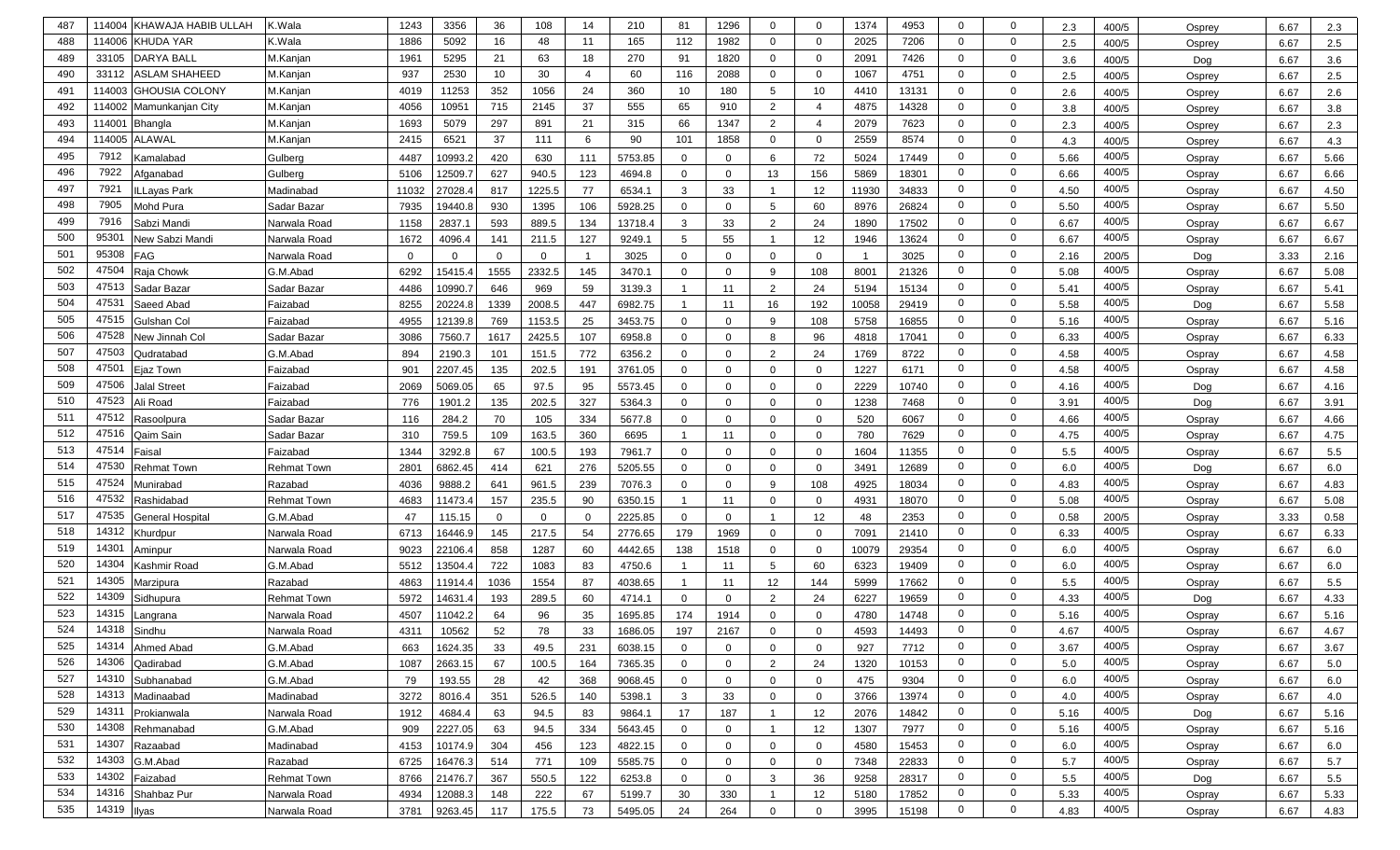| 487 | 114004             | KHAWAJA HABIB ULLAH   | K.Wala             | 1243     | 3356         | 36       | 108          | 14             | 210     | 81             | 1296         | $\mathbf 0$    | $\mathbf{0}$   | 1374  | 4953  | $\mathbf 0$    | $\mathbf{0}$   | 2.3  | 400/5 | Osprey | 6.67 | 2.3  |
|-----|--------------------|-----------------------|--------------------|----------|--------------|----------|--------------|----------------|---------|----------------|--------------|----------------|----------------|-------|-------|----------------|----------------|------|-------|--------|------|------|
| 488 |                    | 114006 KHUDA YAR      | K.Wala             | 1886     | 5092         | 16       | 48           | 11             | 165     | 112            | 1982         | $\mathbf 0$    | $\mathbf{0}$   | 2025  | 7206  | $\mathbf{0}$   | $\mathbf{0}$   | 2.5  | 400/5 | Osprey | 6.67 | 2.5  |
| 489 | 33105              | <b>DARYA BALL</b>     | M.Kanjan           | 1961     | 5295         | 21       | 63           | 18             | 270     | 91             | 1820         | $\mathbf 0$    | $\mathbf{0}$   | 2091  | 7426  | $\mathbf 0$    | $\mathbf 0$    | 3.6  | 400/5 | Dog    | 6.67 | 3.6  |
| 490 | 33112              | <b>ASLAM SHAHEED</b>  | M.Kanjan           | 937      | 2530         | 10       | 30           | $\overline{4}$ | 60      | 116            | 2088         | $\mathbf 0$    | $\mathbf 0$    | 1067  | 4751  | $\mathbf 0$    | $\mathbf{0}$   | 2.5  | 400/5 | Osprey | 6.67 | 2.5  |
| 491 | 114003             | <b>GHOUSIA COLONY</b> | M.Kanjan           | 4019     | 11253        | 352      | 1056         | 24             | 360     | 10             | 180          | 5              | 10             | 4410  | 13131 | $\mathbf 0$    | $\mathbf{0}$   | 2.6  | 400/5 | Osprey | 6.67 | 2.6  |
| 492 | 114002             | Mamunkanjan City      | M.Kanjan           | 4056     | 10951        | 715      | 2145         | 37             | 555     | 65             | 910          | $\overline{2}$ | 4              | 4875  | 14328 | $\mathbf 0$    | $\mathbf 0$    | 3.8  | 400/5 | Osprey | 6.67 | 3.8  |
| 493 | 11400 <sup>-</sup> | <b>Bhangla</b>        | M.Kanjan           | 1693     | 5079         | 297      | 891          | 21             | 315     | 66             | 1347         | 2              | $\overline{4}$ | 2079  | 7623  | $\mathbf{0}$   | $\mathbf 0$    | 2.3  | 400/5 | Osprey | 6.67 | 2.3  |
| 494 | 114005             | <b>ALAWAL</b>         | M.Kanjan           | 2415     | 6521         | 37       | 111          | 6              | 90      | 101            | 1858         | $\mathbf 0$    | $\mathbf 0$    | 2559  | 8574  | $\mathbf{0}$   | $\mathbf 0$    | 4.3  | 400/5 | Osprey | 6.67 | 4.3  |
| 495 | 7912               | Kamalabad             | Gulberg            | 4487     | 10993.2      | 420      | 630          | 111            | 5753.85 | $\Omega$       | $\Omega$     | 6              | 72             | 5024  | 17449 | $\mathbf 0$    | $\mathbf 0$    | 5.66 | 400/5 | Ospray | 6.67 | 5.66 |
| 496 | 7922               | Afganabad             | Gulberg            | 5106     | 12509.7      | 627      | 940.5        | 123            | 4694.8  | $\mathbf{0}$   | $\mathbf 0$  | 13             | 156            | 5869  | 18301 | $\mathbf 0$    | $\mathbf 0$    | 6.66 | 400/5 | Ospray | 6.67 | 6.66 |
| 497 | 7921               | LLayas Park           | Madinabad          | 11032    | 27028.4      | 817      | 1225.5       | 77             | 6534.1  | 3              | 33           | $\overline{1}$ | 12             | 11930 | 34833 | $\mathbf 0$    | $\mathbf 0$    | 4.50 | 400/5 | Ospray | 6.67 | 4.50 |
| 498 | 7905               | Mohd Pura             | Sadar Bazar        | 7935     | 19440.8      | 930      | 1395         | 106            | 5928.25 | $\mathbf{0}$   | $\mathbf{0}$ | 5              | 60             | 8976  | 26824 | $\mathbf 0$    | $\mathbf 0$    | 5.50 | 400/5 | Ospray | 6.67 | 5.50 |
| 499 | 7916               | Sabzi Mandi           | Narwala Road       | 1158     | 2837.1       | 593      | 889.5        | 134            | 13718.4 | 3              | 33           | $\overline{2}$ | 24             | 1890  | 17502 | $\mathbf 0$    | $\mathbf 0$    | 6.67 | 400/5 | Ospray | 6.67 | 6.67 |
| 500 | 9530               | New Sabzi Mandi       | Narwala Road       | 1672     | 4096.4       | 141      | 211.5        | 127            | 9249.1  | 5              | 55           | $\overline{1}$ | 12             | 1946  | 13624 | $\mathbf 0$    | $\mathbf 0$    | 6.67 | 400/5 | Ospray | 6.67 | 6.67 |
| 501 | 95308              | FAG                   | Narwala Road       | $\Omega$ | $\mathbf{0}$ | $\Omega$ | $\mathbf 0$  |                | 3025    | $\mathbf{0}$   | $\Omega$     | $\mathbf 0$    | $\mathbf 0$    |       | 3025  | $\mathbf 0$    | $\mathbf 0$    | 2.16 | 200/5 | Dog    | 3.33 | 2.16 |
| 502 | 47504              | Raja Chowk            | G.M.Abad           | 6292     | 15415.4      | 1555     | 2332.5       | 145            | 3470.1  | $\Omega$       | $\Omega$     | 9              | 108            | 8001  | 21326 | $\mathbf 0$    | $\mathbf 0$    | 5.08 | 400/5 | Ospray | 6.67 | 5.08 |
| 503 | 47513              | Sadar Bazar           | Sadar Bazar        | 4486     | 10990.7      | 646      | 969          | 59             | 3139.3  | -1             | 11           | 2              | 24             | 5194  | 15134 | $\mathbf 0$    | $\mathbf 0$    | 5.41 | 400/5 | Ospray | 6.67 | 5.41 |
| 504 | 47531              | Saeed Abad            | Faizabad           | 8255     | 20224.8      | 1339     | 2008.5       | 447            | 6982.75 | -1             | 11           | 16             | 192            | 10058 | 29419 | $\mathbf 0$    | $\mathbf 0$    | 5.58 | 400/5 | Dog    | 6.67 | 5.58 |
| 505 | 47515              | Gulshan Col           | Faizabad           | 4955     | 12139.8      | 769      | 1153.5       | 25             | 3453.75 | $\mathbf{0}$   | $\Omega$     | 9              | 108            | 5758  | 16855 | $\mathbf 0$    | $\mathbf 0$    | 5.16 | 400/5 | Ospray | 6.67 | 5.16 |
| 506 | 47528              | New Jinnah Col        | Sadar Bazar        | 3086     | 7560.7       | 1617     | 2425.5       | 107            | 6958.8  | $\mathbf{0}$   | $\Omega$     | 8              | 96             | 4818  | 17041 | $\mathbf{0}$   | $\mathbf{0}$   | 6.33 | 400/5 | Ospray | 6.67 | 6.33 |
| 507 | 47503              | Qudratabad            | G.M.Abad           | 894      | 2190.3       | 101      | 151.5        | 772            | 6356.2  | $\mathbf{0}$   | 0            | 2              | 24             | 1769  | 8722  | $\mathbf{0}$   | $\mathbf 0$    | 4.58 | 400/5 | Ospray | 6.67 | 4.58 |
| 508 | 47501              | Ejaz Town             | Faizabad           | 901      | 2207.45      | 135      | 202.5        | 191            | 3761.05 | $\mathbf{0}$   | $\Omega$     | $\mathbf 0$    | $\overline{0}$ | 1227  | 6171  | $\mathbf 0$    | $\mathbf 0$    | 4.58 | 400/5 | Ospray | 6.67 | 4.58 |
| 509 | 47506              | Jalal Street          | Faizabad           | 2069     | 5069.05      | 65       | 97.5         | 95             | 5573.45 | $\mathbf{0}$   | $\Omega$     | $\mathbf 0$    | $\overline{0}$ | 2229  | 10740 | $\mathbf 0$    | $\mathbf 0$    | 4.16 | 400/5 | Dog    | 6.67 | 4.16 |
| 510 | 47523              | Ali Road              | Faizabad           | 776      | 1901.2       | 135      | 202.5        | 327            | 5364.3  | $\mathbf{0}$   | $\Omega$     | $\mathbf 0$    | $\overline{0}$ | 1238  | 7468  | $\mathbf{0}$   | $\mathbf{0}$   | 3.91 | 400/5 | Dog    | 6.67 | 3.91 |
| 511 | 47512              | Rasoolpura            | Sadar Bazar        | 116      | 284.2        | 70       | 105          | 334            | 5677.8  | $\mathbf{0}$   | $\Omega$     | $\mathbf 0$    | $\mathbf{0}$   | 520   | 6067  | $\mathbf{0}$   | $\mathbf 0$    | 4.66 | 400/5 | Ospray | 6.67 | 4.66 |
| 512 | 47516              | Qaim Sain             | Sadar Bazar        | 310      | 759.5        | 109      | 163.5        | 360            | 6695    | $\overline{1}$ | 11           | $\mathbf 0$    | $\mathbf 0$    | 780   | 7629  | $\mathbf{0}$   | $\mathbf 0$    | 4.75 | 400/5 | Ospray | 6.67 | 4.75 |
| 513 | 47514              | Faisal                | Faizabad           | 1344     | 3292.8       | 67       | 100.5        | 193            | 7961.7  | $\mathbf{0}$   | $\Omega$     | $\mathbf 0$    | $\mathbf{0}$   | 1604  | 11355 | $\mathbf{0}$   | $\mathbf 0$    | 5.5  | 400/5 | Ospray | 6.67 | 5.5  |
| 514 | 47530              | <b>Rehmat Town</b>    | Rehmat Town        | 2801     | 6862.45      | 414      | 621          | 276            | 5205.55 | $\mathbf{0}$   | $\Omega$     | $\mathbf 0$    | $\mathbf{0}$   | 3491  | 12689 | $\mathbf{0}$   | $\mathbf 0$    | 6.0  | 400/5 | Dog    | 6.67 | 6.0  |
| 515 | 47524              | Munirabad             | Razabad            | 4036     | 9888.2       | 641      | 961.5        | 239            | 7076.3  | $\mathbf{0}$   | $\Omega$     | 9              | 108            | 4925  | 18034 | $\mathbf 0$    | $\mathbf 0$    | 4.83 | 400/5 | Ospray | 6.67 | 4.83 |
| 516 | 47532              | Rashidabad            | <b>Rehmat Town</b> | 4683     | 11473.4      | 157      | 235.5        | 90             | 6350.15 | $\overline{1}$ | 11           | $\mathbf 0$    | $\overline{0}$ | 4931  | 18070 | $\mathbf 0$    | $\mathbf{0}$   | 5.08 | 400/5 | Ospray | 6.67 | 5.08 |
| 517 | 47535              | General Hospital      | G.M.Abad           | 47       | 115.15       | $\Omega$ | $\mathbf{0}$ |                | 2225.85 | $\mathbf{0}$   | $\Omega$     | $\mathbf 1$    | 12             | 48    | 2353  | $\mathbf{0}$   | $\mathbf{0}$   | 0.58 | 200/5 | Ospray | 3.33 | 0.58 |
| 518 | 14312              | <b>Churdpur</b>       | Narwala Road       | 6713     | 16446.9      | 145      | 217.5        | 54             | 2776.65 | 179            | 1969         | $\mathbf 0$    | $\overline{0}$ | 7091  | 21410 | $\mathbf 0$    | $\mathbf{0}$   | 6.33 | 400/5 | Ospray | 6.67 | 6.33 |
| 519 | 14301              | Aminpur               | Narwala Road       | 9023     | 22106.4      | 858      | 1287         | 60             | 4442.65 | 138            | 1518         | $\mathbf 0$    | $\mathbf 0$    | 10079 | 29354 | $\mathbf{0}$   | $\mathbf{0}$   | 6.0  | 400/5 | Ospray | 6.67 | 6.0  |
| 520 | 14304              | Kashmir Road          | G.M.Abad           | 5512     | 13504.4      | 722      | 1083         | 83             | 4750.6  |                | 11           | 5              | 60             | 6323  | 19409 | $\mathbf{0}$   | $\mathbf{0}$   | 6.0  | 400/5 | Ospray | 6.67 | 6.0  |
| 521 | 14305              | Marzipura             | Razabad            | 4863     | 11914.4      | 1036     | 1554         | 87             | 4038.65 | $\overline{1}$ | 11           | 12             | 144            | 5999  | 17662 | $\mathbf{0}$   | $\mathbf{0}$   | 5.5  | 400/5 | Ospray | 6.67 | 5.5  |
| 522 | 14309              | Sidhupura             | <b>Rehmat Town</b> | 5972     | 14631.4      | 193      | 289.5        | 60             | 4714.1  | $\mathbf{0}$   | $\mathbf{0}$ | 2              | 24             | 6227  | 19659 | 0              | $\mathbf{0}$   | 4.33 | 400/5 | Dog    | 6.67 | 4.33 |
| 523 | 14315              | angrana               | Narwala Road       | 4507     | 11042.2      | 64       | 96           | 35             | 1695.85 | 174            | 1914         | 0              | $\mathbf{0}$   | 4780  | 14748 | $\mathbf{0}$   | $\mathbf 0$    | 5.16 | 400/5 | Ospray | 6.67 | 5.16 |
| 524 | 14318              | Sindhu                | Narwala Road       | 4311     | 10562        | 52       | 78           | 33             | 1686.05 | 197            | 2167         | $\mathbf 0$    | $\Omega$       | 4593  | 14493 | $\Omega$       | $\mathbf 0$    | 4.67 | 400/5 | Ospray | 6.67 | 4.67 |
| 525 |                    | 14314 Ahmed Abad      | G.M.Abad           | 663      | 1624.35      | 33       | 49.5         | 231            | 6038.15 | 0              | 0            | $\mathbf{0}$   | $\mathbf{0}$   | 927   | 7712  | $\mathbf 0$    | 0              | 3.67 | 400/5 | Ospray | 6.67 | 3.67 |
| 526 | 14306              | Qadirabad             | G.M.Abad           | 1087     | 2663.15      | 67       | 100.5        | 164            | 7365.35 | $\overline{0}$ | $\mathbf{0}$ | 2              | 24             | 1320  | 10153 | $\overline{0}$ | $\mathbf{0}$   | 5.0  | 400/5 | Ospray | 6.67 | 5.0  |
| 527 | 14310              | Subhanabad            | G.M.Abad           | 79       | 193.55       | 28       | 42           | 368            | 9068.45 | $\overline{0}$ | $\mathbf{0}$ | $\mathbf 0$    | $\mathbf{0}$   | 475   | 9304  | $\overline{0}$ | $\overline{0}$ | 6.0  | 400/5 | Ospray | 6.67 | 6.0  |
| 528 | 14313              | Madinaabad            | Madinabad          | 3272     | 8016.4       | 351      | 526.5        | 140            | 5398.1  | $\mathbf{3}$   | 33           | $\mathbf 0$    | $\mathbf{0}$   | 3766  | 13974 | $\overline{0}$ | $\overline{0}$ | 4.0  | 400/5 | Ospray | 6.67 | 4.0  |
| 529 | 14311              | Prokianwala           | Narwala Road       | 1912     | 4684.4       | 63       | 94.5         | 83             | 9864.1  | 17             | 187          | $\mathbf{1}$   | 12             | 2076  | 14842 | $\overline{0}$ | $\mathbf{0}$   | 5.16 | 400/5 | Dog    | 6.67 | 5.16 |
| 530 | 14308              | Rehmanabad            | G.M.Abad           | 909      | 2227.05      | 63       | 94.5         | 334            | 5643.45 | $\mathbf{0}$   | $\mathbf 0$  | $\mathbf{1}$   | 12             | 1307  | 7977  | $\overline{0}$ | $\overline{0}$ | 5.16 | 400/5 | Ospray | 6.67 | 5.16 |
| 531 | 14307              | Razaabad              | Madinabad          | 4153     | 10174.9      | 304      | 456          | 123            | 4822.15 | $\mathbf{0}$   | $\mathbf{0}$ | $\mathbf 0$    | $\mathbf{0}$   | 4580  | 15453 | $\overline{0}$ | $\overline{0}$ | 6.0  | 400/5 | Ospray | 6.67 | 6.0  |
| 532 | 14303              | G.M.Abad              | Razabad            | 6725     | 16476.3      | 514      | 771          | 109            | 5585.75 | $\mathbf{0}$   | $\mathbf{0}$ | $\mathbf 0$    | $\mathbf{0}$   | 7348  | 22833 | $\overline{0}$ | $\overline{0}$ | 5.7  | 400/5 | Ospray | 6.67 | 5.7  |
| 533 | 14302              | Faizabad              | Rehmat Town        | 8766     | 21476.7      | 367      | 550.5        | 122            | 6253.8  | $\mathbf{0}$   | 0            | $\mathbf{3}$   | 36             | 9258  | 28317 | $\overline{0}$ | $\overline{0}$ | 5.5  | 400/5 | Dog    | 6.67 | 5.5  |
| 534 | 14316              | Shahbaz Pur           | Narwala Road       | 4934     | 12088.3      | 148      | 222          | 67             | 5199.7  | 30             | 330          | $\overline{1}$ | 12             | 5180  | 17852 | $\overline{0}$ | $\mathbf{0}$   | 5.33 | 400/5 | Ospray | 6.67 | 5.33 |
| 535 | 14319 Ilyas        |                       | Narwala Road       | 3781     | 9263.45      | 117      | 175.5        | 73             | 5495.05 | 24             | 264          | $\mathbf 0$    | $\overline{0}$ | 3995  | 15198 | $\mathbf{0}$   | $\mathbf 0$    | 4.83 | 400/5 | Ospray | 6.67 | 4.83 |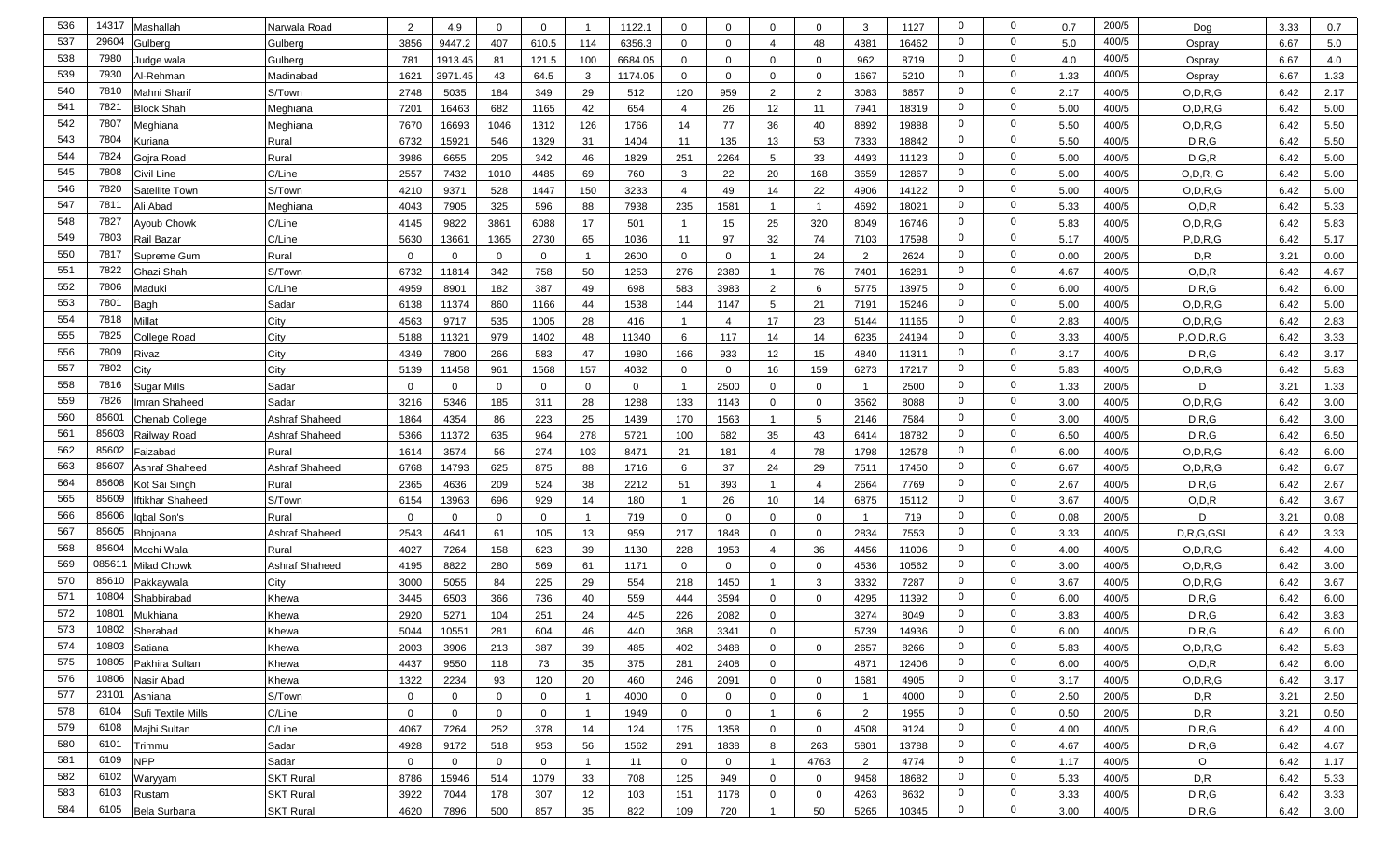| 536 | 14317         | Mashallah          | Narwala Road     | 2           | 4.9          | $\Omega$       | $\mathbf 0$    |                 | 1122.1      | $\mathbf 0$    | 0              | $\Omega$        | $\mathbf{0}$   | -3             | 1127  | $\mathbf 0$    | $\mathbf 0$    | 0.7  | 200/5 | Dog           | 3.33 | 0.7  |
|-----|---------------|--------------------|------------------|-------------|--------------|----------------|----------------|-----------------|-------------|----------------|----------------|-----------------|----------------|----------------|-------|----------------|----------------|------|-------|---------------|------|------|
| 537 | 2960          | Gulbera            | Gulberg          | 3856        | 9447.2       | 407            | 610.5          | 114             | 6356.3      | $\mathbf 0$    | $\mathbf 0$    | $\overline{4}$  | 48             | 4381           | 16462 | $\mathbf 0$    | $\mathbf 0$    | 5.0  | 400/5 | Ospray        | 6.67 | 5.0  |
| 538 | 7980          | ludge wala         | Gulberg          | 781         | 1913.45      | 81             | 121.5          | 100             | 6684.05     | $\mathbf 0$    | $\mathbf 0$    | $\mathbf 0$     | $\mathbf 0$    | 962            | 8719  | $\mathbf 0$    | $\mathbf 0$    | 4.0  | 400/5 | Ospray        | 6.67 | 4.0  |
| 539 | 7930          | Al-Rehman          | Madinabad        | 1621        | 3971.45      | 43             | 64.5           | 3               | 1174.05     | $\mathbf 0$    | $\mathbf 0$    | $\mathbf 0$     | $\mathbf{0}$   | 1667           | 5210  | $\mathbf 0$    | $\mathbf 0$    | 1.33 | 400/5 | Ospray        | 6.67 | 1.33 |
| 540 | 7810          | Mahni Sharif       | S/Town           | 2748        | 5035         | 184            | 349            | 29              | 512         | 120            | 959            | 2               | 2              | 3083           | 6857  | $\mathbf{0}$   | $\mathbf 0$    | 2.17 | 400/5 | O, D, R, G    | 6.42 | 2.17 |
| 541 | 7821          | <b>Block Shah</b>  | Meghiana         | 7201        | 16463        | 682            | 1165           | 42              | 654         | $\overline{4}$ | 26             | 12              | 11             | 7941           | 18319 | $\mathbf 0$    | $\mathbf 0$    | 5.00 | 400/5 | O, D, R, G    | 6.42 | 5.00 |
| 542 | 7807          | Meghiana           | Meghiana         | 7670        | 16693        | 1046           | 1312           | 126             | 1766        | 14             | 77             | 36              | 40             | 8892           | 19888 | $\mathbf 0$    | $\mathbf 0$    | 5.50 | 400/5 | O, D, R, G    | 6.42 | 5.50 |
| 543 | 7804          | (uriana            | Rural            | 6732        | 15921        | 546            | 1329           | 31              | 1404        | 11             | 135            | 13              | 53             | 7333           | 18842 | $\mathbf 0$    | $\overline{0}$ | 5.50 | 400/5 | D, R, G       | 6.42 | 5.50 |
| 544 | 7824          | Gojra Road         | Rural            | 3986        | 6655         | 205            | 342            | 46              | 1829        | 251            | 2264           | $5\phantom{.0}$ | 33             | 4493           | 11123 | $\mathbf 0$    | $\mathbf 0$    | 5.00 | 400/5 | D, G, R       | 6.42 | 5.00 |
| 545 | 7808          | Civil Line         | C/Line           | 2557        | 7432         | 1010           | 4485           | 69              | 760         | $\mathbf{3}$   | 22             | 20              | 168            | 3659           | 12867 | $\mathbf 0$    | $\mathbf 0$    | 5.00 | 400/5 | O, D, R, G    | 6.42 | 5.00 |
| 546 | 7820          | Satellite Town     | S/Town           | 4210        | 9371         | 528            | 1447           | 150             | 3233        | $\overline{4}$ | 49             | 14              | 22             | 4906           | 14122 | $\mathbf 0$    | $\mathbf 0$    | 5.00 | 400/5 | O, D, R, G    | 6.42 | 5.00 |
| 547 | 7811          | Ali Abad           | Meghiana         | 4043        | 7905         | 325            | 596            | 88              | 7938        | 235            | 1581           | $\overline{1}$  | $\overline{1}$ | 4692           | 18021 | $\mathbf{0}$   | $\mathbf 0$    | 5.33 | 400/5 | O, D, R       | 6.42 | 5.33 |
| 548 | 782           | <b>Ayoub Chowk</b> | C/Line           | 4145        | 9822         | 3861           | 6088           | 17              | 501         | $\overline{1}$ | 15             | 25              | 320            | 8049           | 16746 | $\mathbf{0}$   | $\mathbf 0$    | 5.83 | 400/5 | O, D, R, G    | 6.42 | 5.83 |
| 549 | 7803          | Rail Bazar         | C/Line           | 5630        | 13661        | 1365           | 2730           | 65              | 1036        | 11             | 97             | 32              | 74             | 7103           | 17598 | $\mathbf{0}$   | $\mathbf 0$    | 5.17 | 400/5 | P, D, R, G    | 6.42 | 5.17 |
| 550 | 781           | Supreme Gum        | Rural            | $\mathbf 0$ | $\mathbf{0}$ | $\mathbf 0$    | $\mathbf 0$    |                 | 2600        | $\mathbf 0$    | $\mathbf 0$    | -1              | 24             | 2              | 2624  | $\mathbf 0$    | $\mathbf 0$    | 0.00 | 200/5 | D, R          | 3.21 | 0.00 |
| 551 | 7822          | 3hazi Shah         | S/Town           | 6732        | 11814        | 342            | 758            | 50              | 1253        | 276            | 2380           | -1              | 76             | 7401           | 16281 | $\mathbf 0$    | $\mathbf 0$    | 4.67 | 400/5 | O, D, R       | 6.42 | 4.67 |
| 552 | 7806          | Maduki             | C/Line           | 4959        | 8901         | 182            | 387            | 49              | 698         | 583            | 3983           | 2               | 6              | 5775           | 13975 | $\mathbf 0$    | $\mathbf 0$    | 6.00 | 400/5 | D, R, G       | 6.42 | 6.00 |
| 553 | 7801          | Bagh               | Sadar            | 6138        | 11374        | 860            | 1166           | 44              | 1538        | 144            | 1147           | 5               | 21             | 7191           | 15246 | $\mathbf{0}$   | $\mathbf 0$    | 5.00 | 400/5 | O, D, R, G    | 6.42 | 5.00 |
| 554 | 7818          | Millat             | City             | 4563        | 9717         | 535            | 1005           | 28              | 416         | $\overline{1}$ | $\overline{4}$ | 17              | 23             | 5144           | 11165 | $\mathbf 0$    | $\mathbf 0$    | 2.83 | 400/5 | O, D, R, G    | 6.42 | 2.83 |
| 555 | 7825          | College Road       | City             | 5188        | 11321        | 979            | 1402           | 48              | 11340       | 6              | 117            | 14              | 14             | 6235           | 24194 | $\mathbf{0}$   | $\mathbf 0$    | 3.33 | 400/5 | P, O, D, R, G | 6.42 | 3.33 |
| 556 | 7809          | Rivaz              | City             | 4349        | 7800         | 266            | 583            | 47              | 1980        | 166            | 933            | 12              | 15             | 4840           | 11311 | $\mathbf 0$    | $\mathbf 0$    | 3.17 | 400/5 | D, R, G       | 6.42 | 3.17 |
| 557 | 7802          | City               | City             | 5139        | 11458        | 961            | 1568           | 157             | 4032        | $\mathbf 0$    | 0              | 16              | 159            | 6273           | 17217 | $\mathbf 0$    | $\mathbf 0$    | 5.83 | 400/5 | O, D, R, G    | 6.42 | 5.83 |
| 558 | 7816          | Sugar Mills        | Sadar            | $\mathbf 0$ | $\mathbf{0}$ | $\Omega$       | $\mathbf 0$    | $\mathbf 0$     | $\mathbf 0$ | $\overline{1}$ | 2500           | $\mathbf 0$     | $\overline{0}$ |                | 2500  | $\mathbf 0$    | $\mathbf 0$    | 1.33 | 200/5 | D             | 3.21 | 1.33 |
| 559 | 7826          | mran Shaheed       | Sadar            | 3216        | 5346         | 185            | 311            | 28              | 1288        | 133            | 1143           | $\mathbf 0$     | $\overline{0}$ | 3562           | 8088  | 0              | $\mathbf{0}$   | 3.00 | 400/5 | O, D, R, G    | 6.42 | 3.00 |
| 560 | 8560          | Chenab College     | Ashraf Shaheed   | 1864        | 4354         | 86             | 223            | 25              | 1439        | 170            | 1563           | $\overline{1}$  | 5              | 2146           | 7584  | 0              | $\mathbf 0$    | 3.00 | 400/5 | D, R, G       | 6.42 | 3.00 |
| 561 | 8560          | Railway Road       | Ashraf Shaheed   | 5366        | 11372        | 635            | 964            | 278             | 5721        | 100            | 682            | 35              | 43             | 6414           | 18782 | $\mathbf 0$    | $\mathbf 0$    | 6.50 | 400/5 | D, R, G       | 6.42 | 6.50 |
| 562 | 85602         | Faizabad           | Rural            | 1614        | 3574         | 56             | 274            | 103             | 8471        | 21             | 181            | $\overline{4}$  | 78             | 1798           | 12578 | $\mathbf 0$    | $\mathbf 0$    | 6.00 | 400/5 | O, D, R, G    | 6.42 | 6.00 |
| 563 | 85607         | Ashraf Shaheed     | Ashraf Shaheed   | 6768        | 14793        | 625            | 875            | 88              | 1716        | 6              | 37             | 24              | 29             | 7511           | 17450 | $\mathbf 0$    | $\mathbf 0$    | 6.67 | 400/5 | O, D, R, G    | 6.42 | 6.67 |
| 564 | 85608         | Kot Sai Singh      | Rural            | 2365        | 4636         | 209            | 524            | 38              | 2212        | 51             | 393            | $\overline{1}$  | $\overline{4}$ | 2664           | 7769  | $\mathbf 0$    | $\mathbf 0$    | 2.67 | 400/5 | D, R, G       | 6.42 | 2.67 |
| 565 | 85609         | ftikhar Shaheed    | S/Town           | 6154        | 13963        | 696            | 929            | 14              | 180         | $\overline{1}$ | 26             | 10              | 14             | 6875           | 15112 | $\mathbf 0$    | $\mathbf 0$    | 3.67 | 400/5 | O, D, R       | 6.42 | 3.67 |
| 566 | 85606         | gbal Son's         | Rural            | $\Omega$    | $\mathbf{0}$ | $\Omega$       | $\mathbf 0$    |                 | 719         | $\mathbf 0$    | $\Omega$       | $\mathbf 0$     | $\mathbf{0}$   | -1             | 719   | $\mathbf 0$    | $\mathbf 0$    | 0.08 | 200/5 | D             | 3.21 | 0.08 |
| 567 | 85605         | <b>Bhojoana</b>    | Ashraf Shaheed   | 2543        | 4641         | 61             | 105            | 13              | 959         | 217            | 1848           | $\Omega$        | $\mathbf{0}$   | 2834           | 7553  | 0              | $\mathbf 0$    | 3.33 | 400/5 | D,R,G,GSL     | 6.42 | 3.33 |
| 568 | 85604         | Mochi Wala         | Rural            | 4027        | 7264         | 158            | 623            | 39              | 1130        | 228            | 1953           | $\overline{4}$  | 36             | 4456           | 11006 | $\mathbf 0$    | $\mathbf 0$    | 4.00 | 400/5 | O, D, R, G    | 6.42 | 4.00 |
| 569 | 08561         | <b>Milad Chowk</b> | Ashraf Shaheed   | 4195        | 8822         | 280            | 569            | 61              | 1171        | $\mathbf 0$    | $\Omega$       | $\overline{0}$  | $\mathbf 0$    | 4536           | 10562 | $\mathbf 0$    | $\mathbf 0$    | 3.00 | 400/5 | O, D, R, G    | 6.42 | 3.00 |
| 570 | 85610         | Pakkaywala         | City             | 3000        | 5055         | 84             | 225            | 29              | 554         | 218            | 1450           |                 | 3              | 3332           | 7287  | $\mathbf 0$    | $\mathbf 0$    | 3.67 | 400/5 | O, D, R, G    | 6.42 | 3.67 |
| 571 | 10804         | Shabbirabad        | Khewa            | 3445        | 6503         | 366            | 736            | 40              | 559         | 444            | 3594           | $\overline{0}$  | $\mathbf 0$    | 4295           | 11392 | 0              | $\mathbf 0$    | 6.00 | 400/5 | D, R, G       | 6.42 | 6.00 |
| 572 | 1080          | Mukhiana           | Khewa            | 2920        | 5271         | 104            | 251            | 24              | 445         | 226            | 2082           | $\mathbf 0$     |                | 3274           | 8049  | 0              | $\mathbf 0$    | 3.83 | 400/5 | D, R, G       | 6.42 | 3.83 |
| 573 | 10802         | Sherabad           | Khewa            | 5044        | 10551        | 281            | 604            | 46              | 440         | 368            | 3341           | $\mathbf 0$     |                | 5739           | 14936 | $\mathbf 0$    | $\mathbf 0$    | 6.00 | 400/5 | D, R, G       | 6.42 | 6.00 |
| 574 | 10803 Satiana |                    | Khewa            | 2003        | 3906         | 213            | 387            | 39              | 485         | 402            | 3488           | $\mathbf 0$     | $\mathbf 0$    | 2657           | 8266  | $\mathbf{0}$   | $\mathbf 0$    | 5.83 | 400/5 | O, D, R, G    | 6.42 | 5.83 |
| 575 | 10805         | Pakhira Sultan     | Khewa            | 4437        | 9550         | 118            | 73             | 35              | 375         | 281            | 2408           | $\mathbf 0$     |                | 4871           | 12406 | $\mathbf 0$    | $\mathbf 0$    | 6.00 | 400/5 | O, D, R       | 6.42 | 6.00 |
| 576 | 10806         | Nasir Abad         | Khewa            | 1322        | 2234         | 93             | 120            | 20              | 460         | 246            | 2091           | $\mathbf 0$     | $\overline{0}$ | 1681           | 4905  | $\overline{0}$ | $\overline{0}$ | 3.17 | 400/5 | O, D, R, G    | 6.42 | 3.17 |
| 577 | 23101         | Ashiana            | S/Town           | $\mathbf 0$ | $\mathbf 0$  | $\overline{0}$ | $\overline{0}$ | $\overline{1}$  | 4000        | $\overline{0}$ | $\mathbf{0}$   | $\overline{0}$  | $\overline{0}$ | $\overline{1}$ | 4000  | $\overline{0}$ | $\overline{0}$ | 2.50 | 200/5 | D,R           | 3.21 | 2.50 |
| 578 | 6104          | Sufi Textile Mills | C/Line           | $\mathbf 0$ | $\mathbf{0}$ | $\mathbf 0$    | $\overline{0}$ | $\overline{1}$  | 1949        | $\overline{0}$ | $\mathbf{0}$   | $\overline{1}$  | 6              | $\overline{2}$ | 1955  | $\overline{0}$ | $\overline{0}$ | 0.50 | 200/5 | D,R           | 3.21 | 0.50 |
| 579 | 6108          | Majhi Sultan       | C/Line           | 4067        | 7264         | 252            | 378            | 14              | 124         | 175            | 1358           | $\mathbf 0$     | $\overline{0}$ | 4508           | 9124  | $\overline{0}$ | $\overline{0}$ | 4.00 | 400/5 | D, R, G       | 6.42 | 4.00 |
| 580 | 6101          | Trimmu             | Sadar            | 4928        | 9172         | 518            | 953            | 56              | 1562        | 291            | 1838           | 8               | 263            | 5801           | 13788 | $\overline{0}$ | $\overline{0}$ | 4.67 | 400/5 | D, R, G       | 6.42 | 4.67 |
| 581 | 6109          | <b>NPP</b>         | Sadar            | $\mathbf 0$ | $\mathbf 0$  | $\mathbf 0$    | $\mathbf 0$    |                 | 11          | $\mathbf 0$    | $\mathbf{0}$   | $\overline{1}$  | 4763           | 2              | 4774  | $\overline{0}$ | $\overline{0}$ | 1.17 | 400/5 | $\circ$       | 6.42 | 1.17 |
| 582 | 6102          | Waryyam            | <b>SKT Rural</b> | 8786        | 15946        | 514            | 1079           | 33              | 708         | 125            | 949            | $\mathbf 0$     | $\overline{0}$ | 9458           | 18682 | $\overline{0}$ | $\overline{0}$ | 5.33 | 400/5 | D, R          | 6.42 | 5.33 |
| 583 | 6103          | Rustam             | <b>SKT Rural</b> | 3922        | 7044         | 178            | 307            | 12 <sup>2</sup> | 103         | 151            | 1178           | $\mathbf 0$     | $\overline{0}$ | 4263           | 8632  | $\overline{0}$ | $\overline{0}$ | 3.33 | 400/5 | D, R, G       | 6.42 | 3.33 |
| 584 | 6105          | Bela Surbana       | <b>SKT Rural</b> | 4620        | 7896         | 500            | 857            | 35              | 822         | 109            | 720            | $\overline{1}$  | 50             | 5265           | 10345 | $\overline{0}$ | $\overline{0}$ | 3.00 | 400/5 | D, R, G       | 6.42 | 3.00 |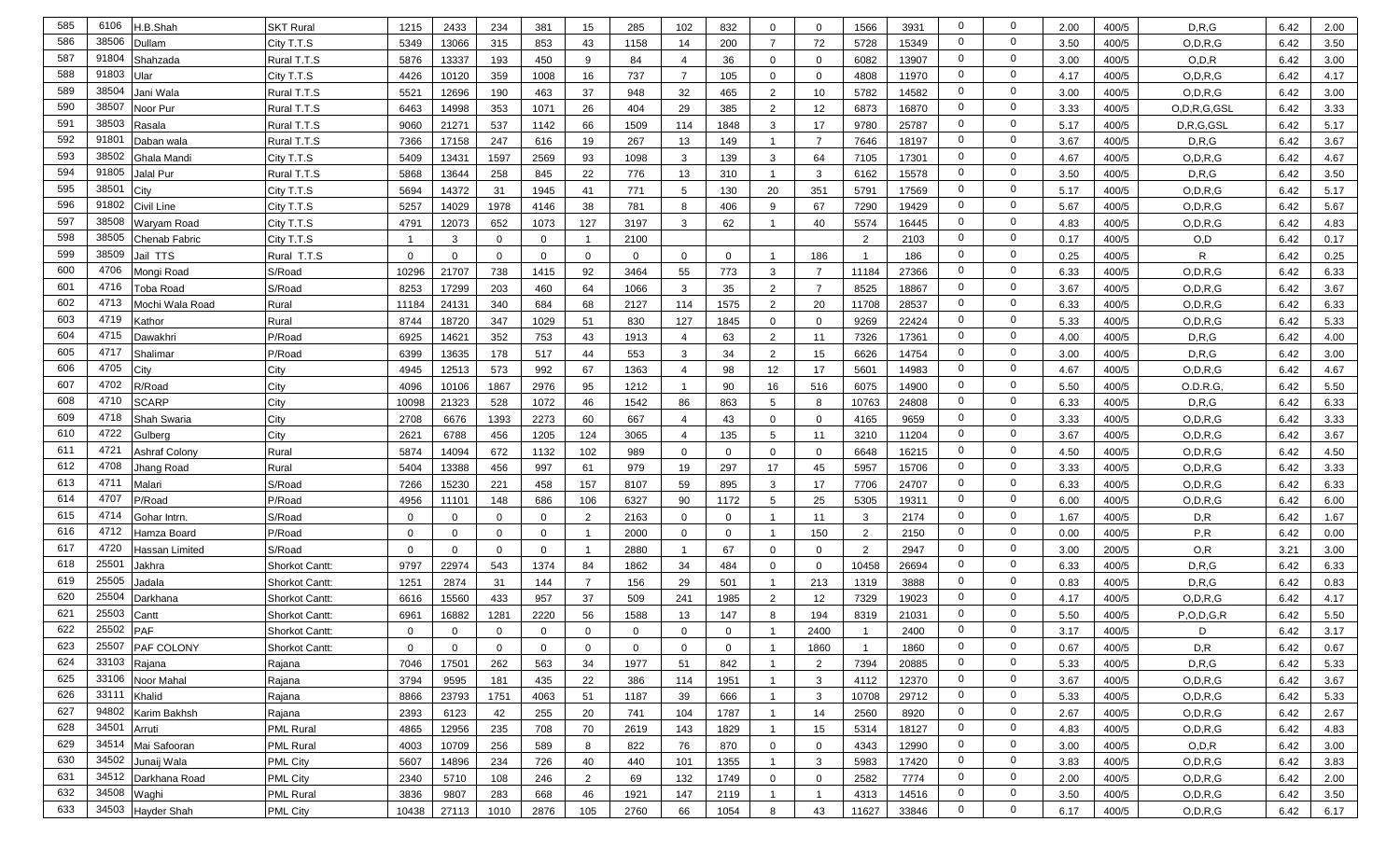| 585 | 6106        | H.B.Shah          | <b>SKT Rural</b>      | 1215         | 2433           | 234            | 381            | 15             | 285         | 102            | 832         | 0              | $\mathbf{0}$   | 1566                    | 3931  | 0              | $\mathbf 0$    | 2.00 | 400/5 | D, R, G         | 6.42 | 2.00 |
|-----|-------------|-------------------|-----------------------|--------------|----------------|----------------|----------------|----------------|-------------|----------------|-------------|----------------|----------------|-------------------------|-------|----------------|----------------|------|-------|-----------------|------|------|
| 586 | 38506       | Dullam            | City T.T.S            | 5349         | 13066          | 315            | 853            | 43             | 1158        | 14             | 200         | $\overline{7}$ | 72             | 5728                    | 15349 | $\mathbf 0$    | $\mathbf 0$    | 3.50 | 400/5 | O, D, R, G      | 6.42 | 3.50 |
| 587 | 91804       | Shahzada          | Rural T.T.S           | 5876         | 13337          | 193            | 450            | 9              | 84          | $\overline{4}$ | 36          | $\mathbf 0$    | $\mathbf 0$    | 6082                    | 13907 | $\mathbf{0}$   | $\mathbf 0$    | 3.00 | 400/5 | O, D, R         | 6.42 | 3.00 |
| 588 | 91803       | Ular              | City T.T.S            | 4426         | 10120          | 359            | 1008           | 16             | 737         | $\overline{7}$ | 105         | $\mathbf 0$    | $\mathbf 0$    | 4808                    | 11970 | $\mathbf 0$    | $\mathbf 0$    | 4.17 | 400/5 | O.D.R.G         | 6.42 | 4.17 |
| 589 | 38504       | Jani Wala         | Rural T.T.S           | 5521         | 12696          | 190            | 463            | 37             | 948         | 32             | 465         | 2              | 10             | 5782                    | 14582 | $\mathbf 0$    | $\mathbf 0$    | 3.00 | 400/5 | O, D, R, G      | 6.42 | 3.00 |
| 590 | 38507       | Noor Pur          | Rural T.T.S           | 6463         | 14998          | 353            | 1071           | 26             | 404         | 29             | 385         | $\overline{2}$ | 12             | 6873                    | 16870 | $\overline{0}$ | $\mathbf 0$    | 3.33 | 400/5 | O, D, R, G, GSL | 6.42 | 3.33 |
| 591 | 38503       | Rasala            | Rural T.T.S           | 9060         | 21271          | 537            | 1142           | 66             | 1509        | 114            | 1848        | 3              | 17             | 9780                    | 25787 | $\overline{0}$ | $\mathbf 0$    | 5.17 | 400/5 | D,R,G,GSL       | 6.42 | 5.17 |
| 592 | 9180        | Daban wala        | Rural T.T.S           | 7366         | 17158          | 247            | 616            | 19             | 267         | 13             | 149         |                | $\overline{7}$ | 7646                    | 18197 | $\overline{0}$ | $\overline{0}$ | 3.67 | 400/5 | D, R, G         | 6.42 | 3.67 |
| 593 | 38502       | Ghala Mandi       | City T.T.S            | 5409         | 13431          | 1597           | 2569           | 93             | 1098        | 3              | 139         | 3              | 64             | 7105                    | 17301 | $\mathbf 0$    | $\overline{0}$ | 4.67 | 400/5 | O, D, R, G      | 6.42 | 4.67 |
| 594 | 91805       | Jalal Pur         | Rural T.T.S           | 5868         | 13644          | 258            | 845            | 22             | 776         | 13             | 310         | $\overline{1}$ | $\mathbf{3}$   | 6162                    | 15578 | $\mathbf 0$    | $\mathbf 0$    | 3.50 | 400/5 | D, R, G         | 6.42 | 3.50 |
| 595 | 3850'       | Citv              | City T.T.S            | 5694         | 14372          | 31             | 1945           | 41             | 771         | 5              | 130         | 20             | 351            | 5791                    | 17569 | $\mathbf 0$    | $\mathbf 0$    | 5.17 | 400/5 | O, D, R, G      | 6.42 | 5.17 |
| 596 | 91802       | <b>Civil Line</b> | City T.T.S            | 5257         | 14029          | 1978           | 4146           | 38             | 781         | 8              | 406         | 9              | 67             | 7290                    | 19429 | $\mathbf{0}$   | $\mathbf 0$    | 5.67 | 400/5 | O, D, R, G      | 6.42 | 5.67 |
| 597 | 38508       | Waryam Road       | City T.T.S            | 4791         | 12073          | 652            | 1073           | 127            | 3197        | 3              | 62          | -1             | 40             | 5574                    | 16445 | $\mathbf{0}$   | $\mathbf 0$    | 4.83 | 400/5 | O, D, R, G      | 6.42 | 4.83 |
| 598 | 38505       | Chenab Fabric     | City T.T.S            | -1           | 3              | $\mathbf 0$    | $\mathbf 0$    |                | 2100        |                |             |                |                | $\overline{2}$          | 2103  | $\mathbf 0$    | $\mathbf 0$    | 0.17 | 400/5 | O,D             | 6.42 | 0.17 |
| 599 | 38509       | Jail TTS          | Rural T.T.S           | $\mathbf{0}$ | $\mathbf{0}$   | $\mathbf{0}$   | $\mathbf 0$    | $\mathbf 0$    | $\mathbf 0$ | $\mathbf 0$    | $\mathbf 0$ | - 1            | 186            |                         | 186   | $\mathbf 0$    | $\mathbf 0$    | 0.25 | 400/5 | R               | 6.42 | 0.25 |
| 600 | 4706        | Mongi Road        | S/Road                | 10296        | 21707          | 738            | 1415           | 92             | 3464        | 55             | 773         | 3              | $\overline{7}$ | 11184                   | 27366 | $\mathbf 0$    | $\mathbf 0$    | 6.33 | 400/5 | O.D.R.G         | 6.42 | 6.33 |
| 601 | 4716        | Toba Road         | S/Road                | 8253         | 17299          | 203            | 460            | 64             | 1066        | 3              | 35          | $\overline{2}$ | $\overline{7}$ | 8525                    | 18867 | $\mathbf 0$    | $\mathbf 0$    | 3.67 | 400/5 | O, D, R, G      | 6.42 | 3.67 |
| 602 | 4713        | Mochi Wala Road   | Rural                 | 11184        | 24131          | 340            | 684            | 68             | 2127        | 114            | 1575        | 2              | 20             | 11708                   | 28537 | $\mathbf 0$    | $\mathbf 0$    | 6.33 | 400/5 | O, D, R, G      | 6.42 | 6.33 |
| 603 | 4719        | ے athor           | Rural                 | 8744         | 18720          | 347            | 1029           | 51             | 830         | 127            | 1845        | $\mathbf 0$    | $\mathbf{0}$   | 9269                    | 22424 | $\mathbf{0}$   | $\mathbf 0$    | 5.33 | 400/5 | O, D, R, G      | 6.42 | 5.33 |
| 604 | 4715        | Dawakhri          | P/Road                | 6925         | 14621          | 352            | 753            | 43             | 1913        | $\overline{4}$ | 63          | 2              | 11             | 7326                    | 17361 | $\overline{0}$ | $\mathbf 0$    | 4.00 | 400/5 | D, R, G         | 6.42 | 4.00 |
| 605 | 4717        | Shalimar          | P/Road                | 6399         | 13635          | 178            | 517            | 44             | 553         | 3              | 34          | 2              | 15             | 6626                    | 14754 | $\mathbf 0$    | $\mathbf 0$    | 3.00 | 400/5 | D, R, G         | 6.42 | 3.00 |
| 606 | 4705        | City              | City                  | 4945         | 12513          | 573            | 992            | 67             | 1363        | $\overline{4}$ | 98          | 12             | 17             | 5601                    | 14983 | $\mathbf 0$    | $\mathbf 0$    | 4.67 | 400/5 | O.D.R.G         | 6.42 | 4.67 |
| 607 | 4702        | र/Road            | City                  | 4096         | 10106          | 1867           | 2976           | 95             | 1212        | $\overline{1}$ | 90          | 16             | 516            | 6075                    | 14900 | $\mathbf 0$    | $\mathbf 0$    | 5.50 | 400/5 | O.D.R.G         | 6.42 | 5.50 |
| 608 | 4710        | SCARP             | City                  | 10098        | 21323          | 528            | 1072           | 46             | 1542        | 86             | 863         | 5              | 8              | 10763                   | 24808 | 0              | $\mathbf 0$    | 6.33 | 400/5 | D.R.G           | 6.42 | 6.33 |
| 609 | 4718        | Shah Swaria       | City                  | 2708         | 6676           | 1393           | 2273           | 60             | 667         | $\overline{4}$ | 43          | $\mathbf 0$    | $\mathbf{0}$   | 4165                    | 9659  | $\mathbf{0}$   | $\mathbf 0$    | 3.33 | 400/5 | O, D, R, G      | 6.42 | 3.33 |
| 610 | 4722        | Gulberg           | City                  | 2621         | 6788           | 456            | 1205           | 124            | 3065        | $\overline{4}$ | 135         | 5              | 11             | 3210                    | 11204 | $\mathbf 0$    | $\mathbf 0$    | 3.67 | 400/5 | O, D, R, G      | 6.42 | 3.67 |
| 611 | 4721        | Ashraf Colony     | Rural                 | 5874         | 14094          | 672            | 1132           | 102            | 989         | $\mathbf 0$    | $\mathbf 0$ | $\mathbf 0$    | $\mathbf 0$    | 6648                    | 16215 | $\mathbf 0$    | $\mathbf 0$    | 4.50 | 400/5 | O, D, R, G      | 6.42 | 4.50 |
| 612 | 4708        | lhang Road        | Rural                 | 5404         | 13388          | 456            | 997            | 61             | 979         | 19             | 297         | 17             | 45             | 5957                    | 15706 | $\mathbf 0$    | $\mathbf 0$    | 3.33 | 400/5 | O, D, R, G      | 6.42 | 3.33 |
| 613 | 4711        | Malari            | S/Road                | 7266         | 15230          | 221            | 458            | 157            | 8107        | 59             | 895         | $\mathbf{3}$   | 17             | 7706                    | 24707 | $\mathbf 0$    | $\mathbf 0$    | 6.33 | 400/5 | O, D, R, G      | 6.42 | 6.33 |
| 614 | 4707        | P/Road            | P/Road                | 4956         | 11101          | 148            | 686            | 106            | 6327        | 90             | 1172        | 5              | 25             | 5305                    | 19311 | $\mathbf 0$    | $\mathbf 0$    | 6.00 | 400/5 | O, D, R, G      | 6.42 | 6.00 |
| 615 | 4714        | Gohar Intrn.      | S/Road                | $\Omega$     | $\mathbf{0}$   | $\Omega$       | 0              | $\overline{2}$ | 2163        | 0              | $\Omega$    | -1             | 11             | 3                       | 2174  | $\mathbf 0$    | $\mathbf 0$    | 1.67 | 400/5 | D, R            | 6.42 | 1.67 |
| 616 | 4712        | -lamza Board      | P/Road                | $\Omega$     | $\Omega$       | $\Omega$       | $\mathbf 0$    |                | 2000        | 0              | $\Omega$    |                | 150            | $\overline{2}$          | 2150  | $\mathbf 0$    | $\mathbf 0$    | 0.00 | 400/5 | P, R            | 6.42 | 0.00 |
| 617 | 4720        | Hassan Limited    | S/Road                | $\Omega$     | $\Omega$       | $\Omega$       | $\mathbf 0$    |                | 2880        | $\overline{1}$ | 67          | $\Omega$       | $\mathbf 0$    | 2                       | 2947  | $\overline{0}$ | $\mathbf 0$    | 3.00 | 200/5 | O, R            | 3.21 | 3.00 |
| 618 | 25501       | Jakhra            | Shorkot Cantt:        | 9797         | 22974          | 543            | 1374           | 84             | 1862        | 34             | 484         | $\overline{0}$ | $\overline{0}$ | 10458                   | 26694 | $\mathbf 0$    | $\overline{0}$ | 6.33 | 400/5 | D, R, G         | 6.42 | 6.33 |
| 619 | 25505       | Jadala            | <b>Shorkot Cantt:</b> | 1251         | 2874           | 31             | 144            |                | 156         | 29             | 501         |                | 213            | 1319                    | 3888  | $\mathbf 0$    | $\mathbf 0$    | 0.83 | 400/5 | D.R.G           | 6.42 | 0.83 |
| 620 | 25504       | Darkhana          | <b>Shorkot Cantt:</b> | 6616         | 15560          | 433            | 957            | 37             | 509         | 241            | 1985        | 2              | 12             | 7329                    | 19023 | 0              | $\mathbf 0$    | 4.17 | 400/5 | O, D, R, G      | 6.42 | 4.17 |
| 621 | 25503       | Cantt             | <b>Shorkot Cantt:</b> | 6961         | 16882          | 1281           | 2220           | 56             | 1588        | 13             | 147         | 8              | 194            | 8319                    | 21031 | 0              | $\mathbf 0$    | 5.50 | 400/5 | P, O, D, G, R   | 6.42 | 5.50 |
| 622 | 25502       | <b>PAF</b>        | <b>Shorkot Cantt:</b> | $\mathbf 0$  | $\mathbf{0}$   | $\Omega$       | $\mathbf 0$    | $\mathbf 0$    | $\Omega$    | $\mathbf 0$    | $\mathbf 0$ |                | 2400           |                         | 2400  | $\mathbf 0$    | $\mathbf 0$    | 3.17 | 400/5 | D               | 6.42 | 3.17 |
| 623 |             | 25507 PAF COLONY  | Shorkot Cantt:        | $\mathbf 0$  | $\overline{0}$ | $\overline{0}$ | $\overline{0}$ | $\mathbf{0}$   | $\mathbf 0$ | $\overline{0}$ | $\mathbf 0$ | $\overline{1}$ | 1860           | $\overline{\mathbf{1}}$ | 1860  | $\mathbf 0$    | $\mathbf{0}$   | 0.67 | 400/5 | D,R             | 6.42 | 0.67 |
| 624 | 33103       | Rajana            | Rajana                | 7046         | 17501          | 262            | 563            | 34             | 1977        | 51             | 842         | $\overline{1}$ | 2              | 7394                    | 20885 | $\mathbf 0$    | $\mathbf 0$    | 5.33 | 400/5 | D, R, G         | 6.42 | 5.33 |
| 625 | 33106       | Noor Mahal        | Rajana                | 3794         | 9595           | 181            | 435            | 22             | 386         | 114            | 1951        | $\overline{1}$ | $\mathbf{3}$   | 4112                    | 12370 | $\overline{0}$ | $\overline{0}$ | 3.67 | 400/5 | O, D, R, G      | 6.42 | 3.67 |
| 626 | 33111       | Khalid            | Rajana                | 8866         | 23793          | 1751           | 4063           | 51             | 1187        | 39             | 666         | $\overline{1}$ | $\mathbf{3}$   | 10708                   | 29712 | $\overline{0}$ | $\overline{0}$ | 5.33 | 400/5 | O, D, R, G      | 6.42 | 5.33 |
| 627 | 94802       | Karim Bakhsh      | Rajana                | 2393         | 6123           | 42             | 255            | 20             | 741         | 104            | 1787        | $\overline{1}$ | 14             | 2560                    | 8920  | $\overline{0}$ | $\overline{0}$ | 2.67 | 400/5 | O, D, R, G      | 6.42 | 2.67 |
| 628 | 34501       | Arruti            | <b>PML Rural</b>      | 4865         | 12956          | 235            | 708            | 70             | 2619        | 143            | 1829        | $\overline{1}$ | 15             | 5314                    | 18127 | $\overline{0}$ | $\overline{0}$ | 4.83 | 400/5 | O, D, R, G      | 6.42 | 4.83 |
| 629 | 34514       | Mai Safooran      | <b>PML Rural</b>      | 4003         | 10709          | 256            | 589            | 8              | 822         | 76             | 870         | $\mathbf 0$    | $\overline{0}$ | 4343                    | 12990 | $\overline{0}$ | $\overline{0}$ | 3.00 | 400/5 | O, D, R         | 6.42 | 3.00 |
| 630 | 34502       | Junaij Wala       | <b>PML City</b>       | 5607         | 14896          | 234            | 726            | 40             | 440         | 101            | 1355        |                | 3              | 5983                    | 17420 | $\overline{0}$ | $\overline{0}$ | 3.83 | 400/5 | O, D, R, G      | 6.42 | 3.83 |
| 631 | 34512       | Darkhana Road     | <b>PML City</b>       | 2340         | 5710           | 108            | 246            | $\overline{2}$ | 69          | 132            | 1749        | $\overline{0}$ | $\overline{0}$ | 2582                    | 7774  | $\overline{0}$ | $\overline{0}$ | 2.00 | 400/5 | O, D, R, G      | 6.42 | 2.00 |
| 632 | 34508 Waghi |                   | <b>PML Rural</b>      | 3836         | 9807           | 283            | 668            | 46             | 1921        | 147            | 2119        | $\overline{1}$ | $\mathbf{1}$   | 4313                    | 14516 | $\overline{0}$ | $\overline{0}$ | 3.50 | 400/5 | O, D, R, G      | 6.42 | 3.50 |
| 633 |             | 34503 Hayder Shah | <b>PML City</b>       | 10438        | 27113          | 1010           | 2876           | 105            | 2760        | 66             | 1054        | 8              | 43             | 11627                   | 33846 | $\mathbf{0}$   | $\overline{0}$ | 6.17 | 400/5 | O, D, R, G      | 6.42 | 6.17 |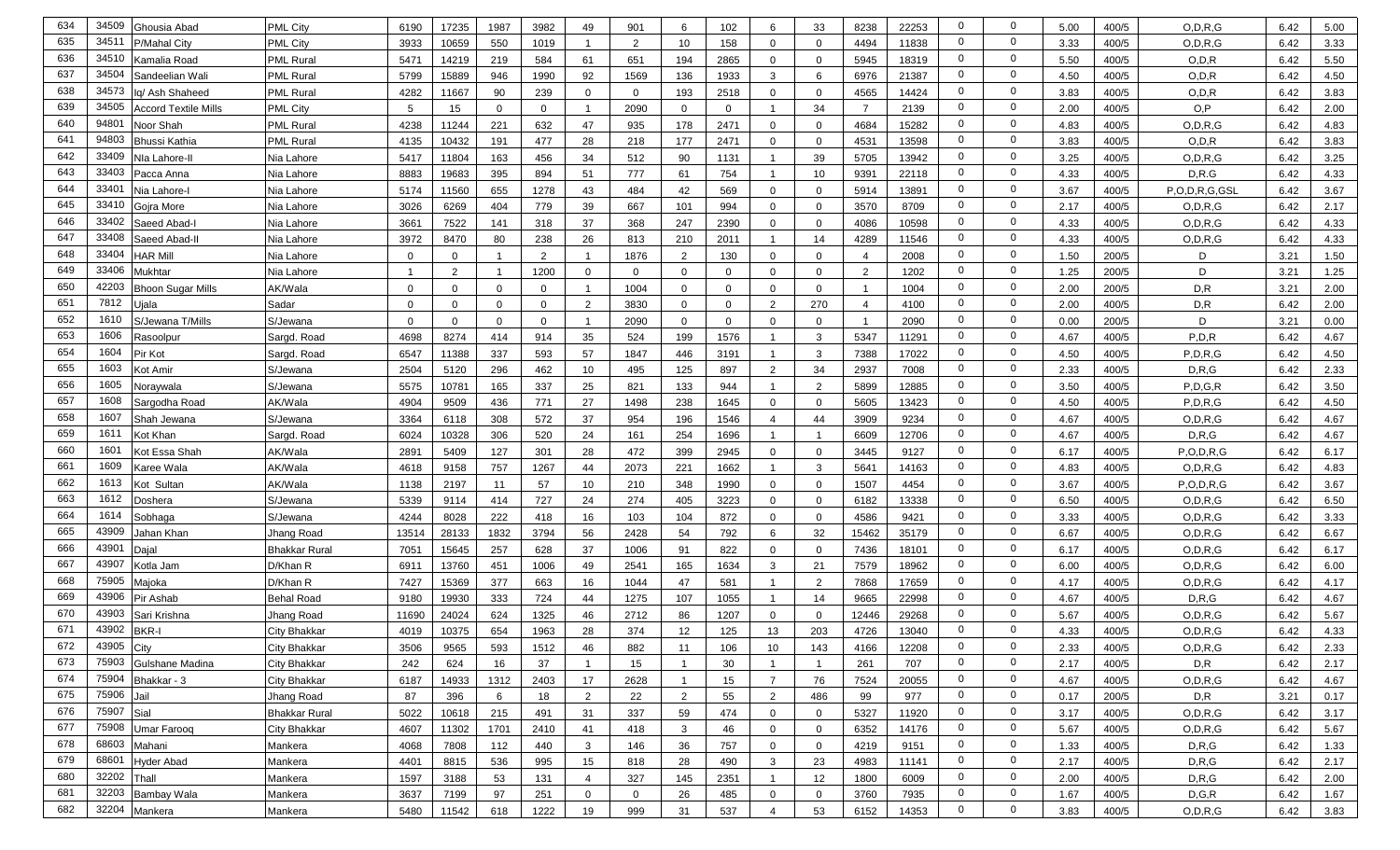| 634 | 34509            | Ghousia Abad         | <b>PML City</b>      | 6190         | 17235       | 1987         | 3982         | 49               | 901            | 6              | 102         | 6                       | 33             | 8238           | 22253 | $\mathbf 0$    | 0              | 5.00 | 400/5 | O, D, R, G    | 6.42 | 5.00 |
|-----|------------------|----------------------|----------------------|--------------|-------------|--------------|--------------|------------------|----------------|----------------|-------------|-------------------------|----------------|----------------|-------|----------------|----------------|------|-------|---------------|------|------|
| 635 | 3451             | P/Mahal City         | <b>PML City</b>      | 3933         | 10659       | 550          | 1019         |                  | $\overline{2}$ | 10             | 158         | $\mathbf 0$             | 0              | 4494           | 11838 | $\mathbf 0$    | $\mathbf 0$    | 3.33 | 400/5 | O, D, R, G    | 6.42 | 3.33 |
| 636 | 34510            | Kamalia Road         | <b>PML Rural</b>     | 5471         | 14219       | 219          | 584          | 61               | 651            | 194            | 2865        | $\mathbf 0$             | 0              | 5945           | 18319 | $\mathbf{0}$   | $\mathbf 0$    | 5.50 | 400/5 | O, D, R       | 6.42 | 5.50 |
| 637 | 34504            | Sandeelian Wali      | <b>PML Rural</b>     | 5799         | 15889       | 946          | 1990         | 92               | 1569           | 136            | 1933        | $\mathbf{3}$            | 6              | 6976           | 21387 | $\mathbf 0$    | $\mathbf 0$    | 4.50 | 400/5 | O, D, R       | 6.42 | 4.50 |
| 638 | 34573            | Iq/ Ash Shaheed      | <b>PML Rural</b>     | 4282         | 11667       | 90           | 239          | $\mathbf{0}$     | $\mathbf 0$    | 193            | 2518        | $\mathbf 0$             | $\mathbf 0$    | 4565           | 14424 | $\mathbf 0$    | $\mathbf 0$    | 3.83 | 400/5 | O, D, R       | 6.42 | 3.83 |
| 639 | 34505            | Accord Textile Mills | <b>PML City</b>      | 5            | 15          | $\mathbf{0}$ | $\mathbf 0$  |                  | 2090           | $\mathbf 0$    | $\mathbf 0$ |                         | 34             | $\overline{7}$ | 2139  | $\mathbf 0$    | $\mathbf 0$    | 2.00 | 400/5 | O,P           | 6.42 | 2.00 |
| 640 | 94801            | Noor Shah            | <b>PML Rural</b>     | 4238         | 11244       | 221          | 632          | 47               | 935            | 178            | 2471        | $\mathbf 0$             | $\mathbf 0$    | 4684           | 15282 | $\mathbf 0$    | $\mathbf 0$    | 4.83 | 400/5 | O, D, R, G    | 6.42 | 4.83 |
| 641 | 94803            | Bhussi Kathia        | <b>PML Rural</b>     | 4135         | 10432       | 191          | 477          | 28               | 218            | 177            | 2471        | $\Omega$                | $\mathbf 0$    | 4531           | 13598 | $\mathbf 0$    | $\overline{0}$ | 3.83 | 400/5 | O.D.R         | 6.42 | 3.83 |
| 642 | 33409            | Nla Lahore-II        | Nia Lahore           | 5417         | 11804       | 163          | 456          | 34               | 512            | 90             | 1131        |                         | 39             | 5705           | 13942 | $\mathbf 0$    | $\Omega$       | 3.25 | 400/5 | O, D, R, G    | 6.42 | 3.25 |
| 643 | 33403            | Pacca Anna           | Nia Lahore           | 8883         | 19683       | 395          | 894          | 51               | 777            | 61             | 754         | $\overline{1}$          | 10             | 9391           | 22118 | $\mathbf 0$    | $\mathbf 0$    | 4.33 | 400/5 | D.R.G         | 6.42 | 4.33 |
| 644 | 33401            | Nia Lahore-l         | Nia Lahore           | 5174         | 11560       | 655          | 1278         | 43               | 484            | 42             | 569         | $\overline{0}$          | $\mathbf 0$    | 5914           | 13891 | $\mathbf 0$    | $\mathbf 0$    | 3.67 | 400/5 | P,O,D,R,G,GSL | 6.42 | 3.67 |
| 645 | 33410            | Gojra More           | Nia Lahore           | 3026         | 6269        | 404          | 779          | 39               | 667            | 101            | 994         | $\mathbf 0$             | $\mathbf 0$    | 3570           | 8709  | $\mathbf 0$    | $\mathbf 0$    | 2.17 | 400/5 | O, D, R, G    | 6.42 | 2.17 |
| 646 | 33402            | Saeed Abad-I         | Nia Lahore           | 3661         | 7522        | 141          | 318          | 37               | 368            | 247            | 2390        | $\mathbf 0$             | $\mathbf 0$    | 4086           | 10598 | $\mathbf 0$    | $\mathbf 0$    | 4.33 | 400/5 | O, D, R, G    | 6.42 | 4.33 |
| 647 | 33408            | Saeed Abad-II        | Nia Lahore           | 3972         | 8470        | 80           | 238          | 26               | 813            | 210            | 2011        | -1                      | 14             | 4289           | 11546 | $\mathbf 0$    | $\mathbf 0$    | 4.33 | 400/5 | O, D, R, G    | 6.42 | 4.33 |
| 648 | 33404            | HAR Mill             | Nia Lahore           | 0            | $\mathbf 0$ |              | 2            |                  | 1876           | $\overline{2}$ | 130         | $\mathbf 0$             | 0              | $\overline{4}$ | 2008  | $\mathbf 0$    | $\mathbf 0$    | 1.50 | 200/5 | D             | 3.21 | 1.50 |
| 649 | 33406            | Mukhtar              | Nia Lahore           | -1           | 2           |              | 1200         | 0                | $\Omega$       | $\mathbf 0$    | $\mathbf 0$ | $\mathbf 0$             | $\mathbf 0$    | 2              | 1202  | $\mathbf 0$    | $\mathbf 0$    | 1.25 | 200/5 | D             | 3.21 | 1.25 |
| 650 | 42203            | Bhoon Sugar Mills    | AK/Wala              | $\mathbf{0}$ | $\Omega$    | $\Omega$     | $\mathbf 0$  |                  | 1004           | $\mathbf 0$    | $\mathbf 0$ | $\mathbf 0$             | 0              |                | 1004  | $\mathbf 0$    | $\mathbf 0$    | 2.00 | 200/5 | D, R          | 3.21 | 2.00 |
| 651 | 7812             | Jjala                | Sadar                | $\Omega$     | $\mathbf 0$ | $\mathbf{0}$ | $\mathbf{0}$ | $\overline{2}$   | 3830           | 0              | $\mathbf 0$ | $\overline{2}$          | 270            | $\overline{4}$ | 4100  | $\mathbf 0$    | $\mathbf 0$    | 2.00 | 400/5 | D,R           | 6.42 | 2.00 |
| 652 | 1610             | S/Jewana T/Mills     | S/Jewana             | $\Omega$     | $\Omega$    | $\Omega$     | $\mathbf 0$  |                  | 2090           | $\mathbf 0$    | $\Omega$    | $\Omega$                | 0              |                | 2090  | $\mathbf 0$    | $\mathbf 0$    | 0.00 | 200/5 | D             | 3.21 | 0.00 |
| 653 | 1606             | Rasoolpur            | Sargd. Road          | 4698         | 8274        | 414          | 914          | 35               | 524            | 199            | 1576        | -1                      | 3              | 5347           | 11291 | $\mathbf 0$    | $\mathbf 0$    | 4.67 | 400/5 | P, D, R       | 6.42 | 4.67 |
| 654 | 1604             | Pir Kot              | Sargd. Road          | 6547         | 11388       | 337          | 593          | 57               | 1847           | 446            | 3191        |                         | 3              | 7388           | 17022 | $\mathbf 0$    | $\mathbf 0$    | 4.50 | 400/5 | P, D, R, G    | 6.42 | 4.50 |
| 655 | 1603             | Kot Amir             | S/Jewana             | 2504         | 5120        | 296          | 462          | 10               | 495            | 125            | 897         | 2                       | 34             | 2937           | 7008  | $\mathbf 0$    | $\mathbf 0$    | 2.33 | 400/5 | D.R.G         | 6.42 | 2.33 |
| 656 | 1605             | Noraywala            | S/Jewana             | 5575         | 10781       | 165          | 337          | 25               | 821            | 133            | 944         | -1                      | $\overline{2}$ | 5899           | 12885 | $\mathbf 0$    | $\mathbf 0$    | 3.50 | 400/5 | P.D.G.R       | 6.42 | 3.50 |
| 657 | 1608             | Sargodha Road        | AK/Wala              | 4904         | 9509        | 436          | 771          | 27               | 1498           | 238            | 1645        | $\mathbf 0$             | $\mathbf{0}$   | 5605           | 13423 | 0              | $\mathbf 0$    | 4.50 | 400/5 | P, D, R, G    | 6.42 | 4.50 |
| 658 | 1607             | Shah Jewana          | S/Jewana             | 3364         | 6118        | 308          | 572          | 37               | 954            | 196            | 1546        | $\overline{4}$          | 44             | 3909           | 9234  | 0              | $\mathbf 0$    | 4.67 | 400/5 | O, D, R, G    | 6.42 | 4.67 |
| 659 | 1611             | Kot Khan             | Sargd. Road          | 6024         | 10328       | 306          | 520          | 24               | 161            | 254            | 1696        |                         | -1             | 6609           | 12706 | $\mathbf 0$    | $\mathbf 0$    | 4.67 | 400/5 | D, R, G       | 6.42 | 4.67 |
| 660 | 160 <sup>°</sup> | Kot Essa Shah        | AK/Wala              | 2891         | 5409        | 127          | 301          | 28               | 472            | 399            | 2945        | $\mathbf 0$             | 0              | 3445           | 9127  | $\mathbf 0$    | $\mathbf 0$    | 6.17 | 400/5 | P, O, D, R, G | 6.42 | 6.17 |
| 661 | 1609             | Karee Wala           | AK/Wala              | 4618         | 9158        | 757          | 1267         | 44               | 2073           | 221            | 1662        |                         | 3              | 5641           | 14163 | $\mathbf 0$    | $\mathbf 0$    | 4.83 | 400/5 | O, D, R, G    | 6.42 | 4.83 |
| 662 | 1613             | Kot Sultan           | AK/Wala              | 1138         | 2197        | 11           | 57           | 10               | 210            | 348            | 1990        | $\overline{0}$          | 0              | 1507           | 4454  | $\mathbf 0$    | $\mathbf 0$    | 3.67 | 400/5 | P, O, D, R, G | 6.42 | 3.67 |
| 663 | 1612             | Doshera              | S/Jewana             | 5339         | 9114        | 414          | 727          | 24               | 274            | 405            | 3223        | $\mathbf 0$             | 0              | 6182           | 13338 | $\mathbf 0$    | $\mathbf 0$    | 6.50 | 400/5 | O, D, R, G    | 6.42 | 6.50 |
| 664 | 1614             | Sobhaga              | S/Jewana             | 4244         | 8028        | 222          | 418          | 16               | 103            | 104            | 872         | $\mathbf 0$             | 0              | 4586           | 9421  | $\mathbf 0$    | $\mathbf 0$    | 3.33 | 400/5 | O, D, R, G    | 6.42 | 3.33 |
| 665 | 43909            | Jahan Khan           | Jhang Road           | 13514        | 28133       | 1832         | 3794         | 56               | 2428           | 54             | 792         | 6                       | 32             | 15462          | 35179 | $\mathbf 0$    | $\mathbf 0$    | 6.67 | 400/5 | O, D, R, G    | 6.42 | 6.67 |
| 666 | 43901            | Dajal                | <b>Bhakkar Rural</b> | 7051         | 15645       | 257          | 628          | 37               | 1006           | 91             | 822         | $\Omega$                | 0              | 7436           | 18101 | $\mathbf 0$    | $\mathbf 0$    | 6.17 | 400/5 | O, D, R, G    | 6.42 | 6.17 |
| 667 | 43907            | Kotla Jam            | D/Khan R             | 6911         | 13760       | 451          | 1006         | 49               | 2541           | 165            | 1634        | $\mathbf{3}$            | 21             | 7579           | 18962 | $\mathbf 0$    | $\mathbf 0$    | 6.00 | 400/5 | O, D, R, G    | 6.42 | 6.00 |
| 668 | 75905            | Majoka               | D/Khan R             | 7427         | 15369       | 377          | 663          | 16               | 1044           | 47             | 581         | $\overline{\mathbf{1}}$ | $\overline{2}$ | 7868           | 17659 | $\mathbf 0$    | $\mathbf 0$    | 4.17 | 400/5 | O, D, R, G    | 6.42 | 4.17 |
| 669 | 43906            | Pir Ashab            | <b>Behal Road</b>    | 9180         | 19930       | 333          | 724          | 44               | 1275           | 107            | 1055        | -1                      | 14             | 9665           | 22998 | $\mathbf 0$    | $\mathbf 0$    | 4.67 | 400/5 | D.R.G         | 6.42 | 4.67 |
| 670 | 43903            | Sari Krishna         | Jhang Road           | 11690        | 24024       | 624          | 1325         | 46               | 2712           | 86             | 1207        | $\overline{0}$          | 0              | 12446          | 29268 | 0              | $\mathbf 0$    | 5.67 | 400/5 | O, D, R, G    | 6.42 | 5.67 |
| 671 | 43902            | <b>BKR-I</b>         | City Bhakkar         | 4019         | 10375       | 654          | 1963         | 28               | 374            | 12             | 125         | 13                      | 203            | 4726           | 13040 | $\Omega$       | $\mathbf 0$    | 4.33 | 400/5 | O, D, R, G    | 6.42 | 4.33 |
| 672 | 43905 City       |                      | <b>City Bhakkar</b>  | 3506         | 9565        | 593          | 1512         | 46               | 882            | 11             | 106         | 10                      | 143            | 4166           | 12208 | $\mathbf 0$    | $\mathbf 0$    | 2.33 | 400/5 | O, D, R, G    | 6.42 | 2.33 |
| 673 | 75903            | Gulshane Madina      | <b>City Bhakkar</b>  | 242          | 624         | 16           | 37           | $\mathbf{1}$     | 15             | $\mathbf{1}$   | 30          | $\overline{1}$          | $\overline{1}$ | 261            | 707   | $\overline{0}$ | $\overline{0}$ | 2.17 | 400/5 | D, R          | 6.42 | 2.17 |
| 674 | 75904            | Bhakkar - 3          | <b>City Bhakkar</b>  | 6187         | 14933       | 1312         | 2403         | 17               | 2628           | $\overline{1}$ | 15          | $\overline{7}$          | 76             | 7524           | 20055 | $\overline{0}$ | $\overline{0}$ | 4.67 | 400/5 | O, D, R, G    | 6.42 | 4.67 |
| 675 | 75906            | Jail                 | Jhang Road           | 87           | 396         | 6            | 18           | $\overline{2}$   | 22             | $\overline{2}$ | 55          | $\overline{2}$          | 486            | 99             | 977   | $\overline{0}$ | $\overline{0}$ | 0.17 | 200/5 | D, R          | 3.21 | 0.17 |
| 676 | 75907            | Sial                 | <b>Bhakkar Rural</b> | 5022         | 10618       | 215          | 491          | 31               | 337            | 59             | 474         | $\overline{0}$          | $\overline{0}$ | 5327           | 11920 | $\overline{0}$ | $\overline{0}$ | 3.17 | 400/5 | O, D, R, G    | 6.42 | 3.17 |
| 677 | 75908            | Umar Farooq          | <b>City Bhakkar</b>  | 4607         | 11302       | 1701         | 2410         | 41               | 418            | $\mathbf{3}$   | 46          | $\mathbf 0$             | $\mathbf{0}$   | 6352           | 14176 | $\overline{0}$ | $\overline{0}$ | 5.67 | 400/5 | O, D, R, G    | 6.42 | 5.67 |
| 678 | 68603            | Mahani               | Mankera              | 4068         | 7808        | 112          | 440          | $\mathbf{3}$     | 146            | 36             | 757         | $\overline{0}$          | $\overline{0}$ | 4219           | 9151  | $\overline{0}$ | $\overline{0}$ | 1.33 | 400/5 | D, R, G       | 6.42 | 1.33 |
| 679 | 68601            | <b>Hyder Abad</b>    | Mankera              | 4401         | 8815        | 536          | 995          | 15 <sub>15</sub> | 818            | 28             | 490         | $\mathbf{3}$            | 23             | 4983           | 11141 | $\overline{0}$ | $\overline{0}$ | 2.17 | 400/5 | D, R, G       | 6.42 | 2.17 |
| 680 | 32202            | Thall                | Mankera              | 1597         | 3188        | 53           | 131          | $\overline{4}$   | 327            | 145            | 2351        | -1                      | 12             | 1800           | 6009  | $\overline{0}$ | $\overline{0}$ | 2.00 | 400/5 | D, R, G       | 6.42 | 2.00 |
| 681 | 32203            | <b>Bambay Wala</b>   | Mankera              | 3637         | 7199        | 97           | 251          | $\overline{0}$   | $\mathbf 0$    | 26             | 485         | $\overline{0}$          | $\overline{0}$ | 3760           | 7935  | $\overline{0}$ | $\overline{0}$ | 1.67 | 400/5 | D, G, R       | 6.42 | 1.67 |
| 682 | 32204            | Mankera              | Mankera              | 5480         | 11542       | 618          | 1222         | 19               | 999            | 31             | 537         | $\overline{4}$          | 53             | 6152           | 14353 | $\overline{0}$ | $\overline{0}$ | 3.83 | 400/5 | O, D, R, G    | 6.42 | 3.83 |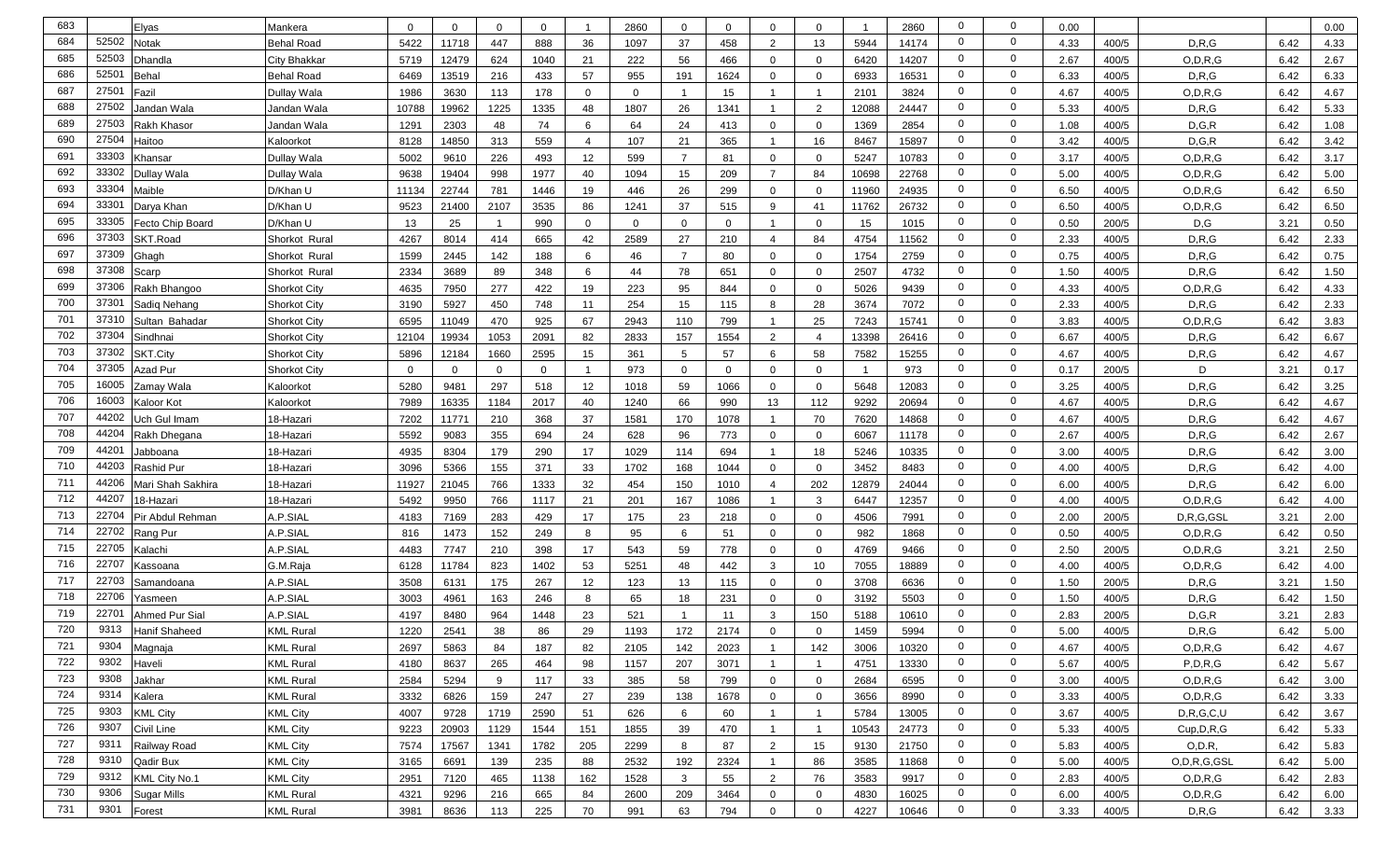| 683 |       |                                                                                                                                                                                                                                                                                                                                                                                                          | Mankera             | $\Omega$ | $\Omega$ | $\Omega$ | $\mathbf{0}$ |              | 2860        | $\mathbf 0$    | $\Omega$     | $\mathbf 0$    | $\mathbf{0}$   |       | 2860  | 0              | $\mathbf 0$    | 0.00 |       |               |      |              |
|-----|-------|----------------------------------------------------------------------------------------------------------------------------------------------------------------------------------------------------------------------------------------------------------------------------------------------------------------------------------------------------------------------------------------------------------|---------------------|----------|----------|----------|--------------|--------------|-------------|----------------|--------------|----------------|----------------|-------|-------|----------------|----------------|------|-------|---------------|------|--------------|
| 684 | 52502 | Elyas<br>Notak                                                                                                                                                                                                                                                                                                                                                                                           | <b>Behal Road</b>   | 5422     | 11718    | 447      | 888          | 36           | 1097        | 37             | 458          | 2              | 13             | 5944  | 14174 | $\mathbf 0$    | $\mathbf 0$    | 4.33 | 400/5 | D.R.G         | 6.42 | 0.00<br>4.33 |
| 685 | 52503 | Dhandla                                                                                                                                                                                                                                                                                                                                                                                                  | City Bhakkaı        | 5719     | 12479    | 624      | 1040         | 21           | 222         | 56             | 466          | $\mathbf 0$    | $\mathbf 0$    | 6420  | 14207 | $\mathbf 0$    | $\mathbf 0$    | 2.67 | 400/5 | O.D.R.G       | 6.42 | 2.67         |
| 686 | 5250  | Behal                                                                                                                                                                                                                                                                                                                                                                                                    | <b>Behal Road</b>   | 6469     | 13519    | 216      | 433          | 57           | 955         | 191            | 1624         | $\mathbf 0$    | $\mathbf 0$    | 6933  | 16531 | $\mathbf 0$    | $\mathbf 0$    | 6.33 | 400/5 | D, R, G       | 6.42 | 6.33         |
| 687 | 2750' | Fazil                                                                                                                                                                                                                                                                                                                                                                                                    | Dullay Wala         | 1986     | 3630     | 113      | 178          | 0            | $\mathbf 0$ | $\overline{1}$ | 15           |                |                | 2101  | 3824  | $\mathbf 0$    | $\mathbf 0$    | 4.67 | 400/5 | O, D, R, G    | 6.42 | 4.67         |
| 688 | 27502 | Jandan Wala                                                                                                                                                                                                                                                                                                                                                                                              | Jandan Wala         | 10788    | 19962    | 1225     | 1335         | 48           | 1807        | 26             | 1341         |                | 2              | 12088 | 24447 | $\mathbf 0$    | $\overline{0}$ | 5.33 | 400/5 | D, R, G       | 6.42 | 5.33         |
| 689 | 27503 | Rakh Khasor                                                                                                                                                                                                                                                                                                                                                                                              | Jandan Wala         | 1291     | 2303     | 48       | 74           | 6            | 64          | 24             | 413          | $\mathbf 0$    | $\mathbf{0}$   | 1369  | 2854  | $\mathbf 0$    | $\overline{0}$ | 1.08 | 400/5 | D, G, R       | 6.42 | 1.08         |
| 690 | 27504 | Haitoo                                                                                                                                                                                                                                                                                                                                                                                                   | Kaloorkot           | 8128     | 14850    | 313      | 559          | -4           | 107         | 21             | 365          | -1             | 16             | 8467  | 15897 | $\mathbf 0$    | $\mathbf 0$    | 3.42 | 400/5 | D.G.R         | 6.42 | 3.42         |
| 691 | 33303 | <hansar< td=""><td>Dullay Wala</td><td>5002</td><td>9610</td><td>226</td><td>493</td><td>12</td><td>599</td><td><math>\overline{7}</math></td><td>81</td><td><math>\mathbf 0</math></td><td><math>\overline{0}</math></td><td>5247</td><td>10783</td><td><math>\mathbf 0</math></td><td><math>\overline{0}</math></td><td>3.17</td><td>400/5</td><td>O, D, R, G</td><td>6.42</td><td>3.17</td></hansar<> | Dullay Wala         | 5002     | 9610     | 226      | 493          | 12           | 599         | $\overline{7}$ | 81           | $\mathbf 0$    | $\overline{0}$ | 5247  | 10783 | $\mathbf 0$    | $\overline{0}$ | 3.17 | 400/5 | O, D, R, G    | 6.42 | 3.17         |
| 692 | 33302 | Dullay Wala                                                                                                                                                                                                                                                                                                                                                                                              | Dullay Wala         | 9638     | 19404    | 998      | 1977         | 40           | 1094        | 15             | 209          | $\overline{7}$ | 84             | 10698 | 22768 | $\overline{0}$ | $\overline{0}$ | 5.00 | 400/5 | O, D, R, G    | 6.42 | 5.00         |
| 693 | 33304 | Maible                                                                                                                                                                                                                                                                                                                                                                                                   | D/Khan U            | 11134    | 22744    | 781      | 1446         | 19           | 446         | 26             | 299          | $\Omega$       | $\mathbf{0}$   | 11960 | 24935 | $\overline{0}$ | $\overline{0}$ | 6.50 | 400/5 | O, D, R, G    | 6.42 | 6.50         |
| 694 | 33301 | Darya Khan                                                                                                                                                                                                                                                                                                                                                                                               | D/Khan U            | 9523     | 21400    | 2107     | 3535         | 86           | 1241        | 37             | 515          | 9              | 41             | 11762 | 26732 | $\mathbf 0$    | $\overline{0}$ | 6.50 | 400/5 | O, D, R, G    | 6.42 | 6.50         |
| 695 | 33305 | Fecto Chip Board                                                                                                                                                                                                                                                                                                                                                                                         | D/Khan U            | 13       | 25       |          | 990          | $\mathbf{0}$ | $\mathbf 0$ | $\mathbf 0$    | $\mathbf{0}$ |                | $\Omega$       | 15    | 1015  | $\mathbf 0$    | $\mathbf 0$    | 0.50 | 200/5 | D,G           | 3.21 | 0.50         |
| 696 | 37303 | SKT.Road                                                                                                                                                                                                                                                                                                                                                                                                 | Shorkot Rural       | 4267     | 8014     | 414      | 665          | 42           | 2589        | 27             | 210          | $\overline{4}$ | 84             | 4754  | 11562 | $\mathbf 0$    | $\mathbf 0$    | 2.33 | 400/5 | D, R, G       | 6.42 | 2.33         |
| 697 | 37309 | Ghagh                                                                                                                                                                                                                                                                                                                                                                                                    | Shorkot Rural       | 1599     | 2445     | 142      | 188          | 6            | 46          | $\overline{7}$ | 80           | $\overline{0}$ | $\mathbf 0$    | 1754  | 2759  | 0              | $\mathbf 0$    | 0.75 | 400/5 | D, R, G       | 6.42 | 0.75         |
| 698 | 37308 | Scarp                                                                                                                                                                                                                                                                                                                                                                                                    | Shorkot Rural       | 2334     | 3689     | 89       | 348          | 6            | 44          | 78             | 651          | $\Omega$       | $\mathbf{0}$   | 2507  | 4732  | $\mathbf 0$    | $\mathbf 0$    | 1.50 | 400/5 | D.R.G         | 6.42 | 1.50         |
| 699 | 37306 | Rakh Bhangoo                                                                                                                                                                                                                                                                                                                                                                                             | <b>Shorkot City</b> | 4635     | 7950     | 277      | 422          | 19           | 223         | 95             | 844          | $\mathbf 0$    | $\mathbf 0$    | 5026  | 9439  | $\mathbf 0$    | $\mathbf 0$    | 4.33 | 400/5 | O, D, R, G    | 6.42 | 4.33         |
| 700 | 3730  | Sadiq Nehang                                                                                                                                                                                                                                                                                                                                                                                             | <b>Shorkot City</b> | 3190     | 5927     | 450      | 748          | 11           | 254         | 15             | 115          | 8              | 28             | 3674  | 7072  | $\mathbf 0$    | $\overline{0}$ | 2.33 | 400/5 | D, R, G       | 6.42 | 2.33         |
| 701 | 3731  | Sultan Bahadar                                                                                                                                                                                                                                                                                                                                                                                           | <b>Shorkot City</b> | 6595     | 11049    | 470      | 925          | 67           | 2943        | 110            | 799          | -1             | 25             | 7243  | 15741 | $\mathbf 0$    | $\mathbf 0$    | 3.83 | 400/5 | O.D.R.G       | 6.42 | 3.83         |
| 702 | 37304 | Sindhnai                                                                                                                                                                                                                                                                                                                                                                                                 | <b>Shorkot City</b> | 12104    | 19934    | 1053     | 2091         | 82           | 2833        | 157            | 1554         | 2              | $\overline{4}$ | 13398 | 26416 | $\mathbf 0$    | $\mathbf 0$    | 6.67 | 400/5 | D, R, G       | 6.42 | 6.67         |
| 703 | 37302 | SKT.City                                                                                                                                                                                                                                                                                                                                                                                                 | <b>Shorkot City</b> | 5896     | 12184    | 1660     | 2595         | 15           | 361         | 5              | 57           | 6              | 58             | 7582  | 15255 | $\mathbf{0}$   | $\mathbf 0$    | 4.67 | 400/5 | D.R.G         | 6.42 | 4.67         |
| 704 | 37305 | Azad Pur                                                                                                                                                                                                                                                                                                                                                                                                 | <b>Shorkot City</b> | $\Omega$ | $\Omega$ | $\Omega$ | $\mathbf{0}$ |              | 973         | $\mathbf 0$    | $\Omega$     | $\mathbf 0$    | $\mathbf{0}$   |       | 973   | $\overline{0}$ | $\mathbf 0$    | 0.17 | 200/5 | D             | 3.21 | 0.17         |
| 705 | 16005 | Zamay Wala                                                                                                                                                                                                                                                                                                                                                                                               | Kaloorkot           | 5280     | 9481     | 297      | 518          | 12           | 1018        | 59             | 1066         | $\Omega$       | $\mathbf 0$    | 5648  | 12083 | $\overline{0}$ | $\mathbf 0$    | 3.25 | 400/5 | D, R, G       | 6.42 | 3.25         |
| 706 | 16003 | Kaloor Kot                                                                                                                                                                                                                                                                                                                                                                                               | Kaloorkot           | 7989     | 16335    | 1184     | 2017         | 40           | 1240        | 66             | 990          | 13             | 112            | 9292  | 20694 | $\mathbf 0$    | $\mathbf 0$    | 4.67 | 400/5 | D.R.G         | 6.42 | 4.67         |
| 707 | 44202 | Jch Gul Imam                                                                                                                                                                                                                                                                                                                                                                                             | 18-Hazar            | 7202     | 11771    | 210      | 368          | 37           | 1581        | 170            | 1078         |                | 70             | 7620  | 14868 | $\mathbf 0$    | $\mathbf 0$    | 4.67 | 400/5 | D.R.G         | 6.42 | 4.67         |
| 708 | 44204 | Rakh Dhegana                                                                                                                                                                                                                                                                                                                                                                                             | 18-Hazari           | 5592     | 9083     | 355      | 694          | 24           | 628         | 96             | 773          | $\mathbf 0$    | $\mathbf 0$    | 6067  | 11178 | $\mathbf 0$    | $\mathbf 0$    | 2.67 | 400/5 | D.R.G         | 6.42 | 2.67         |
| 709 | 4420  | Jabboana                                                                                                                                                                                                                                                                                                                                                                                                 | 18-Hazari           | 4935     | 8304     | 179      | 290          | 17           | 1029        | 114            | 694          | -1             | 18             | 5246  | 10335 | 0              | $\mathbf 0$    | 3.00 | 400/5 | D.R.G         | 6.42 | 3.00         |
| 710 | 4420  | Rashid Pur                                                                                                                                                                                                                                                                                                                                                                                               | 18-Hazari           | 3096     | 5366     | 155      | 371          | 33           | 1702        | 168            | 1044         | $\overline{0}$ | $\overline{0}$ | 3452  | 8483  | $\mathbf 0$    | $\overline{0}$ | 4.00 | 400/5 | D, R, G       | 6.42 | 4.00         |
| 711 | 44206 | Mari Shah Sakhira                                                                                                                                                                                                                                                                                                                                                                                        | 18-Hazari           | 11927    | 21045    | 766      | 1333         | 32           | 454         | 150            | 1010         | $\overline{4}$ | 202            | 12879 | 24044 | $\mathbf 0$    | $\mathbf 0$    | 6.00 | 400/5 | D, R, G       | 6.42 | 6.00         |
| 712 | 4420  | 18-Hazari                                                                                                                                                                                                                                                                                                                                                                                                | 18-Hazari           | 5492     | 9950     | 766      | 1117         | 21           | 201         | 167            | 1086         |                | 3              | 6447  | 12357 | $\mathbf 0$    | $\overline{0}$ | 4.00 | 400/5 | O, D, R, G    | 6.42 | 4.00         |
| 713 | 22704 | Pir Abdul Rehman                                                                                                                                                                                                                                                                                                                                                                                         | <b>A.P.SIAL</b>     | 4183     | 7169     | 283      | 429          | 17           | 175         | 23             | 218          | $\mathbf 0$    | $\mathbf 0$    | 4506  | 7991  | $\mathbf 0$    | $\overline{0}$ | 2.00 | 200/5 | D,R,G,GSL     | 3.21 | 2.00         |
| 714 | 22702 | Rang Pur                                                                                                                                                                                                                                                                                                                                                                                                 | A.P.SIAL            | 816      | 1473     | 152      | 249          | 8            | 95          | 6              | 51           | $\mathbf 0$    | $\mathbf{0}$   | 982   | 1868  | $\mathbf 0$    | $\mathbf 0$    | 0.50 | 400/5 | O.D.R.G       | 6.42 | 0.50         |
| 715 | 22705 | Kalachi                                                                                                                                                                                                                                                                                                                                                                                                  | A.P.SIAL            | 4483     | 7747     | 210      | 398          | 17           | 543         | 59             | 778          | $\mathbf 0$    | $\mathbf{0}$   | 4769  | 9466  | $\mathbf 0$    | $\mathbf 0$    | 2.50 | 200/5 | O, D, R, G    | 3.21 | 2.50         |
| 716 | 22707 | Kassoana                                                                                                                                                                                                                                                                                                                                                                                                 | G.M.Raja            | 6128     | 11784    | 823      | 1402         | 53           | 5251        | 48             | 442          | 3              | 10             | 7055  | 18889 | $\mathbf 0$    | $\mathbf 0$    | 4.00 | 400/5 | O, D, R, G    | 6.42 | 4.00         |
| 717 | 22703 | Samandoana                                                                                                                                                                                                                                                                                                                                                                                               | A.P.SIAL            | 3508     | 6131     | 175      | 267          | 12           | 123         | 13             | 115          | $\mathbf 0$    | $\mathbf{0}$   | 3708  | 6636  | $\mathbf 0$    | $\mathbf 0$    | 1.50 | 200/5 | D.R.G         | 3.21 | 1.50         |
| 718 | 22706 | Yasmeen                                                                                                                                                                                                                                                                                                                                                                                                  | A.P.SIAL            | 3003     | 4961     | 163      | 246          | 8            | 65          | 18             | 231          | $\Omega$       | $\mathbf{0}$   | 3192  | 5503  | 0              | $\mathbf 0$    | 1.50 | 400/5 | D, R, G       | 6.42 | 1.50         |
| 719 | 2270' | Ahmed Pur Sial                                                                                                                                                                                                                                                                                                                                                                                           | A.P.SIAI            | 4197     | 8480     | 964      | 1448         | 23           | 521         |                | 11           | 3              | 150            | 5188  | 10610 | 0              | $\overline{0}$ | 2.83 | 200/5 | D, G, R       | 3.21 | 2.83         |
| 720 | 9313  | Hanif Shaheed                                                                                                                                                                                                                                                                                                                                                                                            | <b>KML Rural</b>    | 1220     | 2541     | 38       | 86           | 29           | 1193        | 172            | 2174         | $\Omega$       | $\Omega$       | 1459  | 5994  | $\Omega$       | $\Omega$       | 5.00 | 400/5 | D.R.G         | 6.42 | 5.00         |
| 721 | 9304  | Magnaja                                                                                                                                                                                                                                                                                                                                                                                                  | <b>KML Rural</b>    | 2697     | 5863     | 84       | 187          | 82           | 2105        | 142            | 2023         | -1             | 142            | 3006  | 10320 | $\mathbf{0}$   | $\overline{0}$ | 4.67 | 400/5 | O, D, R, G    | 6.42 | 4.67         |
| 722 | 9302  | Haveli                                                                                                                                                                                                                                                                                                                                                                                                   | <b>KML Rural</b>    | 4180     | 8637     | 265      | 464          | 98           | 1157        | 207            | 3071         | $\overline{1}$ | $\overline{1}$ | 4751  | 13330 | $\overline{0}$ | $\overline{0}$ | 5.67 | 400/5 | P, D, R, G    | 6.42 | 5.67         |
| 723 | 9308  | Jakhar                                                                                                                                                                                                                                                                                                                                                                                                   | <b>KML Rural</b>    | 2584     | 5294     | 9        | 117          | 33           | 385         | 58             | 799          | $\mathbf 0$    | $\overline{0}$ | 2684  | 6595  | $\overline{0}$ | $\overline{0}$ | 3.00 | 400/5 | O, D, R, G    | 6.42 | 3.00         |
| 724 | 9314  | Kalera                                                                                                                                                                                                                                                                                                                                                                                                   | <b>KML Rural</b>    | 3332     | 6826     | 159      | 247          | 27           | 239         | 138            | 1678         | $\mathbf 0$    | $\overline{0}$ | 3656  | 8990  | $\overline{0}$ | $\overline{0}$ | 3.33 | 400/5 | O, D, R, G    | 6.42 | 3.33         |
| 725 | 9303  | <b>KML City</b>                                                                                                                                                                                                                                                                                                                                                                                          | <b>KML City</b>     | 4007     | 9728     | 1719     | 2590         | 51           | 626         | 6              | 60           | $\overline{1}$ | $\overline{1}$ | 5784  | 13005 | $\overline{0}$ | $\overline{0}$ | 3.67 | 400/5 | D, R, G, C, U | 6.42 | 3.67         |
| 726 | 9307  | Civil Line                                                                                                                                                                                                                                                                                                                                                                                               | <b>KML City</b>     | 9223     | 20903    | 1129     | 1544         | 151          | 1855        | 39             | 470          | $\overline{1}$ | $\mathbf{1}$   | 10543 | 24773 | $\mathbf 0$    | $\overline{0}$ | 5.33 | 400/5 | Cup,D,R,G     | 6.42 | 5.33         |
| 727 | 9311  | Railway Road                                                                                                                                                                                                                                                                                                                                                                                             | <b>KML City</b>     | 7574     | 17567    | 1341     | 1782         | 205          | 2299        | 8              | 87           | 2              | 15             | 9130  | 21750 | $\overline{0}$ | $\overline{0}$ | 5.83 | 400/5 | O, D.R        | 6.42 | 5.83         |
| 728 | 9310  | Qadir Bux                                                                                                                                                                                                                                                                                                                                                                                                | <b>KML City</b>     | 3165     | 6691     | 139      | 235          | 88           | 2532        | 192            | 2324         | $\overline{1}$ | 86             | 3585  | 11868 | $\overline{0}$ | $\overline{0}$ | 5.00 | 400/5 | O,D,R,G,GSL   | 6.42 | 5.00         |
| 729 | 9312  | KML City No.1                                                                                                                                                                                                                                                                                                                                                                                            | <b>KML City</b>     | 2951     | 7120     | 465      | 1138         | 162          | 1528        | $\mathbf{3}$   | 55           | $\overline{2}$ | 76             | 3583  | 9917  | $\overline{0}$ | $\overline{0}$ | 2.83 | 400/5 | O, D, R, G    | 6.42 | 2.83         |
| 730 | 9306  | <b>Sugar Mills</b>                                                                                                                                                                                                                                                                                                                                                                                       | <b>KML Rural</b>    | 4321     | 9296     | 216      | 665          | 84           | 2600        | 209            | 3464         | $\mathbf 0$    | $\overline{0}$ | 4830  | 16025 | $\overline{0}$ | $\overline{0}$ | 6.00 | 400/5 | O, D, R, G    | 6.42 | 6.00         |
| 731 | 9301  | Forest                                                                                                                                                                                                                                                                                                                                                                                                   | <b>KML Rural</b>    | 3981     | 8636     | 113      | 225          | 70           | 991         | 63             | 794          | $\mathbf 0$    | $\overline{0}$ | 4227  | 10646 | $\overline{0}$ | $\overline{0}$ | 3.33 | 400/5 | D, R, G       | 6.42 | 3.33         |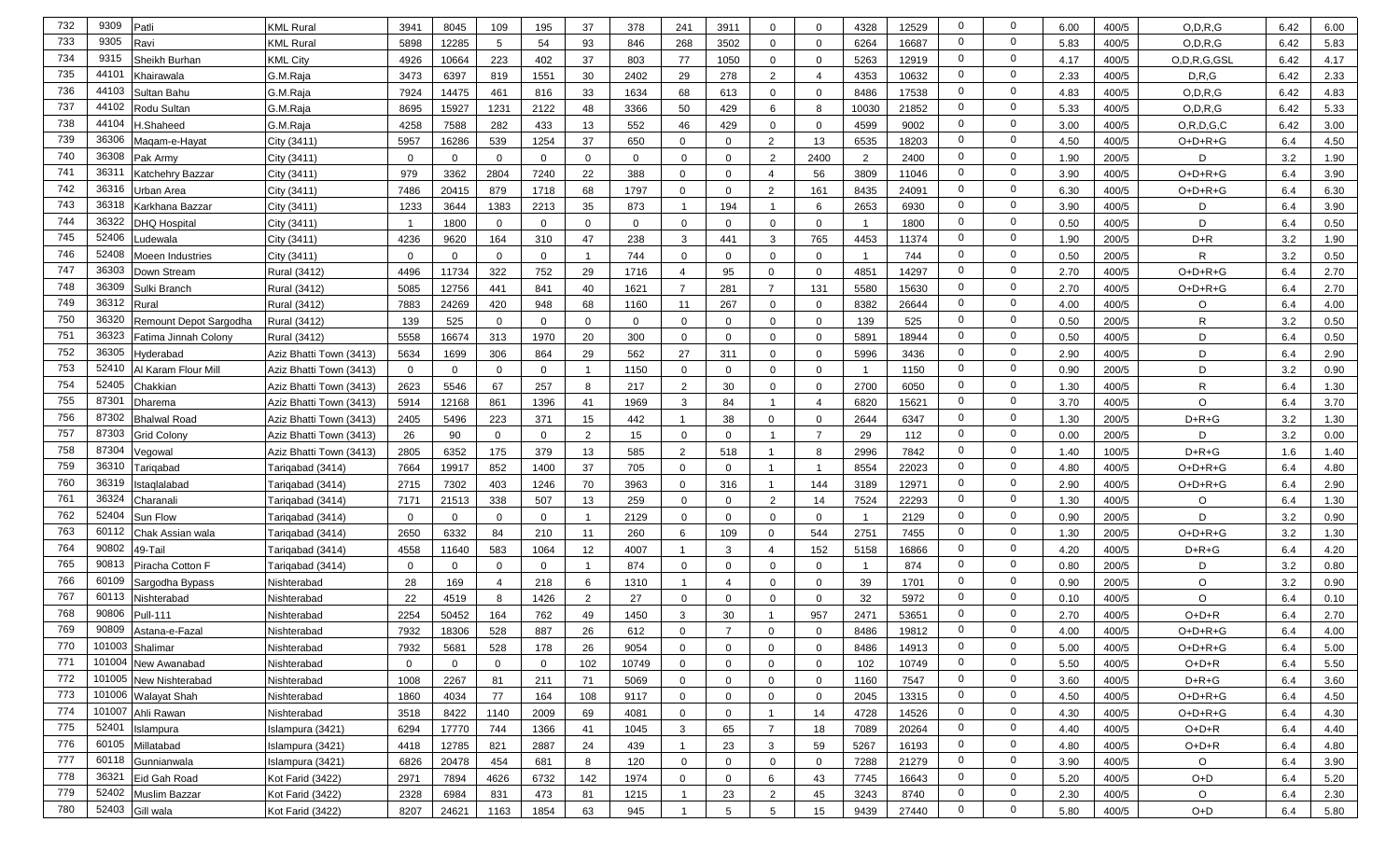| 732 | 9309<br>Patli                  | KML Rural               | 3941        | 8045         | 109          | 195         | 37             | 378         | 241            | 3911           | $\mathbf 0$             | $\mathbf{0}$   | 4328           | 12529 | $\mathbf 0$    | $\mathbf{0}$   | 6.00 | 400/5 | O, D, R, G    | 6.42 | 6.00 |
|-----|--------------------------------|-------------------------|-------------|--------------|--------------|-------------|----------------|-------------|----------------|----------------|-------------------------|----------------|----------------|-------|----------------|----------------|------|-------|---------------|------|------|
| 733 | 9305<br>रavi                   | KML Rural               | 5898        | 12285        | 5            | 54          | 93             | 846         | 268            | 3502           | $\mathbf 0$             | 0              | 6264           | 16687 | $\mathbf 0$    | $\mathbf{0}$   | 5.83 | 400/5 | O.D.R.G       | 6.42 | 5.83 |
| 734 | 9315<br>Sheikh Burhan          | KML City                | 4926        | 10664        | 223          | 402         | 37             | 803         | 77             | 1050           | $\mathbf 0$             | 0              | 5263           | 12919 | $\mathbf{0}$   | $\mathbf{0}$   | 4.17 | 400/5 | O,D,R,G,GSL   | 6.42 | 4.17 |
| 735 | 4410<br>Khairawala             | G.M.Raja                | 3473        | 6397         | 819          | 1551        | 30             | 2402        | 29             | 278            | 2                       | $\overline{4}$ | 4353           | 10632 | $\mathbf 0$    | $\mathbf 0$    | 2.33 | 400/5 | D.R.G         | 6.42 | 2.33 |
| 736 | 44103<br>Sultan Bahu           | G.M.Raja                | 7924        | 14475        | 461          | 816         | 33             | 1634        | 68             | 613            | $\mathbf 0$             | $\mathbf{0}$   | 8486           | 17538 | $\mathbf 0$    | $\mathbf 0$    | 4.83 | 400/5 | O.D.R.G       | 6.42 | 4.83 |
| 737 | 44102<br><b>Rodu Sultan</b>    | G.M.Raja                | 8695        | 15927        | 1231         | 2122        | 48             | 3366        | 50             | 429            | 6                       | 8              | 10030          | 21852 | $\mathbf 0$    | $\mathbf 0$    | 5.33 | 400/5 | O.D.R.G       | 6.42 | 5.33 |
| 738 | 44104<br>l.Shaheed             | G.M.Raja                | 4258        | 7588         | 282          | 433         | 13             | 552         | 46             | 429            | $\overline{0}$          | 0              | 4599           | 9002  | $\mathbf 0$    | $\mathbf 0$    | 3.00 | 400/5 | O, R, D, G, C | 6.42 | 3.00 |
| 739 | 36306<br>Maqam-e-Hayat         | City (3411)             | 5957        | 16286        | 539          | 1254        | 37             | 650         | $\Omega$       | $\Omega$       | $\mathcal{P}$           | 13             | 6535           | 18203 | $\mathbf 0$    | $\mathbf 0$    | 4.50 | 400/5 | O+D+R+G       | 6.4  | 4.50 |
| 740 | 36308<br>Pak Army              | City (3411)             | $\Omega$    | $\mathbf 0$  | $\Omega$     | $\mathbf 0$ | 0              | $\mathbf 0$ | $\mathbf 0$    | $\mathbf 0$    | $\overline{2}$          | 2400           | $\overline{2}$ | 2400  | $\mathbf{0}$   | $\mathbf 0$    | 1.90 | 200/5 | D             | 3.2  | 1.90 |
| 741 | 3631'<br>Katchehrv Bazzar      | City (3411)             | 979         | 3362         | 2804         | 7240        | 22             | 388         | $\mathbf{0}$   | $\mathbf 0$    | $\overline{4}$          | 56             | 3809           | 11046 | $\mathbf 0$    | $\mathbf 0$    | 3.90 | 400/5 | O+D+R+G       | 6.4  | 3.90 |
| 742 | 36316<br>Jrban Area            | City (3411)             | 7486        | 20415        | 879          | 1718        | 68             | 1797        | $\mathbf{0}$   | $\mathbf 0$    | 2                       | 161            | 8435           | 24091 | $\mathbf 0$    | $\mathbf 0$    | 6.30 | 400/5 | $O+D+R+G$     | 6.4  | 6.30 |
| 743 | 36318<br>Karkhana Bazzar       | City (3411)             | 1233        | 3644         | 1383         | 2213        | 35             | 873         | $\overline{1}$ | 194            | $\overline{\mathbf{1}}$ | 6              | 2653           | 6930  | $\mathbf 0$    | $\mathbf 0$    | 3.90 | 400/5 | D             | 6.4  | 3.90 |
| 744 | 3632<br>DHQ Hospital           | City (3411)             | -1          | 1800         | $\mathbf{0}$ | $\mathbf 0$ | $\mathbf 0$    | $\mathbf 0$ | $\mathbf 0$    | $\mathbf 0$    | $\overline{0}$          | $\mathbf{0}$   | - 1            | 1800  | $\mathbf 0$    | $\mathbf 0$    | 0.50 | 400/5 | D             | 6.4  | 0.50 |
| 745 | 52406<br>udewala.              | City (3411)             | 4236        | 9620         | 164          | 310         | 47             | 238         | 3              | 441            | 3                       | 765            | 4453           | 11374 | $\mathbf 0$    | $\mathbf 0$    | 1.90 | 200/5 | $D+R$         | 3.2  | 1.90 |
| 746 | 52408<br>Moeen Industries      | City (3411)             | $\mathbf 0$ | $\mathbf{0}$ | $\mathbf{0}$ | $\mathbf 0$ |                | 744         | 0              | $\mathbf 0$    | $\mathbf 0$             | 0              |                | 744   | $\mathbf 0$    | $\mathbf 0$    | 0.50 | 200/5 | R             | 3.2  | 0.50 |
| 747 | 36303<br>Jown Stream           | Rural (3412)            | 4496        | 11734        | 322          | 752         | 29             | 1716        | $\overline{a}$ | 95             | $\Omega$                | $\mathbf 0$    | 4851           | 14297 | $\mathbf 0$    | $\mathbf 0$    | 2.70 | 400/5 | $O+D+R+G$     | 6.4  | 2.70 |
| 748 | 36309<br>Sulki Branch          | Rural (3412)            | 5085        | 12756        | 441          | 841         | 40             | 1621        | $\overline{7}$ | 281            | $\overline{7}$          | 131            | 5580           | 15630 | $\mathbf 0$    | $\mathbf 0$    | 2.70 | 400/5 | O+D+R+G       | 6.4  | 2.70 |
| 749 | 36312<br>Rural                 | Rural (3412)            | 7883        | 24269        | 420          | 948         | 68             | 1160        | 11             | 267            | $\mathbf 0$             | 0              | 8382           | 26644 | $\mathbf 0$    | $\mathbf 0$    | 4.00 | 400/5 | O             | 6.4  | 4.00 |
| 750 | 3632<br>Remount Depot Sargodha | Rural (3412)            | 139         | 525          | $\Omega$     | $\mathbf 0$ | $\Omega$       | $\mathbf 0$ | $\mathbf 0$    | $\Omega$       | $\Omega$                | $\mathbf 0$    | 139            | 525   | $\mathbf 0$    | $\mathbf 0$    | 0.50 | 200/5 | $\mathsf{R}$  | 3.2  | 0.50 |
| 751 | 36323<br>Fatima Jinnah Colony  | Rural (3412)            | 5558        | 16674        | 313          | 1970        | 20             | 300         | $\mathbf 0$    | $\mathbf 0$    | $\mathbf 0$             | 0              | 5891           | 18944 | $\mathbf 0$    | $\mathbf 0$    | 0.50 | 400/5 | D             | 6.4  | 0.50 |
| 752 | 36305<br>lyderabad             | Aziz Bhatti Town (3413) | 5634        | 1699         | 306          | 864         | 29             | 562         | 27             | 311            | $\overline{0}$          | $\mathbf 0$    | 5996           | 3436  | $\mathbf 0$    | $\mathbf 0$    | 2.90 | 400/5 | D             | 6.4  | 2.90 |
| 753 | 52410<br>اl Karam Flour Mill   | Aziz Bhatti Town (3413) | $\mathbf 0$ | $\mathbf{0}$ | $\Omega$     | $\mathbf 0$ |                | 1150        | $\mathbf 0$    | $\mathbf 0$    | $\overline{0}$          | $\mathbf 0$    |                | 1150  | $\mathbf 0$    | $\mathbf 0$    | 0.90 | 200/5 | D             | 3.2  | 0.90 |
| 754 | 52405<br>Chakkian              | Aziz Bhatti Town (3413) | 2623        | 5546         | 67           | 257         | 8              | 217         | 2              | 30             | $\overline{0}$          | $\mathbf 0$    | 2700           | 6050  | $\mathbf 0$    | 0              | 1.30 | 400/5 | R             | 6.4  | 1.30 |
| 755 | 8730<br>Dharema                | Aziz Bhatti Town (3413) | 5914        | 12168        | 861          | 1396        | 41             | 1969        | 3              | 84             | -1                      | $\overline{4}$ | 6820           | 15621 | $\mathbf 0$    | $\mathbf 0$    | 3.70 | 400/5 | O             | 6.4  | 3.70 |
| 756 | 87302<br><b>Bhalwal Road</b>   | Aziz Bhatti Town (3413) | 2405        | 5496         | 223          | 371         | 15             | 442         | $\mathbf{1}$   | 38             | $\mathbf 0$             | 0              | 2644           | 6347  | $\mathbf 0$    | $\mathbf 0$    | 1.30 | 200/5 | $D+R+G$       | 3.2  | 1.30 |
| 757 | 87303<br>Grid Colony           | Aziz Bhatti Town (3413) | 26          | 90           | $\mathbf{0}$ | $\mathbf 0$ | 2              | 15          | $\mathbf 0$    | $\mathbf 0$    |                         | $\overline{7}$ | 29             | 112   | $\mathbf 0$    | $\mathbf 0$    | 0.00 | 200/5 | D             | 3.2  | 0.00 |
| 758 | 8730<br>/egowal                | Aziz Bhatti Town (3413) | 2805        | 6352         | 175          | 379         | 13             | 585         | 2              | 518            |                         | 8              | 2996           | 7842  | $\mathbf 0$    | $\mathbf{0}$   | 1.40 | 100/5 | $D+R+G$       | 1.6  | 1.40 |
| 759 | 36310<br>Tariqabad             | Tariqabad (3414)        | 7664        | 19917        | 852          | 1400        | 37             | 705         | $\mathbf{0}$   | $\mathbf 0$    |                         |                | 8554           | 22023 | $\mathbf{0}$   | $\mathbf{0}$   | 4.80 | 400/5 | O+D+R+G       | 6.4  | 4.80 |
| 760 | 36319<br>staqlalabad           | Tariqabad (3414)        | 2715        | 7302         | 403          | 1246        | 70             | 3963        | $\mathbf{0}$   | 316            | -1                      | 144            | 3189           | 12971 | $\mathbf 0$    | $\mathbf 0$    | 2.90 | 400/5 | O+D+R+G       | 6.4  | 2.90 |
| 761 | 36324<br>Charanali             | Tariqabad (3414)        | 7171        | 21513        | 338          | 507         | 13             | 259         | $\mathbf 0$    | $\Omega$       | $\overline{2}$          | 14             | 7524           | 22293 | $\mathbf 0$    | $\mathbf 0$    | 1.30 | 400/5 | O             | 6.4  | 1.30 |
| 762 | 52404<br>Sun Flow              | Tariqabad (3414)        | $\Omega$    | $\mathbf{0}$ | $\Omega$     | $\mathbf 0$ |                | 2129        | $\mathbf 0$    | $\Omega$       | $\Omega$                | $\mathbf 0$    |                | 2129  | $\mathbf 0$    | $\mathbf 0$    | 0.90 | 200/5 | D             | 3.2  | 0.90 |
| 763 | 60112<br>Chak Assian wala      | Tariqabad (3414)        | 2650        | 6332         | 84           | 210         | 11             | 260         | 6              | 109            | $\Omega$                | 544            | 2751           | 7455  | $\mathbf 0$    | $\mathbf 0$    | 1.30 | 200/5 | O+D+R+G       | 3.2  | 1.30 |
| 764 | 90802<br>49-Tail               | Tariqabad (3414)        | 4558        | 11640        | 583          | 1064        | 12             | 4007        | $\mathbf{1}$   | 3              | 4                       | 152            | 5158           | 16866 | $\mathbf 0$    | $\mathbf 0$    | 4.20 | 400/5 | $D+R+G$       | 6.4  | 4.20 |
| 765 | 90813<br>Piracha Cotton F      | Tariqabad (3414)        | $\Omega$    | $\Omega$     | $\Omega$     | $\mathbf 0$ |                | 874         | $\mathbf 0$    | $\Omega$       | $\overline{0}$          | $\Omega$       |                | 874   | $\mathbf 0$    | $\mathbf 0$    | 0.80 | 200/5 | D             | 3.2  | 0.80 |
| 766 | 60109<br>Sargodha Bypass       | Nishterabad             | 28          | 169          |              | 218         | 6              | 1310        | -1             | 4              | $\Omega$                | $\mathbf 0$    | 39             | 1701  | $\mathbf 0$    | $\mathbf 0$    | 0.90 | 200/5 | O             | 3.2  | 0.90 |
| 767 | 60113<br>Nishterabad           | Nishterabad             | 22          | 4519         | -8           | 1426        | $\overline{2}$ | 27          | $\mathbf 0$    | $\mathbf 0$    | $\overline{0}$          | $\mathbf{0}$   | 32             | 5972  | 0              | 0              | 0.10 | 400/5 | O             | 6.4  | 0.10 |
| 768 | 90806<br>Pull-111              | Nishterabad             | 2254        | 50452        | 164          | 762         | 49             | 1450        | 3              | 30             |                         | 957            | 2471           | 53651 | 0              | $\mathbf 0$    | 2.70 | 400/5 | $O+D+R$       | 6.4  | 2.70 |
| 769 | 90809<br>Astana-e-Fazal        | Nishterabad             | 7932        | 18306        | 528          | 887         | 26             | 612         | $\Omega$       | $\overline{7}$ | $\Omega$                | $\Omega$       | 8486           | 19812 | $\mathbf 0$    | $\mathbf 0$    | 4.00 | 400/5 | O+D+R+G       | 6.4  | 4.00 |
| 770 | 101003 Shalimar                | Nishterabad             | 7932        | 5681         | 528          | 178         | 26             | 9054        | $\mathbf 0$    | $\mathbf{0}$   | 0                       | $\mathbf 0$    | 8486           | 14913 | $\mathbf 0$    | $\mathbf{0}$   | 5.00 | 400/5 | $O+D+R+G$     | 6.4  | 5.00 |
| 771 | 101004 New Awanabad            | Nishterabad             | $\mathbf 0$ | $\mathbf 0$  | $\mathbf{0}$ | $\mathbf 0$ | 102            | 10749       | $\overline{0}$ | $\mathbf{0}$   | $\overline{0}$          | $\mathbf 0$    | 102            | 10749 | $\mathbf{0}$   | $\mathbf 0$    | 5.50 | 400/5 | $O+D+R$       | 6.4  | 5.50 |
| 772 | 101005 New Nishterabad         | Nishterabad             | 1008        | 2267         | 81           | 211         | 71             | 5069        | $\mathbf 0$    | $\mathbf 0$    | $\mathbf 0$             | $\mathbf 0$    | 1160           | 7547  | $\mathbf{0}$   | $\mathbf{0}$   | 3.60 | 400/5 | D+R+G         | 6.4  | 3.60 |
| 773 | 101006<br>Walayat Shah         | Nishterabad             | 1860        | 4034         | 77           | 164         | 108            | 9117        | $\mathbf 0$    | $\mathbf{0}$   | 0                       | $\mathbf 0$    | 2045           | 13315 | $\overline{0}$ | $\overline{0}$ | 4.50 | 400/5 | $O+D+R+G$     | 6.4  | 4.50 |
| 774 | 101007<br>Ahli Rawan           | Nishterabad             | 3518        | 8422         | 1140         | 2009        | 69             | 4081        | $\mathbf 0$    | $\mathbf 0$    | $\overline{1}$          | 14             | 4728           | 14526 | $\overline{0}$ | $\overline{0}$ | 4.30 | 400/5 | $O+D+R+G$     | 6.4  | 4.30 |
| 775 | 52401<br>Islampura             | Islampura (3421)        | 6294        | 17770        | 744          | 1366        | 41             | 1045        | 3              | 65             | $\overline{7}$          | 18             | 7089           | 20264 | $\overline{0}$ | $\mathbf{0}$   | 4.40 | 400/5 | $O+D+R$       | 6.4  | 4.40 |
| 776 | 60105<br>Millatabad            | Islampura (3421)        | 4418        | 12785        | 821          | 2887        | 24             | 439         | $\mathbf{1}$   | 23             | 3                       | 59             | 5267           | 16193 | $\overline{0}$ | $\overline{0}$ | 4.80 | 400/5 | $O+D+R$       | 6.4  | 4.80 |
| 777 | 60118<br>Gunnianwala           | slampura (3421)         | 6826        | 20478        | 454          | 681         | 8              | 120         | $\mathbf 0$    | $\mathbf 0$    | $\mathbf 0$             | $\mathbf{0}$   | 7288           | 21279 | $\overline{0}$ | $\overline{0}$ | 3.90 | 400/5 | $\circ$       | 6.4  | 3.90 |
| 778 | 36321<br>Eid Gah Road          | Kot Farid (3422)        | 2971        | 7894         | 4626         | 6732        | 142            | 1974        | $\mathbf 0$    | $\mathbf{0}$   | 6                       | 43             | 7745           | 16643 | $\overline{0}$ | $\mathbf 0$    | 5.20 | 400/5 | $O+D$         | 6.4  | 5.20 |
| 779 | 52402<br><b>Muslim Bazzar</b>  | Kot Farid (3422)        | 2328        | 6984         | 831          | 473         | 81             | 1215        | $\overline{1}$ | 23             | $\overline{2}$          | 45             | 3243           | 8740  | $\overline{0}$ | $\overline{0}$ | 2.30 | 400/5 | O             | 6.4  | 2.30 |
| 780 | 52403 Gill wala                | Kot Farid (3422)        | 8207        | 24621        | 1163         | 1854        | 63             | 945         | $\overline{1}$ | 5 <sup>5</sup> | $5\phantom{.0}$         | 15             | 9439           | 27440 | $\mathbf 0$    | $\mathbf 0$    | 5.80 | 400/5 | $O+D$         | 6.4  | 5.80 |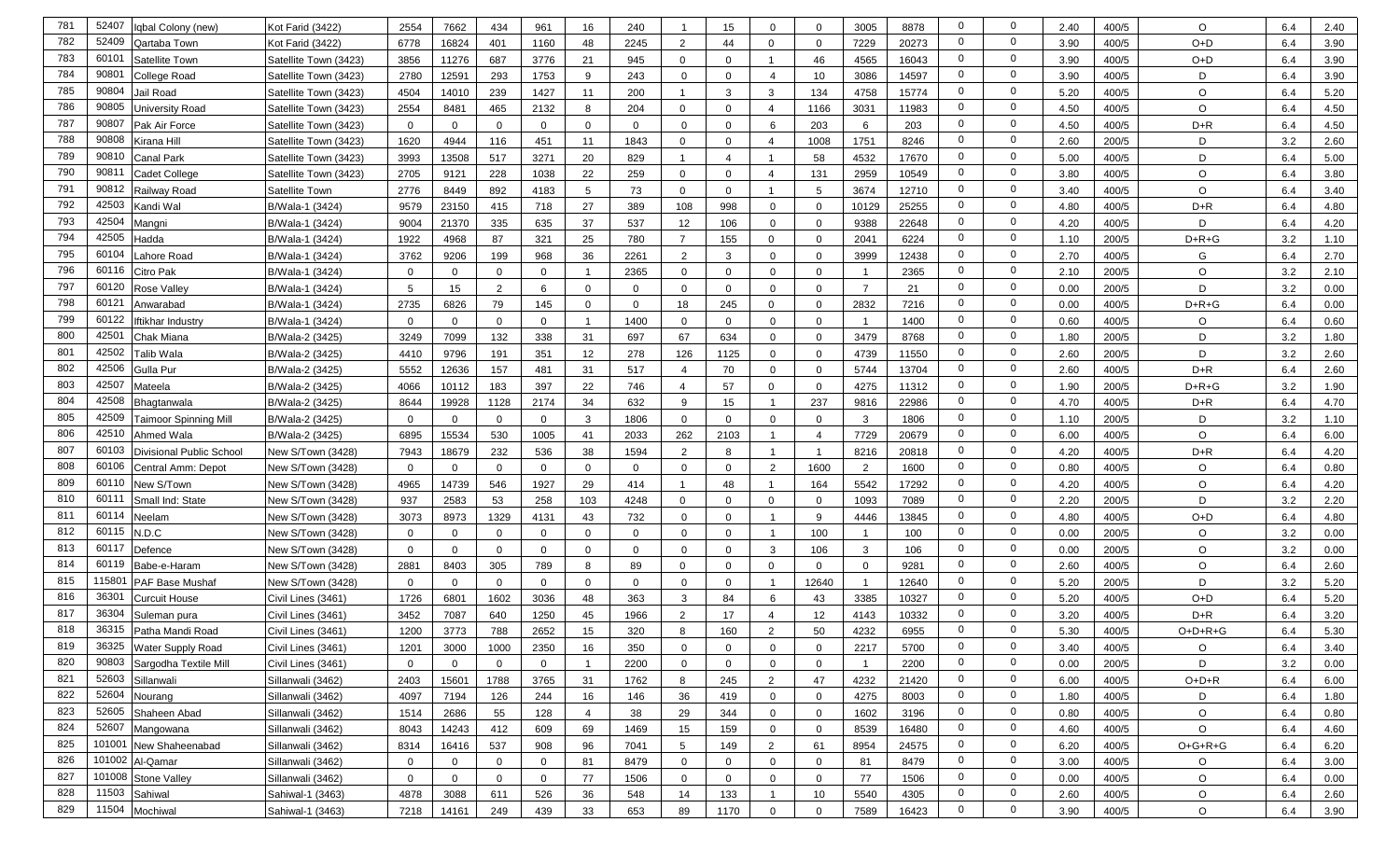| 781        | 52407<br>Iqbal Colony (new)              | Kot Farid (3422)      | 2554         | 7662           | 434            | 961            | 16              | 240      | -1             | 15             | $\Omega$                | $\mathbf{0}$   | 3005                    | 8878  | $\mathbf{0}$                     | $\Omega$                   | 2.40 | 400/5 | $\circ$   | 6.4 | 2.40 |
|------------|------------------------------------------|-----------------------|--------------|----------------|----------------|----------------|-----------------|----------|----------------|----------------|-------------------------|----------------|-------------------------|-------|----------------------------------|----------------------------|------|-------|-----------|-----|------|
| 782        | 52409<br>Qartaba Town                    | Kot Farid (3422)      | 6778         | 16824          | 401            | 1160           | 48              | 2245     | $\overline{2}$ | 44             | $\mathbf 0$             | $\mathbf{0}$   | 7229                    | 20273 | $\overline{0}$                   | 0                          | 3.90 | 400/5 | $O+D$     | 6.4 | 3.90 |
| 783        | 6010<br>Satellite Town                   | Satellite Town (3423) | 3856         | 11276          | 687            | 3776           | 21              | 945      | $\mathbf{0}$   | $\Omega$       | $\mathbf 1$             | 46             | 4565                    | 16043 | $\overline{0}$                   | 0                          | 3.90 | 400/5 | $O+D$     | 6.4 | 3.90 |
| 784        | 9080<br>College Road                     | Satellite Town (3423) | 2780         | 12591          | 293            | 1753           | 9               | 243      | $\mathbf{0}$   | $\Omega$       | $\overline{4}$          | 10             | 3086                    | 14597 | $\mathbf{0}$                     | $\mathbf{0}$               | 3.90 | 400/5 | D         | 6.4 | 3.90 |
| 785        | 90804<br>Jail Road                       | Satellite Town (3423) | 4504         | 14010          | 239            | 1427           | 11              | 200      |                | 3              | 3                       | 134            | 4758                    | 15774 | $\mathbf{0}$                     | $\mathbf{0}$               | 5.20 | 400/5 | $\circ$   | 6.4 | 5.20 |
| 786        | 90805<br>Jniversity Road                 | Satellite Town (3423) | 2554         | 8481           | 465            | 2132           | 8               | 204      | $\mathbf 0$    | $\Omega$       | $\overline{4}$          | 1166           | 3031                    | 11983 | $\mathbf{0}$                     | $\mathbf{0}$               | 4.50 | 400/5 | $\circ$   | 6.4 | 4.50 |
| 787        | 90807<br>Pak Air Force                   | Satellite Town (3423) | $\mathbf 0$  | $\mathbf{0}$   | $\Omega$       | $\mathbf{0}$   | $\mathbf{0}$    | $\Omega$ | $\mathbf{0}$   | $\Omega$       | 6                       | 203            | 6                       | 203   | $\mathbf 0$                      | $\mathbf 0$                | 4.50 | 400/5 | $D+R$     | 6.4 | 4.50 |
| 788        | 90808<br>Kirana Hill                     | Satellite Town (3423) | 1620         | 4944           | 116            | 451            | 11              | 1843     | $\mathbf{0}$   | $\mathbf 0$    | $\overline{4}$          | 1008           | 1751                    | 8246  | $\mathbf 0$                      | 0                          | 2.60 | 200/5 | D         | 3.2 | 2.60 |
| 789        | 90810<br>Canal Park                      | Satellite Town (3423) | 3993         | 13508          | 517            | 3271           | 20              | 829      | $\overline{1}$ | $\overline{4}$ | $\mathbf{1}$            | 58             | 4532                    | 17670 | $\mathbf{0}$                     | 0                          | 5.00 | 400/5 | D         | 6.4 | 5.00 |
| 790        | 9081<br>Cadet College                    | Satellite Town (3423) | 2705         | 9121           | 228            | 1038           | 22              | 259      | $\mathbf 0$    | $\mathbf 0$    | 4                       | 131            | 2959                    | 10549 | $\mathbf{0}$                     | 0                          | 3.80 | 400/5 | O         | 6.4 | 3.80 |
| 791        | 90812<br>Railwav Road                    | Satellite Town        | 2776         | 8449           | 892            | 4183           | 5               | 73       | $\mathbf{0}$   | $\Omega$       | $\mathbf{1}$            | 5              | 3674                    | 12710 | $\mathbf{0}$                     | 0                          | 3.40 | 400/5 | O         | 6.4 | 3.40 |
| 792        | 42503<br>Kandi Wal                       | B/Wala-1 (3424)       | 9579         | 23150          | 415            | 718            | 27              | 389      | 108            | 998            | $\mathbf 0$             | 0              | 10129                   | 25255 | $\mathbf 0$                      | $\mathbf 0$                | 4.80 | 400/5 | $D+R$     | 6.4 | 4.80 |
| 793        | 42504<br>Mangni                          | B/Wala-1 (3424)       | 9004         | 21370          | 335            | 635            | 37              | 537      | 12             | 106            | $\mathbf 0$             | $\mathbf 0$    | 9388                    | 22648 | $\mathbf 0$                      | 0                          | 4.20 | 400/5 | D         | 6.4 | 4.20 |
| 794        | 42505<br>Hadda                           | B/Wala-1 (3424)       | 1922         | 4968           | 87             | 321            | 25              | 780      | $\overline{7}$ | 155            | $\Omega$                | 0              | 2041                    | 6224  | $\mathbf 0$                      | 0                          | 1.10 | 200/5 | $D+R+G$   | 3.2 | 1.10 |
| 795        | 60104<br>ahore Road                      | B/Wala-1 (3424)       | 3762         | 9206           | 199            | 968            | 36              | 2261     | 2              | 3              | $\mathbf 0$             | 0              | 3999                    | 12438 | $\mathbf{0}$                     | 0                          | 2.70 | 400/5 | G         | 6.4 | 2.70 |
| 796        | 60116<br>Citro Pak                       | B/Wala-1 (3424)       | $\mathbf{0}$ | $\mathbf{0}$   | $\Omega$       | $\mathbf{0}$   |                 | 2365     | $\mathbf{0}$   | $\Omega$       | $\mathbf 0$             | $\mathbf{0}$   |                         | 2365  | $\overline{0}$                   | 0                          | 2.10 | 200/5 | $\circ$   | 3.2 | 2.10 |
| 797        | 60120<br>Rose Valley                     | B/Wala-1 (3424)       | 5            | 15             | $\overline{2}$ | 6              | $\Omega$        | $\Omega$ | $\mathbf 0$    | $\Omega$       | $\mathbf 0$             | 0              | $\overline{7}$          | 21    | $\overline{0}$                   | 0                          | 0.00 | 200/5 | D         | 3.2 | 0.00 |
| 798        | 6012<br>Anwarabad                        | B/Wala-1 (3424)       | 2735         | 6826           | 79             | 145            | $\Omega$        | $\Omega$ | 18             | 245            | $\mathbf{0}$            | $\mathbf{0}$   | 2832                    | 7216  | $\mathbf{0}$                     | 0                          | 0.00 | 400/5 | $D+R+G$   | 6.4 | 0.00 |
| 799        | 60122<br>ftikhar Industry                | B/Wala-1 (3424)       | $\Omega$     | $\mathbf{0}$   | $\Omega$       | $\mathbf{0}$   |                 | 1400     | $\mathbf{0}$   | $\Omega$       | $\mathbf{0}$            | $\mathbf{0}$   |                         | 1400  | $\mathbf 0$                      | $\mathbf{0}$               | 0.60 | 400/5 | $\circ$   | 6.4 | 0.60 |
| 800        | 4250<br>Chak Miana                       | B/Wala-2 (3425)       | 3249         | 7099           | 132            | 338            | 31              | 697      | 67             | 634            | $\mathbf 0$             | $\mathbf{0}$   | 3479                    | 8768  | $\mathbf 0$                      | 0                          | 1.80 | 200/5 | D         | 3.2 | 1.80 |
| 801        | 42502<br>Talib Wala                      | B/Wala-2 (3425)       | 4410         | 9796           | 191            | 351            | 12              | 278      | 126            | 1125           | $\mathbf 0$             | $\mathbf{0}$   | 4739                    | 11550 | $\mathbf{0}$                     | $\mathbf{0}$               | 2.60 | 200/5 | D         | 3.2 | 2.60 |
| 802        | 42506<br>Gulla Pur                       | B/Wala-2 (3425)       | 5552         | 12636          | 157            | 481            | 31              | 517      | $\overline{4}$ | 70             | $\mathbf 0$             | $\mathbf{0}$   | 5744                    | 13704 | $\mathbf 0$                      | 0                          | 2.60 | 400/5 | $D+R$     | 6.4 | 2.60 |
| 803        | 4250<br>Mateela                          | B/Wala-2 (3425)       | 4066         | 10112          | 183            | 397            | 22              | 746      | $\overline{4}$ | 57             | $\mathbf 0$             | 0              | 4275                    | 11312 | $\mathbf{0}$                     | $\mathbf{0}$               | 1.90 | 200/5 | $D+R+G$   | 3.2 | 1.90 |
| 804        | 42508<br>Bhagtanwala                     | B/Wala-2 (3425)       | 8644         | 19928          | 1128           | 2174           | 34              | 632      | 9              | 15             | $\overline{\mathbf{1}}$ | 237            | 9816                    | 22986 | $\mathbf{0}$                     | $\mathbf 0$                | 4.70 | 400/5 | $D+R$     | 6.4 | 4.70 |
| 805        | 42509<br><b>Faimoor Spinning Mill</b>    | B/Wala-2 (3425)       | $\mathbf{0}$ | $\mathbf{0}$   | $\Omega$       | $\mathbf{0}$   | 3               | 1806     | $\mathbf 0$    | $\mathbf{0}$   | $\mathbf 0$             | $\mathbf 0$    | 3                       | 1806  | $\mathbf{0}$                     | $\mathbf 0$                | 1.10 | 200/5 | D         | 3.2 | 1.10 |
| 806        | 42510<br>Ahmed Wala                      | B/Wala-2 (3425)       | 6895         | 15534          | 530            | 1005           | 41              | 2033     | 262            | 2103           | $\overline{\mathbf{1}}$ | $\overline{4}$ | 7729                    | 20679 | $\mathbf 0$                      | 0                          | 6.00 | 400/5 | $\circ$   | 6.4 | 6.00 |
| 807        | 60103<br><b>Divisional Public School</b> | New S/Town (3428)     | 7943         | 18679          | 232            | 536            | 38              | 1594     | 2              | 8              | -1                      | - 1            | 8216                    | 20818 | $\mathbf 0$                      | 0                          | 4.20 | 400/5 | $D+R$     | 6.4 | 4.20 |
| 808        | 60106<br>Central Amm: Depot              | New S/Town (3428)     | $\mathbf{0}$ | $\mathbf 0$    | $\Omega$       | $\mathbf 0$    | $\Omega$        | $\Omega$ | $\mathbf 0$    | $\Omega$       | 2                       | 1600           | $\overline{2}$          | 1600  | $\mathbf{0}$                     | $\mathbf 0$                | 0.80 | 400/5 | $\circ$   | 6.4 | 0.80 |
| 809        | 60110<br>New S/Town                      | New S/Town (3428)     | 4965         | 14739          | 546            | 1927           | 29              | 414      | $\mathbf 1$    | 48             | $\mathbf{1}$            | 164            | 5542                    | 17292 | $\mathbf 0$                      | $\mathbf 0$                | 4.20 | 400/5 | $\circ$   | 6.4 | 4.20 |
| 810        | 60111<br>Small Ind: State                | New S/Town (3428)     | 937          | 2583           | 53             | 258            | 103             | 4248     | $\mathbf 0$    | $\Omega$       | $\Omega$                | $\mathbf 0$    | 1093                    | 7089  | $\mathbf{0}$                     | $\mathbf 0$                | 2.20 | 200/5 | D         | 3.2 | 2.20 |
| 811        | 60114<br>Neelam                          | New S/Town (3428)     | 3073         | 8973           | 1329           | 4131           | 43              | 732      | $\mathbf{0}$   | $\Omega$       |                         | 9              | 4446                    | 13845 | $\mathbf{0}$                     | $\mathbf 0$                | 4.80 | 400/5 | $O+D$     | 6.4 | 4.80 |
| 812        | 60115<br>N.D.C                           | New S/Town (3428)     | $\mathbf{0}$ | $\mathbf{0}$   | $\Omega$       | $\mathbf{0}$   | $\mathbf 0$     | $\Omega$ | $\mathbf 0$    | $\Omega$       | $\overline{1}$          | 100            |                         | 100   | $\mathbf 0$                      | $\mathbf 0$                | 0.00 | 200/5 | $\circ$   | 3.2 | 0.00 |
| 813        | 60117<br>Defence                         | New S/Town (3428)     | $\mathbf 0$  | $\mathbf{0}$   | $\Omega$       | $\mathbf{0}$   | $\Omega$        | $\Omega$ | $\mathbf{0}$   | $\Omega$       | 3                       | 106            | 3                       | 106   | $\mathbf{0}$                     | 0                          | 0.00 | 200/5 | $\circ$   | 3.2 | 0.00 |
| 814        | 60119<br>Babe-e-Haram                    | New S/Town (3428)     | 2881         | 8403           | 305            | 789            | 8               | 89       | $\mathbf{0}$   | $\mathbf{0}$   | $\mathbf 0$             | 0              | $\overline{0}$          | 9281  | $\mathbf{0}$                     | 0                          | 2.60 | 400/5 | $\circ$   | 6.4 | 2.60 |
| 815        | 11580<br><b>PAF Base Mushaf</b>          | New S/Town (3428)     | $\mathbf 0$  | $\mathbf{0}$   | $\Omega$       | $\mathbf{0}$   | $\mathbf 0$     | $\Omega$ | $\mathbf{0}$   | $\mathbf{0}$   | $\overline{1}$          | 12640          | $\overline{\mathbf{1}}$ | 12640 | $\mathbf{0}$                     | 0                          | 5.20 | 200/5 | D         | 3.2 | 5.20 |
| 816        | 3630<br><b>Curcuit House</b>             | Civil Lines (3461)    | 1726         | 6801           | 1602           | 3036           | 48              | 363      | 3              | 84             | 6                       | 43             | 3385                    | 10327 | $\mathbf{0}$                     | 0                          | 5.20 | 400/5 | $O+D$     | 6.4 | 5.20 |
| 817        | 36304<br>Suleman pura                    | Civil Lines (3461)    | 3452         | 7087           | 640            | 1250           | 45              | 1966     | $\overline{2}$ | 17             | 4                       | 12             | 4143                    | 10332 | 0                                | 0                          | 3.20 | 400/5 | $D+R$     | 6.4 | 3.20 |
| 818        | 36315<br>Patha Mandi Road                | Civil Lines (3461)    | 1200         | 3773           | 788            | 2652           | 15 <sub>1</sub> | 320      | 8              | 160            | 2                       | 50             | 4232                    | 6955  | $\Omega$                         | $\Omega$                   | 5.30 | 400/5 | O+D+R+G   | 6.4 | 5.30 |
| 819        | 36325 Water Supply Road                  | Civil Lines (3461)    | 1201         | 3000           | 1000           | 2350           | 16              | 350      | $\mathbf{0}$   | $\mathbf{0}$   | $\mathbf{0}$            | 0              | 2217                    | 5700  | 0                                | $\mathbf 0$                | 3.40 | 400/5 | $\circ$   | 6.4 | 3.40 |
| 820        | 90803<br>Sargodha Textile Mill           | Civil Lines (3461)    | $\mathbf 0$  | $\mathbf 0$    | $\mathbf 0$    | $\overline{0}$ | $\mathbf{1}$    | 2200     | $\mathbf 0$    | $\mathbf 0$    | $\mathbf 0$             | $\mathbf 0$    |                         | 2200  | $\overline{0}$                   | 0                          | 0.00 | 200/5 | D         | 3.2 | 0.00 |
| 821        | 52603<br>Sillanwali                      | Sillanwali (3462)     | 2403         | 15601          | 1788           | 3765           | 31              | 1762     | 8              | 245            | 2                       | 47             | 4232                    | 21420 | $\overline{0}$                   | $\mathbf 0$                | 6.00 | 400/5 | $O+D+R$   | 6.4 | 6.00 |
| 822        | 52604<br>Nourang<br>52605                | Sillanwali (3462)     | 4097         | 7194           | 126            | 244            | 16              | 146      | 36             | 419            | $\mathbf 0$             | $\mathbf{0}$   | 4275                    | 8003  | $\overline{0}$<br>$\overline{0}$ | $\mathbf 0$<br>$\mathbf 0$ | 1.80 | 400/5 | D         | 6.4 | 1.80 |
| 823        | Shaheen Abad                             | Sillanwali (3462)     | 1514         | 2686           | 55             | 128            | $\overline{4}$  | 38       | 29             | 344            | $\mathbf 0$             | $\mathbf{0}$   | 1602                    | 3196  |                                  |                            | 0.80 | 400/5 | $\circ$   | 6.4 | 0.80 |
| 824        | 52607<br>Mangowana                       | Sillanwali (3462)     | 8043         | 14243          | 412            | 609            | 69              | 1469     | 15             | 159            | $\mathbf 0$             | $\mathbf 0$    | 8539                    | 16480 | $\overline{0}$                   | $\mathbf{0}$               | 4.60 | 400/5 | $\circ$   | 6.4 | 4.60 |
| 825        | 101001<br>New Shaheenabad                | Sillanwali (3462)     | 8314         | 16416          | 537            | 908            | 96              | 7041     | 5              | 149            | $\overline{2}$          | 61             | 8954                    | 24575 | $\overline{0}$                   | $\mathbf 0$                | 6.20 | 400/5 | $O+G+R+G$ | 6.4 | 6.20 |
| 826<br>827 | 101002<br>Al-Qamar<br>101008             | Sillanwali (3462)     | $\mathbf 0$  | $\overline{0}$ | 0              | $\overline{0}$ | 81              | 8479     | $\overline{0}$ | $\mathbf{0}$   | $\mathbf 0$             | $\mathbf{0}$   | 81                      | 8479  | $\overline{0}$<br>$\mathbf 0$    | 0<br>$\mathbf 0$           | 3.00 | 400/5 | $\circ$   | 6.4 | 3.00 |
| 828        | <b>Stone Valley</b><br>11503             | Sillanwali (3462)     | 0            | $\overline{0}$ | 0              | $\overline{0}$ | 77              | 1506     | $\overline{0}$ | $\mathbf{0}$   | $\overline{0}$          | $\mathbf 0$    | 77                      | 1506  | $\overline{0}$                   | 0                          | 0.00 | 400/5 | $\circ$   | 6.4 | 0.00 |
|            | Sahiwal                                  | Sahiwal-1 (3463)      | 4878         | 3088           | 611            | 526            | 36              | 548      | 14             | 133            | $\mathbf{1}$            | 10             | 5540                    | 4305  |                                  |                            | 2.60 | 400/5 | O         | 6.4 | 2.60 |
| 829        | 11504<br>Mochiwal                        | Sahiwal-1 (3463)      | 7218         | 14161          | 249            | 439            | 33              | 653      | 89             | 1170           | $\mathbf 0$             | $\mathbf{0}$   | 7589                    | 16423 | $\overline{0}$                   | 0                          | 3.90 | 400/5 | $\circ$   | 6.4 | 3.90 |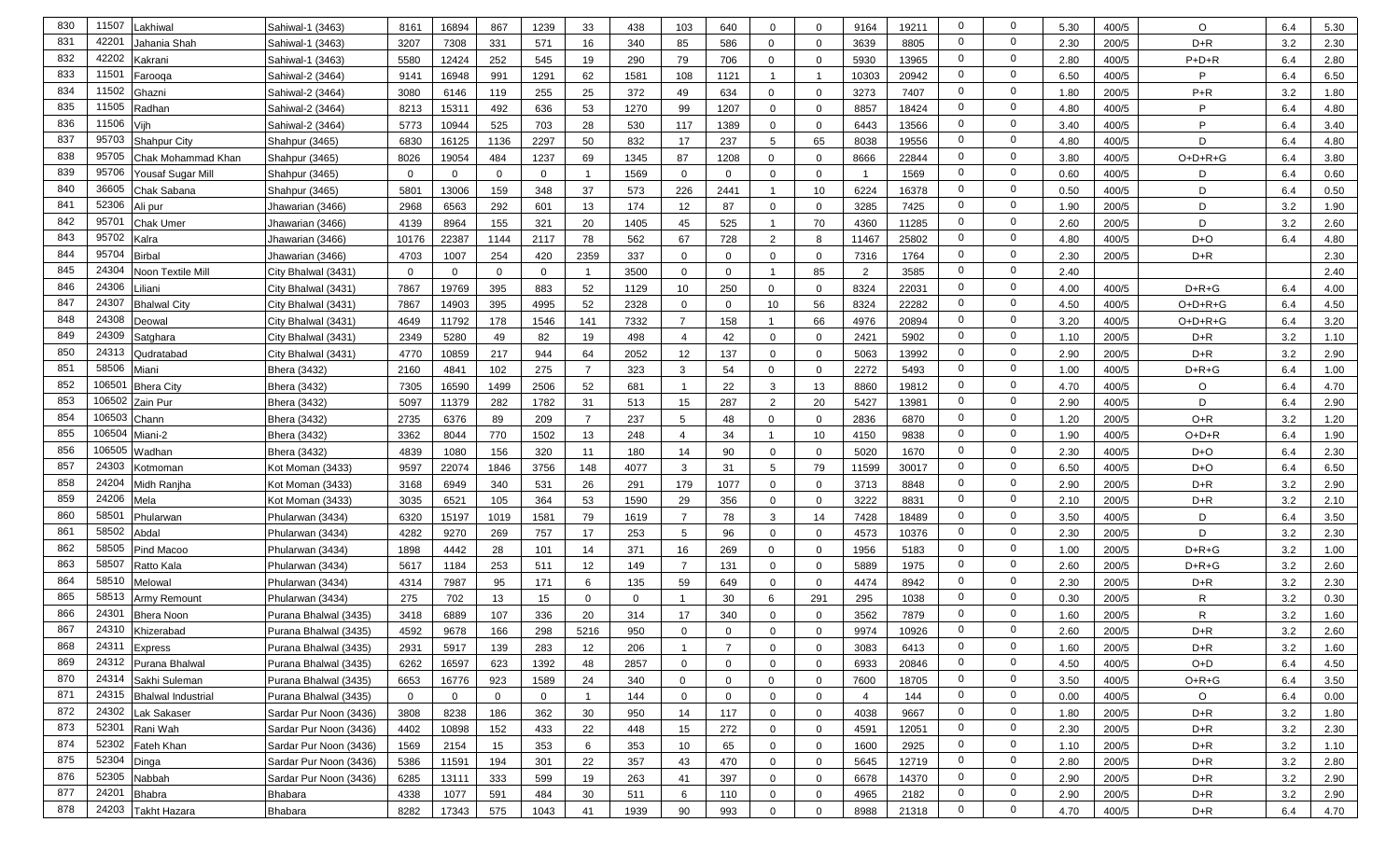| 830 | 11507            | Lakhiwa                   | Sahiwal-1 (3463)       | 8161           | 16894          | 867      | 1239           | 33             | 438      | 103            | 640            | $\mathbf 0$             | $\Omega$     | 9164           | 19211 | $\mathbf 0$    | $\Omega$       | 5.30 | 400/5 | O            | 6.4 | 5.30 |
|-----|------------------|---------------------------|------------------------|----------------|----------------|----------|----------------|----------------|----------|----------------|----------------|-------------------------|--------------|----------------|-------|----------------|----------------|------|-------|--------------|-----|------|
| 831 | 42201            | Jahania Shah              | Sahiwal-1 (3463)       | 3207           | 7308           | 331      | 571            | 16             | 340      | 85             | 586            | $\Omega$                | $\Omega$     | 3639           | 8805  | $\mathbf 0$    | $\mathbf 0$    | 2.30 | 200/5 | $D+R$        | 3.2 | 2.30 |
| 832 | 42202            | Kakrani                   | Sahiwal-1 (3463)       | 5580           | 12424          | 252      | 545            | 19             | 290      | 79             | 706            | $\mathbf 0$             | $\Omega$     | 5930           | 13965 | $\mathbf{0}$   | 0              | 2.80 | 400/5 | $P+D+R$      | 6.4 | 2.80 |
| 833 | 11501            | Farooqa                   | Sahiwal-2 (3464)       | 9141           | 16948          | 991      | 1291           | 62             | 1581     | 108            | 1121           | -1                      |              | 10303          | 20942 | $\mathbf 0$    | $\mathbf 0$    | 6.50 | 400/5 | P            | 6.4 | 6.50 |
| 834 | 11502            | Ghazni                    | Sahiwal-2 (3464)       | 3080           | 6146           | 119      | 255            | 25             | 372      | 49             | 634            | $\Omega$                | $\Omega$     | 3273           | 7407  | $\mathbf 0$    | $\mathbf 0$    | 1.80 | 200/5 | $P+R$        | 3.2 | 1.80 |
| 835 | 11505            | Radhan                    | Sahiwal-2 (3464)       | 8213           | 15311          | 492      | 636            | 53             | 1270     | 99             | 1207           | $\mathbf 0$             | $\Omega$     | 8857           | 18424 | $\mathbf 0$    | $\mathbf 0$    | 4.80 | 400/5 | P            | 6.4 | 4.80 |
| 836 | 11506            | Viih                      | Sahiwal-2 (3464)       | 5773           | 10944          | 525      | 703            | 28             | 530      | 117            | 1389           | $\mathbf 0$             | $\Omega$     | 6443           | 13566 | $\mathbf{0}$   | $\mathbf 0$    | 3.40 | 400/5 | P            | 6.4 | 3.40 |
| 837 | 95703            | <b>Shahpur City</b>       | Shahpur (3465)         | 6830           | 16125          | 1136     | 2297           | 50             | 832      | 17             | 237            | 5                       | 65           | 8038           | 19556 | $\mathbf{0}$   | $\mathbf 0$    | 4.80 | 400/5 | D            | 6.4 | 4.80 |
| 838 | 95705            | Chak Mohammad Khan        | Shahpur (3465)         | 8026           | 19054          | 484      | 1237           | 69             | 1345     | 87             | 1208           | $\mathbf 0$             | $\Omega$     | 8666           | 22844 | 0              | $\mathbf 0$    | 3.80 | 400/5 | $O+D+R+G$    | 6.4 | 3.80 |
| 839 | 95706            | Yousaf Sugar Mill         | Shahpur (3465)         | $\mathbf 0$    | $\mathbf 0$    | 0        | $\overline{0}$ |                | 1569     | $\mathbf{0}$   | 0              | $\mathbf 0$             | $\Omega$     | - 1            | 1569  | $\mathbf 0$    | 0              | 0.60 | 400/5 | D            | 6.4 | 0.60 |
| 840 | 36605            | Chak Sabana               | Shahpur (3465)         | 5801           | 13006          | 159      | 348            | 37             | 573      | 226            | 2441           | $\overline{1}$          | 10           | 6224           | 16378 | $\mathbf 0$    | $\mathbf 0$    | 0.50 | 400/5 | D            | 6.4 | 0.50 |
| 841 | 52306            | Ali pur                   | Jhawarian (3466)       | 2968           | 6563           | 292      | 601            | 13             | 174      | 12             | 87             | $\mathbf 0$             | $\Omega$     | 3285           | 7425  | $\mathbf 0$    | $\mathbf 0$    | 1.90 | 200/5 | D            | 3.2 | 1.90 |
| 842 | 9570 <sup></sup> | Chak Umer                 | Jhawarian (3466)       | 4139           | 8964           | 155      | 321            | 20             | 1405     | 45             | 525            | -1                      | 70           | 4360           | 11285 | $\mathbf 0$    | $\mathbf 0$    | 2.60 | 200/5 | D            | 3.2 | 2.60 |
| 843 | 95702            | Kalra                     | Jhawarian (3466)       | 10176          | 22387          | 1144     | 2117           | 78             | 562      | 67             | 728            | $\overline{2}$          | 8            | 11467          | 25802 | $\mathbf 0$    | $\mathbf 0$    | 4.80 | 400/5 | D+O          | 6.4 | 4.80 |
| 844 | 95704            | <b>Birbal</b>             | Jhawarian (3466)       | 4703           | 1007           | 254      | 420            | 2359           | 337      | $\mathbf{0}$   | 0              | $\mathbf{0}$            | $\mathbf 0$  | 7316           | 1764  | $\mathbf 0$    | $\mathbf 0$    | 2.30 | 200/5 | $D+R$        |     | 2.30 |
| 845 | 24304            | Noon Textile Mill         | City Bhalwal (3431)    | $\mathbf{0}$   | $\mathbf{0}$   | $\Omega$ | $\mathbf{0}$   |                | 3500     | $\mathbf{0}$   | $\mathbf{0}$   | $\overline{\mathbf{1}}$ | 85           | $\overline{2}$ | 3585  | $\mathbf 0$    | $\mathbf 0$    | 2.40 |       |              |     | 2.40 |
| 846 | 24306            | Liliani                   | City Bhalwal (3431)    | 7867           | 19769          | 395      | 883            | 52             | 1129     | 10             | 250            | $\mathbf 0$             | $\Omega$     | 8324           | 22031 | $\mathbf 0$    | $\mathbf 0$    | 4.00 | 400/5 | $D+R+G$      | 6.4 | 4.00 |
| 847 | 24307            | <b>Bhalwal City</b>       | City Bhalwal (3431)    | 7867           | 14903          | 395      | 4995           | 52             | 2328     | $\Omega$       | $\Omega$       | 10                      | 56           | 8324           | 22282 | $\mathbf 0$    | $\mathbf 0$    | 4.50 | 400/5 | O+D+R+G      | 6.4 | 4.50 |
| 848 | 24308            | Deowal                    | City Bhalwal (3431)    | 4649           | 11792          | 178      | 1546           | 141            | 7332     | $\overline{7}$ | 158            | $\overline{1}$          | 66           | 4976           | 20894 | $\mathbf 0$    | $\mathbf 0$    | 3.20 | 400/5 | O+D+R+G      | 6.4 | 3.20 |
| 849 | 24309            | Satghara                  | City Bhalwal (3431)    | 2349           | 5280           | 49       | 82             | 19             | 498      | $\overline{4}$ | 42             | $\mathbf 0$             | $\Omega$     | 2421           | 5902  | $\mathbf 0$    | $\mathbf 0$    | 1.10 | 200/5 | $D+R$        | 3.2 | 1.10 |
| 850 | 24313            | Qudratabad                | City Bhalwal (3431)    | 4770           | 10859          | 217      | 944            | 64             | 2052     | 12             | 137            | $\mathbf 0$             | $\Omega$     | 5063           | 13992 | $\mathbf 0$    | $\mathbf 0$    | 2.90 | 200/5 | $D + R$      | 3.2 | 2.90 |
| 851 | 58506            | Miani                     | <b>Bhera (3432)</b>    | 2160           | 4841           | 102      | 275            | $\overline{7}$ | 323      | $\mathbf{3}$   | 54             | $\mathbf 0$             | $\Omega$     | 2272           | 5493  | 0              | 0              | 1.00 | 400/5 | $D+R+G$      | 6.4 | 1.00 |
| 852 | $10650^{\circ}$  | <b>Bhera City</b>         | Bhera (3432)           | 7305           | 16590          | 1499     | 2506           | 52             | 681      | $\overline{1}$ | 22             | 3                       | 13           | 8860           | 19812 | $\mathbf 0$    | $\mathbf 0$    | 4.70 | 400/5 | $\circ$      | 6.4 | 4.70 |
| 853 | 106502           | Zain Pur                  | Bhera (3432)           | 5097           | 11379          | 282      | 1782           | 31             | 513      | 15             | 287            | 2                       | 20           | 5427           | 13981 | $\mathbf 0$    | $\mathbf 0$    | 2.90 | 400/5 | D            | 6.4 | 2.90 |
| 854 | 106503           | Chann                     | Bhera (3432)           | 2735           | 6376           | 89       | 209            | $\overline{7}$ | 237      | 5              | 48             | 0                       | $\Omega$     | 2836           | 6870  | $\mathbf 0$    | $\mathbf 0$    | 1.20 | 200/5 | O+R          | 3.2 | 1.20 |
| 855 | 106504           | Miani-2                   | Bhera (3432)           | 3362           | 8044           | 770      | 1502           | 13             | 248      | $\overline{4}$ | 34             | $\overline{1}$          | 10           | 4150           | 9838  | $\mathbf 0$    | $\mathbf 0$    | 1.90 | 400/5 | $O+D+R$      | 6.4 | 1.90 |
| 856 | 106505           | Wadhan                    | Bhera (3432)           | 4839           | 1080           | 156      | 320            | 11             | 180      | 14             | 90             | $\mathbf 0$             | $\Omega$     | 5020           | 1670  | $\mathbf 0$    | $\mathbf 0$    | 2.30 | 400/5 | D+O          | 6.4 | 2.30 |
| 857 | 24303            | Kotmoman                  | Kot Moman (3433)       | 9597           | 22074          | 1846     | 3756           | 148            | 4077     | 3              | 31             | 5                       | 79           | 11599          | 30017 | $\mathbf 0$    | $\mathbf 0$    | 6.50 | 400/5 | D+O          | 6.4 | 6.50 |
| 858 | 24204            | Midh Ranjha               | Kot Moman (3433)       | 3168           | 6949           | 340      | 531            | 26             | 291      | 179            | 1077           | $\mathbf 0$             | $\Omega$     | 3713           | 8848  | $\mathbf 0$    | $\mathbf 0$    | 2.90 | 200/5 | $D+R$        | 3.2 | 2.90 |
| 859 | 24206            | Mela                      | Kot Moman (3433)       | 3035           | 6521           | 105      | 364            | 53             | 1590     | 29             | 356            | $\overline{0}$          | $\Omega$     | 3222           | 8831  | $\mathbf 0$    | $\mathbf 0$    | 2.10 | 200/5 | $D+R$        | 3.2 | 2.10 |
| 860 | 58501            | Phularwan                 | Phularwan (3434)       | 6320           | 15197          | 1019     | 1581           | 79             | 1619     | $\overline{7}$ | 78             | 3                       | 14           | 7428           | 18489 | $\mathbf 0$    | $\mathbf 0$    | 3.50 | 400/5 | D            | 6.4 | 3.50 |
| 861 | 58502            | Abdal                     | Phularwan (3434)       | 4282           | 9270           | 269      | 757            | 17             | 253      | 5              | 96             | $\overline{0}$          | $\Omega$     | 4573           | 10376 | $\mathbf 0$    | $\mathbf 0$    | 2.30 | 200/5 | D            | 3.2 | 2.30 |
| 862 | 58505            | Pind Macoo                | Phularwan (3434)       | 1898           | 4442           | 28       | 101            | 14             | 371      | 16             | 269            | $\Omega$                | $\Omega$     | 1956           | 5183  | $\mathbf 0$    | $\mathbf 0$    | 1.00 | 200/5 | $D+R+G$      | 3.2 | 1.00 |
| 863 | 58507            | Ratto Kala                | Phularwan (3434)       | 5617           | 1184           | 253      | 511            | 12             | 149      | $\overline{7}$ | 131            | $\mathbf 0$             | $\Omega$     | 5889           | 1975  | $\mathbf 0$    | $\mathbf 0$    | 2.60 | 200/5 | $D+R+G$      | 3.2 | 2.60 |
| 864 | 58510            | Melowa                    | Phularwan (3434)       | 4314           | 7987           | 95       | 171            | 6              | 135      | 59             | 649            | $\mathbf 0$             | $\mathbf{0}$ | 4474           | 8942  | $\mathbf 0$    | $\mathbf 0$    | 2.30 | 200/5 | $D + R$      | 3.2 | 2.30 |
| 865 | 58513            | Army Remount              | Phularwan (3434)       | 275            | 702            | 13       | 15             | $\mathbf{0}$   | $\Omega$ | $\overline{1}$ | 30             | 6                       | 291          | 295            | 1038  | $\mathbf 0$    | $\mathbf{0}$   | 0.30 | 200/5 | R            | 3.2 | 0.30 |
| 866 | 2430             | Bhera Noon                | Purana Bhalwal (3435)  | 3418           | 6889           | 107      | 336            | 20             | 314      | 17             | 340            | $\mathbf 0$             | $\Omega$     | 3562           | 7879  | 0              | $\mathbf 0$    | 1.60 | 200/5 | $\mathsf{R}$ | 3.2 | 1.60 |
| 867 | 24310            | Khizerabad                | Purana Bhalwal (3435)  | 4592           | 9678           | 166      | 298            | 5216           | 950      | $\mathbf 0$    | $\Omega$       | $\mathbf 0$             | $\Omega$     | 9974           | 10926 | $\mathbf{0}$   | $\mathbf 0$    | 2.60 | 200/5 | $D+R$        | 3.2 | 2.60 |
| 868 |                  | 24311 Express             | Purana Bhalwal (3435)  | 2931           | 5917           | 139      | 283            | 12             | 206      | $\overline{1}$ | $\overline{7}$ | $\mathbf{0}$            | 0            | 3083           | 6413  | $\mathbf{0}$   | $\mathbf{0}$   | 1.60 | 200/5 | $D+R$        | 3.2 | 1.60 |
| 869 |                  | 24312 Purana Bhalwal      | Purana Bhalwal (3435)  | 6262           | 16597          | 623      | 1392           | 48             | 2857     | $\overline{0}$ | $\overline{0}$ | $\mathbf 0$             | $\mathsf{O}$ | 6933           | 20846 | $\overline{0}$ | $\overline{0}$ | 4.50 | 400/5 | $O+D$        | 6.4 | 4.50 |
| 870 | 24314            | Sakhi Suleman             | Purana Bhalwal (3435)  | 6653           | 16776          | 923      | 1589           | 24             | 340      | $\mathbf 0$    | $\mathbf 0$    | $\mathbf 0$             | 0            | 7600           | 18705 | $\overline{0}$ | $\overline{0}$ | 3.50 | 400/5 | $O+R+G$      | 6.4 | 3.50 |
| 871 | 24315            | <b>Bhalwal Industrial</b> | Purana Bhalwal (3435)  | $\overline{0}$ | $\overline{0}$ | 0        | $\overline{0}$ | $\mathbf{1}$   | 144      | $\mathbf 0$    | $\overline{0}$ | $\mathbf 0$             | 0            | $\overline{4}$ | 144   | $\overline{0}$ | $\overline{0}$ | 0.00 | 400/5 | O            | 6.4 | 0.00 |
| 872 | 24302            | Lak Sakaser               | Sardar Pur Noon (3436) | 3808           | 8238           | 186      | 362            | 30             | 950      | 14             | 117            | $\mathbf 0$             | 0            | 4038           | 9667  | $\overline{0}$ | $\overline{0}$ | 1.80 | 200/5 | $D+R$        | 3.2 | 1.80 |
| 873 | 52301            | Rani Wah                  | Sardar Pur Noon (3436) | 4402           | 10898          | 152      | 433            | 22             | 448      | 15             | 272            | $\mathbf 0$             | 0            | 4591           | 12051 | $\overline{0}$ | $\overline{0}$ | 2.30 | 200/5 | $D+R$        | 3.2 | 2.30 |
| 874 | 52302            | <b>Fateh Khan</b>         | Sardar Pur Noon (3436) | 1569           | 2154           | 15       | 353            | 6              | 353      | 10             | 65             | $\overline{0}$          | 0            | 1600           | 2925  | $\mathbf{0}$   | $\mathbf 0$    | 1.10 | 200/5 | $D+R$        | 3.2 | 1.10 |
| 875 | 52304            | Dinga                     | Sardar Pur Noon (3436) | 5386           | 11591          | 194      | 301            | 22             | 357      | 43             | 470            | $\mathbf 0$             | 0            | 5645           | 12719 | $\overline{0}$ | $\mathbf 0$    | 2.80 | 200/5 | $D + R$      | 3.2 | 2.80 |
| 876 | 52305            | Nabbah                    | Sardar Pur Noon (3436) | 6285           | 13111          | 333      | 599            | 19             | 263      | 41             | 397            | $\overline{0}$          | 0            | 6678           | 14370 | $\overline{0}$ | $\mathbf{0}$   | 2.90 | 200/5 | D+R          | 3.2 | 2.90 |
| 877 | 24201            | <b>Bhabra</b>             | Bhabara                | 4338           | 1077           | 591      | 484            | 30             | 511      | 6              | 110            | $\overline{0}$          | 0            | 4965           | 2182  | $\overline{0}$ | $\mathbf{0}$   | 2.90 | 200/5 | D+R          | 3.2 | 2.90 |
| 878 |                  | 24203 Takht Hazara        | Bhabara                | 8282           | 17343          | 575      | 1043           | 41             | 1939     | 90             | 993            | $\overline{0}$          | 0            | 8988           | 21318 | $\overline{0}$ | $\mathbf 0$    | 4.70 | 400/5 | $D + R$      | 6.4 | 4.70 |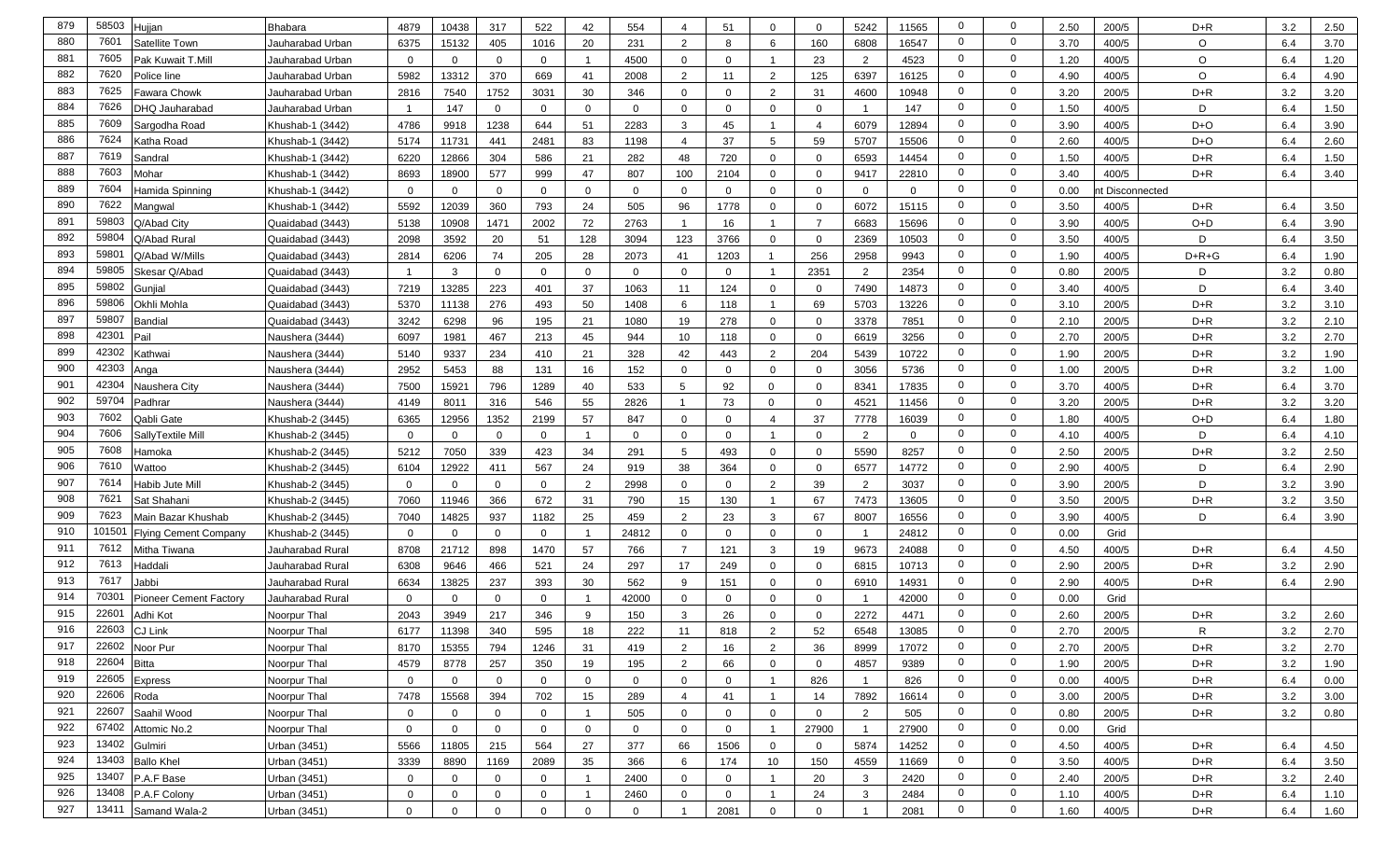| 879        | 58503            | Hujjan                       | <b>Bhabara</b>   | 4879                       | 10438                      | 317          | 522            | 42               | 554          | 4                          | 51             | $\Omega$                | $\Omega$       | 5242                     | 11565          | $\mathbf 0$                      | $\mathbf 0$                      | 2.50 | 200/5           | $D + R$        | 3.2        | 2.50 |
|------------|------------------|------------------------------|------------------|----------------------------|----------------------------|--------------|----------------|------------------|--------------|----------------------------|----------------|-------------------------|----------------|--------------------------|----------------|----------------------------------|----------------------------------|------|-----------------|----------------|------------|------|
| 880        | 7601             | Satellite Town               | Jauharabad Urban | 6375                       | 15132                      | 405          | 1016           | 20               | 231          | 2                          | 8              | 6                       | 160            | 6808                     | 16547          | $\mathbf 0$                      | $\mathbf 0$                      | 3.70 | 400/5           | O              | 6.4        | 3.70 |
| 881        | 7605             | Pak Kuwait T.Mill            | Jauharabad Urban | 0                          | $\mathbf 0$                | $\Omega$     | $\overline{0}$ |                  | 4500         | 0                          | $\mathbf 0$    | -1                      | 23             | $\overline{2}$           | 4523           | $\mathbf 0$                      | $\mathbf 0$                      | 1.20 | 400/5           | O              | 6.4        | 1.20 |
| 882        | 7620             | Police line                  | Jauharabad Urban | 5982                       | 13312                      | 370          | 669            | 41               | 2008         | 2                          | 11             | $\overline{2}$          | 125            | 6397                     | 16125          | $\mathbf 0$                      | $\mathbf 0$                      | 4.90 | 400/5           | O              | 6.4        | 4.90 |
| 883        | 7625             | Fawara Chowk                 | Jauharabad Urban | 2816                       | 7540                       | 1752         | 3031           | 30               | 346          | $\mathbf{0}$               | $\mathbf{0}$   | $\overline{2}$          | 31             | 4600                     | 10948          | $\mathbf 0$                      | $\mathbf 0$                      | 3.20 | 200/5           | $D+R$          | 3.2        | 3.20 |
| 884        | 7626             | DHQ Jauharabad               | Jauharabad Urban |                            | 147                        | $\mathbf{0}$ | $\mathbf{0}$   | $\Omega$         | $\mathbf 0$  | $\mathbf{0}$               | $\mathbf{0}$   | $\mathbf 0$             | $\Omega$       | $\overline{\phantom{0}}$ | 147            | $\mathbf 0$                      | $\mathbf 0$                      | 1.50 | 400/5           | D              | 6.4        | 1.50 |
| 885        | 7609             | Sargodha Road                | Khushab-1 (3442) | 4786                       | 9918                       | 1238         | 644            | 51               | 2283         | 3                          | 45             | -1                      | 4              | 6079                     | 12894          | $\mathbf 0$                      | $\mathbf 0$                      | 3.90 | 400/5           | D+O            | 6.4        | 3.90 |
| 886        | 7624             | Katha Road                   | Khushab-1 (3442) | 5174                       | 11731                      | 441          | 2481           | 83               | 1198         | $\overline{4}$             | 37             | 5                       | 59             | 5707                     | 15506          | $\mathbf 0$                      | $\mathbf 0$                      | 2.60 | 400/5           | D+O            | 6.4        | 2.60 |
| 887        | 7619             | Sandra                       | Khushab-1 (3442) | 6220                       | 12866                      | 304          | 586            | 21               | 282          | 48                         | 720            | $\mathbf 0$             | $\Omega$       | 6593                     | 14454          | $\mathbf 0$                      | $\mathbf 0$                      | 1.50 | 400/5           | $D+R$          | 6.4        | 1.50 |
| 888        | 7603             | Mohar                        | Khushab-1 (3442) | 8693                       | 18900                      | 577          | 999            | 47               | 807          | 100                        | 2104           | $\mathbf 0$             | $\Omega$       | 9417                     | 22810          | $\mathbf 0$                      | $\mathbf 0$                      | 3.40 | 400/5           | $D + R$        | 6.4        | 3.40 |
| 889        | 7604             | Hamida Spinning              | Khushab-1 (3442) | $\mathbf 0$                | $\Omega$                   | $\Omega$     | $\mathbf{0}$   | $\mathbf 0$      | $\Omega$     | $\Omega$                   | $\mathbf{0}$   | $\overline{0}$          | $\Omega$       | $\overline{0}$           | $\overline{0}$ | $\mathbf 0$                      | $\mathbf 0$                      | 0.00 | nt Disconnected |                |            |      |
| 890        | 7622             | Mangwal                      | Khushab-1 (3442) | 5592                       | 12039                      | 360          | 793            | 24               | 505          | 96                         | 1778           | $\mathbf 0$             | $\Omega$       | 6072                     | 15115          | 0                                | $\mathbf 0$                      | 3.50 | 400/5           | $D+R$          | 6.4        | 3.50 |
| 891        | 59803            | Q/Abad City                  | Quaidabad (3443) | 5138                       | 10908                      | 1471         | 2002           | 72               | 2763         | -1                         | 16             | $\overline{\mathbf{1}}$ | $\overline{7}$ | 6683                     | 15696          | $\mathbf{0}$                     | $\mathbf{0}$                     | 3.90 | 400/5           | $O+D$          | 6.4        | 3.90 |
| 892        | 5980             | Q/Abad Rural                 | Quaidabad (3443) | 2098                       | 3592                       | 20           | 51             | 128              | 3094         | 123                        | 3766           | $\mathbf 0$             | $\Omega$       | 2369                     | 10503          | $\mathbf 0$                      | $\mathbf 0$                      | 3.50 | 400/5           | D              | 6.4        | 3.50 |
| 893        | 5980             | Q/Abad W/Mills               | Quaidabad (3443) | 2814                       | 6206                       | 74           | 205            | 28               | 2073         | 41                         | 1203           | $\overline{1}$          | 256            | 2958                     | 9943           | $\mathbf 0$                      | $\mathbf 0$                      | 1.90 | 400/5           | $D+R+G$        | 6.4        | 1.90 |
| 894        | 59805            | Skesar Q/Abad                | Quaidabad (3443) |                            | 3                          | $\Omega$     | $\overline{0}$ | $\mathbf 0$      | $\Omega$     | $\mathbf{0}$               | $\mathbf 0$    | $\overline{\mathbf{1}}$ | 2351           | $\overline{2}$           | 2354           | $\mathbf 0$                      | $\mathbf 0$                      | 0.80 | 200/5           | D              | 3.2        | 0.80 |
| 895        | 59802            | Gunjial                      | Quaidabad (3443) | 7219                       | 13285                      | 223          | 401            | 37               | 1063         | 11                         | 124            | $\mathbf 0$             | $\Omega$       | 7490                     | 14873          | $\mathbf 0$                      | $\mathbf{0}$                     | 3.40 | 400/5           | D              | 6.4        | 3.40 |
| 896        | 59806            | Okhli Mohla                  | Quaidabad (3443) | 5370                       | 11138                      | 276          | 493            | 50               | 1408         | 6                          | 118            | $\overline{\mathbf{1}}$ | 69             | 5703                     | 13226          | $\mathbf 0$                      | $\mathbf 0$                      | 3.10 | 200/5           | $D+R$          | 3.2        | 3.10 |
| 897        | 59807            | <b>Bandial</b>               | Quaidabad (3443) | 3242                       | 6298                       | 96           | 195            | 21               | 1080         | 19                         | 278            | $\mathbf{0}$            | $\Omega$       | 3378                     | 7851           | $\mathbf 0$                      | $\mathbf 0$                      | 2.10 | 200/5           | $D+R$          | 3.2        | 2.10 |
| 898        | 42301            | Pail                         | Naushera (3444)  | 6097                       | 1981                       | 467          | 213            | 45               | 944          | 10                         | 118            | $\mathbf{0}$            | $\Omega$       | 6619                     | 3256           | $\mathbf 0$                      | $\mathbf 0$                      | 2.70 | 200/5           | $D+R$          | 3.2        | 2.70 |
| 899        | 42302            | Kathwai                      | Naushera (3444)  | 5140                       | 9337                       | 234          | 410            | 21               | 328          | 42                         | 443            | $\overline{2}$          | 204            | 5439                     | 10722          | $\mathbf 0$                      | $\mathbf 0$                      | 1.90 | 200/5           | $D + R$        | 3.2        | 1.90 |
| 900        | 42303            | Anga                         | Naushera (3444)  | 2952                       | 5453                       | 88           | 131            | 16               | 152          | $\mathbf{0}$               | $\Omega$       | $\Omega$                | $\Omega$       | 3056                     | 5736           | $\mathbf 0$                      | $\mathbf 0$                      | 1.00 | 200/5           | $D + R$        | 3.2        | 1.00 |
| 901        | 42304            | Naushera City                | Naushera (3444)  | 7500                       | 15921                      | 796          | 1289           | 40               | 533          | 5                          | 92             | $\mathbf 0$             | $\mathbf{0}$   | 8341                     | 17835          | $\mathbf 0$                      | $\mathbf 0$                      | 3.70 | 400/5           | D+R            | 6.4        | 3.70 |
| 902        | 59704            | Padhrai                      | Naushera (3444)  | 4149                       | 8011                       | 316          | 546            | 55               | 2826         | $\overline{1}$             | 73             | $\mathbf 0$             | $\Omega$       | 4521                     | 11456          | $\mathbf 0$                      | $\mathbf 0$                      | 3.20 | 200/5           | $D+R$          | 3.2        | 3.20 |
| 903        | 7602             | Qabli Gate                   | Khushab-2 (3445) | 6365                       | 12956                      | 1352         | 2199           | 57               | 847          | $\mathbf{0}$               | $\mathbf{0}$   | $\overline{4}$          | 37             | 7778                     | 16039          | $\mathbf 0$                      | 0                                | 1.80 | 400/5           | O+D            | 6.4        | 1.80 |
| 904        | 7606             | SallyTextile Mill            | Khushab-2 (3445) | $\mathbf 0$                | $\mathbf 0$                | $\Omega$     | $\overline{0}$ |                  | $\Omega$     | 0                          | $\mathbf 0$    | $\overline{1}$          | $\Omega$       | $\overline{2}$           | $\overline{0}$ | $\mathbf 0$                      | $\mathbf 0$                      | 4.10 | 400/5           | D              | 6.4        | 4.10 |
| 905        | 7608             | Hamoka                       | Khushab-2 (3445) | 5212                       | 7050                       | 339          | 423            | 34               | 291          | 5                          | 493            | $\mathbf 0$             | $\Omega$       | 5590                     | 8257           | $\mathbf 0$                      | $\mathbf 0$                      | 2.50 | 200/5           | $D+R$          | 3.2        | 2.50 |
| 906        | 7610             | Wattoo                       | Khushab-2 (3445) | 6104                       | 12922                      | 411          | 567            | 24               | 919          | 38                         | 364            | $\mathbf 0$             | $\Omega$       | 6577                     | 14772          | $\mathbf 0$                      | $\mathbf 0$                      | 2.90 | 400/5           | D              | 6.4        | 2.90 |
| 907        | 7614             | Habib Jute Mill              | Khushab-2 (3445) | $\mathbf 0$                | $\mathbf 0$                | $\Omega$     | $\mathbf{0}$   | 2                | 2998         | $\mathbf{0}$               | 0              | $\overline{2}$          | 39             | $\overline{2}$           | 3037           | $\mathbf 0$                      | 0                                | 3.90 | 200/5           | D              | 3.2        | 3.90 |
| 908        | 7621             | Sat Shahani                  | Khushab-2 (3445) | 7060                       | 11946                      | 366          | 672            | 31               | 790          | 15                         | 130            |                         | 67             | 7473                     | 13605          | $\mathbf 0$                      | $\mathbf 0$                      | 3.50 | 200/5           | $D+R$          | 3.2        | 3.50 |
| 909        | 7623             | Main Bazar Khushab           | Khushab-2 (3445) | 7040                       | 14825                      | 937          | 1182           | 25               | 459          | 2                          | 23             | 3                       | 67             | 8007                     | 16556          | $\mathbf 0$                      | 0                                | 3.90 | 400/5           | D              | 6.4        | 3.90 |
| 910        | 10150 $^{\circ}$ | <b>Flying Cement Company</b> | Khushab-2 (3445) | $\mathbf 0$                | $\mathbf{0}$               | $\Omega$     | $\Omega$       |                  | 24812        | $\mathbf{0}$               | $\Omega$       | $\mathbf{0}$            | $\Omega$       |                          | 24812          | $\mathbf 0$                      | $\mathbf 0$                      | 0.00 | Grid            |                |            |      |
| 911        | 7612             | Mitha Tiwana                 | Jauharabad Rural | 8708                       | 21712                      | 898          | 1470           | 57               | 766          | $\overline{7}$             | 121            | 3                       | 19             | 9673                     | 24088          | $\mathbf 0$                      | $\mathbf 0$                      | 4.50 | 400/5           | $D+R$          | 6.4        | 4.50 |
| 912        | 7613             | Haddali                      | Jauharabad Rural | 6308                       | 9646                       | 466          | 521            | 24               | 297          | 17                         | 249            | $\mathbf 0$             | $\Omega$       | 6815                     | 10713          | $\mathbf 0$                      | $\mathbf 0$                      | 2.90 | 200/5           | $D+R$          | 3.2        | 2.90 |
| 913        | 7617             | Jabbi                        | Jauharabad Rural | 6634                       | 13825                      | 237          | 393            | 30               | 562          | 9                          | 151            | $\overline{0}$          | $\Omega$       | 6910                     | 14931          | $\mathbf{0}$                     | $\mathbf 0$                      | 2.90 | 400/5           | D+R            | 6.4        | 2.90 |
| 914        | 70301            | Pioneer Cement Factory       | Jauharabad Rural | $\mathbf 0$                | $\Omega$                   | $\Omega$     | $\Omega$       |                  | 42000        | $\mathbf{0}$               | $\Omega$       | $\overline{0}$          | $\Omega$       |                          | 42000          | 0                                | $\mathbf 0$                      | 0.00 | Grid            |                |            |      |
| 915        | 2260             | Adhi Kot                     | Noorpur Thal     | 2043                       | 3949                       | 217          | 346            | 9                | 150          | 3                          | 26             | $\mathbf 0$             | $\Omega$       | 2272                     | 4471           | $\mathbf 0$                      | $\mathbf 0$                      | 2.60 | 200/5           | $D+R$          | 3.2        | 2.60 |
| 916        | 22603            | <b>CJ Link</b>               | Noorpur Thal     | 6177                       | 11398                      | 340          | 595            | 18               | 222          | 11                         | 818            | $\overline{2}$          | 52             | 6548                     | 13085          | $\mathbf 0$                      | $\mathbf 0$                      | 2.70 | 200/5           | R              | 3.2        | 2.70 |
| 917        | 22604            | 22602 Noor Pur               | Noorpur Thal     | 8170                       | 15355                      | 794          | 1246           | 31               | 419          | $\overline{2}$             | 16             | $\overline{2}$          | 36             | 8999                     | 17072          | $\mathbf{0}$                     | $\mathbf 0$<br>$\mathbf 0$       | 2.70 | 200/5           | $D + R$        | 3.2        | 2.70 |
| 918        |                  | Bitta                        | Noorpur Thal     | 4579                       | 8778                       | 257          | 350            | 19               | 195          | $\overline{2}$             | 66             | $\mathbf 0$             | $\mathbf 0$    | 4857                     | 9389           | $\overline{0}$                   |                                  | 1.90 | 200/5           | $D+R$          | 3.2        | 1.90 |
| 919<br>920 | 22605<br>22606   | Express                      | Noorpur Thal     | $\overline{0}$             | $\mathbf 0$                | $\mathbf 0$  | $\overline{0}$ | $\mathbf{0}$     | $\mathbf 0$  | $\mathbf 0$                | $\mathbf 0$    | $\overline{1}$          | 826            | $\overline{1}$           | 826            | $\overline{0}$<br>$\overline{0}$ | $\mathbf 0$<br>$\mathbf 0$       | 0.00 | 400/5           | $D+R$          | 6.4        | 0.00 |
| 921        | 22607            | Roda                         | Noorpur Thal     | 7478                       | 15568                      | 394          | 702            | 15 <sub>15</sub> | 289          | $\overline{4}$             | 41             | $\overline{1}$          | 14             | 7892                     | 16614          | $\overline{0}$                   | $\mathbf 0$                      | 3.00 | 200/5           | $D+R$          | 3.2        | 3.00 |
| 922        |                  | Saahil Wood                  | Noorpur Thal     | $\overline{0}$             | $\mathbf 0$                | $\mathbf 0$  | $\overline{0}$ | $\mathbf{1}$     | 505          | $\mathbf 0$                | $\overline{0}$ | $\mathbf 0$             | $\mathbf 0$    | 2                        | 505            |                                  |                                  | 0.80 | 200/5           | $D + R$        | 3.2        | 0.80 |
| 923        | 67402<br>13402   | Attomic No.2                 | Noorpur Thal     | $\mathbf 0$                | $\mathbf 0$                | 0            | $\mathbf{0}$   | $\mathbf{0}$     | 0            | $\mathbf 0$                | $\overline{0}$ | $\overline{1}$          | 27900          | $\overline{1}$           | 27900          | $\overline{0}$                   | $\overline{0}$<br>$\overline{0}$ | 0.00 | Grid            |                |            |      |
| 924        | 13403            | Gulmiri                      | Urban (3451)     | 5566                       | 11805                      | 215          | 564            | 27               | 377          | 66                         | 1506           | $\mathbf 0$             | $\mathbf 0$    | 5874                     | 14252          | $\overline{0}$<br>$\overline{0}$ | $\mathbf 0$                      | 4.50 | 400/5           | $D + R$        | 6.4        | 4.50 |
| 925        | 13407            | <b>Ballo Khel</b>            | Urban (3451)     | 3339                       | 8890                       | 1169         | 2089           | 35               | 366          | 6                          | 174            | 10 <sup>°</sup>         | 150            | 4559                     | 11669          | $\overline{0}$                   | $\overline{0}$                   | 3.50 | 400/5           | $D+R$          | 6.4        | 3.50 |
| 926        | 13408            | P.A.F Base<br>P.A.F Colony   | Urban (3451)     | $\mathbf 0$<br>$\mathbf 0$ | $\mathbf 0$<br>$\mathbf 0$ | $\mathbf 0$  | $\overline{0}$ |                  | 2400<br>2460 | $\mathbf 0$<br>$\mathbf 0$ | $\mathbf{0}$   | $\overline{1}$          | 20             | $\mathbf{3}$             | 2420<br>2484   | $\overline{0}$                   | $\overline{0}$                   | 2.40 | 200/5<br>400/5  | $D+R$<br>$D+R$ | 3.2<br>6.4 | 2.40 |
| 927        | 13411            | Samand Wala-2                | Urban (3451)     |                            |                            | 0            | $\overline{0}$ |                  |              |                            | $\mathbf 0$    | $\overline{1}$          | 24             | $\mathbf{3}$             |                | $\overline{0}$                   | $\mathbf 0$                      | 1.10 |                 |                |            | 1.10 |
|            |                  |                              | Urban (3451)     | $\mathbf 0$                | $\mathbf 0$                | $\mathbf 0$  | $\overline{0}$ | $\mathbf 0$      | $\mathbf 0$  | $\overline{1}$             | 2081           | $\mathbf 0$             | $\overline{0}$ |                          | 2081           |                                  |                                  | 1.60 | 400/5           | $D + R$        | 6.4        | 1.60 |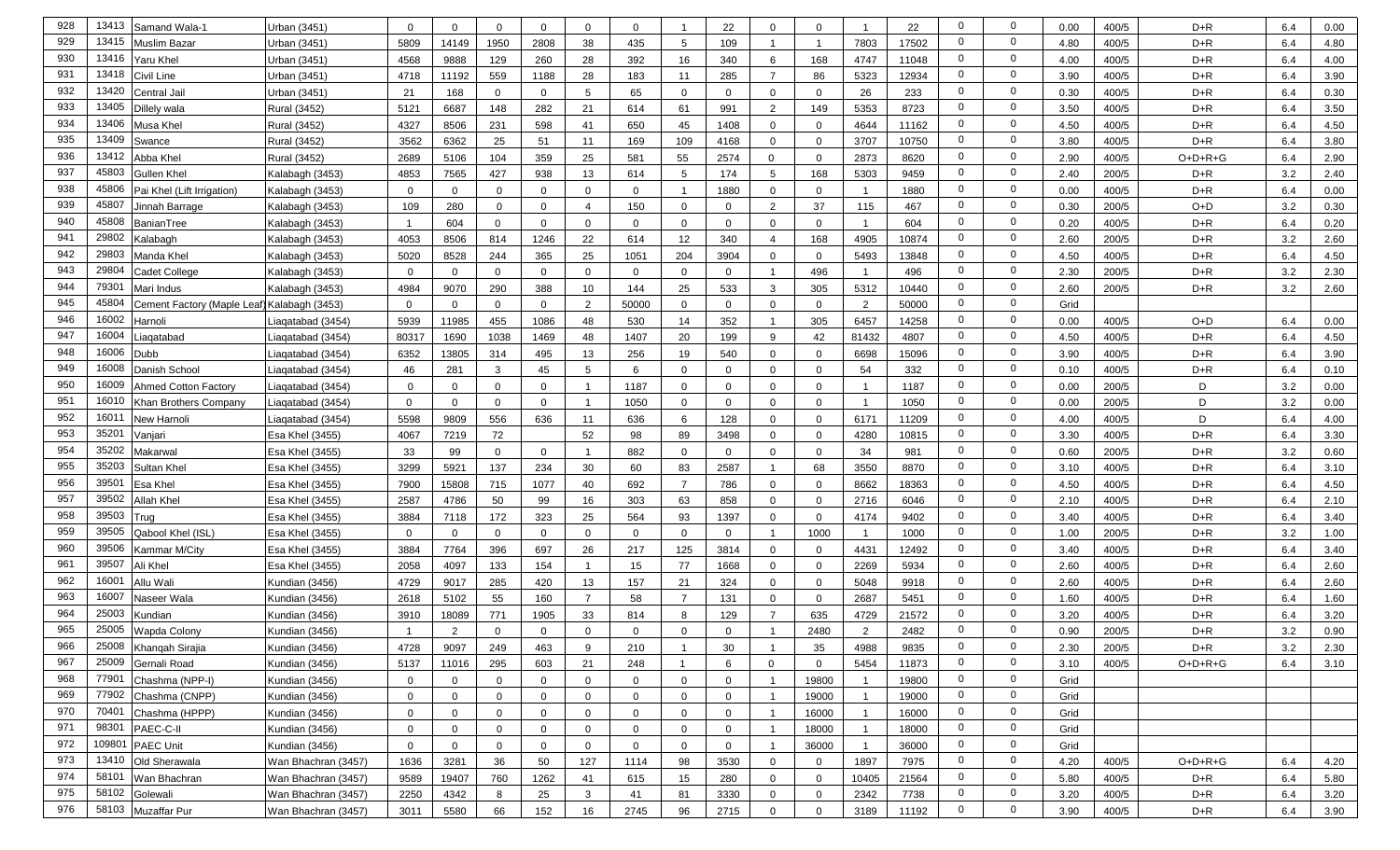| 928 | 13413             | Samand Wala-1                               | Urban (3451)        | $\Omega$       | $\mathbf 0$ |                | $\mathbf{0}$ | $\Omega$       | $\Omega$    |                | 22             | $\mathbf 0$             | $\Omega$     |                | 22    | $\mathbf 0$    | $\mathbf 0$    | 0.00 | 400/5 | $D + R$   | 6.4 | 0.00 |
|-----|-------------------|---------------------------------------------|---------------------|----------------|-------------|----------------|--------------|----------------|-------------|----------------|----------------|-------------------------|--------------|----------------|-------|----------------|----------------|------|-------|-----------|-----|------|
| 929 | 13415             | Muslim Bazar                                | Jrban (3451)        | 5809           | 14149       | 1950           | 2808         | 38             | 435         | 5              | 109            | $\overline{\mathbf{1}}$ | $\mathbf{1}$ | 7803           | 17502 | $\mathbf 0$    | $\mathbf{0}$   | 4.80 | 400/5 | $D+R$     | 6.4 | 4.80 |
| 930 | 13416             | Yaru Khel                                   | Jrban (3451)        | 4568           | 9888        | 129            | 260          | 28             | 392         | 16             | 340            | 6                       | 168          | 4747           | 11048 | $\mathbf 0$    | $\mathbf 0$    | 4.00 | 400/5 | $D+R$     | 6.4 | 4.00 |
| 931 | 13418             | Civil Line                                  | Jrban (3451)        | 4718           | 11192       | 559            | 1188         | 28             | 183         | 11             | 285            | $\overline{7}$          | 86           | 5323           | 12934 | $\mathbf 0$    | $\mathbf{0}$   | 3.90 | 400/5 | $D+R$     | 6.4 | 3.90 |
| 932 | 13420             | Central Jail                                | Jrban (3451)        | 21             | 168         | $\Omega$       | $\mathbf 0$  | 5              | 65          | $\mathbf 0$    | $\overline{0}$ | $\mathbf{0}$            | $\mathbf 0$  | 26             | 233   | $\mathbf 0$    | $\mathbf 0$    | 0.30 | 400/5 | $D+R$     | 6.4 | 0.30 |
| 933 | 13405             | Dillely wala                                | Rural (3452)        | 5121           | 6687        | 148            | 282          | 21             | 614         | 61             | 991            | $\overline{2}$          | 149          | 5353           | 8723  | $\mathbf 0$    | $\mathbf 0$    | 3.50 | 400/5 | $D+R$     | 6.4 | 3.50 |
| 934 | 13406             | Musa Khel                                   | Rural (3452)        | 4327           | 8506        | 231            | 598          | 41             | 650         | 45             | 1408           | $\mathbf 0$             | $\mathbf 0$  | 4644           | 11162 | $\mathbf 0$    | $\mathbf 0$    | 4.50 | 400/5 | $D+R$     | 6.4 | 4.50 |
| 935 | 13409             | Swance                                      | Rural (3452)        | 3562           | 6362        | 25             | 51           | 11             | 169         | 109            | 4168           | $\overline{0}$          | $\Omega$     | 3707           | 10750 | $\mathbf 0$    | $\mathbf 0$    | 3.80 | 400/5 | $D+R$     | 6.4 | 3.80 |
| 936 | 13412             | Abba Khel                                   | Rural (3452)        | 2689           | 5106        | 104            | 359          | 25             | 581         | 55             | 2574           | $\Omega$                | $\Omega$     | 2873           | 8620  | $\mathbf 0$    | $\mathbf 0$    | 2.90 | 400/5 | $O+D+R+G$ | 6.4 | 2.90 |
| 937 | 45803             | <b>Gullen Khel</b>                          | Kalabagh (3453)     | 4853           | 7565        | 427            | 938          | 13             | 614         | 5              | 174            | 5                       | 168          | 5303           | 9459  | $\mathbf 0$    | $\mathbf 0$    | 2.40 | 200/5 | $D+R$     | 3.2 | 2.40 |
| 938 | 45806             | Pai Khel (Lift Irrigation)                  | Kalabagh (3453)     | $\mathbf{0}$   | $\Omega$    | $\Omega$       | $\Omega$     | $\mathbf{0}$   | $\Omega$    |                | 1880           | $\mathbf 0$             | $\mathbf 0$  |                | 1880  | $\mathbf 0$    | $\mathbf 0$    | 0.00 | 400/5 | $D+R$     | 6.4 | 0.00 |
| 939 | 45807             | Jinnah Barrage                              | Kalabagh (3453)     | 109            | 280         | $\mathbf{0}$   | $\mathbf 0$  | $\overline{4}$ | 150         | $\mathbf 0$    | 0              | $\overline{2}$          | 37           | 115            | 467   | $\mathbf 0$    | $\mathbf 0$    | 0.30 | 200/5 | $O+D$     | 3.2 | 0.30 |
| 940 | 45808             | BanianTree                                  | Kalabagh (3453)     | -1             | 604         | $\mathbf 0$    | $\mathbf 0$  | $\mathbf{0}$   | $\mathbf 0$ | $\mathbf 0$    | $\mathbf 0$    | $\mathbf{0}$            | $\mathbf{0}$ | -1             | 604   | $\mathbf 0$    | $\mathbf{0}$   | 0.20 | 400/5 | $D + R$   | 6.4 | 0.20 |
| 941 | 29802             | Kalabaqh                                    | Kalabagh (3453)     | 4053           | 8506        | 814            | 1246         | 22             | 614         | 12             | 340            | $\overline{4}$          | 168          | 4905           | 10874 | $\mathbf 0$    | $\mathbf{0}$   | 2.60 | 200/5 | $D+R$     | 3.2 | 2.60 |
| 942 | 29803             | Manda Khel                                  | Kalabagh (3453)     | 5020           | 8528        | 244            | 365          | 25             | 1051        | 204            | 3904           | $\mathbf 0$             | 0            | 5493           | 13848 | $\mathbf 0$    | $\mathbf{0}$   | 4.50 | 400/5 | $D + R$   | 6.4 | 4.50 |
| 943 | 29804             | Cadet College                               | Kalabagh (3453)     | $\mathbf{0}$   | $\mathbf 0$ | $\Omega$       | $\mathbf{0}$ | 0              | $\Omega$    | $\mathbf 0$    | 0              | $\overline{\mathbf{1}}$ | 496          | - 1            | 496   | $\mathbf 0$    | $\mathbf 0$    | 2.30 | 200/5 | $D+R$     | 3.2 | 2.30 |
| 944 | 7930 <sup>-</sup> | Mari Indus                                  | Kalabagh (3453)     | 4984           | 9070        | 290            | 388          | 10             | 144         | 25             | 533            | 3                       | 305          | 5312           | 10440 | $\mathbf 0$    | $\mathbf 0$    | 2.60 | 200/5 | $D + R$   | 3.2 | 2.60 |
| 945 | 45804             | Cement Factory (Maple Leaf) Kalabagh (3453) |                     | $\overline{0}$ | $\mathbf 0$ | $\Omega$       | $\mathbf 0$  | 2              | 50000       | $\mathbf 0$    | $\mathbf 0$    | $\mathbf 0$             | $\mathbf 0$  | 2              | 50000 | $\mathbf 0$    | $\mathbf 0$    | Grid |       |           |     |      |
| 946 | 16002             | Harnoli                                     | Liagatabad (3454)   | 5939           | 11985       | 455            | 1086         | 48             | 530         | 14             | 352            | $\overline{\mathbf{1}}$ | 305          | 6457           | 14258 | $\mathbf 0$    | $\mathbf 0$    | 0.00 | 400/5 | $O+D$     | 6.4 | 0.00 |
| 947 | 16004             | iaqatabad                                   | Liagatabad (3454)   | 80317          | 1690        | 1038           | 1469         | 48             | 1407        | 20             | 199            | 9                       | 42           | 81432          | 4807  | $\mathbf 0$    | $\mathbf 0$    | 4.50 | 400/5 | $D+R$     | 6.4 | 4.50 |
| 948 | 16006             | Dubb                                        | Liagatabad (3454)   | 6352           | 13805       | 314            | 495          | 13             | 256         | 19             | 540            | $\Omega$                | $\mathbf 0$  | 6698           | 15096 | $\mathbf 0$    | $\mathbf 0$    | 3.90 | 400/5 | $D + R$   | 6.4 | 3.90 |
| 949 | 16008             | Danish School                               | iaqatabad (3454)    | 46             | 281         | 3              | 45           | 5              | 6           | $\mathbf 0$    | $\Omega$       | $\Omega$                | $\mathbf 0$  | 54             | 332   | $\mathbf 0$    | $\mathbf 0$    | 0.10 | 400/5 | $D + R$   | 6.4 | 0.10 |
| 950 | 16009             | Ahmed Cotton Factory                        | Liagatabad (3454)   | $\mathbf{0}$   | $\mathbf 0$ | $\Omega$       | 0            |                | 1187        | $\mathbf 0$    | 0              | $\mathbf 0$             | 0            |                | 1187  | $\mathbf 0$    | $\mathbf 0$    | 0.00 | 200/5 | D         | 3.2 | 0.00 |
| 951 | 16010             | Khan Brothers Company                       | Liaqatabad (3454)   | $\mathbf 0$    | $\Omega$    | $\Omega$       | $\mathbf 0$  |                | 1050        | $\mathbf 0$    | $\mathbf{0}$   | $\mathbf 0$             | $\mathbf 0$  |                | 1050  | $\mathbf 0$    | $\mathbf 0$    | 0.00 | 200/5 | D         | 3.2 | 0.00 |
| 952 | 1601              | New Harnoli                                 | Liaqatabad (3454)   | 5598           | 9809        | 556            | 636          | 11             | 636         | 6              | 128            | $\mathbf 0$             | $\mathbf{0}$ | 6171           | 11209 | $\mathbf 0$    | 0              | 4.00 | 400/5 | D         | 6.4 | 4.00 |
| 953 | 3520              | √anjari                                     | Esa Khel (3455)     | 4067           | 7219        | 72             |              | 52             | 98          | 89             | 3498           | $\mathbf 0$             | $\mathbf{0}$ | 4280           | 10815 | $\mathbf 0$    | $\mathbf 0$    | 3.30 | 400/5 | $D+R$     | 6.4 | 3.30 |
| 954 | 35202             | Makarwal                                    | Esa Khel (3455)     | 33             | 99          | $\Omega$       | $\mathbf 0$  | $\mathbf{1}$   | 882         | $\mathbf 0$    | $\mathbf 0$    | $\mathbf 0$             | $\mathbf{0}$ | 34             | 981   | $\mathbf 0$    | $\mathbf 0$    | 0.60 | 200/5 | $D+R$     | 3.2 | 0.60 |
| 955 | 35203             | Sultan Khel                                 | Esa Khel (3455)     | 3299           | 5921        | 137            | 234          | 30             | 60          | 83             | 2587           | $\overline{\mathbf{1}}$ | 68           | 3550           | 8870  | $\mathbf 0$    | $\mathbf 0$    | 3.10 | 400/5 | $D+R$     | 6.4 | 3.10 |
| 956 | 39501             | Esa Khel                                    | Esa Khel (3455)     | 7900           | 15808       | 715            | 1077         | 40             | 692         | $\overline{7}$ | 786            | $\mathbf 0$             | $\mathbf 0$  | 8662           | 18363 | $\mathbf 0$    | $\mathbf 0$    | 4.50 | 400/5 | $D+R$     | 6.4 | 4.50 |
| 957 | 39502             | Allah Khel                                  | Esa Khel (3455)     | 2587           | 4786        | 50             | 99           | 16             | 303         | 63             | 858            | $\mathbf 0$             | $\Omega$     | 2716           | 6046  | $\mathbf 0$    | $\mathbf 0$    | 2.10 | 400/5 | $D+R$     | 6.4 | 2.10 |
| 958 | 39503             | Trug                                        | Esa Khel (3455)     | 3884           | 7118        | 172            | 323          | 25             | 564         | 93             | 1397           | $\mathbf 0$             | $\mathbf{0}$ | 4174           | 9402  | $\mathbf 0$    | $\mathbf 0$    | 3.40 | 400/5 | $D+R$     | 6.4 | 3.40 |
| 959 | 39505             | Qabool Khel (ISL)                           | Esa Khel (3455)     | $\overline{0}$ | $\mathbf 0$ | $\overline{0}$ | $\mathbf{0}$ | $\Omega$       | $\Omega$    | $\mathbf 0$    | $\mathbf{0}$   | -1                      | 1000         |                | 1000  | $\mathbf 0$    | $\mathbf 0$    | 1.00 | 200/5 | $D+R$     | 3.2 | 1.00 |
| 960 | 39506             | Kammar M/City                               | Esa Khel (3455)     | 3884           | 7764        | 396            | 697          | 26             | 217         | 125            | 3814           | $\mathbf 0$             | $\Omega$     | 4431           | 12492 | $\mathbf 0$    | $\mathbf 0$    | 3.40 | 400/5 | $D+R$     | 6.4 | 3.40 |
| 961 | 39507             | Ali Khel                                    | Esa Khel (3455)     | 2058           | 4097        | 133            | 154          |                | 15          | 77             | 1668           | $\mathbf 0$             | $\Omega$     | 2269           | 5934  | $\mathbf 0$    | $\mathbf 0$    | 2.60 | 400/5 | $D+R$     | 6.4 | 2.60 |
| 962 | 16001             | Allu Wali                                   | Kundian (3456)      | 4729           | 9017        | 285            | 420          | 13             | 157         | 21             | 324            | $\Omega$                | $\Omega$     | 5048           | 9918  | $\mathbf 0$    | $\mathbf 0$    | 2.60 | 400/5 | $D+R$     | 6.4 | 2.60 |
| 963 | 16007             | Naseer Wala                                 | Kundian (3456)      | 2618           | 5102        | 55             | 160          | $\overline{7}$ | 58          | $\overline{7}$ | 131            | $\mathbf 0$             | $\Omega$     | 2687           | 5451  | $\mathbf 0$    | $\mathbf 0$    | 1.60 | 400/5 | $D+R$     | 6.4 | 1.60 |
| 964 | 25003             | Kundiar                                     | Kundian (3456)      | 3910           | 18089       | 771            | 1905         | 33             | 814         | 8              | 129            | $\overline{7}$          | 635          | 4729           | 21572 | $\mathbf 0$    | $\mathbf 0$    | 3.20 | 400/5 | $D+R$     | 6.4 | 3.20 |
| 965 | 25005             | <b>Wapda Colony</b>                         | Kundian (3456)      | -1             | 2           | $\Omega$       | $\mathbf 0$  | $\Omega$       | $\Omega$    | $\mathbf 0$    | 0              | -1                      | 2480         | $\overline{2}$ | 2482  | $\mathbf 0$    | $\mathbf 0$    | 0.90 | 200/5 | D+R       | 3.2 | 0.90 |
| 966 | 25008             | Khangah Sirajia                             | Kundian (3456)      | 4728           | 9097        | 249            | 463          | 9              | 210         | $\overline{1}$ | 30             | $\overline{1}$          | 35           | 4988           | 9835  | $\mathbf{0}$   | $\mathbf{0}$   | 2.30 | 200/5 | $D + R$   | 3.2 | 2.30 |
| 967 | 25009             | Gernali Road                                | Kundian (3456)      | 5137           | 11016       | 295            | 603          | 21             | 248         | $\overline{1}$ | 6              | $\mathbf{0}$            | $\mathbf 0$  | 5454           | 11873 | $\mathbf 0$    | $\mathbf 0$    | 3.10 | 400/5 | $O+D+R+G$ | 6.4 | 3.10 |
| 968 | 77901             | Chashma (NPP-I)                             | Kundian (3456)      | 0              | $\mathbf 0$ | $\mathbf{0}$   | $\mathbf{0}$ | $\mathbf{0}$   | 0           | $\mathbf 0$    | $\mathbf{0}$   | $\overline{\mathbf{1}}$ | 19800        |                | 19800 | $\overline{0}$ | $\overline{0}$ | Grid |       |           |     |      |
| 969 | 77902             | Chashma (CNPP)                              | Kundian (3456)      | $\mathbf 0$    | $\mathbf 0$ | $\mathbf{0}$   | $\mathbf 0$  | $\overline{0}$ | 0           | $\mathbf 0$    | $\overline{0}$ | $\overline{1}$          | 19000        |                | 19000 | $\mathbf{0}$   | $\mathbf 0$    | Grid |       |           |     |      |
| 970 | 70401             | Chashma (HPPP)                              | Kundian (3456)      | $\mathbf 0$    | $\mathbf 0$ | $\mathbf 0$    | $\mathbf{0}$ | $\mathbf 0$    | $\mathbf 0$ | $\mathbf 0$    | $\overline{0}$ | $\overline{1}$          | 16000        |                | 16000 | $\mathbf 0$    | $\mathbf 0$    | Grid |       |           |     |      |
| 971 | 98301             | PAEC-C-II                                   | Kundian (3456)      | $\mathbf 0$    | $\mathbf 0$ | $\mathbf 0$    | $\mathbf 0$  | $\mathbf 0$    | $\mathbf 0$ | $\mathbf 0$    | $\overline{0}$ | $\overline{1}$          | 18000        | - 1            | 18000 | $\overline{0}$ | $\overline{0}$ | Grid |       |           |     |      |
| 972 | 10980             | <b>PAEC Unit</b>                            | Kundian (3456)      | $\mathbf 0$    | $\mathbf 0$ | 0              | $\mathbf 0$  | 0              | $\mathbf 0$ | $\mathbf 0$    | $\overline{0}$ | $\overline{1}$          | 36000        |                | 36000 | $\overline{0}$ | $\overline{0}$ | Grid |       |           |     |      |
| 973 | 13410             | Old Sherawala                               | Wan Bhachran (3457) | 1636           | 3281        | 36             | 50           | 127            | 1114        | 98             | 3530           | $\mathbf 0$             | 0            | 1897           | 7975  | $\overline{0}$ | $\mathbf 0$    | 4.20 | 400/5 | $O+D+R+G$ | 6.4 | 4.20 |
| 974 | 58101             | Wan Bhachran                                | Wan Bhachran (3457) | 9589           | 19407       | 760            | 1262         | 41             | 615         | 15             | 280            | $\mathbf 0$             | 0            | 10405          | 21564 | $\overline{0}$ | $\overline{0}$ | 5.80 | 400/5 | $D+R$     | 6.4 | 5.80 |
| 975 | 58102             | Golewali                                    | Wan Bhachran (3457) | 2250           | 4342        |                | 25           | 3              | 41          | 81             | 3330           | $\mathbf 0$             | $\mathbf 0$  | 2342           | 7738  | $\overline{0}$ | $\overline{0}$ | 3.20 | 400/5 | $D + R$   | 6.4 | 3.20 |
| 976 | 58103             | <b>Muzaffar Pur</b>                         | Wan Bhachran (3457) | 3011           | 5580        | 66             | 152          | 16             | 2745        | 96             | 2715           | $\mathbf 0$             | $\mathbf 0$  | 3189           | 11192 | $\mathbf 0$    | $\mathbf 0$    | 3.90 | 400/5 | $D + R$   | 6.4 | 3.90 |